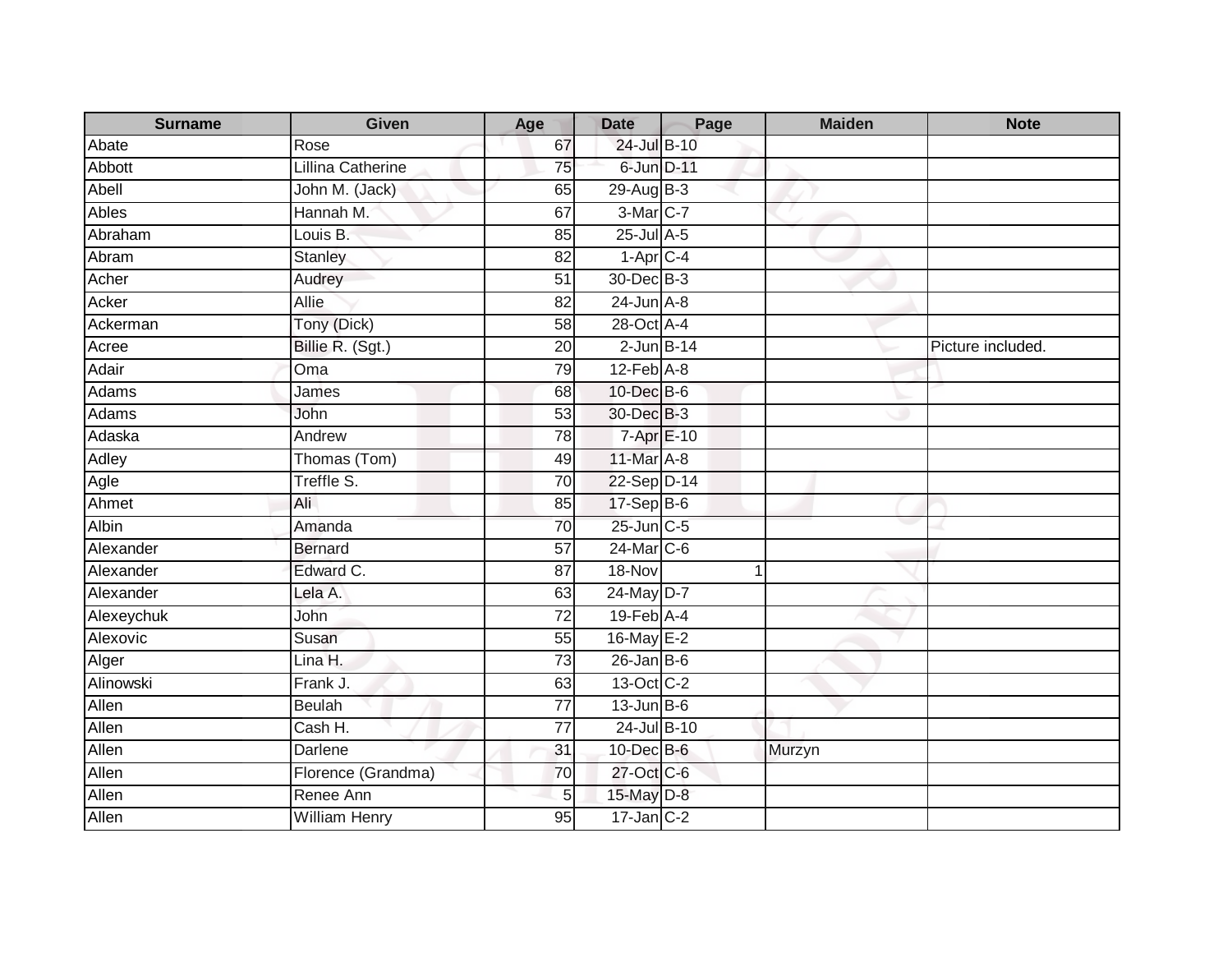| <b>Surname</b> | Given                | Age             | <b>Date</b>      | Page | <b>Maiden</b> | <b>Note</b>       |
|----------------|----------------------|-----------------|------------------|------|---------------|-------------------|
| Abate          | Rose                 | 67              | 24-Jul B-10      |      |               |                   |
| <b>Abbott</b>  | Lillina Catherine    | 75              | 6-Jun D-11       |      |               |                   |
| Abell          | John M. (Jack)       | 65              | 29-Aug B-3       |      |               |                   |
| <b>Ables</b>   | Hannah M.            | 67              | 3-Mar C-7        |      |               |                   |
| Abraham        | Louis B:             | 85              | $25$ -Jul $A-5$  |      |               |                   |
| Abram          | <b>Stanley</b>       | 82              | $1-AprC-4$       |      |               |                   |
| Acher          | Audrey               | 51              | 30-Dec B-3       |      |               |                   |
| Acker          | Allie                | 82              | $24$ -Jun $A-8$  |      |               |                   |
| Ackerman       | Tony (Dick)          | $\overline{58}$ | 28-Oct A-4       |      |               |                   |
| Acree          | Billie R. (Sgt.)     | 20              | $2$ -Jun $B-14$  |      |               | Picture included. |
| Adair          | Oma                  | 79              | $12$ -Feb $A-8$  |      |               |                   |
| Adams          | James                | 68              | 10-Dec B-6       |      |               |                   |
| Adams          | John                 | 53              | 30-Dec B-3       |      |               |                   |
| Adaska         | Andrew               | 78              | 7-Apr E-10       |      |               |                   |
| <b>Adley</b>   | Thomas (Tom)         | 49              | 11-Mar A-8       |      |               |                   |
| Agle           | Treffle S.           | $\overline{70}$ | 22-Sep D-14      |      |               |                   |
| Ahmet          | Ali                  | 85              | $17-SepB-6$      |      |               |                   |
| Albin          | Amanda               | 70              | $25$ -Jun $C$ -5 |      |               |                   |
| Alexander      | <b>Bernard</b>       | 57              | 24-Mar C-6       |      |               |                   |
| Alexander      | Edward C.            | $\overline{87}$ | 18-Nov           |      | 1             |                   |
| Alexander      | Lela A.              | 63              | 24-May D-7       |      |               |                   |
| Alexeychuk     | John                 | $\overline{72}$ | 19-Feb A-4       |      |               |                   |
| Alexovic       | Susan                | 55              | 16-May E-2       |      |               |                   |
| Alger          | Lina H.              | 73              | $26$ -Jan B-6    |      |               |                   |
| Alinowski      | Frank J.             | 63              | 13-Oct C-2       |      |               |                   |
| Allen          | <b>Beulah</b>        | $\overline{77}$ | $13$ -Jun B-6    |      |               |                   |
| Allen          | Cash H.              | $\overline{77}$ | 24-Jul B-10      |      |               |                   |
| Allen          | Darlene              | 31              | $10$ -Dec $B$ -6 |      | Murzyn        |                   |
| Allen          | Florence (Grandma)   | 70              | 27-Oct C-6       |      |               |                   |
| Allen          | Renee Ann            | 5               | 15-May D-8       |      |               |                   |
| Allen          | <b>William Henry</b> | 95              | $17$ -Jan C-2    |      |               |                   |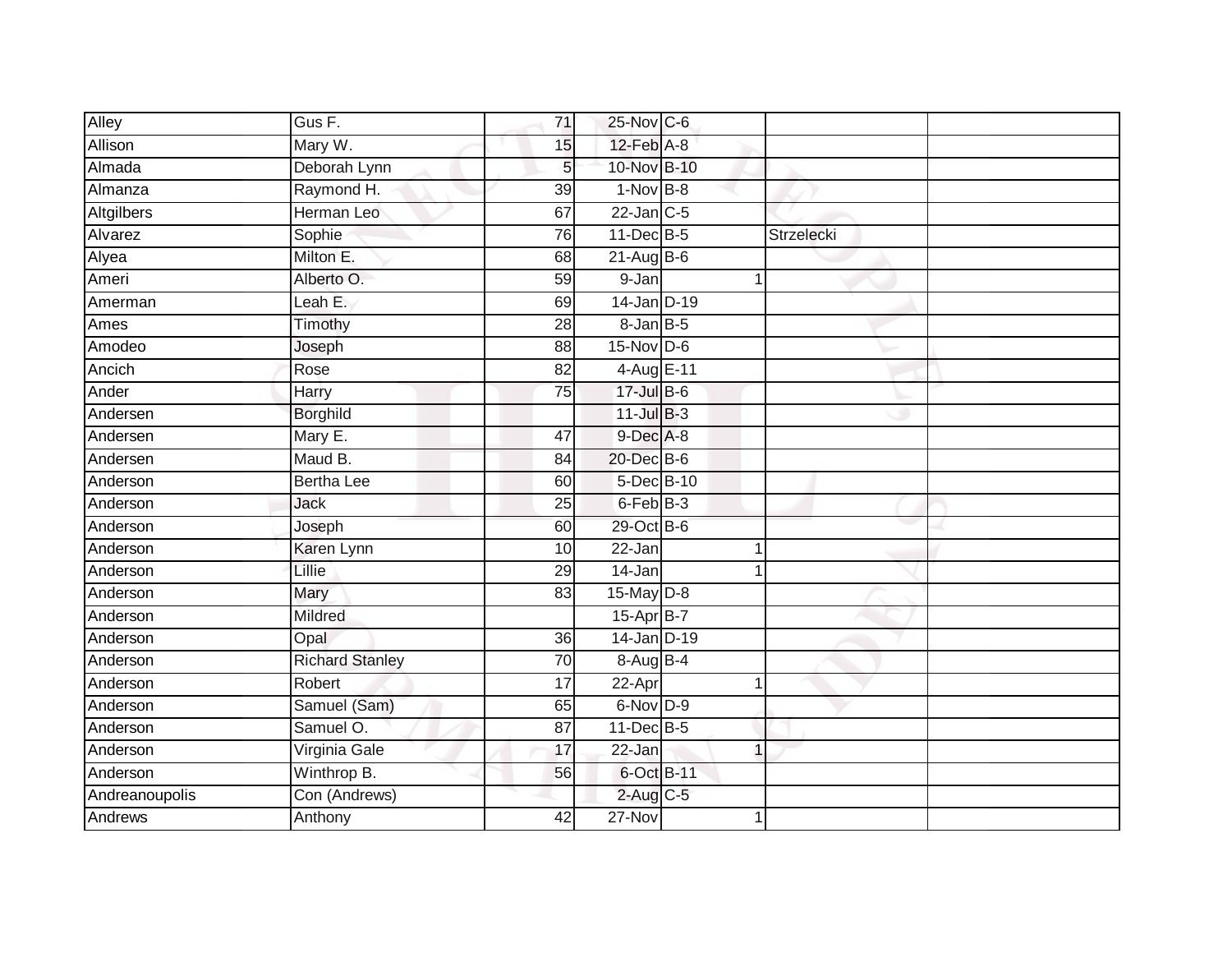| Alley             | $GusF$ .               | $\overline{71}$ | 25-Nov C-6      |            |  |
|-------------------|------------------------|-----------------|-----------------|------------|--|
| Allison           | Mary W.                | 15              | $12$ -Feb $A-8$ |            |  |
| Almada            | Deborah Lynn           | 5 <sub>l</sub>  | 10-Nov B-10     |            |  |
| Almanza           | Raymond H.             | 39              | $1-Nov$ B-8     |            |  |
| <b>Altgilbers</b> | Herman Leo             | 67              | $22$ -Jan C-5   |            |  |
| Alvarez           | Sophie                 | 76              | 11-Dec B-5      | Strzelecki |  |
| Alyea             | Milton E.              | 68              | $21-AugBB-6$    |            |  |
| Ameri             | Alberto O.             | 59              | 9-Jan           |            |  |
| Amerman           | Leah E.                | 69              | 14-Jan D-19     |            |  |
| Ames              | Timothy                | $\overline{28}$ | $8 - JanB - 5$  |            |  |
| Amodeo            | Joseph                 | $\overline{88}$ | $15-Nov$ D-6    |            |  |
| Ancich            | Rose                   | 82              | 4-Aug E-11      |            |  |
| Ander             | Harry                  | 75              | 17-Jul B-6      |            |  |
| Andersen          | <b>Borghild</b>        |                 | $11$ -Jul $B-3$ |            |  |
| Andersen          | Mary E.                | $\overline{47}$ | 9-Dec A-8       |            |  |
| Andersen          | Maud B.                | 84              | 20-Dec B-6      |            |  |
| Anderson          | <b>Bertha Lee</b>      | 60              | 5-Dec B-10      |            |  |
| Anderson          | Jack                   | 25              | 6-Feb B-3       |            |  |
| Anderson          | Joseph                 | 60              | 29-Oct B-6      |            |  |
| Anderson          | Karen Lynn             | 10              | 22-Jan          |            |  |
| Anderson          | Lillie                 | 29              | 14-Jan          |            |  |
| Anderson          | Mary                   | 83              | 15-May D-8      |            |  |
| Anderson          | Mildred                |                 | 15-Apr B-7      |            |  |
| Anderson          | Opal                   | 36              | 14-Jan D-19     |            |  |
| Anderson          | <b>Richard Stanley</b> | 70              | 8-Aug B-4       |            |  |
| Anderson          | Robert                 | $\overline{17}$ | 22-Apr          | 1          |  |
| Anderson          | Samuel (Sam)           | 65              | 6-Nov D-9       |            |  |
| Anderson          | Samuel O.              | 87              | 11-Dec B-5      |            |  |
| Anderson          | Virginia Gale          | 17              | 22-Jan          | 1          |  |
| Anderson          | Winthrop B.            | 56              | 6-Oct B-11      |            |  |
| Andreanoupolis    | Con (Andrews)          |                 | $2$ -Aug C-5    |            |  |
| <b>Andrews</b>    | Anthony                | 42              | $27-Nov$        | 1          |  |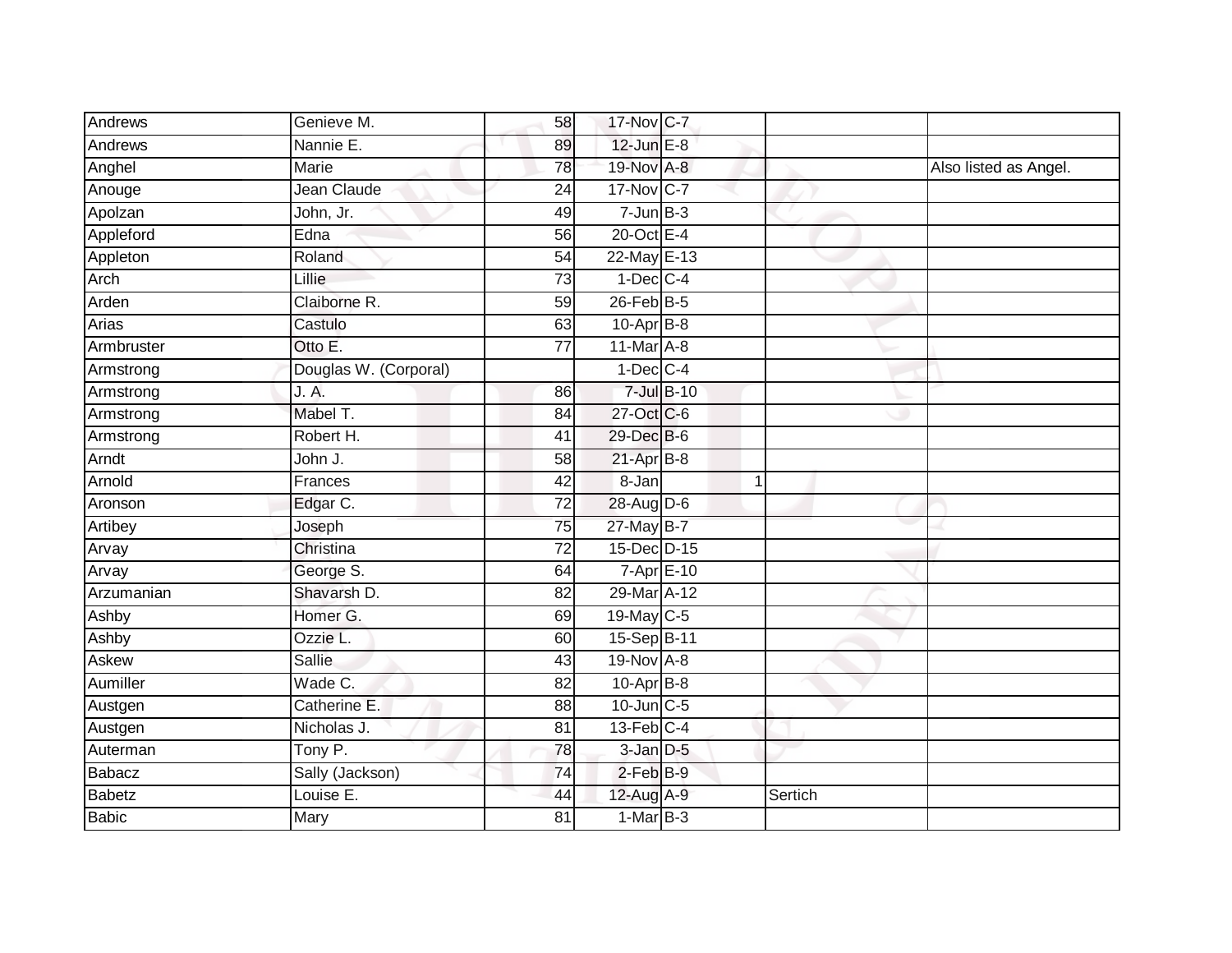| Andrews       | Genieve M.            | 58              | 17-Nov C-7       |                    |         |                       |
|---------------|-----------------------|-----------------|------------------|--------------------|---------|-----------------------|
| Andrews       | Nannie E.             | 89              | 12-Jun E-8       |                    |         |                       |
| Anghel        | Marie                 | 78              | 19-Nov A-8       |                    |         | Also listed as Angel. |
| Anouge        | Jean Claude           | 24              | 17-Nov C-7       |                    |         |                       |
| Apolzan       | John, Jr.             | 49              | $7 - Jun$ $B-3$  |                    |         |                       |
| Appleford     | Edna                  | 56              | 20-Oct E-4       |                    |         |                       |
| Appleton      | Roland                | 54              | 22-May E-13      |                    |         |                       |
| Arch          | Lillie                | 73              | $1-Dec$ $C-4$    |                    |         |                       |
| Arden         | Claiborne R.          | 59              | $26$ -Feb $B$ -5 |                    |         |                       |
| Arias         | Castulo               | 63              | $10-Apr$ B-8     |                    |         |                       |
| Armbruster    | Otto E.               | $\overline{77}$ | 11-Mar A-8       |                    |         |                       |
| Armstrong     | Douglas W. (Corporal) |                 | $1-Dec$ $C-4$    |                    |         |                       |
| Armstrong     | J. A.                 | 86              |                  | 7-Jul B-10         |         |                       |
| Armstrong     | Mabel T.              | 84              | 27-Oct C-6       |                    |         |                       |
| Armstrong     | Robert H.             | $\overline{41}$ | 29-Dec B-6       |                    |         |                       |
| Arndt         | John J.               | 58              | $21-Apr$ B-8     |                    |         |                       |
| Arnold        | Frances               | $\overline{42}$ | 8-Jan            | 1                  |         |                       |
| Aronson       | Edgar C.              | 72              | 28-Aug D-6       |                    |         |                       |
| Artibey       | Joseph                | 75              | 27-May B-7       |                    |         |                       |
| Arvay         | Christina             | $\overline{72}$ | 15-Dec D-15      |                    |         |                       |
| Arvay         | George S.             | 64              |                  | $7 - Apr$ $E - 10$ |         |                       |
| Arzumanian    | Shavarsh D.           | $\overline{82}$ | 29-Mar A-12      |                    |         |                       |
| Ashby         | Homer G.              | 69              | 19-May C-5       |                    |         |                       |
| Ashby         | Ozzie L.              | 60              | 15-Sep B-11      |                    |         |                       |
| Askew         | Sallie                | 43              | 19-Nov A-8       |                    |         |                       |
| Aumiller      | Wade C.               | 82              | $10-Apr$ B-8     |                    |         |                       |
| Austgen       | Catherine E.          | $\overline{88}$ | 10-Jun C-5       |                    |         |                       |
| Austgen       | Nicholas J.           | 81              | $13$ -Feb $C-4$  |                    |         |                       |
| Auterman      | Tony P.               | 78              | $3$ -Jan $D-5$   |                    |         |                       |
| Babacz        | Sally (Jackson)       | 74              | $2$ -Feb $B-9$   |                    |         |                       |
| <b>Babetz</b> | Louise E.             | 44              | $12$ -Aug $A-9$  |                    | Sertich |                       |
| Babic         | Mary                  | 81              | $1-MarB-3$       |                    |         |                       |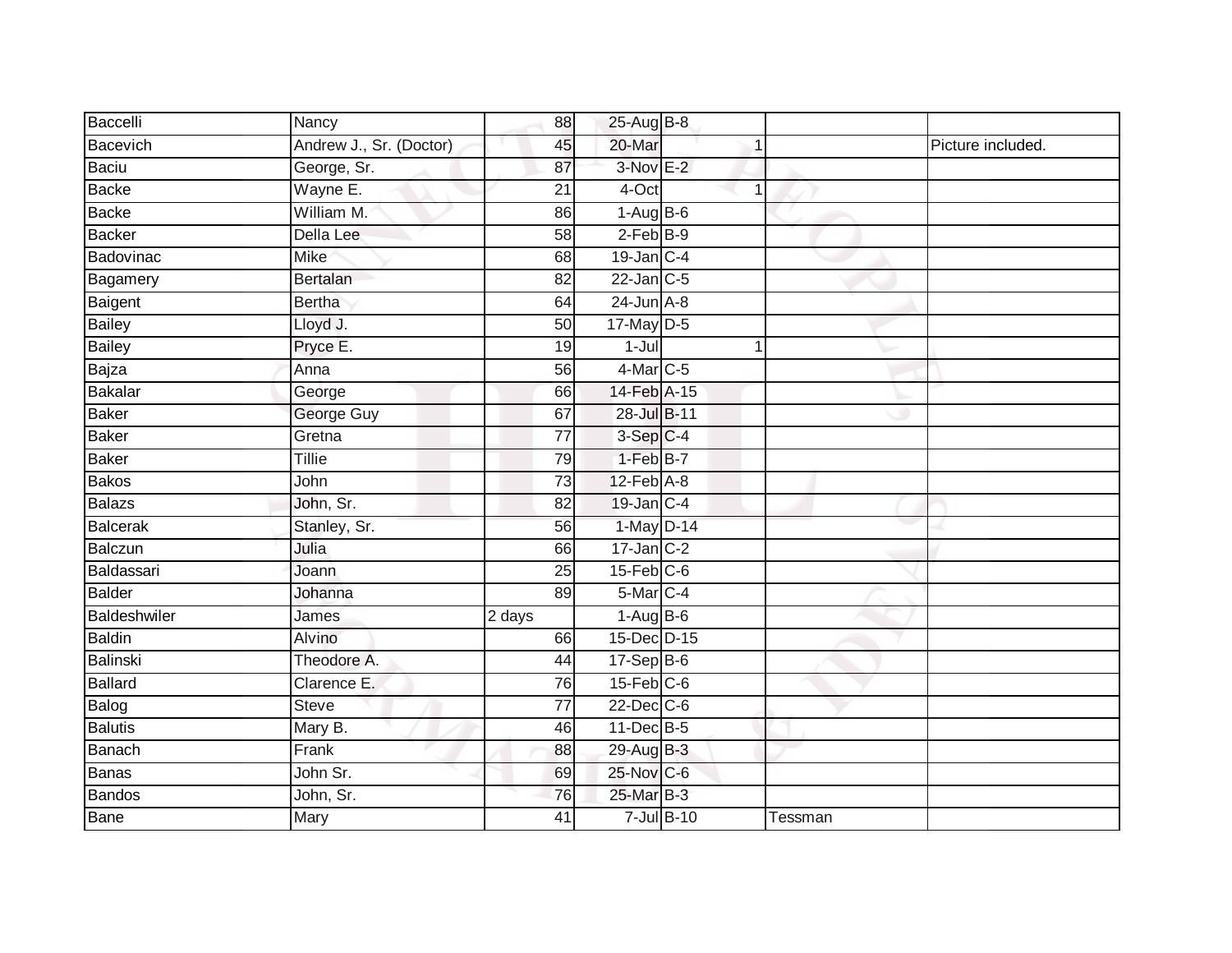| Baccelli       | Nancy                   | 88              | 25-Aug B-8                |                 |         |                   |
|----------------|-------------------------|-----------------|---------------------------|-----------------|---------|-------------------|
| Bacevich       | Andrew J., Sr. (Doctor) | 45              | 20-Mar                    |                 |         | Picture included. |
| Baciu          | George, Sr.             | 87              | 3-Nov E-2                 |                 |         |                   |
| Backe          | Wayne E.                | 21              | 4-Oct                     | $\mathbf 1$     |         |                   |
| <b>Backe</b>   | William M.              | 86              | $1-AugB-6$                |                 |         |                   |
| Backer         | Della Lee               | 58              | $2-FebB-9$                |                 |         |                   |
| Badovinac      | <b>Mike</b>             | 68              | $19$ -Jan C-4             |                 |         |                   |
| Bagamery       | Bertalan                | 82              | $22$ -Jan $C-5$           |                 |         |                   |
| Baigent        | <b>Bertha</b>           | 64              | $24$ -Jun $A-8$           |                 |         |                   |
| <b>Bailey</b>  | Lloyd J.                | 50              | $17$ -May D-5             |                 |         |                   |
| <b>Bailey</b>  | Pryce E.                | 19              | $1 -$ Jul                 | $\mathbf 1$     |         |                   |
| Bajza          | Anna                    | 56              | 4-Mar C-5                 |                 |         |                   |
| <b>Bakalar</b> | George                  | 66              | 14-Feb A-15               |                 |         |                   |
| <b>Baker</b>   | George Guy              | 67              | 28-Jul B-11               |                 |         |                   |
| Baker          | Gretna                  | $\overline{77}$ | 3-Sep C-4                 |                 |         |                   |
| Baker          | Tillie                  | 79              | 1-Feb B-7                 |                 |         |                   |
| Bakos          | John                    | $\overline{73}$ | $12$ -Feb $A-8$           |                 |         |                   |
| Balazs         | John, Sr.               | 82              | 19-Jan C-4                |                 |         |                   |
| Balcerak       | Stanley, Sr.            | 56              | 1-May D-14                |                 |         |                   |
| Balczun        | Julia                   | 66              | $17 - Jan$ <sub>C-2</sub> |                 |         |                   |
| Baldassari     | Joann                   | 25              | $15$ -Feb $C$ -6          |                 |         |                   |
| Balder         | Johanna                 | 89              | 5-Mar C-4                 |                 |         |                   |
| Baldeshwiler   | James                   | 2 days          | $1-Aug$ B-6               |                 |         |                   |
| <b>Baldin</b>  | Alvino                  | 66              | 15-Dec D-15               |                 |         |                   |
| Balinski       | Theodore A.             | 44              | $17-Sep$ B-6              |                 |         |                   |
| <b>Ballard</b> | Clarence E.             | 76              | $15$ -Feb $C$ -6          |                 |         |                   |
| Balog          | <b>Steve</b>            | $\overline{77}$ | $22$ -Dec $C-6$           |                 |         |                   |
| Balutis        | Mary B.                 | 46              | 11-Dec B-5                |                 |         |                   |
| Banach         | Frank                   | 88              | 29-Aug B-3                |                 |         |                   |
| Banas          | John Sr.                | 69              | 25-Nov C-6                |                 |         |                   |
| Bandos         | John, Sr.               | 76              | 25-Mar B-3                |                 |         |                   |
| Bane           | Mary                    | $\overline{41}$ |                           | $7$ -Jul $B-10$ | Tessman |                   |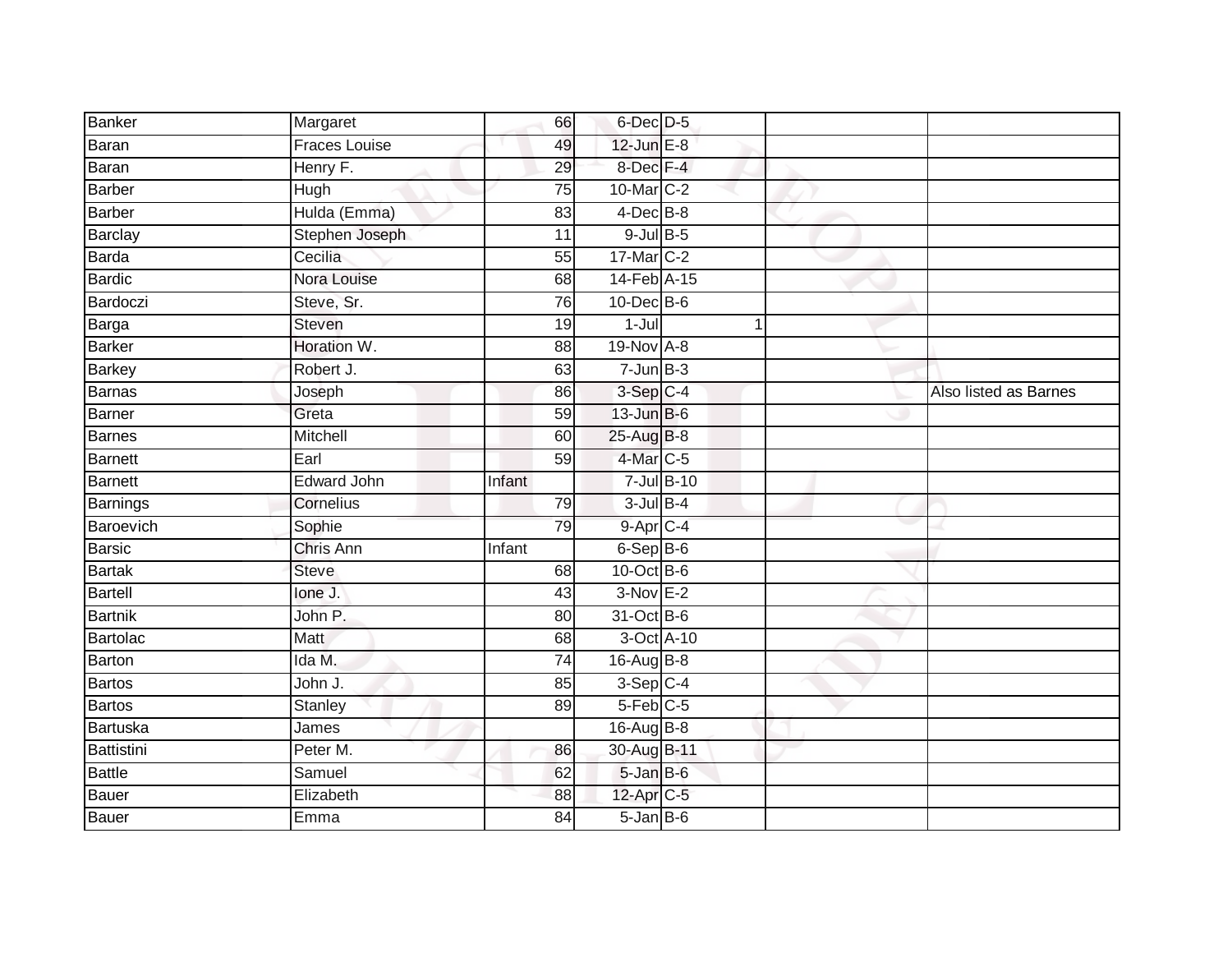| Banker         | Margaret             | 66     | 6-Dec D-5              |            |                       |
|----------------|----------------------|--------|------------------------|------------|-----------------------|
| Baran          | <b>Fraces Louise</b> | 49     | 12-Jun E-8             |            |                       |
| Baran          | Henry F.             | 29     | 8-Dec F-4              |            |                       |
| Barber         | Hugh                 | 75     | 10-Mar C-2             |            |                       |
| <b>Barber</b>  | Hulda (Emma)         | 83     | $4$ -Dec $B$ -8        |            |                       |
| <b>Barclay</b> | Stephen Joseph       | 11     | $9$ -Jul $B$ -5        |            |                       |
| <b>Barda</b>   | Cecilia              | 55     | 17-Mar C-2             |            |                       |
| <b>Bardic</b>  | Nora Louise          | 68     | 14-Feb A-15            |            |                       |
| Bardoczi       | Steve, Sr.           | 76     | 10-Dec B-6             |            |                       |
| Barga          | Steven               | 19     | $1-Jul$                |            |                       |
| <b>Barker</b>  | Horation W.          | 88     | 19-Nov A-8             |            |                       |
| Barkey         | Robert J.            | 63     | $7 - Jun$ B-3          |            |                       |
| Barnas         | Joseph               | 86     | $3-Sep$ $C-4$          |            | Also listed as Barnes |
| Barner         | Greta                | 59     | $13$ -Jun $B-6$        |            |                       |
| Barnes         | Mitchell             | 60     | 25-Aug B-8             |            |                       |
| Barnett        | Earl                 | 59     | 4-Mar C-5              |            |                       |
| Barnett        | <b>Edward John</b>   | Infant |                        | 7-Jul B-10 |                       |
| Barnings       | Cornelius            | 79     | $3$ -Jul $B-4$         |            |                       |
| Baroevich      | Sophie               | 79     | $9 - Apr$ $C - 4$      |            |                       |
| <b>Barsic</b>  | Chris Ann            | Infant | $6-SepB-6$             |            |                       |
| <b>Bartak</b>  | <b>Steve</b>         | 68     | 10-Oct B-6             |            |                       |
| <b>Bartell</b> | lone J.              | 43     | $3-NovE-2$             |            |                       |
| <b>Bartnik</b> | John P.              | 80     | 31-Oct B-6             |            |                       |
| Bartolac       | Matt                 | 68     |                        | 3-Oct A-10 |                       |
| Barton         | Ida M.               | 74     | 16-Aug B-8             |            |                       |
| Bartos         | John J.              | 85     | $3-Sep$ <sub>C-4</sub> |            |                       |
| Bartos         | Stanley              | 89     | $5-Feb$ $C-5$          |            |                       |
| Bartuska       | James                |        | 16-Aug B-8             |            |                       |
| Battistini     | Peter M.             | 86     | 30-Aug B-11            |            |                       |
| <b>Battle</b>  | Samuel               | 62     | $5$ -Jan B-6           |            |                       |
| Bauer          | Elizabeth            | 88     | 12-Apr C-5             |            |                       |
| <b>Bauer</b>   | Emma                 | 84     | $5 - Jan$ $B - 6$      |            |                       |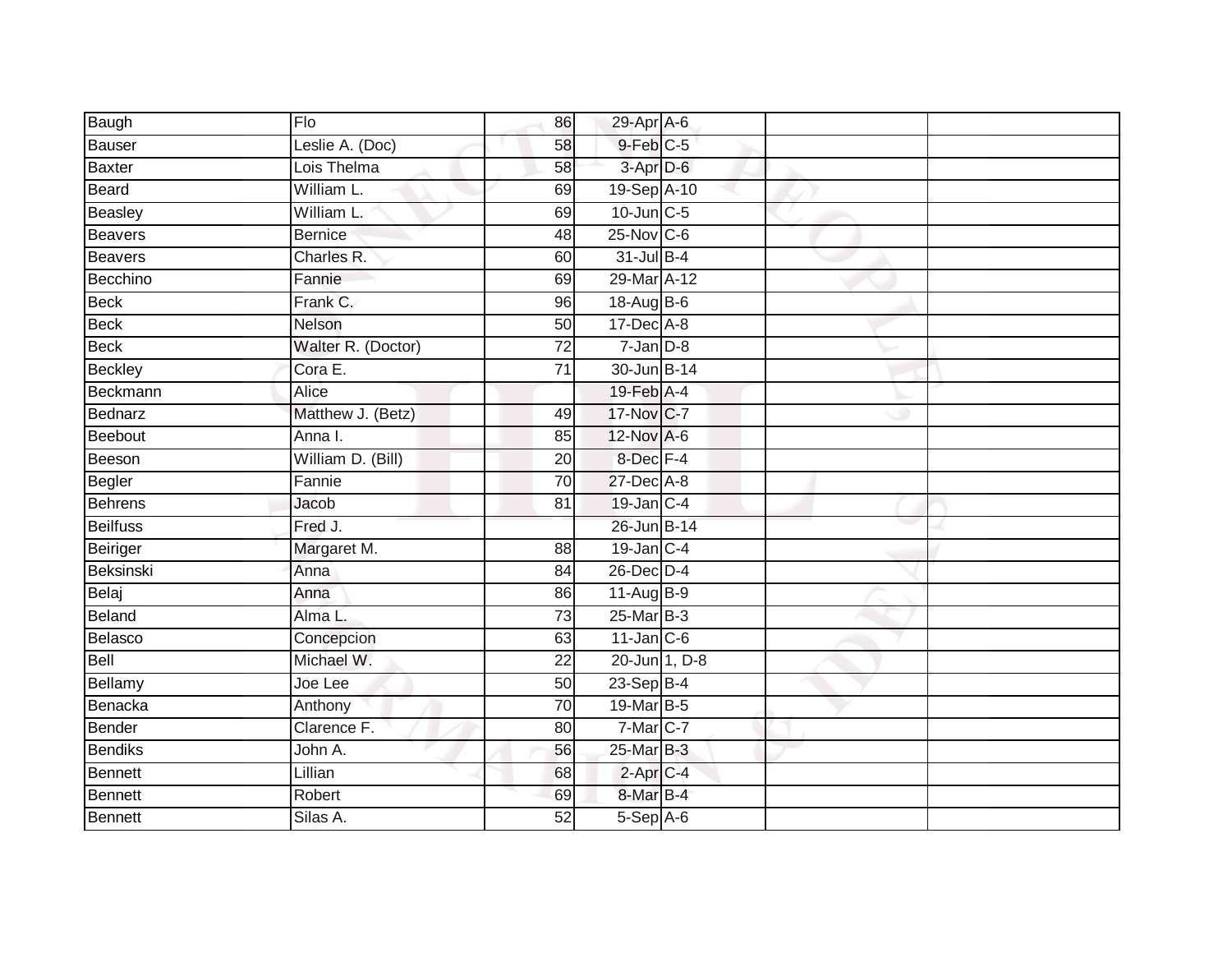| Baugh           | Flo                | 86              | 29-Apr A-6                  |  |
|-----------------|--------------------|-----------------|-----------------------------|--|
| Bauser          | Leslie A. (Doc)    | 58              | $9$ -Feb $C$ -5             |  |
| <b>Baxter</b>   | Lois Thelma        | 58              | 3-Apr D-6                   |  |
| Beard           | William L.         | 69              | 19-Sep A-10                 |  |
| Beasley         | William L.         | 69              | $10$ -Jun $C - 5$           |  |
| Beavers         | <b>Bernice</b>     | 48              | $25$ -Nov $ C-6 $           |  |
| Beavers         | Charles R.         | 60              | 31-Jul B-4                  |  |
| Becchino        | Fannie             | 69              | 29-Mar A-12                 |  |
| <b>Beck</b>     | Frank C.           | 96              | 18-Aug B-6                  |  |
| Beck            | Nelson             | 50              | 17-Dec A-8                  |  |
| <b>Beck</b>     | Walter R. (Doctor) | 72              | $7$ -Jan $D-8$              |  |
| <b>Beckley</b>  | Cora E.            | $\overline{71}$ | 30-Jun B-14                 |  |
| Beckmann        | Alice              |                 | 19-Feb A-4                  |  |
| Bednarz         | Matthew J. (Betz)  | 49              | 17-Nov C-7                  |  |
| Beebout         | Anna I.            | 85              | 12-Nov A-6                  |  |
| Beeson          | William D. (Bill)  | 20              | 8-Dec F-4                   |  |
| Begler          | Fannie             | $\overline{70}$ | 27-Dec A-8                  |  |
| Behrens         | Jacob              | 81              | $19$ -Jan $ C-4 $           |  |
| <b>Beilfuss</b> | Fred J.            |                 | 26-Jun B-14                 |  |
| Beiriger        | Margaret M.        | 88              | $19$ -Jan $ C-4 $           |  |
| Beksinski       | Anna               | 84              | $26$ -Dec $D-4$             |  |
| Belaj           | Anna               | 86              | 11-Aug B-9                  |  |
| Beland          | Alma L.            | $\overline{73}$ | $25$ -Mar $\overline{B}$ -3 |  |
| Belasco         | Concepcion         | 63              | $11$ -Jan $C-6$             |  |
| Bell            | Michael W.         | 22              | 20-Jun 1, D-8               |  |
| Bellamy         | Joe Lee            | 50              | $23-Sep$ B-4                |  |
| Benacka         | Anthony            | $\overline{70}$ | 19-Mar B-5                  |  |
| Bender          | Clarence F.        | 80              | 7-Mar C-7                   |  |
| <b>Bendiks</b>  | John A.            | 56              | $25$ -Mar $B-3$             |  |
| Bennett         | Lillian            | 68              | $2$ -Apr $C$ -4             |  |
| Bennett         | Robert             | 69              | 8-Mar B-4                   |  |
| <b>Bennett</b>  | Silas A.           | $\overline{52}$ | $5-$ Sep $A-6$              |  |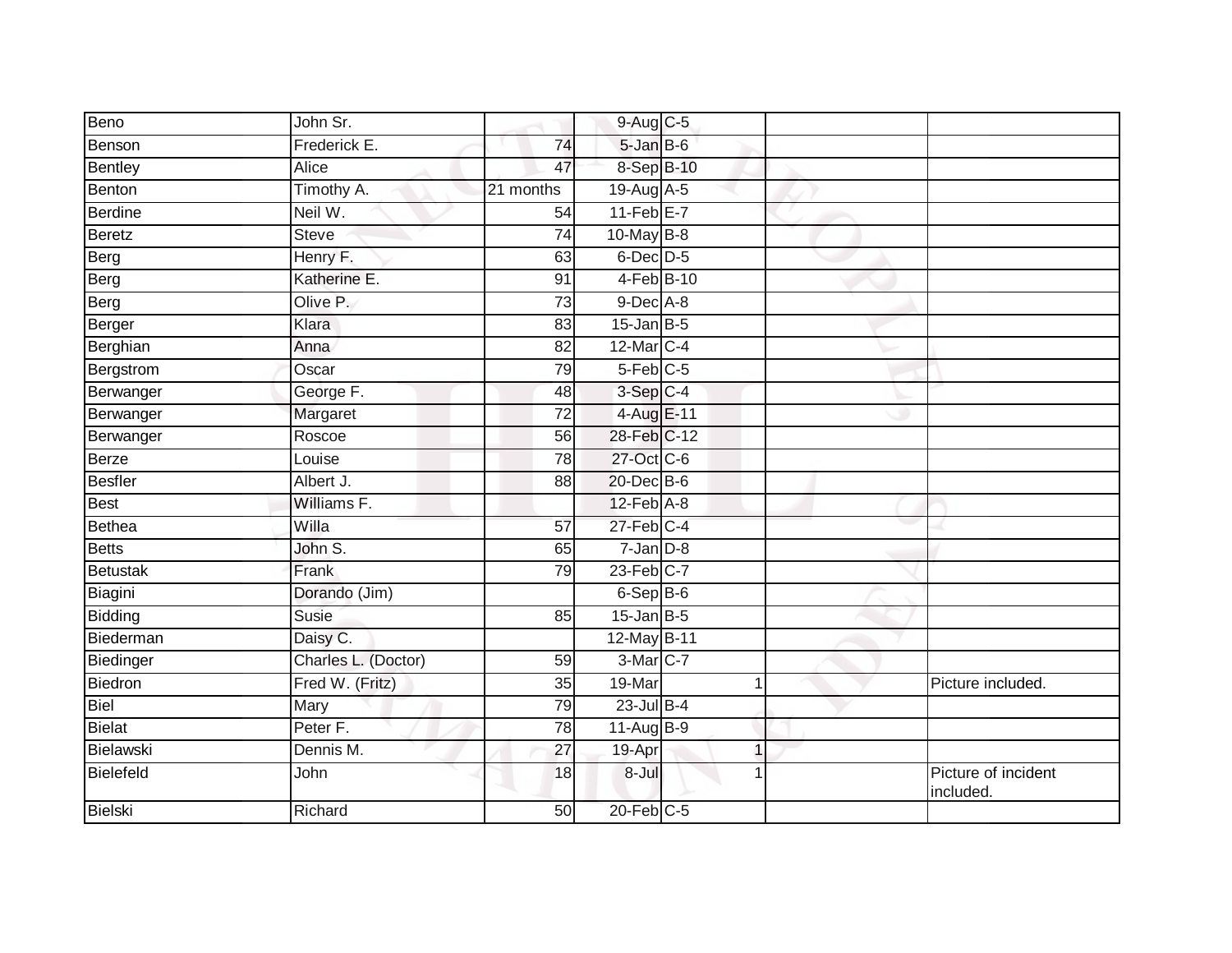| Beno            | John Sr.            |                 | 9-Aug C-5            |                          |                                 |
|-----------------|---------------------|-----------------|----------------------|--------------------------|---------------------------------|
| Benson          | Frederick E.        | 74              | 5-Jan B-6            |                          |                                 |
| <b>Bentley</b>  | Alice               | 47              | 8-Sep B-10           |                          |                                 |
| Benton          | Timothy A.          | 21 months       | $19$ -Aug $A$ -5     |                          |                                 |
| Berdine         | Neil W.             | 54              | $11-Feb$ $E-7$       |                          |                                 |
| Beretz          | <b>Steve</b>        | $\overline{74}$ | $10$ -May B-8        |                          |                                 |
| Berg            | Henry F.            | 63              | $6$ -Dec $D$ -5      |                          |                                 |
| Berg            | Katherine E.        | 91              | $4-Feb$ B-10         |                          |                                 |
| Berg            | Olive P.            | 73              | $9$ -Dec $A$ -8      |                          |                                 |
| Berger          | Klara               | 83              | $15$ -Jan B-5        |                          |                                 |
| Berghian        | Anna                | 82              | 12-Mar C-4           |                          |                                 |
| Bergstrom       | Oscar               | 79              | 5-Feb C-5            |                          |                                 |
| Berwanger       | George F.           | 48              | $3-Sep$ $C-4$        |                          |                                 |
| Berwanger       | Margaret            | $\overline{72}$ | 4-Aug E-11           |                          |                                 |
| Berwanger       | Roscoe              | 56              | 28-Feb C-12          |                          |                                 |
| Berze           | Louise              | 78              | 27-Oct C-6           |                          |                                 |
| <b>Besfler</b>  | Albert J.           | 88              | 20-Dec B-6           |                          |                                 |
| Best            | Williams F.         |                 | $12$ -Feb $A-8$      |                          |                                 |
| <b>Bethea</b>   | Willa               | 57              | $27$ -Feb $C-4$      |                          |                                 |
| <b>Betts</b>    | John S.             | 65              | $7 - Jan$ $D-8$      |                          |                                 |
| <b>Betustak</b> | Frank               | 79              | $23$ -Feb $C-7$      |                          |                                 |
| Biagini         | Dorando (Jim)       |                 | $6-Sep$ B-6          |                          |                                 |
| Bidding         | Susie               | 85              | $15$ -Jan B-5        |                          |                                 |
| Biederman       | Daisy C.            |                 | 12-May B-11          |                          |                                 |
| Biedinger       | Charles L. (Doctor) | 59              | 3-Mar <sub>C-7</sub> |                          |                                 |
| <b>Biedron</b>  | Fred W. (Fritz)     | 35              | 19-Mar               | 1                        | Picture included.               |
| <b>Biel</b>     | Mary                | 79              | $23$ -Jul B-4        |                          |                                 |
| <b>Bielat</b>   | Peter F.            | 78              | $11-AugB-9$          |                          |                                 |
| Bielawski       | Dennis M.           | 27              | 19-Apr               | $\overline{\phantom{a}}$ |                                 |
| Bielefeld       | John                | 18              | 8-Jul                | 1                        | Picture of incident<br>included |
| <b>Bielski</b>  | Richard             | 50              | $20$ -Feb $C-5$      |                          |                                 |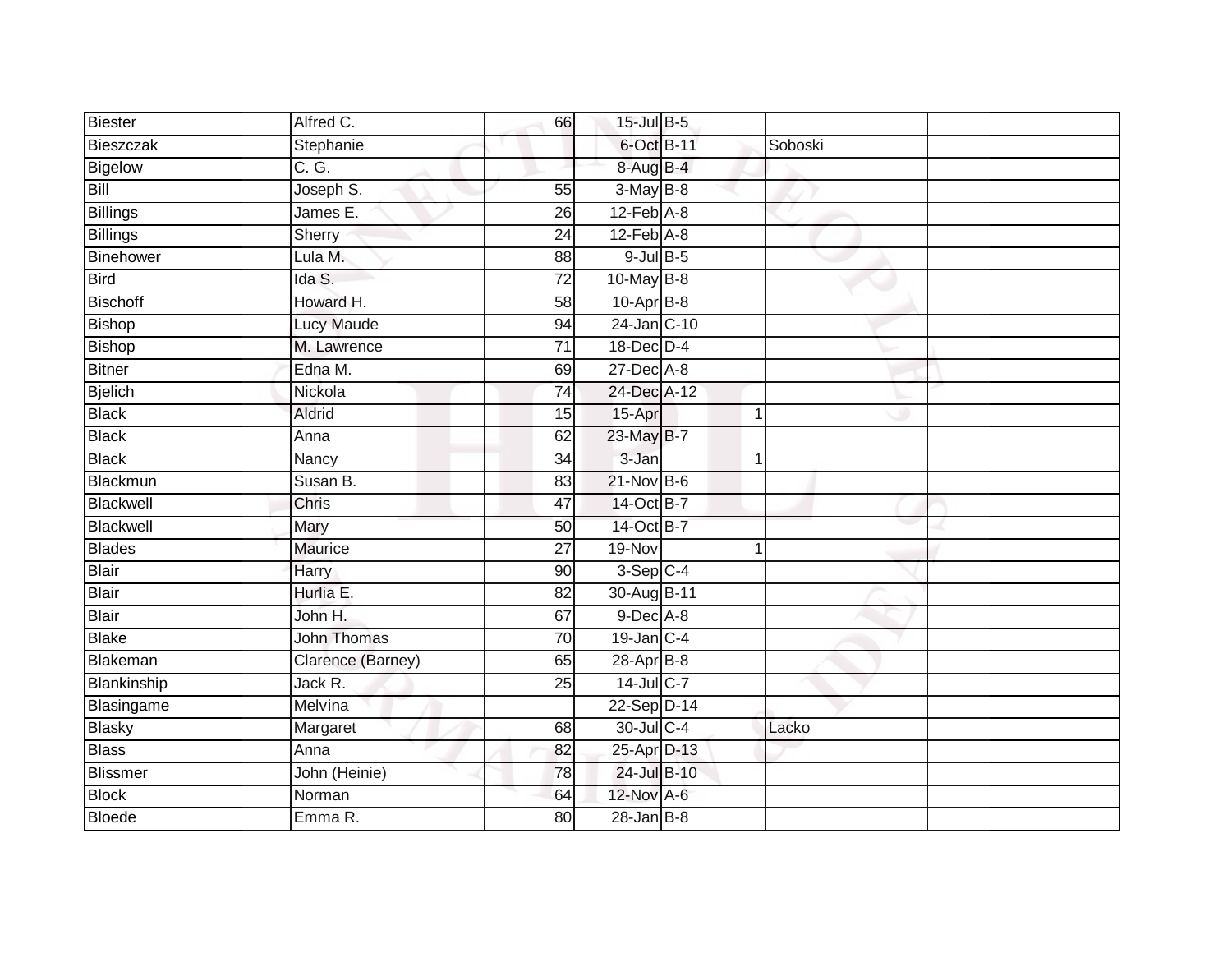| Biester         | Alfred C.          | 66              | 15-Jul B-5                 |             |         |  |
|-----------------|--------------------|-----------------|----------------------------|-------------|---------|--|
| Bieszczak       | Stephanie          |                 | 6-Oct B-11                 |             | Soboski |  |
| Bigelow         | C. G.              |                 | 8-Aug B-4                  |             |         |  |
| Bill            | Joseph S.          | 55              | $3-MayB-8$                 |             |         |  |
| <b>Billings</b> | James E.           | $\overline{26}$ | $12$ -Feb $A-8$            |             |         |  |
| Billings        | Sherry             | 24              | $12$ -Feb $\overline{A-8}$ |             |         |  |
| Binehower       | Lula M.            | 88              | $9$ -Jul $B$ -5            |             |         |  |
| <b>Bird</b>     | Ida S.             | $\overline{72}$ | 10-May B-8                 |             |         |  |
| <b>Bischoff</b> | Howard H.          | 58              | $10$ -Apr $B-8$            |             |         |  |
| Bishop          | <b>Lucy Maude</b>  | 94              | 24-Jan C-10                |             |         |  |
| Bishop          | M. Lawrence        | 71              | 18-Dec D-4                 |             |         |  |
| Bitner          | Edna M.            | 69              | $27$ -Dec $A-8$            |             |         |  |
| <b>Bjelich</b>  | Nickola            | 74              | 24-Dec A-12                |             |         |  |
| <b>Black</b>    | <b>Aldrid</b>      | 15              | 15-Apr                     | $\mathbf 1$ |         |  |
| <b>Black</b>    | Anna               | 62              | 23-May B-7                 |             |         |  |
| Black           | Nancy              | 34              | 3-Jan                      | 1           |         |  |
| Blackmun        | Susan B.           | 83              | $21$ -Nov $B-6$            |             |         |  |
| Blackwell       | Chris              | 47              | 14-Oct B-7                 |             |         |  |
| Blackwell       | Mary               | 50              | 14-Oct B-7                 |             |         |  |
| <b>Blades</b>   | <b>Maurice</b>     | $\overline{27}$ | $19-Nov$                   | 1           |         |  |
| Blair           | Harry              | 90              | $3-Sep$ C-4                |             |         |  |
| Blair           | Hurlia E.          | 82              | 30-Aug B-11                |             |         |  |
| Blair           | John H.            | 67              | $9$ -Dec $A$ -8            |             |         |  |
| <b>Blake</b>    | <b>John Thomas</b> | 70              | $19$ -Jan $C-4$            |             |         |  |
| Blakeman        | Clarence (Barney)  | 65              | 28-Apr B-8                 |             |         |  |
| Blankinship     | Jack R.            | 25              | 14-Jul C-7                 |             |         |  |
| Blasingame      | Melvina            |                 | 22-Sep D-14                |             |         |  |
| <b>Blasky</b>   | Margaret           | 68              | 30-Jul C-4                 |             | Lacko   |  |
| <b>Blass</b>    | Anna               | 82              | 25-Apr D-13                |             |         |  |
| Blissmer        | John (Heinie)      | 78              | 24-Jul B-10                |             |         |  |
| <b>Block</b>    | Norman             | 64              | 12-Nov A-6                 |             |         |  |
| Bloede          | Emma R.            | $\overline{80}$ | $28 - Jan$ $B-8$           |             |         |  |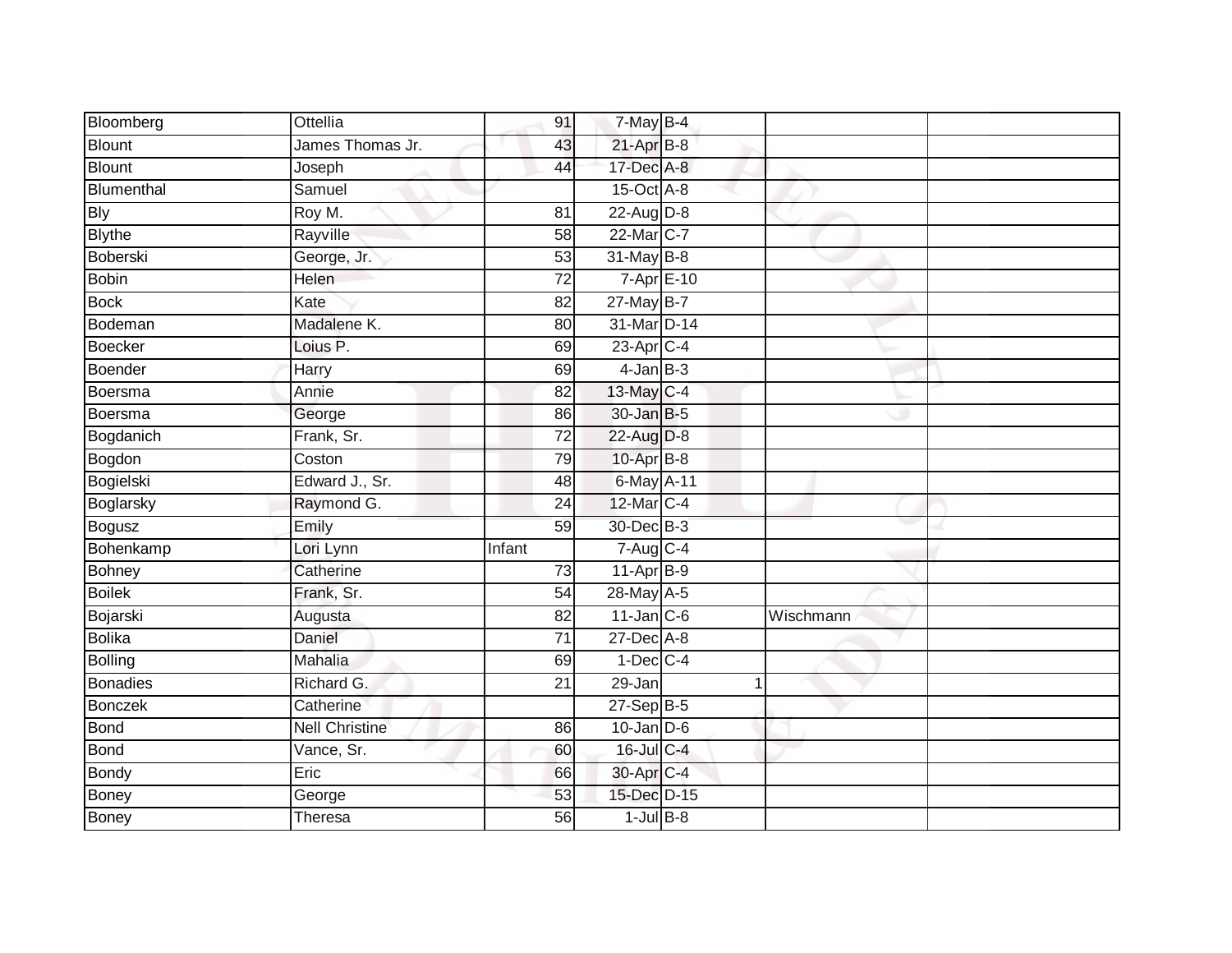| Bloomberg       | Ottellia              | 91              | $7-May$ B-4              |   |           |  |
|-----------------|-----------------------|-----------------|--------------------------|---|-----------|--|
| Blount          | James Thomas Jr.      | 43              | $21$ -Apr $B-8$          |   |           |  |
| <b>Blount</b>   | Joseph                | 44              | 17-Dec A-8               |   |           |  |
| Blumenthal      | Samuel                |                 | 15-Oct A-8               |   |           |  |
| <b>Bly</b>      | Roy M.                | $\overline{81}$ | 22-Aug D-8               |   |           |  |
| <b>Blythe</b>   | Rayville              | 58              | 22-Mar C-7               |   |           |  |
| Boberski        | George, Jr.           | 53              | 31-May B-8               |   |           |  |
| Bobin           | Helen                 | 72              | $7 - Apr$ $E - 10$       |   |           |  |
| <b>Bock</b>     | Kate                  | 82              | $27$ -May B-7            |   |           |  |
| Bodeman         | Madalene K.           | 80              | 31-Mar D-14              |   |           |  |
| Boecker         | Loius P.              | 69              | $23$ -Apr $C-4$          |   |           |  |
| Boender         | Harry                 | 69              | $4$ -Jan $B-3$           |   |           |  |
| Boersma         | Annie                 | 82              | 13-May C-4               |   |           |  |
| Boersma         | George                | 86              | 30-Jan B-5               |   |           |  |
| Bogdanich       | Frank, Sr.            | $\overline{72}$ | 22-Aug D-8               |   |           |  |
| Bogdon          | Coston                | 79              | 10-Apr B-8               |   |           |  |
| Bogielski       | Edward J., Sr.        | 48              | 6-May A-11               |   |           |  |
| Boglarsky       | Raymond G.            | 24              | 12-Mar C-4               |   |           |  |
| Bogusz          | Emily                 | 59              | 30-Dec B-3               |   |           |  |
| Bohenkamp       | Lori Lynn             | Infant          | $7 - Aug$ <sub>C-4</sub> |   |           |  |
| <b>Bohney</b>   | Catherine             | $\overline{73}$ | $11-AprB-9$              |   |           |  |
| <b>Boilek</b>   | Frank, Sr.            | 54              | 28-May A-5               |   |           |  |
| Bojarski        | Augusta               | 82              | $11$ -Jan $C$ -6         |   | Wischmann |  |
| <b>Bolika</b>   | Daniel                | 71              | 27-Dec A-8               |   |           |  |
| Bolling         | Mahalia               | 69              | $1-Dec$ $C-4$            |   |           |  |
| <b>Bonadies</b> | Richard G.            | 21              | 29-Jan                   | 1 |           |  |
| <b>Bonczek</b>  | Catherine             |                 | $27-Sep$ B-5             |   |           |  |
| Bond            | <b>Nell Christine</b> | 86              | $10$ -Jan $D-6$          |   |           |  |
| <b>Bond</b>     | Vance, Sr.            | 60              | 16-Jul C-4               |   |           |  |
| Bondy           | Eric                  | 66              | 30-Apr C-4               |   |           |  |
| Boney           | George                | 53              | 15-Dec D-15              |   |           |  |
| <b>Boney</b>    | Theresa               | $\overline{56}$ | $1$ -Jul B-8             |   |           |  |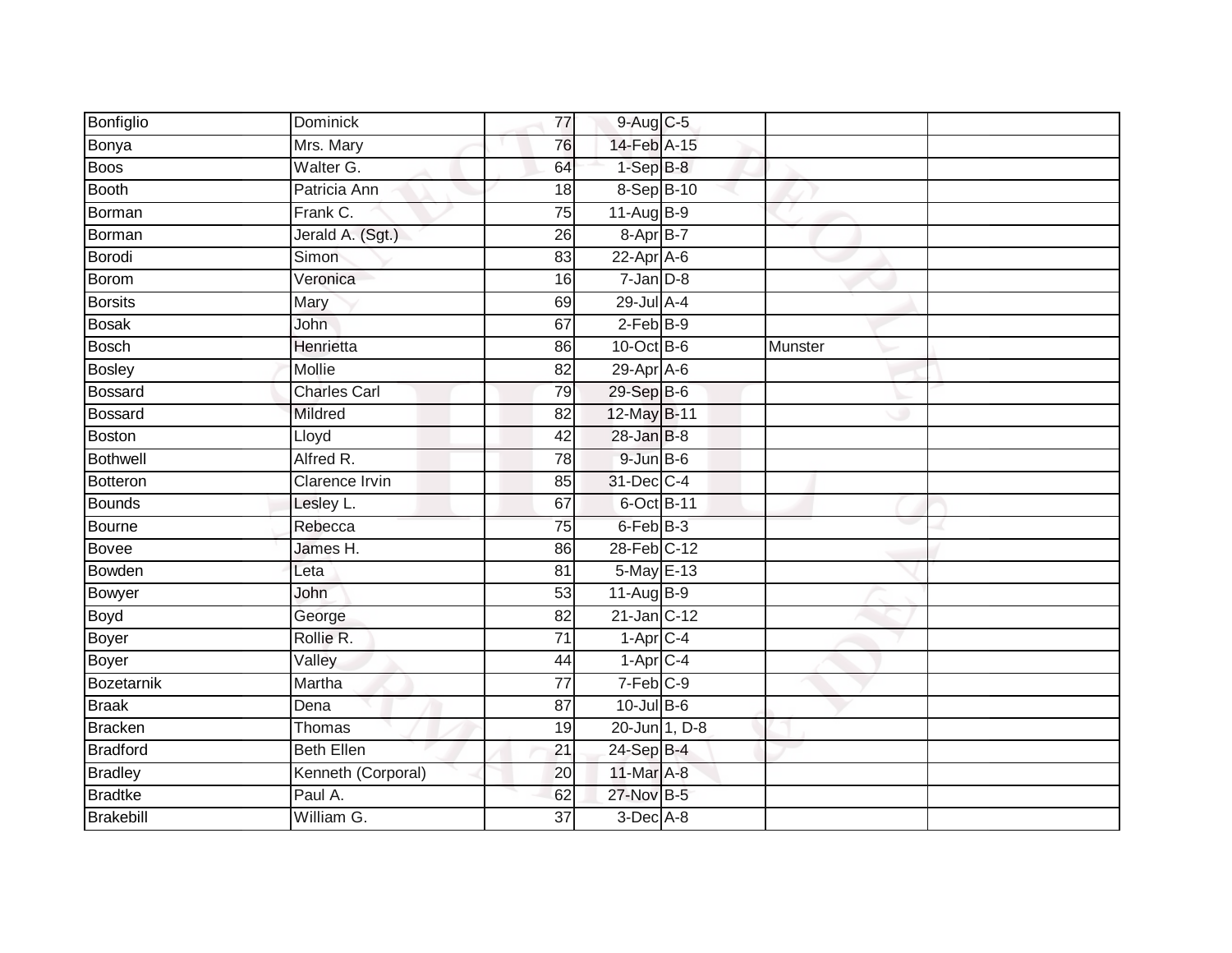| Bonfiglio       | Dominick              | 77              | 9-Aug C-5            |               |         |  |
|-----------------|-----------------------|-----------------|----------------------|---------------|---------|--|
| Bonya           | Mrs. Mary             | 76              | 14-Feb A-15          |               |         |  |
| Boos            | Walter G.             | 64              | $1-SepB-8$           |               |         |  |
| Booth           | Patricia Ann          | 18              | 8-Sep B-10           |               |         |  |
| Borman          | Frank C.              | 75              | $11-Aug$ B-9         |               |         |  |
| Borman          | Jerald A. (Sgt.)      | 26              | $8-$ Apr $B-7$       |               |         |  |
| Borodi          | Simon                 | 83              | $22$ -Apr $A$ -6     |               |         |  |
| Borom           | Veronica              | 16              | $7 - Jan$ $D-8$      |               |         |  |
| <b>Borsits</b>  | Mary                  | 69              | 29-Jul A-4           |               |         |  |
| <b>Bosak</b>    | <b>John</b>           | 67              | $2-FebB-9$           |               |         |  |
| <b>Bosch</b>    | Henrietta             | 86              | $10$ -Oct B-6        |               | Munster |  |
| <b>Bosley</b>   | Mollie                | 82              | $29-AprA-6$          |               |         |  |
| <b>Bossard</b>  | <b>Charles Carl</b>   | 79              | 29-Sep B-6           |               |         |  |
| Bossard         | Mildred               | 82              | 12-May B-11          |               |         |  |
| <b>Boston</b>   | Lloyd                 | $\overline{42}$ | $28$ -Jan $B-8$      |               |         |  |
| <b>Bothwell</b> | Alfred R.             | 78              | 9-Jun B-6            |               |         |  |
| Botteron        | <b>Clarence Irvin</b> | 85              | 31-Dec C-4           |               |         |  |
| Bounds          | Lesley L.             | 67              | 6-Oct B-11           |               |         |  |
| Bourne          | Rebecca               | 75              | 6-Feb <sup>B-3</sup> |               |         |  |
| Bovee           | James H.              | 86              | 28-Feb C-12          |               |         |  |
| Bowden          | Leta                  | 81              | 5-May E-13           |               |         |  |
| Bowyer          | John                  | 53              | $11-Aug$ B-9         |               |         |  |
| Boyd            | George                | 82              | 21-Jan C-12          |               |         |  |
| <b>Boyer</b>    | Rollie R.             | $\overline{71}$ | $1-AprC-4$           |               |         |  |
| Boyer           | Valley                | 44              | $1-Apr$ C-4          |               |         |  |
| Bozetarnik      | Martha                | $\overline{77}$ | $7-Feb$ C-9          |               |         |  |
| <b>Braak</b>    | Dena                  | $\overline{87}$ | 10-Jul B-6           |               |         |  |
| <b>Bracken</b>  | Thomas                | 19              |                      | 20-Jun 1, D-8 |         |  |
| <b>Bradford</b> | <b>Beth Ellen</b>     | $\overline{21}$ | 24-Sep B-4           |               |         |  |
| <b>Bradley</b>  | Kenneth (Corporal)    | 20              | 11-Mar A-8           |               |         |  |
| <b>Bradtke</b>  | Paul A.               | 62              | 27-Nov B-5           |               |         |  |
| Brakebill       | William G.            | 37              | $3$ -Dec $A$ -8      |               |         |  |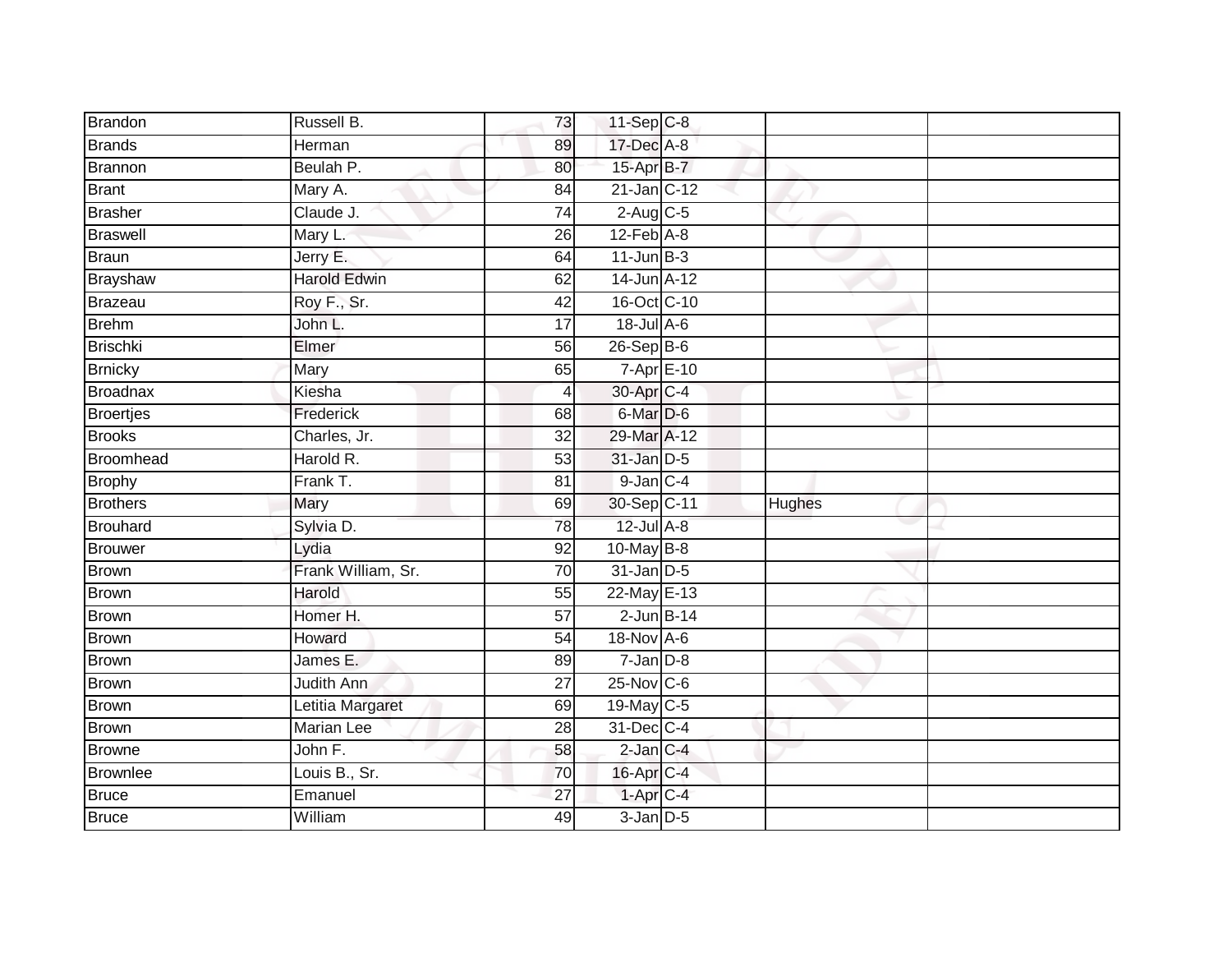| Brandon          | Russell B.            | 73              | 11-Sep C-8           |        |
|------------------|-----------------------|-----------------|----------------------|--------|
| <b>Brands</b>    | Herman                | 89              | 17-Dec A-8           |        |
| <b>Brannon</b>   | Beulah P.             | 80              | 15-Apr B-7           |        |
| <b>Brant</b>     | Mary A.               | 84              | $21$ -Jan $ C-12 $   |        |
| <b>Brasher</b>   | Claude J.             | $\overline{74}$ | $2$ -Aug $C$ -5      |        |
| <b>Braswell</b>  | Mary L.               | 26              | $12$ -Feb $A-8$      |        |
| <b>Braun</b>     | Jerry E.              | 64              | $11$ -Jun $B-3$      |        |
| Brayshaw         | <b>Harold Edwin</b>   | 62              | 14-Jun A-12          |        |
| Brazeau          | Roy F., Sr.           | 42              | 16-Oct C-10          |        |
| <b>Brehm</b>     | John L.               | 17              | 18-Jul A-6           |        |
| <b>Brischki</b>  | Elmer                 | 56              | $26-Sep$ B-6         |        |
| <b>Brnicky</b>   | Mary                  | 65              | 7-Apr E-10           |        |
| <b>Broadnax</b>  | Kiesha                | 4               | 30-Apr C-4           |        |
| <b>Broertjes</b> | Frederick             | 68              | 6-Mar <sub>D-6</sub> |        |
| <b>Brooks</b>    | Charles, Jr.          | $\overline{32}$ | 29-Mar A-12          |        |
| Broomhead        | Harold R.             | 53              | $31$ -Jan $D-5$      |        |
| <b>Brophy</b>    | Frank T.              | 81              | $9$ -Jan $C-4$       |        |
| <b>Brothers</b>  | Mary                  | 69              | 30-Sep C-11          | Hughes |
| <b>Brouhard</b>  | Sylvia D.             | 78              | $12$ -Jul $A-8$      |        |
| <b>Brouwer</b>   | Lydia                 | 92              | $10$ -May B-8        |        |
| <b>Brown</b>     | Frank William, Sr.    | 70              | $31$ -Jan D-5        |        |
| <b>Brown</b>     | Harold                | $\overline{55}$ | 22-May E-13          |        |
| <b>Brown</b>     | Homer H.              | 57              | $2$ -Jun $B-14$      |        |
| <b>Brown</b>     | Howard                | $\overline{54}$ | 18-Nov A-6           |        |
| <b>Brown</b>     | James E.              | 89              | $7$ -Jan $D-8$       |        |
| <b>Brown</b>     | Judith Ann            | 27              | 25-Nov C-6           |        |
| <b>Brown</b>     | Letitia Margaret      | 69              | 19-May C-5           |        |
| <b>Brown</b>     | Marian Lee            | 28              | $31$ -Dec $ C-4 $    |        |
| <b>Browne</b>    | John $\overline{F}$ . | 58              | $2$ -Jan $C-4$       |        |
| <b>Brownlee</b>  | Louis B., Sr.         | 70              | 16-Apr C-4           |        |
| <b>Bruce</b>     | Emanuel               | 27              | 1-Apr C-4            |        |
| <b>Bruce</b>     | William               | 49              | $3$ -Jan $D-5$       |        |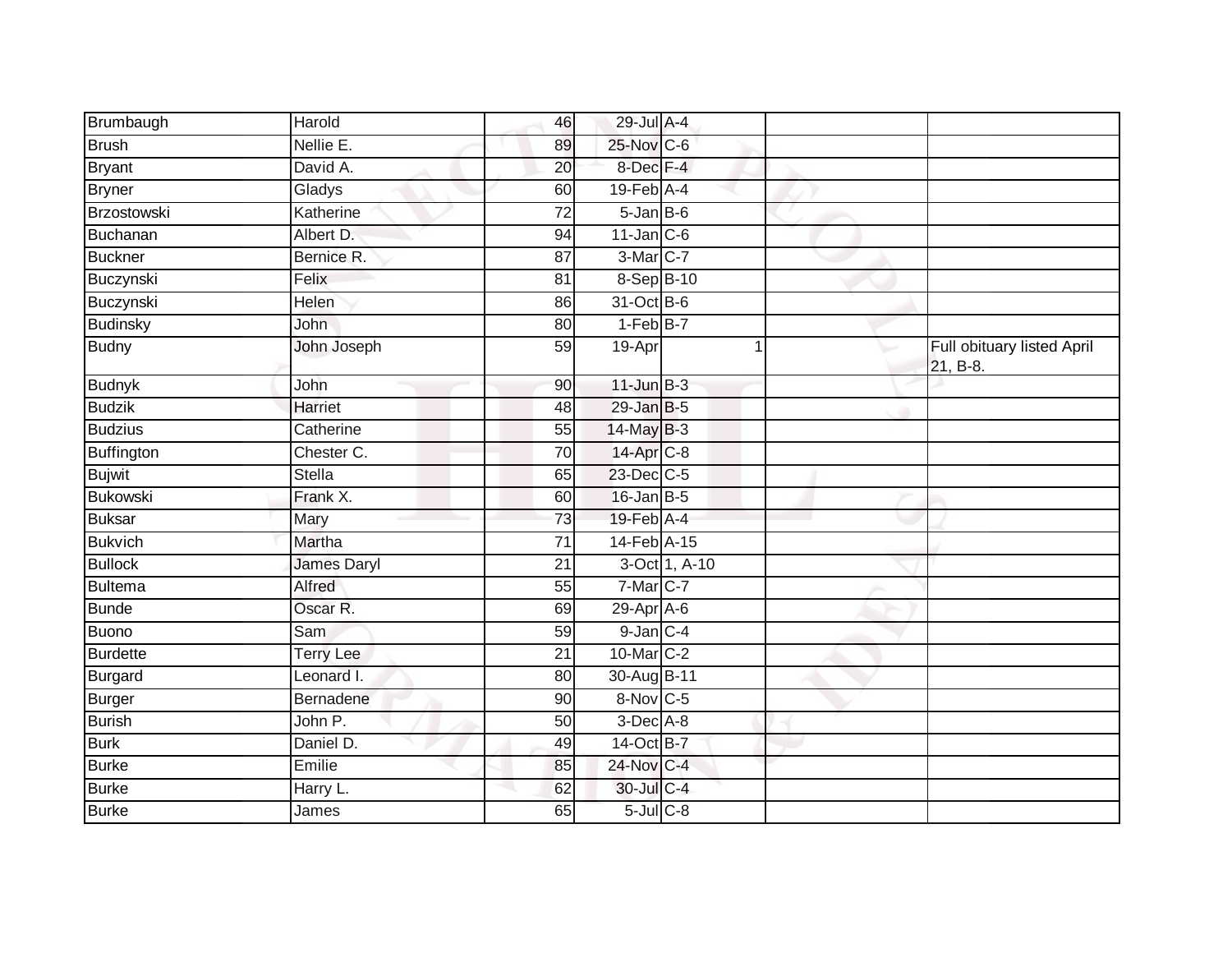| Brumbaugh       | Harold             | 46              | 29-Jul A-4        |               |             |                                        |
|-----------------|--------------------|-----------------|-------------------|---------------|-------------|----------------------------------------|
| <b>Brush</b>    | Nellie E.          | 89              | 25-Nov C-6        |               |             |                                        |
| <b>Bryant</b>   | David A.           | 20              | 8-Dec F-4         |               |             |                                        |
| <b>Bryner</b>   | Gladys             | 60              | $19$ -Feb $A$ -4  |               |             |                                        |
| Brzostowski     | Katherine          | $\overline{72}$ | $5 - Jan$ $B - 6$ |               |             |                                        |
| Buchanan        | Albert D.          | 94              | $11$ -Jan $C-6$   |               |             |                                        |
| <b>Buckner</b>  | Bernice R.         | 87              | 3-Mar C-7         |               |             |                                        |
| Buczynski       | Felix              | 81              | 8-Sep B-10        |               |             |                                        |
| Buczynski       | Helen              | 86              | 31-Oct B-6        |               |             |                                        |
| <b>Budinsky</b> | John               | 80              | $1-FebB-7$        |               |             |                                        |
| <b>Budny</b>    | John Joseph        | 59              | 19-Apr            |               | $\mathbf 1$ | Full obituary listed April<br>21, B-8. |
| <b>Budnyk</b>   | John               | 90              | $11$ -Jun $B-3$   |               |             |                                        |
| <b>Budzik</b>   | Harriet            | $\overline{48}$ | $29$ -Jan B-5     |               |             |                                        |
| <b>Budzius</b>  | Catherine          | 55              | 14-May B-3        |               |             |                                        |
| Buffington      | Chester C.         | 70              | 14-Apr C-8        |               |             |                                        |
| <b>Bujwit</b>   | Stella             | 65              | $23$ -Dec $C$ -5  |               |             |                                        |
| <b>Bukowski</b> | Frank X.           | 60              | $16$ -Jan B-5     |               |             |                                        |
| <b>Buksar</b>   | Mary               | 73              | 19-Feb A-4        |               |             |                                        |
| <b>Bukvich</b>  | Martha             | 71              | 14-Feb A-15       |               |             |                                        |
| <b>Bullock</b>  | <b>James Daryl</b> | 21              |                   | 3-Oct 1, A-10 |             |                                        |
| Bultema         | Alfred             | 55              | 7-Mar C-7         |               |             |                                        |
| <b>Bunde</b>    | Oscar R.           | 69              | 29-Apr A-6        |               |             |                                        |
| Buono           | Sam                | 59              | $9$ -Jan $C-4$    |               |             |                                        |
| Burdette        | <b>Terry Lee</b>   | 21              | 10-Mar C-2        |               |             |                                        |
| <b>Burgard</b>  | Leonard I.         | 80              | 30-Aug B-11       |               |             |                                        |
| Burger          | Bernadene          | 90              | 8-Nov C-5         |               |             |                                        |
| Burish          | John P.            | 50              | $3$ -Dec $A-8$    |               |             |                                        |
| <b>Burk</b>     | Daniel D.          | 49              | 14-Oct B-7        |               |             |                                        |
| <b>Burke</b>    | Emilie             | 85              | 24-Nov C-4        |               |             |                                        |
| <b>Burke</b>    | Harry L.           | 62              | 30-Jul C-4        |               |             |                                        |
| <b>Burke</b>    | James              | 65              | $5$ -Jul $C$ -8   |               |             |                                        |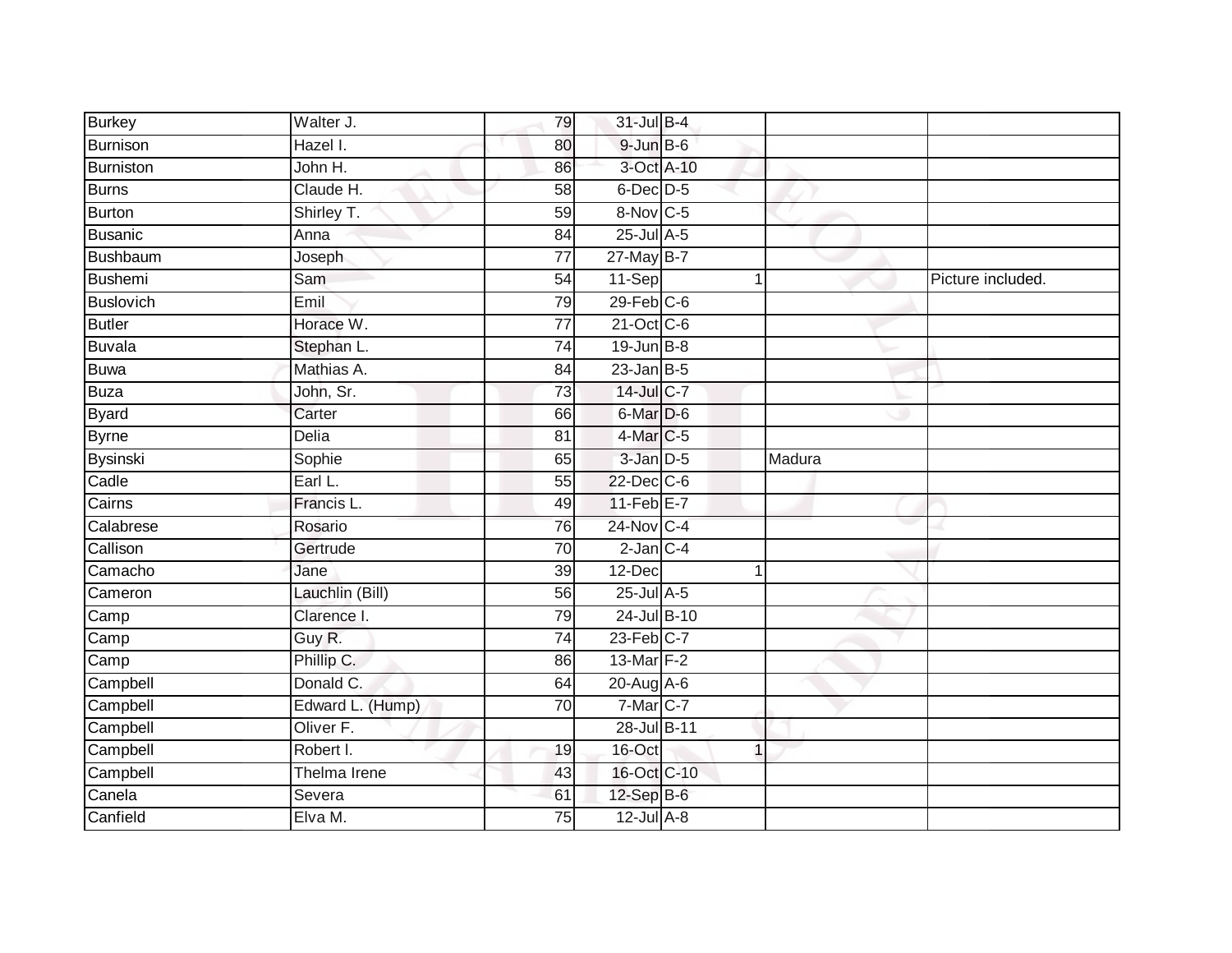| <b>Burkey</b>   | Walter J.        | 79              | 31-Jul B-4        |                |        |                   |
|-----------------|------------------|-----------------|-------------------|----------------|--------|-------------------|
| Burnison        | Hazel I.         | 80              | $9$ -Jun $B$ -6   |                |        |                   |
| Burniston       | John H.          | 86              | 3-Oct A-10        |                |        |                   |
| Burns           | Claude H.        | 58              | 6-Dec D-5         |                |        |                   |
| Burton          | Shirley T.       | 59              | 8-Nov C-5         |                |        |                   |
| Busanic         | Anna             | 84              | $25$ -Jul $A-5$   |                |        |                   |
| <b>Bushbaum</b> | Joseph           | $\overline{77}$ | 27-May B-7        |                |        |                   |
| Bushemi         | Sam              | 54              | 11-Sep            | 1              |        | Picture included. |
| Buslovich       | Emil             | 79              | $29$ -Feb $C$ -6  |                |        |                   |
| <b>Butler</b>   | Horace W.        | $\overline{77}$ | 21-Oct C-6        |                |        |                   |
| Buvala          | Stephan L.       | 74              | $19$ -Jun $B - 8$ |                |        |                   |
| Buwa            | Mathias A.       | 84              | $23$ -Jan B-5     |                |        |                   |
| <b>Buza</b>     | John, Sr.        | 73              | 14-Jul C-7        |                |        |                   |
| <b>Byard</b>    | Carter           | 66              | 6-Mar D-6         |                |        |                   |
| <b>Byrne</b>    | Delia            | 81              | 4-Mar C-5         |                |        |                   |
| Bysinski        | Sophie           | 65              | 3-Jan D-5         |                | Madura |                   |
| Cadle           | Earl L.          | 55              | 22-Dec C-6        |                |        |                   |
| Cairns          | Francis L.       | 49              | $11-Feb$ $E-7$    |                |        |                   |
| Calabrese       | Rosario          | 76              | 24-Nov C-4        |                |        |                   |
| Callison        | Gertrude         | 70              | $2$ -Jan $C-4$    |                |        |                   |
| Camacho         | Jane             | 39              | $12$ -Dec         | 1              |        |                   |
| Cameron         | Lauchlin (Bill)  | 56              | 25-Jul A-5        |                |        |                   |
| Camp            | Clarence I.      | 79              | 24-Jul B-10       |                |        |                   |
| Camp            | Guy R.           | 74              | $23$ -Feb $C-7$   |                |        |                   |
| Camp            | Phillip C.       | 86              | 13-Mar F-2        |                |        |                   |
| Campbell        | Donald C.        | 64              | 20-Aug A-6        |                |        |                   |
| Campbell        | Edward L. (Hump) | 70              | $7-Mar$ C-7       |                |        |                   |
| Campbell        | Oliver F.        |                 | 28-Jul B-11       |                |        |                   |
| Campbell        | Robert I.        | 19              | 16-Oct            | $\overline{1}$ |        |                   |
| Campbell        | Thelma Irene     | 43              | 16-Oct C-10       |                |        |                   |
| Canela          | Severa           | 61              | 12-Sep B-6        |                |        |                   |
| Canfield        | Elva M.          | $\overline{75}$ | $12$ -Jul $A-8$   |                |        |                   |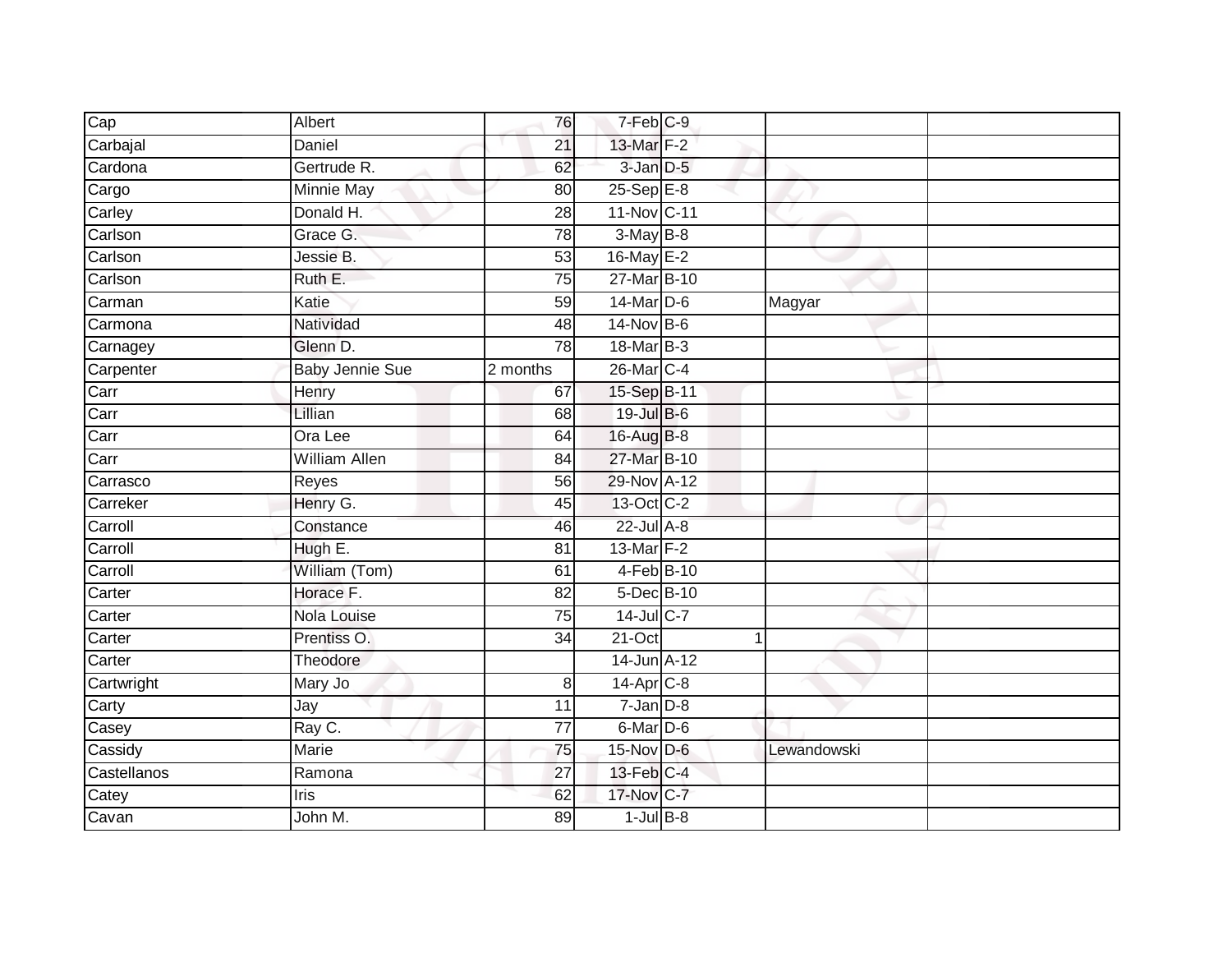| Cap         | Albert                 | 76              | $7-Feb$ <sub>C-9</sub> |              |  |
|-------------|------------------------|-----------------|------------------------|--------------|--|
| Carbajal    | Daniel                 | 21              | 13-Mar F-2             |              |  |
| Cardona     | Gertrude R.            | 62              | 3-Jan D-5              |              |  |
| Cargo       | Minnie May             | 80              | $25-Sep$ $E-8$         |              |  |
| Carley      | Donald H.              | $\overline{28}$ | 11-Nov C-11            |              |  |
| Carlson     | Grace G.               | 78              | $3-MayB-8$             |              |  |
| Carlson     | Jessie B.              | 53              | 16-May E-2             |              |  |
| Carlson     | Ruth E.                | 75              | 27-Mar B-10            |              |  |
| Carman      | Katie                  | 59              | 14-Mar D-6             | Magyar       |  |
| Carmona     | Natividad              | 48              | 14-Nov B-6             |              |  |
| Carnagey    | Glenn D.               | 78              | 18-Mar B-3             |              |  |
| Carpenter   | <b>Baby Jennie Sue</b> | 2 months        | 26-Mar C-4             |              |  |
| Carr        | Henry                  | 67              | 15-Sep B-11            |              |  |
| Carr        | Lillian                | 68              | 19-Jul B-6             |              |  |
| Carr        | Ora Lee                | 64              | 16-Aug B-8             |              |  |
| Carr        | <b>William Allen</b>   | 84              | 27-Mar B-10            |              |  |
| Carrasco    | Reyes                  | 56              | 29-Nov A-12            |              |  |
| Carreker    | Henry G.               | 45              | 13-Oct C-2             |              |  |
| Carroll     | Constance              | 46              | 22-Jul A-8             |              |  |
| Carroll     | Hugh E.                | 81              | $13$ -Mar $F-2$        |              |  |
| Carroll     | William (Tom)          | 61              | 4-Feb B-10             |              |  |
| Carter      | Horace F.              | $\overline{82}$ | 5-Dec B-10             |              |  |
| Carter      | Nola Louise            | 75              | 14-Jul C-7             |              |  |
| Carter      | Prentiss O.            | 34              | $21-Oct$               | $\mathbf{1}$ |  |
| Carter      | Theodore               |                 | 14-Jun A-12            |              |  |
| Cartwright  | Mary Jo                | 8               | $14$ -Apr $C-8$        |              |  |
| Carty       | Jay                    | 11              | $7 - Jan$ $D-8$        |              |  |
| Casey       | Ray C.                 | 77              | 6-Mar D-6              |              |  |
| Cassidy     | <b>Marie</b>           | 75              | 15-Nov D-6             | Lewandowski  |  |
| Castellanos | Ramona                 | $\overline{27}$ | $13$ -Feb $ C-4 $      |              |  |
| Catey       | Iris                   | 62              | 17-Nov C-7             |              |  |
| Cavan       | John M.                | 89              | $1$ -Jul $B-8$         |              |  |
|             |                        |                 |                        |              |  |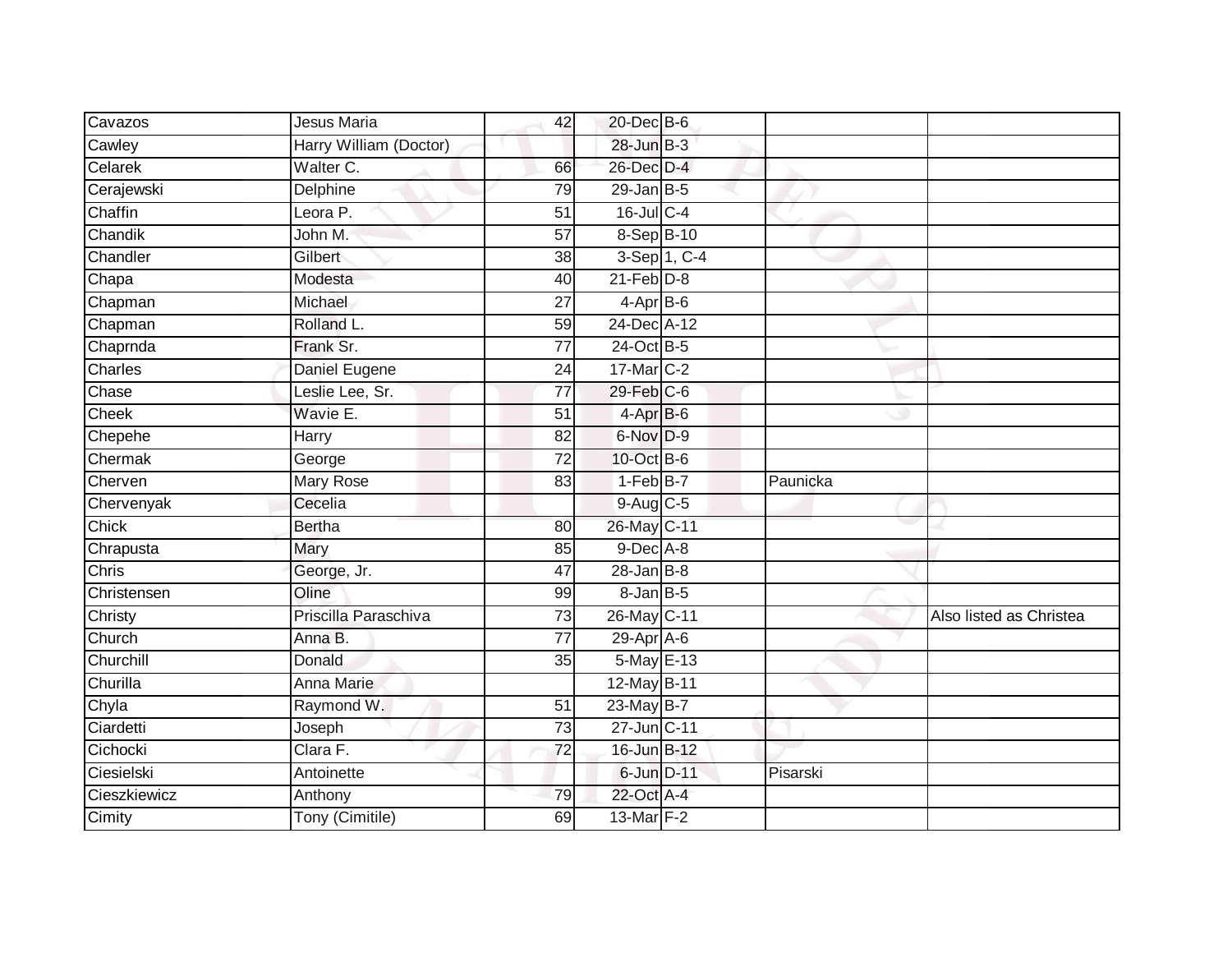| Cavazos      | Jesus Maria            | 42              | 20-Dec B-6       |                          |          |                         |
|--------------|------------------------|-----------------|------------------|--------------------------|----------|-------------------------|
| Cawley       | Harry William (Doctor) |                 | 28-Jun B-3       |                          |          |                         |
| Celarek      | Walter C.              | 66              | 26-Dec D-4       |                          |          |                         |
| Cerajewski   | Delphine               | 79              | 29-Jan B-5       |                          |          |                         |
| Chaffin      | Leora P.               | $\overline{51}$ | $16$ -Jul C-4    |                          |          |                         |
| Chandik      | John M.                | 57              | $8-Sep$ $B-10$   |                          |          |                         |
| Chandler     | Gilbert                | 38              |                  | $3-Sep\overline{1, C-4}$ |          |                         |
| Chapa        | Modesta                | 40              | $21$ -Feb $D-8$  |                          |          |                         |
| Chapman      | Michael                | 27              | $4-Apr$ B-6      |                          |          |                         |
| Chapman      | Rolland L.             | 59              | 24-Dec A-12      |                          |          |                         |
| Chaprnda     | Frank Sr.              | $\overline{77}$ | 24-Oct B-5       |                          |          |                         |
| Charles      | Daniel Eugene          | 24              | 17-Mar C-2       |                          |          |                         |
| Chase        | Leslie Lee, Sr.        | $\overline{77}$ | $29$ -Feb $C$ -6 |                          |          |                         |
| Cheek        | Wavie E.               | 51              | 4-Apr B-6        |                          |          |                         |
| Chepehe      | Harry                  | $\overline{82}$ | 6-Nov D-9        |                          |          |                         |
| Chermak      | George                 | $\overline{72}$ | 10-Oct B-6       |                          |          |                         |
| Cherven      | <b>Mary Rose</b>       | 83              | $1-FebB-7$       |                          | Paunicka |                         |
| Chervenyak   | Cecelia                |                 | 9-Aug C-5        |                          |          |                         |
| Chick        | Bertha                 | 80              | 26-May C-11      |                          |          |                         |
| Chrapusta    | Mary                   | 85              | $9$ -Dec $A$ -8  |                          |          |                         |
| Chris        | George, Jr.            | 47              | $28$ -Jan B-8    |                          |          |                         |
| Christensen  | Oline                  | 99              | 8-Jan B-5        |                          |          |                         |
| Christy      | Priscilla Paraschiva   | 73              | 26-May C-11      |                          |          | Also listed as Christea |
| Church       | Anna B.                | 77              | $29-Apr$ A-6     |                          |          |                         |
| Churchill    | Donald                 | 35              | 5-May E-13       |                          |          |                         |
| Churilla     | Anna Marie             |                 | 12-May B-11      |                          |          |                         |
| Chyla        | Raymond W.             | 51              | 23-May B-7       |                          |          |                         |
| Ciardetti    | Joseph                 | 73              | 27-Jun C-11      |                          |          |                         |
| Cichocki     | Clara F.               | $\overline{72}$ | 16-Jun B-12      |                          |          |                         |
| Ciesielski   | Antoinette             |                 | 6-Jun D-11       |                          | Pisarski |                         |
| Cieszkiewicz | Anthony                | 79              | 22-Oct A-4       |                          |          |                         |
| Cimity       | Tony (Cimitile)        | 69              | 13-Mar F-2       |                          |          |                         |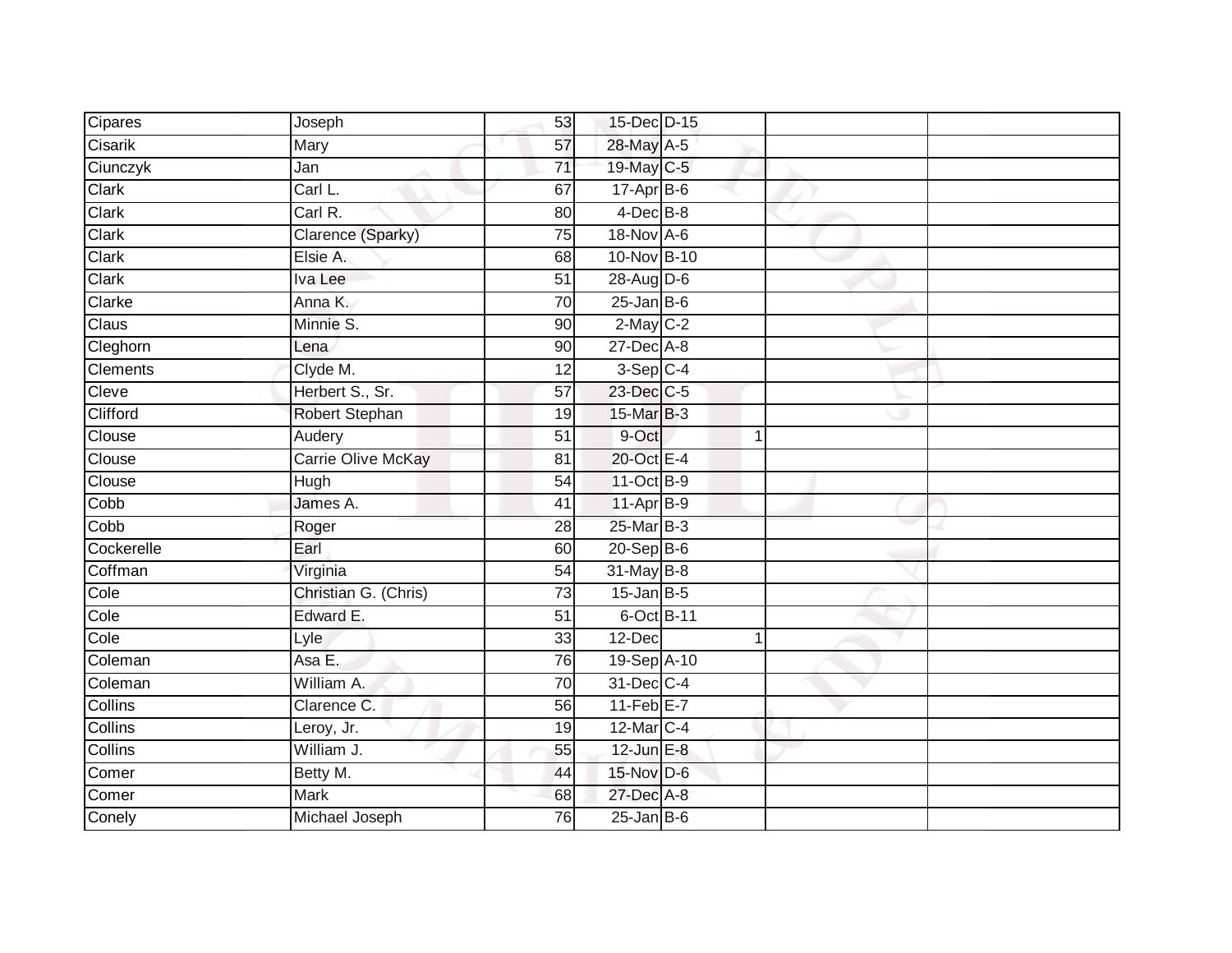| Cipares         | Joseph               | 53              | 15-Dec D-15     |   |  |
|-----------------|----------------------|-----------------|-----------------|---|--|
| Cisarik         | Mary                 | 57              | 28-May A-5      |   |  |
| Ciunczyk        | Jan                  | $\overline{71}$ | 19-May C-5      |   |  |
| Clark           | Carl L.              | 67              | $17 - Apr$ B-6  |   |  |
| Clark           | Carl R.              | 80              | $4$ -Dec $B$ -8 |   |  |
| Clark           | Clarence (Sparky)    | 75              | 18-Nov A-6      |   |  |
| Clark           | Elsie A.             | 68              | 10-Nov B-10     |   |  |
| Clark           | Iva Lee              | $\overline{51}$ | $28-Aug$ D-6    |   |  |
| Clarke          | Anna K.              | 70              | $25$ -Jan B-6   |   |  |
| Claus           | Minnie S.            | 90              | 2-May C-2       |   |  |
| Cleghorn        | Lena                 | 90              | 27-Dec A-8      |   |  |
| <b>Clements</b> | Clyde M.             | $\overline{12}$ | $3-Sep$ C-4     |   |  |
| Cleve           | Herbert S., Sr.      | 57              | 23-Dec C-5      |   |  |
| Clifford        | Robert Stephan       | 19              | 15-Mar B-3      |   |  |
| Clouse          | Audery               | $\overline{51}$ | 9-Oct           | 1 |  |
| Clouse          | Carrie Olive McKay   | $\overline{81}$ | 20-Oct E-4      |   |  |
| Clouse          | Hugh                 | 54              | 11-Oct B-9      |   |  |
| Cobb            | James A.             | 41              | 11-Apr B-9      |   |  |
| Cobb            | Roger                | 28              | 25-Mar B-3      |   |  |
| Cockerelle      | Earl                 | 60              | 20-Sep B-6      |   |  |
| Coffman         | Virginia             | 54              | 31-May B-8      |   |  |
| Cole            | Christian G. (Chris) | 73              | $15$ -Jan B-5   |   |  |
| Cole            | Edward E.            | 51              | 6-Oct B-11      |   |  |
| Cole            | Lyle                 | 33              | 12-Dec          | 1 |  |
| Coleman         | Asa E.               | 76              | 19-Sep A-10     |   |  |
| Coleman         | William A.           | 70              | 31-Dec C-4      |   |  |
| Collins         | Clarence C.          | 56              | $11-FebE-7$     |   |  |
| <b>Collins</b>  | Leroy, Jr.           | 19              | 12-Mar C-4      |   |  |
| Collins         | William J.           | 55              | $12$ -Jun $E-8$ |   |  |
| Comer           | Betty M.             | 44              | 15-Nov D-6      |   |  |
| Comer           | <b>Mark</b>          | 68              | 27-Dec A-8      |   |  |
| Conely          | Michael Joseph       | 76              | $25$ -Jan B-6   |   |  |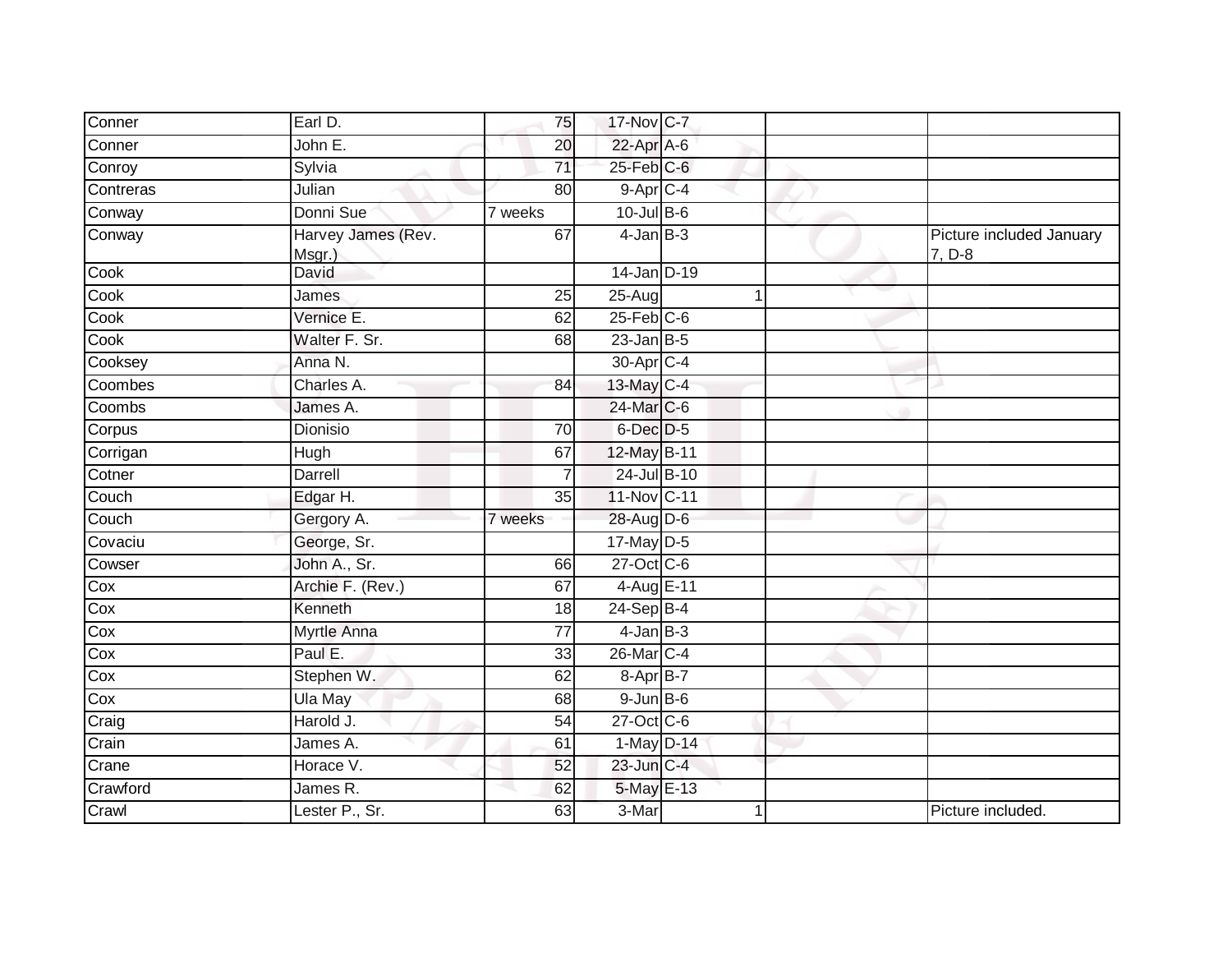| Conner    | Earl D.                      | 75              | 17-Nov C-7             |   |                                    |
|-----------|------------------------------|-----------------|------------------------|---|------------------------------------|
| Conner    | John E.                      | 20              | 22-Apr A-6             |   |                                    |
| Conroy    | Sylvia                       | 71              | 25-Feb C-6             |   |                                    |
| Contreras | Julian                       | 80              | $9-Apr$ <sub>C-4</sub> |   |                                    |
| Conway    | Donni Sue                    | 7 weeks         | $10$ -Jul B-6          |   |                                    |
| Conway    | Harvey James (Rev.<br>Msgr.) | 67              | $4$ -Jan $B-3$         |   | Picture included January<br>7, D-8 |
| Cook      | David                        |                 | 14-Jan D-19            |   |                                    |
| Cook      | James                        | $\overline{25}$ | $25 - Aug$             | 1 |                                    |
| Cook      | Vernice E.                   | 62              | $25$ -Feb $C$ -6       |   |                                    |
| Cook      | Walter F. Sr.                | 68              | $23$ -Jan B-5          |   |                                    |
| Cooksey   | Anna N.                      |                 | 30-Apr C-4             |   |                                    |
| Coombes   | Charles A.                   | 84              | 13-May C-4             |   |                                    |
| Coombs    | James A.                     |                 | 24-Mar C-6             |   |                                    |
| Corpus    | Dionisio                     | 70              | 6-Dec D-5              |   |                                    |
| Corrigan  | <b>Hugh</b>                  | 67              | 12-May B-11            |   |                                    |
| Cotner    | Darrell                      |                 | 24-Jul B-10            |   |                                    |
| Couch     | Edgar H.                     | 35              | 11-Nov C-11            |   |                                    |
| Couch     | Gergory A.                   | 7 weeks         | 28-Aug D-6             |   |                                    |
| Covaciu   | George, Sr.                  |                 | $17$ -May D-5          |   |                                    |
| Cowser    | John A., Sr.                 | 66              | 27-Oct C-6             |   |                                    |
| Cox       | Archie F. (Rev.)             | 67              | 4-Aug E-11             |   |                                    |
| Cox       | Kenneth                      | 18              | 24-Sep B-4             |   |                                    |
| Cox       | Myrtle Anna                  | 77              | $4$ -Jan $B-3$         |   |                                    |
| Cox       | Paul E.                      | 33              | 26-Mar C-4             |   |                                    |
| Cox       | Stephen W.                   | 62              | 8-Apr B-7              |   |                                    |
| Cox       | Ula May                      | 68              | $9$ -Jun $B$ -6        |   |                                    |
| Craig     | Harold J.                    | 54              | 27-Oct C-6             |   |                                    |
| Crain     | James A.                     | 61              | $1-May$ D-14           |   |                                    |
| Crane     | Horace V.                    | 52              | 23-Jun C-4             |   |                                    |
| Crawford  | James R.                     | 62              | 5-May E-13             |   |                                    |
| Crawl     | Lester P., Sr.               | 63              | 3-Mar                  |   | Picture included.                  |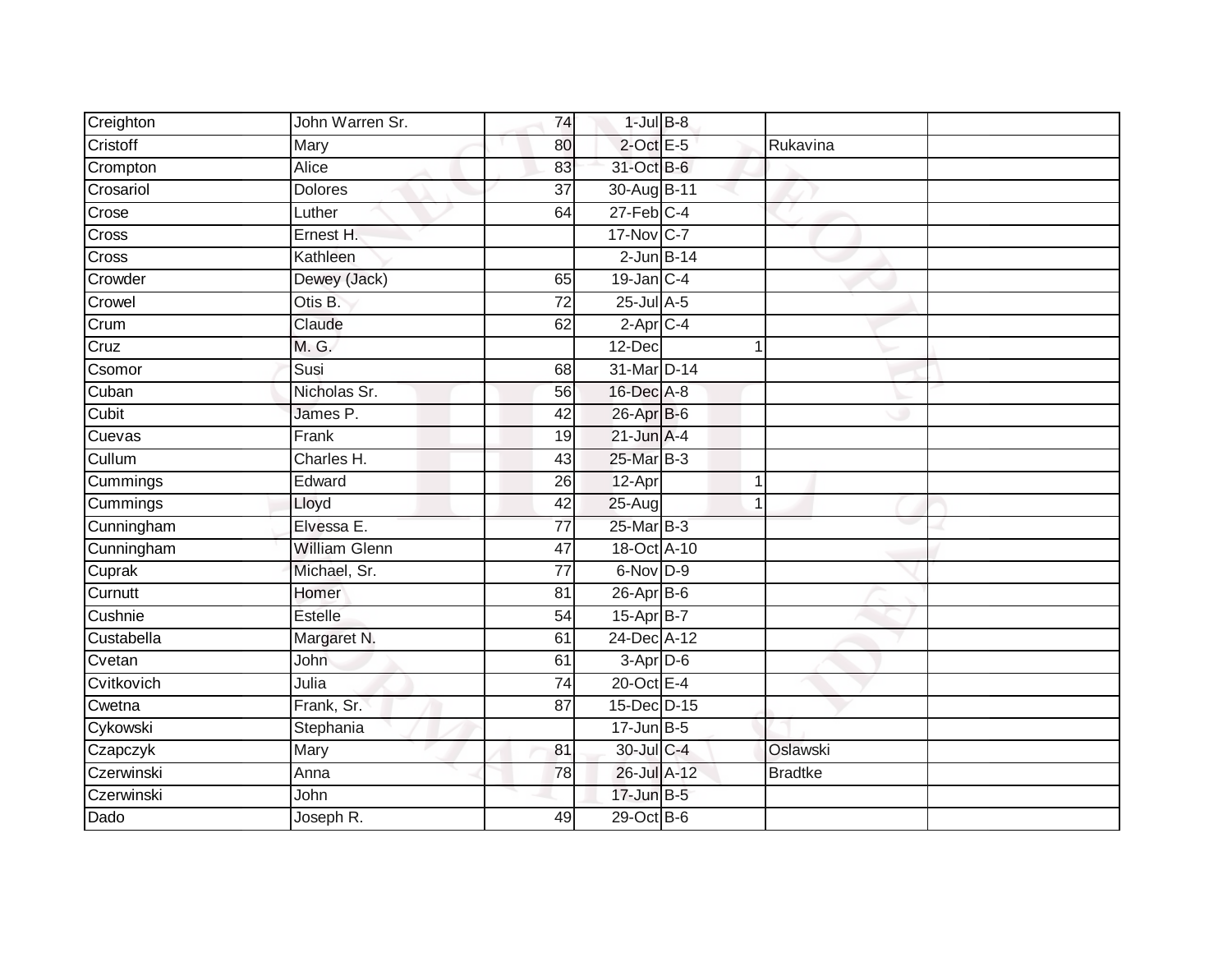| Creighton    | John Warren Sr.      | 74              | $1$ -Jul $B-8$   |                 |                |  |
|--------------|----------------------|-----------------|------------------|-----------------|----------------|--|
| Cristoff     | Mary                 | 80              | $2$ -Oct E-5     |                 | Rukavina       |  |
| Crompton     | Alice                | 83              | 31-Oct B-6       |                 |                |  |
| Crosariol    | <b>Dolores</b>       | 37              | 30-Aug B-11      |                 |                |  |
| Crose        | Luther               | 64              | $27$ -Feb $C-4$  |                 |                |  |
| <b>Cross</b> | Ernest H.            |                 | 17-Nov C-7       |                 |                |  |
| Cross        | Kathleen             |                 |                  | $2$ -Jun $B-14$ |                |  |
| Crowder      | Dewey (Jack)         | 65              | $19$ -Jan $C-4$  |                 |                |  |
| Crowel       | Otis B.              | $\overline{72}$ | $25$ -Jul $A$ -5 |                 |                |  |
| Crum         | Claude               | 62              | $2$ -Apr $C$ -4  |                 |                |  |
| Cruz         | M. G.                |                 | 12-Dec           |                 |                |  |
| Csomor       | Susi                 | 68              | 31-Mar D-14      |                 |                |  |
| Cuban        | Nicholas Sr.         | 56              | 16-Dec A-8       |                 |                |  |
| Cubit        | James P.             | 42              | 26-Apr B-6       |                 |                |  |
| Cuevas       | Frank                | 19              | $21$ -Jun $A-4$  |                 |                |  |
| Cullum       | Charles H.           | 43              | 25-Mar B-3       |                 |                |  |
| Cummings     | Edward               | 26              | 12-Apr           |                 | 1              |  |
| Cummings     | Lloyd                | 42              | 25-Aug           |                 |                |  |
| Cunningham   | Elvessa E.           | $\overline{77}$ | 25-Mar B-3       |                 |                |  |
| Cunningham   | <b>William Glenn</b> | $\overline{47}$ | 18-Oct A-10      |                 |                |  |
| Cuprak       | Michael, Sr.         | 77              | 6-Nov D-9        |                 |                |  |
| Curnutt      | Homer                | 81              | 26-Apr B-6       |                 |                |  |
| Cushnie      | Estelle              | 54              | 15-Apr B-7       |                 |                |  |
| Custabella   | Margaret N.          | 61              | 24-Dec A-12      |                 |                |  |
| Cvetan       | John                 | 61              | $3-Apr$ D-6      |                 |                |  |
| Cvitkovich   | Julia                | $\overline{74}$ | 20-Oct E-4       |                 |                |  |
| Cwetna       | Frank, Sr.           | $\overline{87}$ | 15-Dec D-15      |                 |                |  |
| Cykowski     | Stephania            |                 | $17 - Jun$ B-5   |                 |                |  |
| Czapczyk     | Mary                 | 81              | 30-Jul C-4       |                 | Oslawski       |  |
| Czerwinski   | Anna                 | 78              | 26-Jul A-12      |                 | <b>Bradtke</b> |  |
| Czerwinski   | John                 |                 | 17-Jun B-5       |                 |                |  |
| Dado         | Joseph R.            | 49              | 29-Oct B-6       |                 |                |  |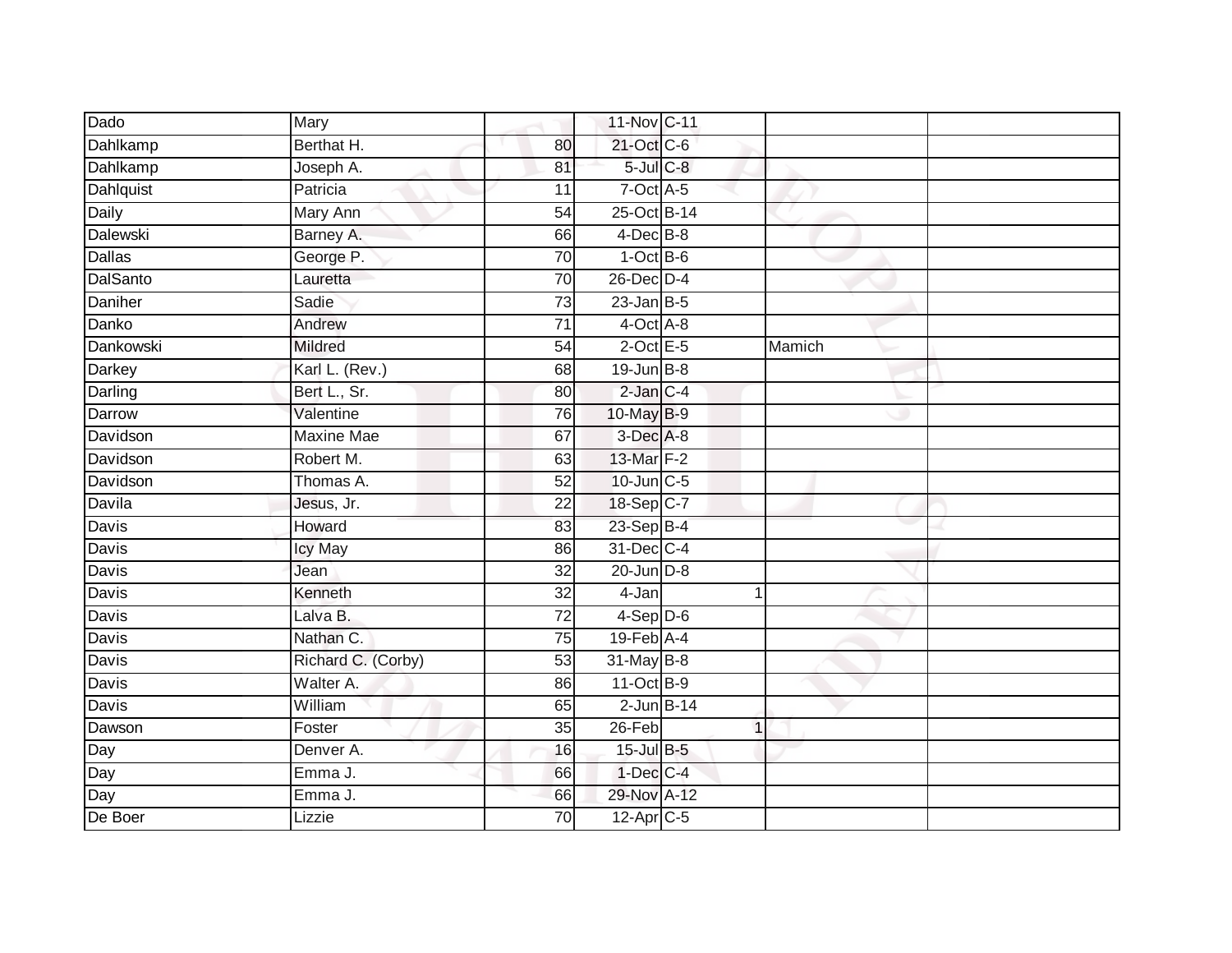| Dado            | Mary               |                 | 11-Nov C-11       |        |  |
|-----------------|--------------------|-----------------|-------------------|--------|--|
| Dahlkamp        | Berthat H.         | 80              | 21-Oct C-6        |        |  |
| Dahlkamp        | Joseph A.          | 81              | $5$ -Jul $C$ -8   |        |  |
| Dahlquist       | Patricia           | 11              | $7$ -Oct $A$ -5   |        |  |
| Daily           | <b>Mary Ann</b>    | 54              | 25-Oct B-14       |        |  |
| Dalewski        | Barney A.          | 66              | $4$ -Dec B-8      |        |  |
| Dallas          | George P.          | 70              | $1$ -Oct B-6      |        |  |
| <b>DalSanto</b> | Lauretta           | 70              | 26-Dec D-4        |        |  |
| Daniher         | Sadie              | $\overline{73}$ | $23$ -Jan B-5     |        |  |
| Danko           | Andrew             | $\overline{71}$ | $4$ -Oct $A$ -8   |        |  |
| Dankowski       | Mildred            | 54              | $2$ -Oct E-5      | Mamich |  |
| Darkey          | Karl L. (Rev.)     | 68              | $19$ -Jun $B - 8$ |        |  |
| Darling         | Bert L., Sr.       | 80              | $2$ -Jan $C-4$    |        |  |
| Darrow          | Valentine          | 76              | 10-May B-9        |        |  |
| Davidson        | <b>Maxine Mae</b>  | 67              | 3-Dec A-8         |        |  |
| Davidson        | Robert M.          | 63              | 13-Mar F-2        |        |  |
| Davidson        | Thomas A.          | 52              | 10-Jun C-5        |        |  |
| Davila          | Jesus, Jr.         | 22              | 18-Sep C-7        |        |  |
| Davis           | Howard             | 83              | 23-Sep B-4        |        |  |
| Davis           | <b>Icy May</b>     | 86              | 31-Dec C-4        |        |  |
| Davis           | Jean               | 32              | $20$ -Jun $D-8$   |        |  |
| <b>Davis</b>    | Kenneth            | 32              | 4-Jan             |        |  |
| Davis           | Lalva B.           | 72              | $4-Sep$ D-6       |        |  |
| Davis           | Nathan C.          | 75              | $19$ -Feb $A$ -4  |        |  |
| Davis           | Richard C. (Corby) | 53              | 31-May B-8        |        |  |
| Davis           | Walter A.          | 86              | 11-Oct B-9        |        |  |
| <b>Davis</b>    | William            | 65              | $2$ -Jun $B-14$   |        |  |
| Dawson          | Foster             | 35              | $26$ -Feb         |        |  |
|                 | Denver A.          | 16              | 15-Jul B-5        |        |  |
| Day<br>Day      | Emma J.            | 66              | $1-Dec$ $C-4$     |        |  |
| Day             | Emma J.            | 66              | 29-Nov A-12       |        |  |
| De Boer         | Lizzie             | 70              | 12-Apr C-5        |        |  |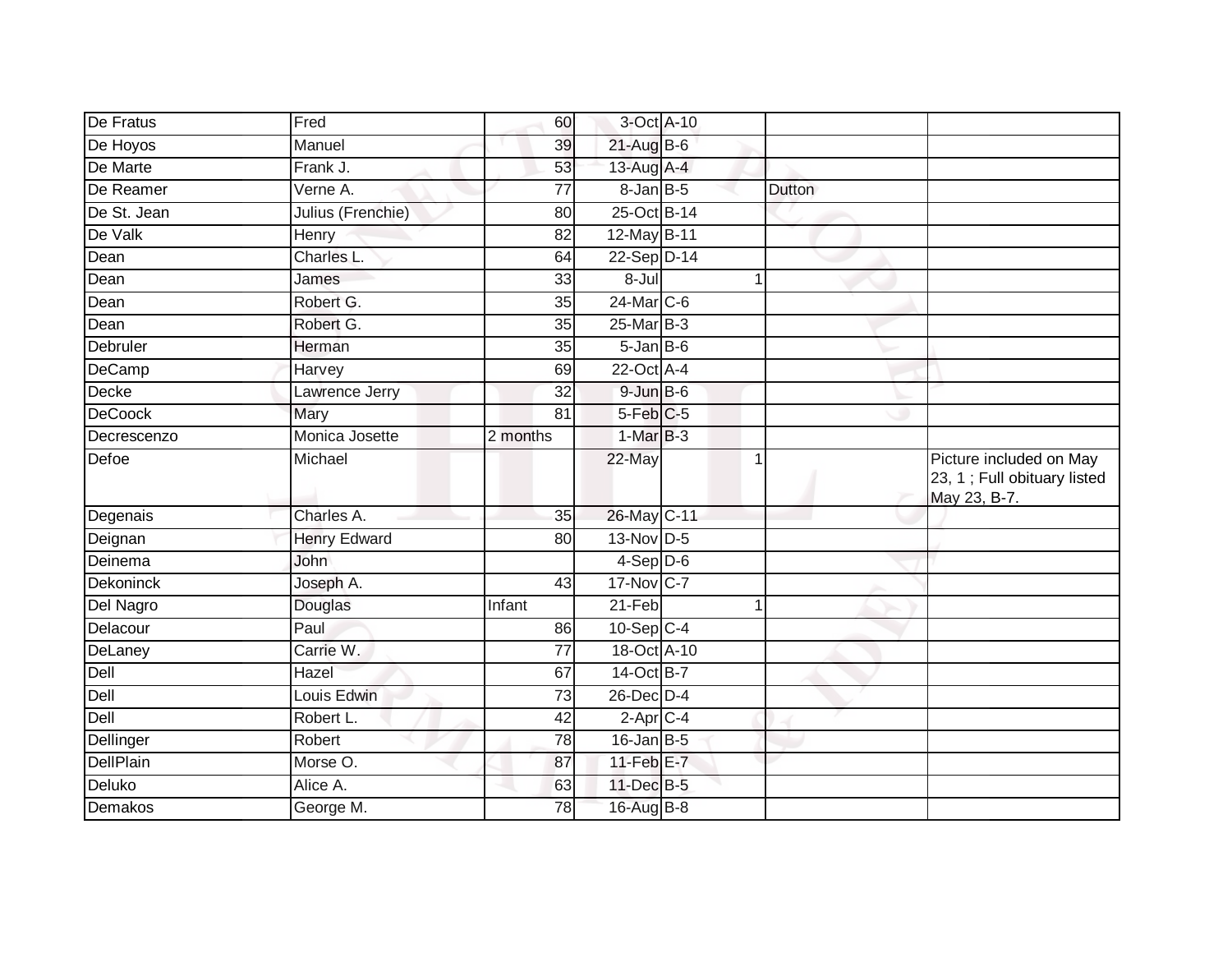| De Fratus                  | Fred                | 60              | 3-Oct A-10        |        |                                                                        |
|----------------------------|---------------------|-----------------|-------------------|--------|------------------------------------------------------------------------|
| De Hoyos                   | Manuel              | 39              | $21$ -Aug B-6     |        |                                                                        |
| De Marte                   | Frank J.            | 53              | 13-Aug A-4        |        |                                                                        |
| De Reamer                  | Verne A.            | 77              | $8$ -Jan $B$ -5   | Dutton |                                                                        |
| De St. Jean                | Julius (Frenchie)   | 80              | 25-Oct B-14       |        |                                                                        |
| De Valk                    | <b>Henry</b>        | 82              | 12-May B-11       |        |                                                                        |
| Dean                       | Charles L.          | 64              | 22-Sep D-14       |        |                                                                        |
| Dean                       | James               | 33              | $8 -$ Jul         | 1      |                                                                        |
| $\overline{\mathsf{Dean}}$ | Robert G.           | 35              | 24-Mar C-6        |        |                                                                        |
| Dean                       | Robert G.           | 35              | 25-Mar B-3        |        |                                                                        |
| Debruler                   | Herman              | 35              | 5-Jan B-6         |        |                                                                        |
| DeCamp                     | Harvey              | 69              | 22-Oct A-4        |        |                                                                        |
| Decke                      | Lawrence Jerry      | 32              | $9 - Jun$ $B - 6$ |        |                                                                        |
| DeCoock                    | Mary                | 81              | $5$ -Feb $C$ -5   |        |                                                                        |
| Decrescenzo                | Monica Josette      | 2 months        | $1-MarB-3$        |        |                                                                        |
| Defoe                      | Michael             |                 | 22-May            | 1      | Picture included on May<br>23, 1; Full obituary listed<br>May 23, B-7. |
| Degenais                   | Charles A.          | 35              | 26-May C-11       |        |                                                                        |
| Deignan                    | <b>Henry Edward</b> | 80              | 13-Nov D-5        |        |                                                                        |
| Deinema                    | John                |                 | $4-Sep$ D-6       |        |                                                                        |
| <b>Dekoninck</b>           | Joseph A.           | 43              | 17-Nov C-7        |        |                                                                        |
| Del Nagro                  | Douglas             | Infant          | 21-Feb            | 1      |                                                                        |
| Delacour                   | Paul                | 86              | $10-Sep$ C-4      |        |                                                                        |
| DeLaney                    | Carrie W.           | $\overline{77}$ | 18-Oct A-10       |        |                                                                        |
| Dell                       | Hazel               | 67              | 14-Oct B-7        |        |                                                                        |
| Dell                       | Louis Edwin         | 73              | $26$ -Dec $D-4$   |        |                                                                        |
| Dell                       | Robert L.           | 42              | $2$ -Apr $C$ -4   |        |                                                                        |
| Dellinger                  | Robert              | 78              | 16-Jan B-5        |        |                                                                        |
| DellPlain                  | Morse O.            | 87              | 11-Feb E-7        |        |                                                                        |
| Deluko                     | Alice A.            | 63              | 11-Dec B-5        |        |                                                                        |
| Demakos                    | George M.           | 78              | 16-Aug B-8        |        |                                                                        |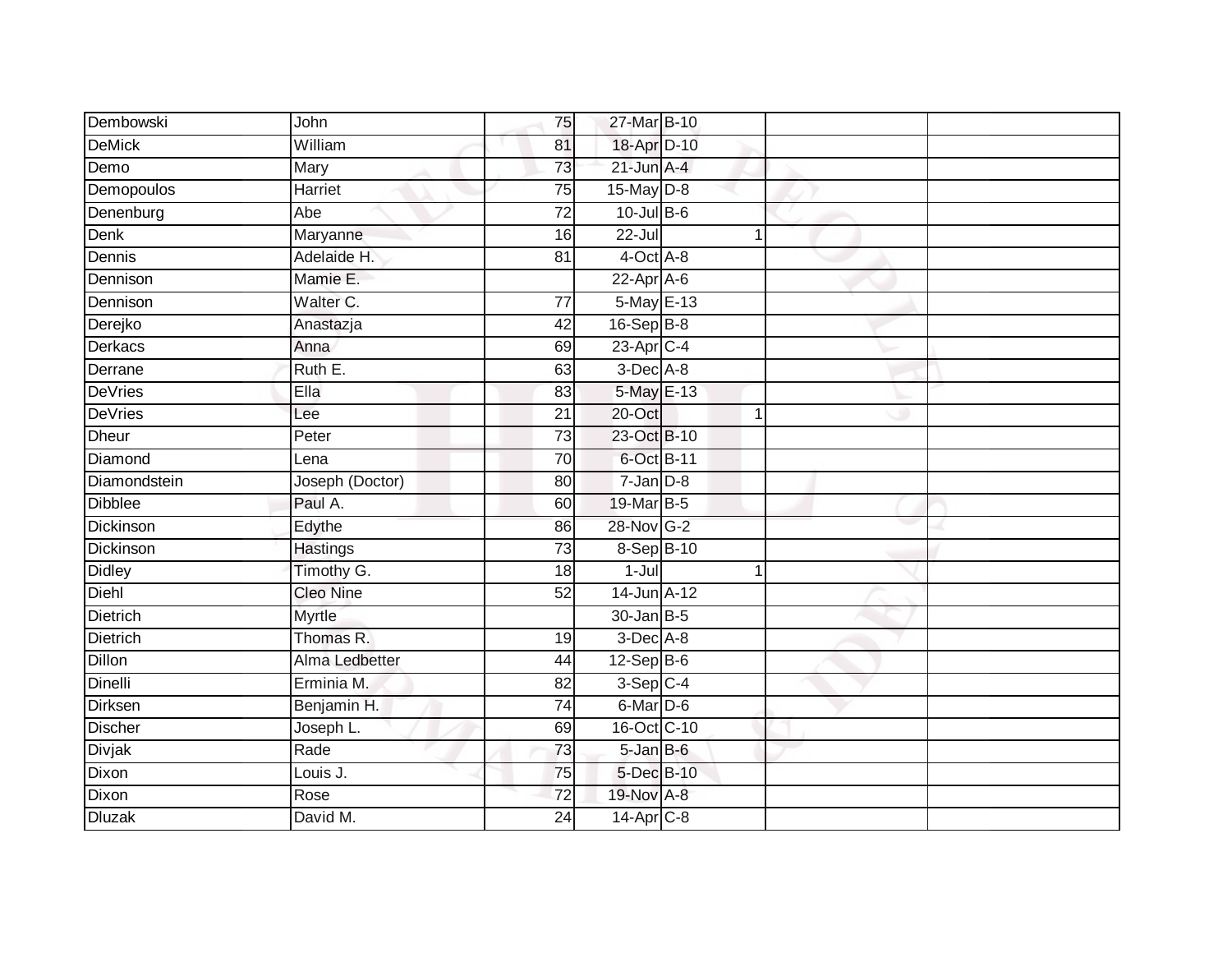| Dembowski       | John             | 75              | 27-Mar B-10       |              |  |
|-----------------|------------------|-----------------|-------------------|--------------|--|
| <b>DeMick</b>   | William          | 81              | 18-Apr D-10       |              |  |
| Demo            | Mary             | 73              | $21$ -Jun $A-4$   |              |  |
| Demopoulos      | <b>Harriet</b>   | 75              | 15-May D-8        |              |  |
| Denenburg       | Abe              | $\overline{72}$ | 10-Jul B-6        |              |  |
| <b>Denk</b>     | Maryanne         | 16              | $22 -$ Jul        | $\mathbf{1}$ |  |
| Dennis          | Adelaide H.      | 81              | $4$ -Oct $A$ -8   |              |  |
| Dennison        | Mamie E.         |                 | $22-AprA-6$       |              |  |
| Dennison        | Walter C.        | 77              | 5-May E-13        |              |  |
| Derejko         | Anastazja        | 42              | 16-Sep B-8        |              |  |
| Derkacs         | Anna             | 69              | 23-Apr C-4        |              |  |
| Derrane         | Ruth E.          | 63              | $3$ -Dec $A-8$    |              |  |
| <b>DeVries</b>  | Ella             | 83              | 5-May E-13        |              |  |
| <b>DeVries</b>  | Lee              | $\overline{21}$ | 20-Oct            | $\mathbf{1}$ |  |
| <b>Dheur</b>    | Peter            | $\overline{73}$ | 23-Oct B-10       |              |  |
| Diamond         | Lena             | 70              | 6-Oct B-11        |              |  |
| Diamondstein    | Joseph (Doctor)  | $\overline{80}$ | $7 - Jan$ $D-8$   |              |  |
| <b>Dibblee</b>  | Paul A.          | 60              | 19-Mar B-5        |              |  |
| Dickinson       | Edythe           | 86              | 28-Nov G-2        |              |  |
| Dickinson       | <b>Hastings</b>  | 73              | 8-Sep B-10        |              |  |
| <b>Didley</b>   | Timothy G.       | 18              | $1 -$ Jul         | $\mathbf{1}$ |  |
| Diehl           | <b>Cleo Nine</b> | 52              | 14-Jun A-12       |              |  |
| <b>Dietrich</b> | Myrtle           |                 | $30 - Jan$ $B-5$  |              |  |
| Dietrich        | Thomas R.        | 19              | 3-Dec A-8         |              |  |
| <b>Dillon</b>   | Alma Ledbetter   | 44              | $12-SepB-6$       |              |  |
| Dinelli         | Erminia M.       | 82              | $3-Sep$ C-4       |              |  |
| Dirksen         | Benjamin H.      | $\overline{74}$ | 6-Mar D-6         |              |  |
| <b>Discher</b>  | Joseph L.        | 69              | 16-Oct C-10       |              |  |
| <b>Divjak</b>   | Rade             | 73              | $5 - Jan$ $B - 6$ |              |  |
| Dixon           | Louis J.         | 75              | 5-Dec B-10        |              |  |
| Dixon           | Rose             | 72              | 19-Nov A-8        |              |  |
| <b>Dluzak</b>   | David M.         | $\overline{24}$ | 14-Apr C-8        |              |  |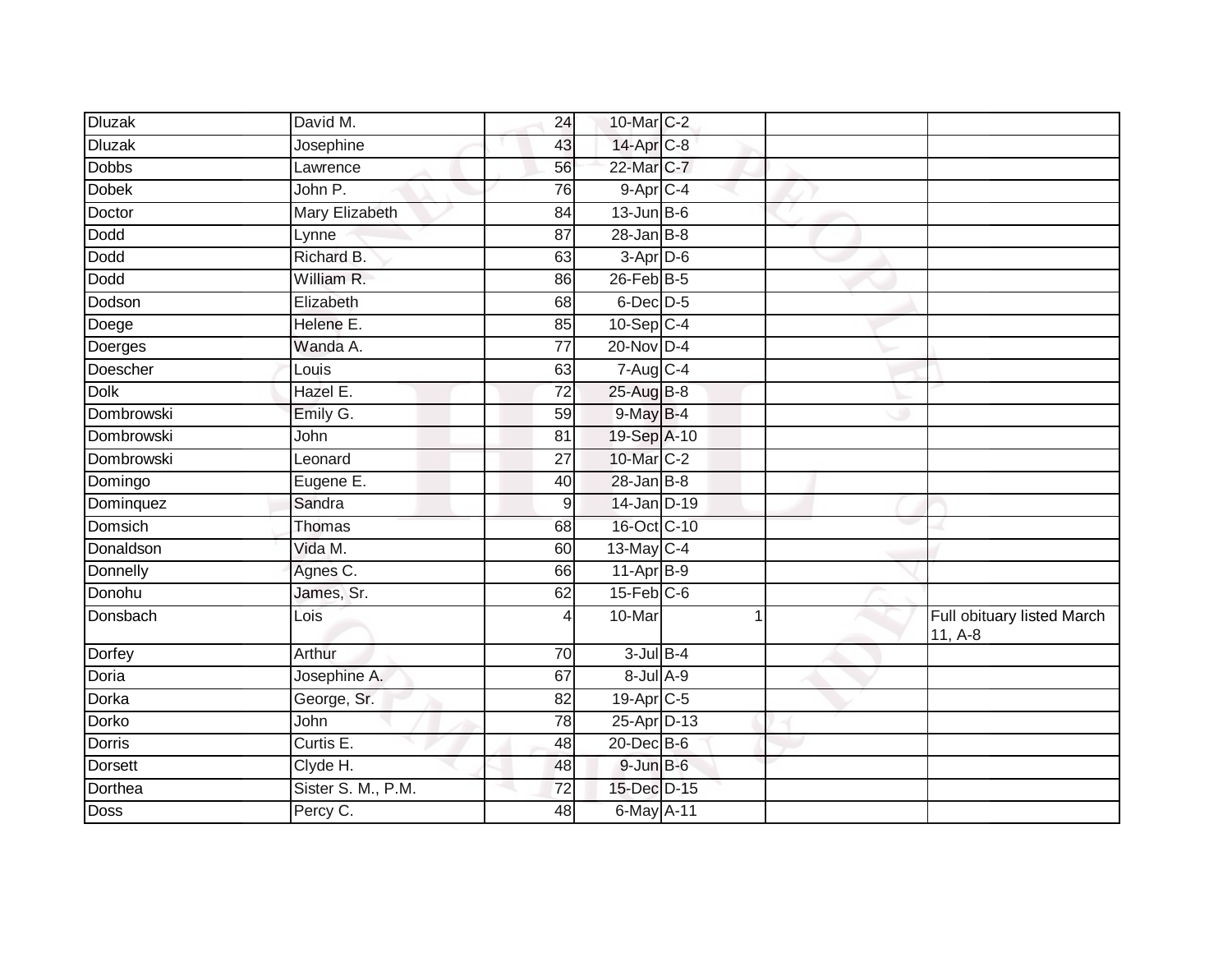| <b>Dluzak</b>     | David M.              | 24              | 10-Mar C-2             |  |                                         |
|-------------------|-----------------------|-----------------|------------------------|--|-----------------------------------------|
| <b>Dluzak</b>     | Josephine             | 43              | 14-Apr C-8             |  |                                         |
| <b>Dobbs</b>      | Lawrence              | 56              | 22-Mar C-7             |  |                                         |
| <b>Dobek</b>      | John P.               | 76              | 9-Apr C-4              |  |                                         |
| Doctor            | <b>Mary Elizabeth</b> | 84              | $13$ -Jun B-6          |  |                                         |
| Dodd              | Lynne                 | 87              | $28 - Jan$ $B-8$       |  |                                         |
| Dodd              | Richard B.            | 63              | $3-Apr$ D-6            |  |                                         |
| Dodd              | William R.            | 86              | $26$ -Feb $B-5$        |  |                                         |
| Dodson            | Elizabeth             | 68              | 6-Dec D-5              |  |                                         |
| Doege             | Helene E.             | 85              | $10-Sep$ $C-4$         |  |                                         |
| Doerges           | Wanda A.              | $\overline{77}$ | $20$ -Nov $D-4$        |  |                                         |
| Doescher          | Louis                 | 63              | $7-Aug$ <sub>C-4</sub> |  |                                         |
| <b>Dolk</b>       | Hazel E.              | 72              | 25-Aug B-8             |  |                                         |
| Dombrowski        | Emily G.              | 59              | 9-May B-4              |  |                                         |
| <b>Dombrowski</b> | John                  | 81              | 19-Sep A-10            |  |                                         |
| Dombrowski        | Leonard               | 27              | 10-Mar C-2             |  |                                         |
| Domingo           | Eugene E.             | 40              | $28 - Jan$ $B-8$       |  |                                         |
| Dominquez         | Sandra                | 9               | 14-Jan D-19            |  |                                         |
| Domsich           | Thomas                | 68              | 16-Oct C-10            |  |                                         |
| Donaldson         | Vida M.               | 60              | 13-May C-4             |  |                                         |
| Donnelly          | Agnes C.              | 66              | $11-Apr$ B-9           |  |                                         |
| Donohu            | James, Sr.            | 62              | $15$ -Feb $C$ -6       |  |                                         |
| Donsbach          | Lois                  |                 | 10-Mar                 |  | Full obituary listed March<br>$11, A-8$ |
| Dorfey            | Arthur                | 70              | $3$ -Jul $B-4$         |  |                                         |
| Doria             | Josephine A.          | 67              | $8 -$ Jul $A - 9$      |  |                                         |
| Dorka             | George, Sr.           | 82              | 19-Apr C-5             |  |                                         |
| Dorko             | John                  | 78              | 25-Apr D-13            |  |                                         |
| Dorris            | Curtis E.             | 48              | 20-Dec B-6             |  |                                         |
| <b>Dorsett</b>    | Clyde H.              | 48              | $9$ -Jun $B$ -6        |  |                                         |
| Dorthea           | Sister S. M., P.M.    | 72              | 15-Dec D-15            |  |                                         |
| Doss              | Percy C.              | 48              | 6-May A-11             |  |                                         |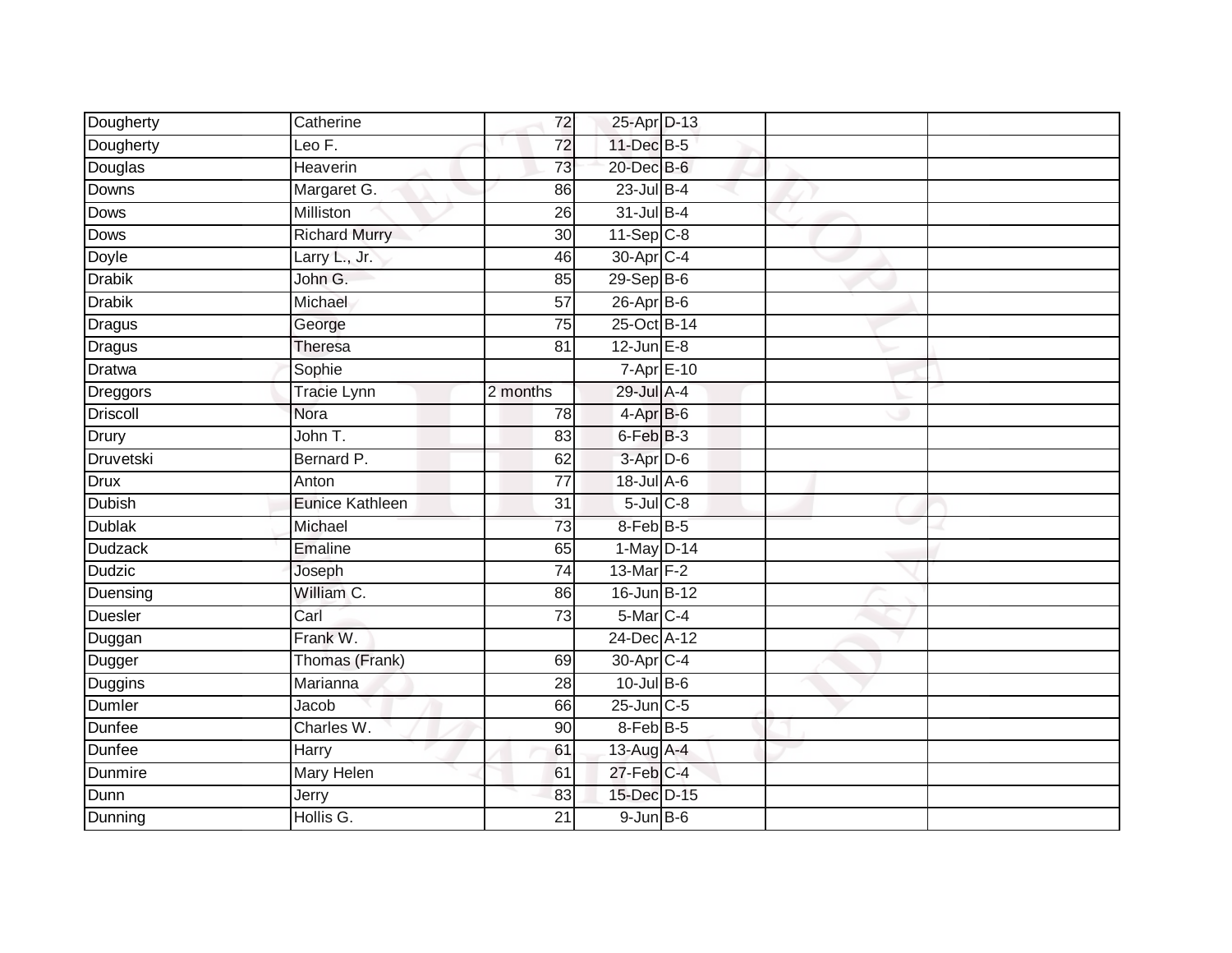| Dougherty       | Catherine              | 72              | 25-Apr D-13           |  |  |
|-----------------|------------------------|-----------------|-----------------------|--|--|
| Dougherty       | Leo F.                 | 72              | 11-Dec B-5            |  |  |
| Douglas         | <b>Heaverin</b>        | 73              | 20-Dec B-6            |  |  |
| Downs           | Margaret G.            | 86              | $23$ -Jul B-4         |  |  |
| <b>Dows</b>     | Milliston              | $\overline{26}$ | 31-Jul B-4            |  |  |
| Dows            | <b>Richard Murry</b>   | 30              | $11-Sep$ C-8          |  |  |
| Doyle           | Larry L., Jr.          | 46              | 30-Apr <sub>C-4</sub> |  |  |
| <b>Drabik</b>   | John G.                | 85              | $29-Sep$ B-6          |  |  |
| <b>Drabik</b>   | Michael                | 57              | 26-Apr B-6            |  |  |
| <b>Dragus</b>   | George                 | $\overline{75}$ | 25-Oct B-14           |  |  |
| Dragus          | <b>Theresa</b>         | 81              | $12$ -Jun $E-8$       |  |  |
| <b>Dratwa</b>   | Sophie                 |                 | 7-Apr E-10            |  |  |
| Dreggors        | <b>Tracie Lynn</b>     | 2 months        | 29-Jul A-4            |  |  |
| <b>Driscoll</b> | Nora                   | 78              | $4-AprB-6$            |  |  |
| Drury           | John T.                | 83              | $6$ -Feb $B$ -3       |  |  |
| Druvetski       | Bernard P.             | 62              | 3-Apr D-6             |  |  |
| <b>Drux</b>     | Anton                  | 77              | 18-Jul A-6            |  |  |
| <b>Dubish</b>   | <b>Eunice Kathleen</b> | 31              | $5$ -Jul $C-8$        |  |  |
| <b>Dublak</b>   | Michael                | 73              | 8-Feb B-5             |  |  |
| <b>Dudzack</b>  | <b>Emaline</b>         | 65              | 1-May D-14            |  |  |
| <b>Dudzic</b>   | Joseph                 | 74              | 13-Mar $F-2$          |  |  |
| Duensing        | William C.             | 86              | 16-Jun B-12           |  |  |
| <b>Duesler</b>  | Carl                   | 73              | 5-Mar C-4             |  |  |
| Duggan          | Frank W.               |                 | 24-Dec A-12           |  |  |
| Dugger          | Thomas (Frank)         | 69              | 30-Apr C-4            |  |  |
| Duggins         | Marianna               | 28              | $10$ -Jul B-6         |  |  |
| <b>Dumler</b>   | Jacob                  | 66              | $25$ -Jun $C$ -5      |  |  |
| Dunfee          | Charles W.             | 90              | 8-Feb B-5             |  |  |
| Dunfee          | <b>Harry</b>           | 61              | 13-Aug A-4            |  |  |
| Dunmire         | Mary Helen             | 61              | $27$ -Feb $ C-4 $     |  |  |
| Dunn            | Jerry                  | 83              | 15-Dec D-15           |  |  |
| Dunning         | Hollis G.              | $\overline{21}$ | $9$ -Jun $B$ -6       |  |  |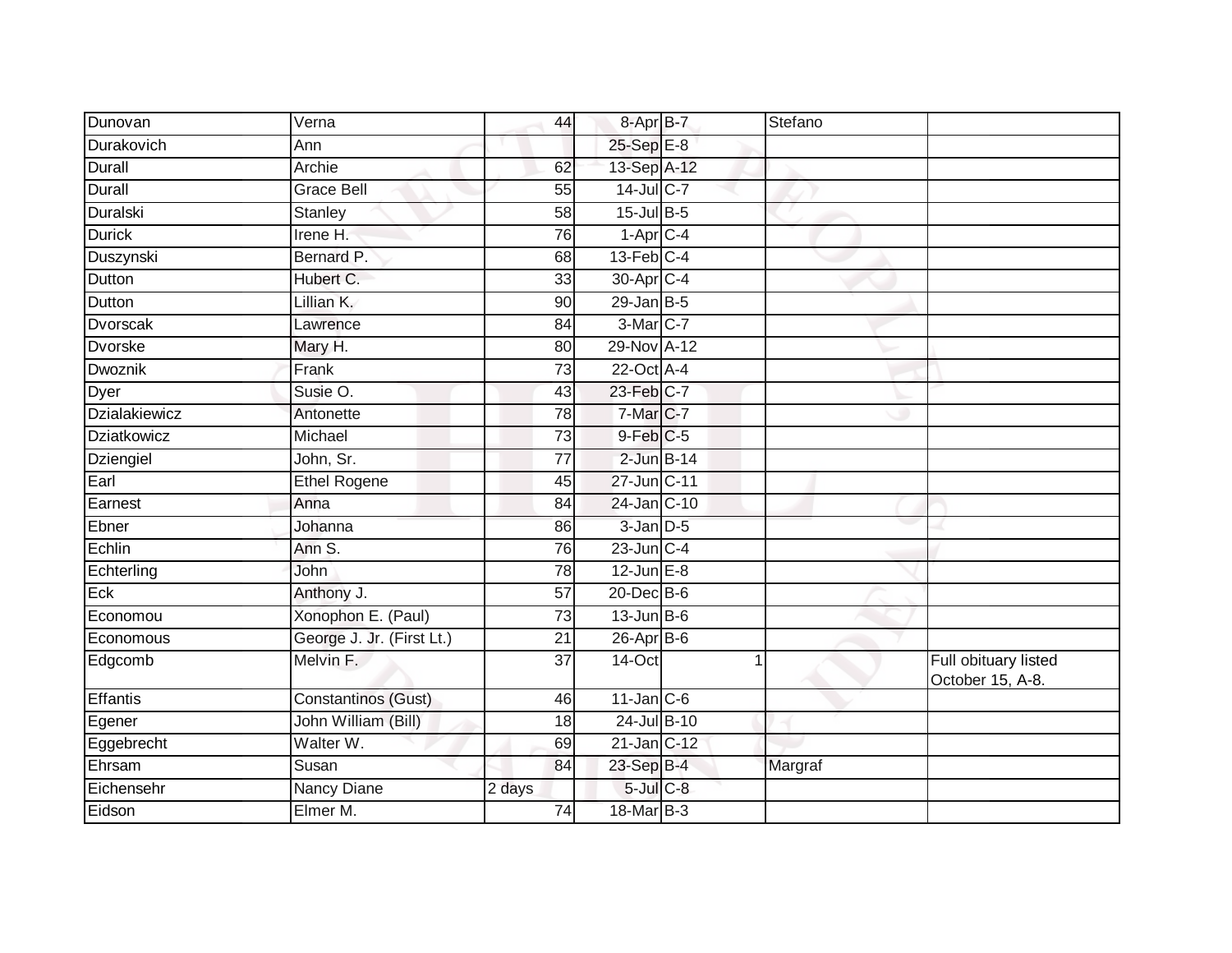| Dunovan              | Verna                     | 44              | 8-Apr B-7                       | Stefano |                                          |
|----------------------|---------------------------|-----------------|---------------------------------|---------|------------------------------------------|
| Durakovich           | Ann                       |                 | 25-Sep E-8                      |         |                                          |
| <b>Durall</b>        | Archie                    | 62              | 13-Sep A-12                     |         |                                          |
| Durall               | <b>Grace Bell</b>         | 55              | $14$ -Jul C-7                   |         |                                          |
| Duralski             | Stanley                   | $\overline{58}$ | $15$ -Jul B-5                   |         |                                          |
| <b>Durick</b>        | Irene $H$ .               | 76              | $1 - \text{Apr}$ <sub>C-4</sub> |         |                                          |
| Duszynski            | Bernard P.                | 68              | $13$ -Feb $C-4$                 |         |                                          |
| <b>Dutton</b>        | Hubert C.                 | 33              | 30-Apr C-4                      |         |                                          |
| Dutton               | Lillian K.                | 90              | $29$ -Jan B-5                   |         |                                          |
| <b>Dvorscak</b>      | Lawrence                  | 84              | 3-Mar C-7                       |         |                                          |
| <b>Dvorske</b>       | Mary H.                   | 80              | 29-Nov A-12                     |         |                                          |
| Dwoznik              | Frank                     | 73              | 22-Oct A-4                      |         |                                          |
| Dyer                 | Susie O.                  | 43              | 23-Feb C-7                      |         |                                          |
| <b>Dzialakiewicz</b> | Antonette                 | 78              | 7-Mar C-7                       |         |                                          |
| Dziatkowicz          | Michael                   | $\overline{73}$ | 9-Feb C-5                       |         |                                          |
| Dziengiel            | John, Sr.                 | 77              | $2$ -Jun $B-14$                 |         |                                          |
| Earl                 | <b>Ethel Rogene</b>       | 45              | 27-Jun C-11                     |         |                                          |
| Earnest              | Anna                      | 84              | 24-Jan C-10                     |         |                                          |
| Ebner                | Johanna                   | 86              | $3$ -Jan $D-5$                  |         |                                          |
| Echlin               | Ann S.                    | 76              | $23$ -Jun $C-4$                 |         |                                          |
| Echterling           | John                      | 78              | $12$ -Jun $E-8$                 |         |                                          |
| Eck                  | Anthony J.                | $\overline{57}$ | $20$ -Dec $B$ -6                |         |                                          |
| Economou             | Xonophon E. (Paul)        | 73              | $13$ -Jun $B-6$                 |         |                                          |
| Economous            | George J. Jr. (First Lt.) | $\overline{21}$ | $26$ -Apr $B$ -6                |         |                                          |
| Edgcomb              | Melvin F.                 | 37              | 14-Oct                          | 1       | Full obituary listed<br>October 15, A-8. |
| Effantis             | Constantinos (Gust)       | 46              | $11$ -Jan C-6                   |         |                                          |
| Egener               | John William (Bill)       | $\overline{18}$ | 24-Jul B-10                     |         |                                          |
| Eggebrecht           | Walter W.                 | 69              | 21-Jan C-12                     |         |                                          |
| Ehrsam               | Susan                     | 84              | 23-Sep B-4                      | Margraf |                                          |
| Eichensehr           | <b>Nancy Diane</b>        | 2 days          | $5$ -Jul $C$ -8                 |         |                                          |
| Eidson               | Elmer M.                  | 74              | 18-Mar B-3                      |         |                                          |
|                      |                           |                 |                                 |         |                                          |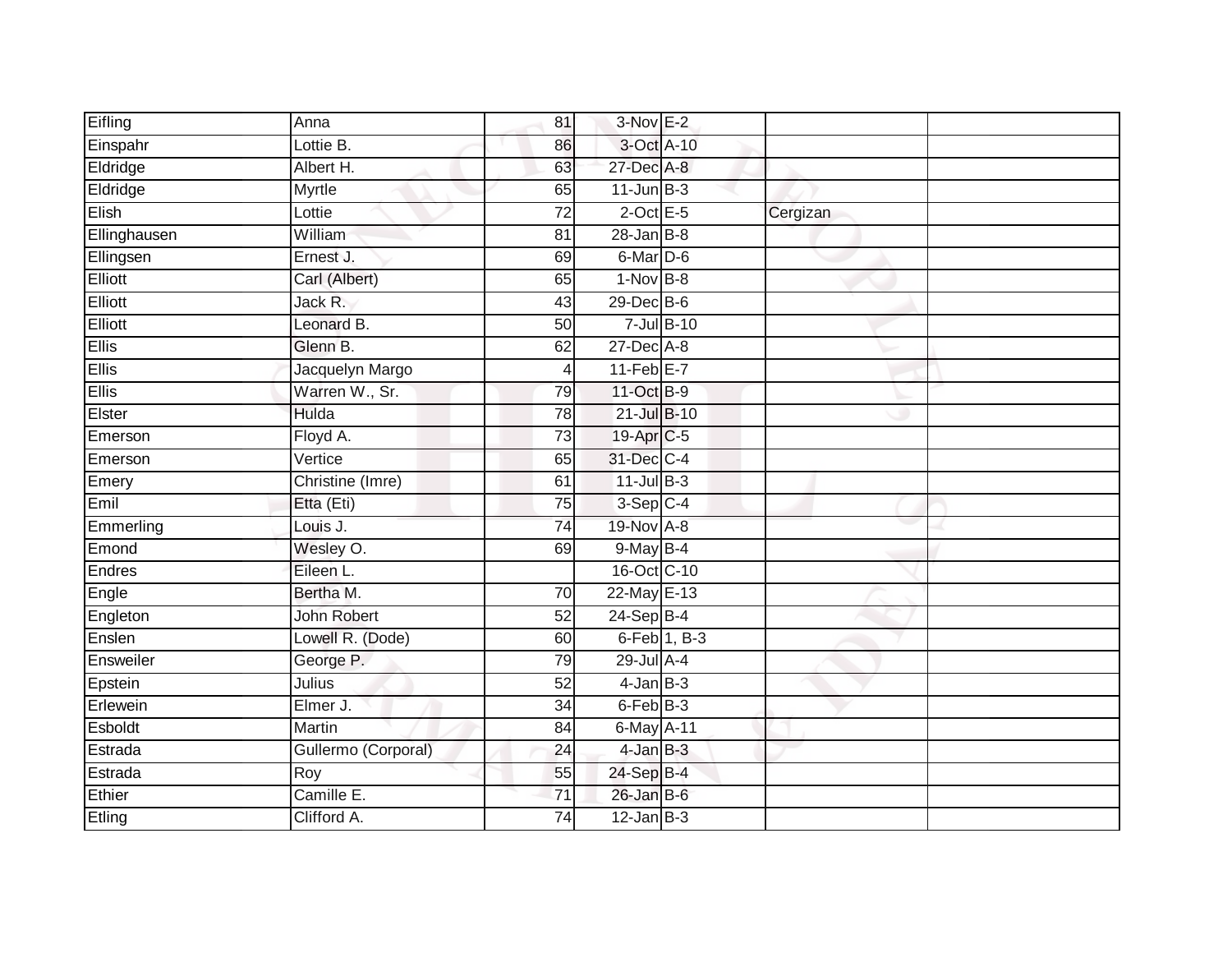| Eifling      | Anna                | 81              | 3-Nov E-2        |          |
|--------------|---------------------|-----------------|------------------|----------|
| Einspahr     | Lottie B.           | 86              | 3-Oct A-10       |          |
| Eldridge     | Albert H.           | 63              | 27-Dec A-8       |          |
| Eldridge     | Myrtle              | 65              | $11$ -Jun $B-3$  |          |
| Elish        | Lottie              | $\overline{72}$ | $2$ -Oct E-5     | Cergizan |
| Ellinghausen | William             | 81              | $28 - Jan$ $B-8$ |          |
| Ellingsen    | Ernest J.           | 69              | $6$ -Mar $D$ -6  |          |
| Elliott      | Carl (Albert)       | 65              | $1-Nov$ B-8      |          |
| Elliott      | Jack R.             | 43              | 29-Dec B-6       |          |
| Elliott      | Leonard B.          | 50              | $7$ -Jul $B-10$  |          |
| <b>Ellis</b> | Glenn B.            | 62              | 27-Dec A-8       |          |
| <b>Ellis</b> | Jacquelyn Margo     | $\overline{4}$  | $11-Feb$ E-7     |          |
| <b>Ellis</b> | Warren W., Sr.      | 79              | 11-Oct B-9       |          |
| Elster       | Hulda               | 78              | 21-Jul B-10      |          |
| Emerson      | Floyd A.            | 73              | 19-Apr C-5       |          |
| Emerson      | Vertice             | 65              | 31-Dec C-4       |          |
| Emery        | Christine (Imre)    | 61              | $11$ -Jul B-3    |          |
| Emil         | Etta (Eti)          | 75              | $3-Sep$ C-4      |          |
| Emmerling    | Louis J.            | 74              | 19-Nov A-8       |          |
| Emond        | Wesley O.           | 69              | $9$ -May $B-4$   |          |
| Endres       | Eileen L.           |                 | 16-Oct C-10      |          |
| Engle        | Bertha M.           | 70              | 22-May E-13      |          |
| Engleton     | <b>John Robert</b>  | 52              | $24-Sep$ B-4     |          |
| Enslen       | Lowell R. (Dode)    | 60              | 6-Feb 1, B-3     |          |
| Ensweiler    | George P.           | 79              | 29-Jul A-4       |          |
| Epstein      | Julius              | 52              | $4$ -Jan $B-3$   |          |
| Erlewein     | Elmer J.            | 34              | 6-Feb B-3        |          |
| Esboldt      | Martin              | 84              | 6-May A-11       |          |
| Estrada      | Gullermo (Corporal) | 24              | $4$ -Jan $B-3$   |          |
| Estrada      | Roy                 | 55              | 24-Sep B-4       |          |
| Ethier       | Camille E.          | $\overline{71}$ | $26$ -Jan B-6    |          |
| Etling       | Clifford A.         | $\overline{74}$ | $12$ -Jan B-3    |          |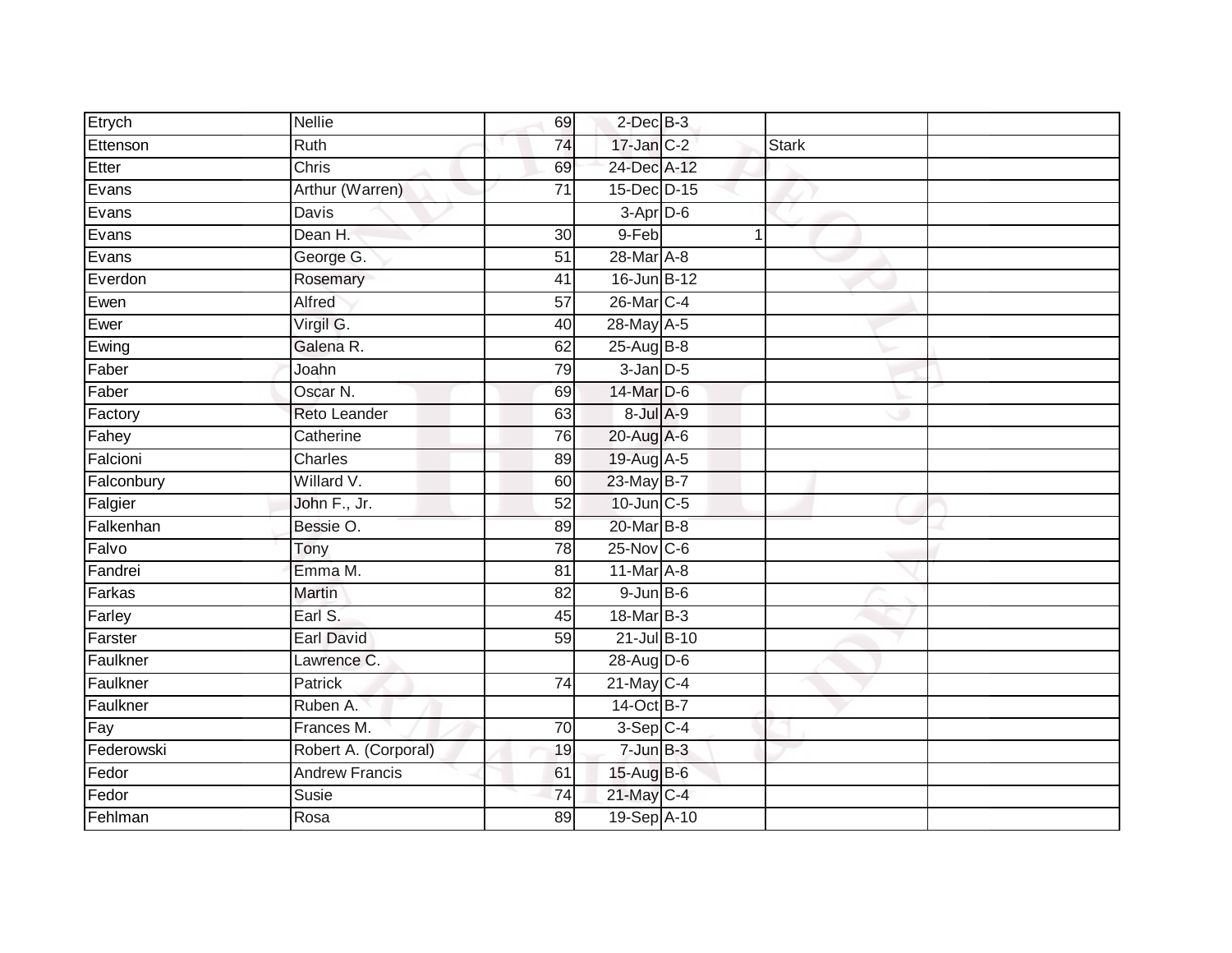| Etrych     | <b>Nellie</b>         | 69              | $2$ -Dec $B-3$   |              |  |
|------------|-----------------------|-----------------|------------------|--------------|--|
| Ettenson   | Ruth                  | 74              | $17$ -Jan $C-2$  | <b>Stark</b> |  |
| Etter      | <b>Chris</b>          | 69              | 24-Dec A-12      |              |  |
| Evans      | Arthur (Warren)       | 71              | 15-Dec D-15      |              |  |
| Evans      | Davis                 |                 | $3-Apr$ D-6      |              |  |
| Evans      | Dean H.               | 30              | 9-Feb            |              |  |
| Evans      | George G.             | 51              | 28-Mar A-8       |              |  |
| Everdon    | Rosemary              | 41              | 16-Jun B-12      |              |  |
| Ewen       | Alfred                | 57              | 26-Mar C-4       |              |  |
| Ewer       | Virgil G.             | 40              | 28-May A-5       |              |  |
| Ewing      | Galena R.             | 62              | $25$ -AugB-8     |              |  |
| Faber      | Joahn                 | 79              | $3 - Jan$ $D-5$  |              |  |
| Faber      | Oscar N.              | 69              | 14-Mar D-6       |              |  |
| Factory    | Reto Leander          | 63              | 8-Jul A-9        |              |  |
| Fahey      | Catherine             | 76              | 20-Aug A-6       |              |  |
| Falcioni   | Charles               | 89              | 19-Aug A-5       |              |  |
| Falconbury | Willard V.            | 60              | 23-May B-7       |              |  |
| Falgier    | John F., Jr.          | 52              | 10-Jun C-5       |              |  |
| Falkenhan  | Bessie O.             | 89              | 20-Mar B-8       |              |  |
| Falvo      | Tony                  | 78              | 25-Nov C-6       |              |  |
| Fandrei    | Emma M.               | 81              | $11$ -Mar $A$ -8 |              |  |
| Farkas     | Martin                | $\overline{82}$ | $9$ -Jun $B$ -6  |              |  |
| Farley     | Earl S.               | 45              | 18-Mar B-3       |              |  |
| Farster    | <b>Earl David</b>     | 59              | 21-Jul B-10      |              |  |
| Faulkner   | Lawrence C.           |                 | 28-Aug D-6       |              |  |
| Faulkner   | <b>Patrick</b>        | $\overline{74}$ | $21$ -May C-4    |              |  |
| Faulkner   | Ruben A.              |                 | 14-Oct B-7       |              |  |
| Fay        | Frances M.            | 70              | $3-Sep$ C-4      |              |  |
| Federowski | Robert A. (Corporal)  | 19              | $7 - Jun$ $B-3$  |              |  |
| Fedor      | <b>Andrew Francis</b> | 61              | 15-Aug B-6       |              |  |
| Fedor      | Susie                 | 74              | 21-May C-4       |              |  |
| Fehlman    | Rosa                  | 89              | 19-Sep A-10      |              |  |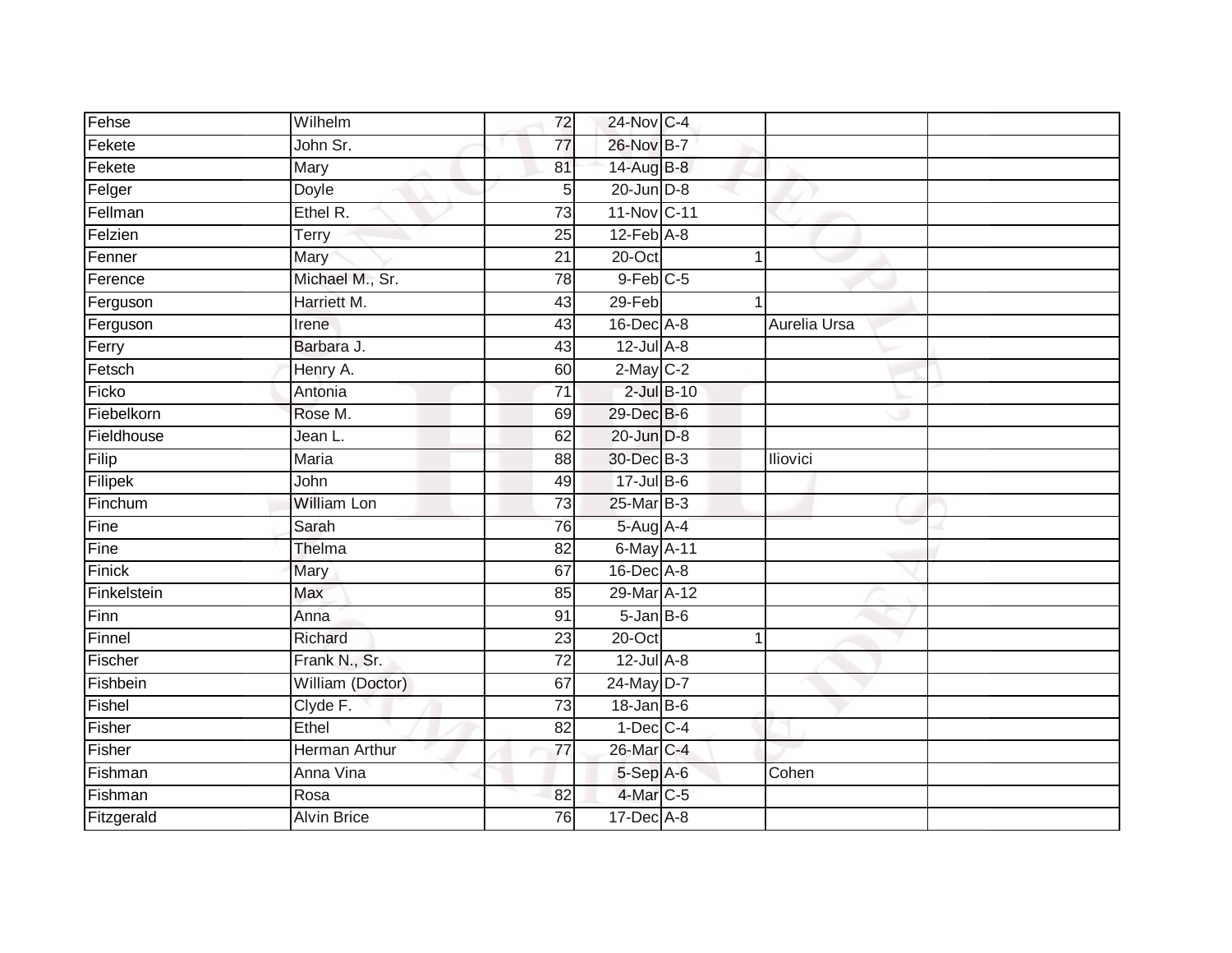| Fehse       | Wilhelm              | 72              | 24-Nov C-4      |              |  |
|-------------|----------------------|-----------------|-----------------|--------------|--|
| Fekete      | John Sr.             | 77              | 26-Nov B-7      |              |  |
| Fekete      | Mary                 | 81              | 14-Aug B-8      |              |  |
| Felger      | Doyle                | 5               | $20$ -Jun $D-8$ |              |  |
| Fellman     | Ethel R.             | $\overline{73}$ | 11-Nov C-11     |              |  |
| Felzien     | Terry                | 25              | $12$ -Feb $A-8$ |              |  |
| Fenner      | Mary                 | 21              | 20-Oct          | 1            |  |
| Ference     | Michael M., Sr.      | 78              | $9$ -Feb $C$ -5 |              |  |
| Ferguson    | Harriett M.          | 43              | $29$ -Feb       |              |  |
| Ferguson    | Irene                | 43              | 16-Dec A-8      | Aurelia Ursa |  |
| Ferry       | Barbara J.           | 43              | $12$ -Jul $A-8$ |              |  |
| Fetsch      | Henry A.             | 60              | $2-May$ $C-2$   |              |  |
| Ficko       | Antonia              | 71              | $2$ -Jul $B-10$ |              |  |
| Fiebelkorn  | Rose M.              | 69              | 29-Dec B-6      |              |  |
| Fieldhouse  | Jean L.              | 62              | $20$ -Jun $D-8$ |              |  |
| Filip       | Maria                | 88              | 30-Dec B-3      | Iliovici     |  |
| Filipek     | John                 | 49              | $17$ -Jul B-6   |              |  |
| Finchum     | <b>William Lon</b>   | $\overline{73}$ | 25-Mar B-3      |              |  |
| Fine        | Sarah                | 76              | 5-Aug A-4       |              |  |
| Fine        | Thelma               | 82              | 6-May A-11      |              |  |
| Finick      | Mary                 | 67              | 16-Dec A-8      |              |  |
| Finkelstein | Max                  | 85              | 29-Mar A-12     |              |  |
| Finn        | Anna                 | 91              | $5 - JanB - 6$  |              |  |
| Finnel      | Richard              | 23              | $20$ -Oct       | 1            |  |
| Fischer     | Frank N., Sr.        | $\overline{72}$ | $12$ -Jul $A-8$ |              |  |
| Fishbein    | William (Doctor)     | 67              | 24-May D-7      |              |  |
| Fishel      | Clyde F.             | $\overline{73}$ | $18$ -Jan B-6   |              |  |
| Fisher      | Ethel                | 82              | $1-Dec$ $C-4$   |              |  |
| Fisher      | <b>Herman Arthur</b> | 77              | 26-Mar C-4      |              |  |
| Fishman     | Anna Vina            |                 | 5-Sep A-6       | Cohen        |  |
| Fishman     | Rosa                 | 82              | 4-Mar C-5       |              |  |
| Fitzgerald  | <b>Alvin Brice</b>   | 76              | $17$ -Dec $A-8$ |              |  |
|             |                      |                 |                 |              |  |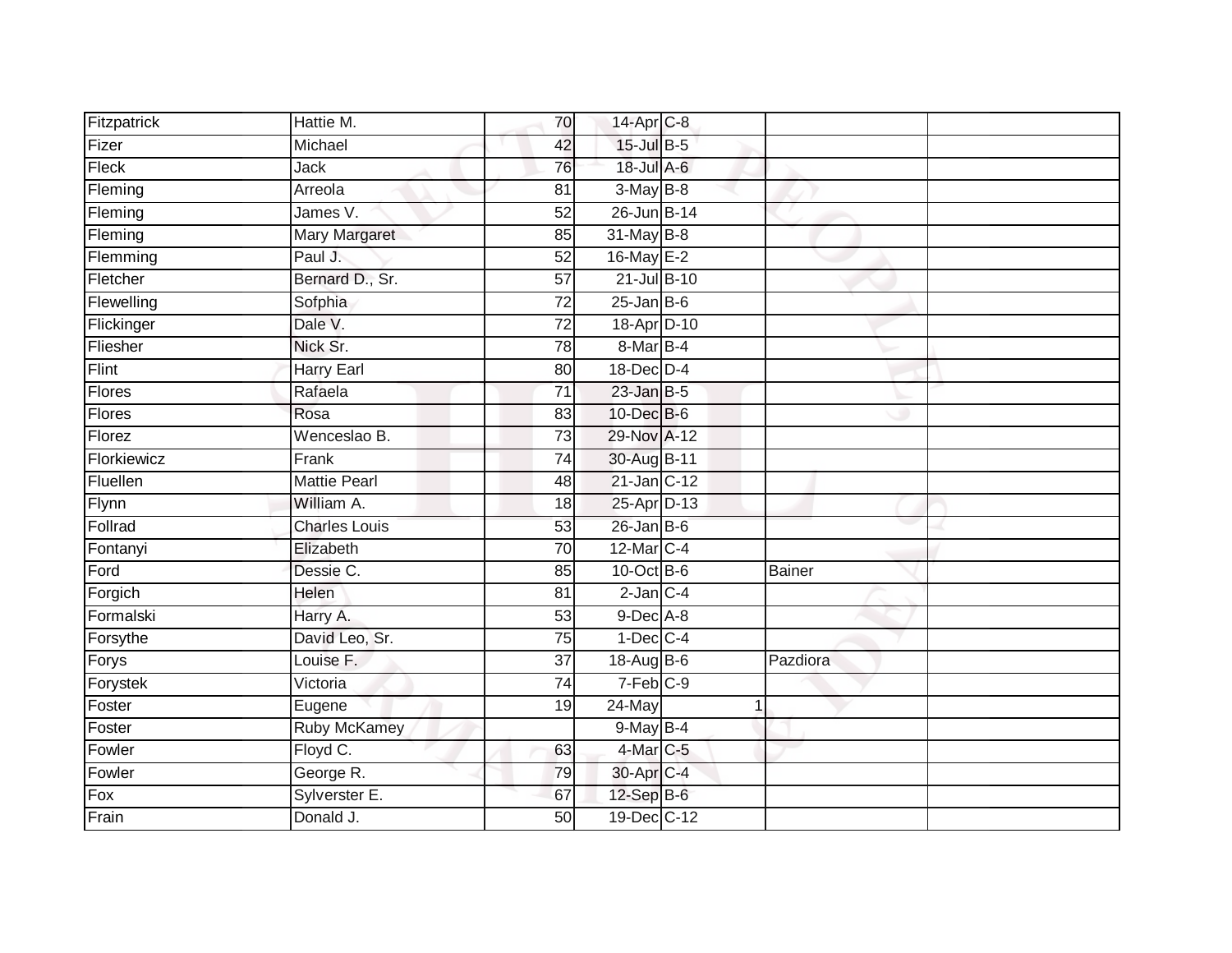| Fitzpatrick | Hattie M.            | 70              | 14-Apr C-8             |               |  |
|-------------|----------------------|-----------------|------------------------|---------------|--|
| Fizer       | Michael              | 42              | 15-Jul B-5             |               |  |
| Fleck       | <b>Jack</b>          | 76              | 18-Jul A-6             |               |  |
| Fleming     | Arreola              | 81              | $3-May$ B-8            |               |  |
| Fleming     | James V.             | $\overline{52}$ | 26-Jun B-14            |               |  |
| Fleming     | Mary Margaret        | 85              | 31-May B-8             |               |  |
| Flemming    | Paul J.              | 52              | 16-May E-2             |               |  |
| Fletcher    | Bernard D., Sr.      | $\overline{57}$ | 21-Jul B-10            |               |  |
| Flewelling  | Sofphia              | $\overline{72}$ | $25$ -Jan B-6          |               |  |
| Flickinger  | Dale V.              | $\overline{72}$ | 18-Apr D-10            |               |  |
| Fliesher    | Nick Sr.             | 78              | 8-Mar B-4              |               |  |
| Flint       | <b>Harry Earl</b>    | 80              | 18-Dec D-4             |               |  |
| Flores      | Rafaela              | $\overline{71}$ | $23$ -Jan B-5          |               |  |
| Flores      | Rosa                 | 83              | 10-Dec B-6             |               |  |
| Florez      | Wenceslao B.         | 73              | 29-Nov A-12            |               |  |
| Florkiewicz | Frank                | $\overline{74}$ | 30-Aug B-11            |               |  |
| Fluellen    | <b>Mattie Pearl</b>  | 48              | 21-Jan C-12            |               |  |
| Flynn       | William A.           | 18              | 25-Apr D-13            |               |  |
| Follrad     | <b>Charles Louis</b> | 53              | $26$ -Jan B-6          |               |  |
| Fontanyi    | Elizabeth            | 70              | 12-Mar C-4             |               |  |
| Ford        | Dessie C.            | 85              | 10-Oct B-6             | <b>Bainer</b> |  |
| Forgich     | Helen                | 81              | $2$ -Jan $C-4$         |               |  |
| Formalski   | Harry A.             | 53              | $9$ -Dec $A$ -8        |               |  |
| Forsythe    | David Leo, Sr.       | 75              | $1-Dec$ $C-4$          |               |  |
| Forys       | Louise F.            | $\overline{37}$ | 18-Aug B-6             | Pazdiora      |  |
| Forystek    | Victoria             | $\overline{74}$ | $7-Feb$ <sub>C-9</sub> |               |  |
| Foster      | Eugene               | 19              | 24-May                 |               |  |
| Foster      | <b>Ruby McKamey</b>  |                 | 9-May B-4              |               |  |
| Fowler      | Floyd C.             | 63              | 4-Mar C-5              |               |  |
| Fowler      | George R.            | 79              | 30-Apr C-4             |               |  |
| Fox         | Sylverster E.        | 67              | $12-Sep$ B-6           |               |  |
| Frain       | Donald J.            | 50              | 19-Dec C-12            |               |  |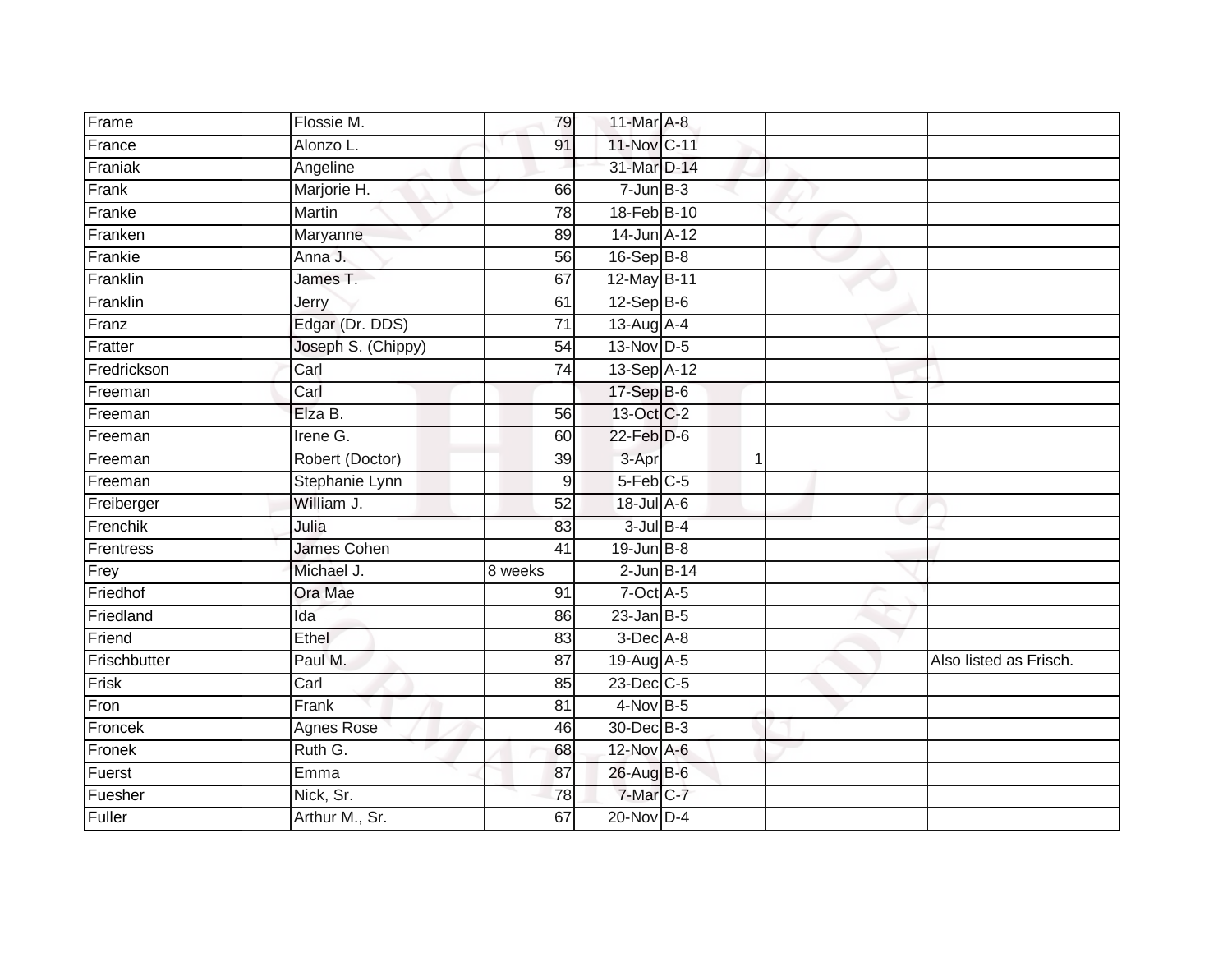| Frame        | Flossie M.         | 79               | 11-Mar A-8             |  |                        |
|--------------|--------------------|------------------|------------------------|--|------------------------|
| France       | Alonzo L.          | 91               | 11-Nov C-11            |  |                        |
| Franiak      | Angeline           |                  | 31-Mar D-14            |  |                        |
| Frank        | Marjorie H.        | 66               | $7 - Jun$ B-3          |  |                        |
| Franke       | <b>Martin</b>      | $\overline{78}$  | 18-Feb B-10            |  |                        |
| Franken      | Maryanne           | 89               | $14$ -Jun $A-12$       |  |                        |
| Frankie      | Anna J.            | 56               | 16-Sep B-8             |  |                        |
| Franklin     | James T.           | 67               | 12-May B-11            |  |                        |
| Franklin     | Jerry              | 61               | $12-SepB-6$            |  |                        |
| Franz        | Edgar (Dr. DDS)    | $\overline{71}$  | 13-Aug A-4             |  |                        |
| Fratter      | Joseph S. (Chippy) | 54               | 13-Nov D-5             |  |                        |
| Fredrickson  | Carl               | $\overline{74}$  | 13-Sep A-12            |  |                        |
| Freeman      | Carl               |                  | 17-Sep B-6             |  |                        |
| Freeman      | Elza B.            | 56               | 13-Oct C-2             |  |                        |
| Freeman      | Irene G.           | 60               | $22$ -Feb $D-6$        |  |                        |
| Freeman      | Robert (Doctor)    | 39               | 3-Apr                  |  |                        |
| Freeman      | Stephanie Lynn     | $\boldsymbol{9}$ | $5-Feb$ <sub>C-5</sub> |  |                        |
| Freiberger   | William J.         | 52               | 18-Jul A-6             |  |                        |
| Frenchik     | Julia              | 83               | $3$ -Jul $B-4$         |  |                        |
| Frentress    | <b>James Cohen</b> | $\overline{41}$  | 19-Jun B-8             |  |                        |
| Frey         | Michael J.         | 8 weeks          | $2$ -Jun $B-14$        |  |                        |
| Friedhof     | Ora Mae            | 91               | $7$ -Oct $A$ -5        |  |                        |
| Friedland    | Ida                | 86               | $23 - Jan$ $B-5$       |  |                        |
| Friend       | Ethel              | 83               | $3$ -Dec $A - 8$       |  |                        |
| Frischbutter | Paul M.            | 87               | 19-Aug A-5             |  | Also listed as Frisch. |
| Frisk        | Carl               | 85               | 23-Dec C-5             |  |                        |
| Fron         | Frank              | $\overline{81}$  | $4-Nov$ B-5            |  |                        |
| Froncek      | <b>Agnes Rose</b>  | 46               | 30-Dec B-3             |  |                        |
| Fronek       | Ruth G.            | 68               | 12-Nov A-6             |  |                        |
| Fuerst       | Emma               | 87               | 26-Aug B-6             |  |                        |
| Fuesher      | Nick, Sr.          | 78               | 7-Mar C-7              |  |                        |
| Fuller       | Arthur M., Sr.     | 67               | $20$ -Nov $D-4$        |  |                        |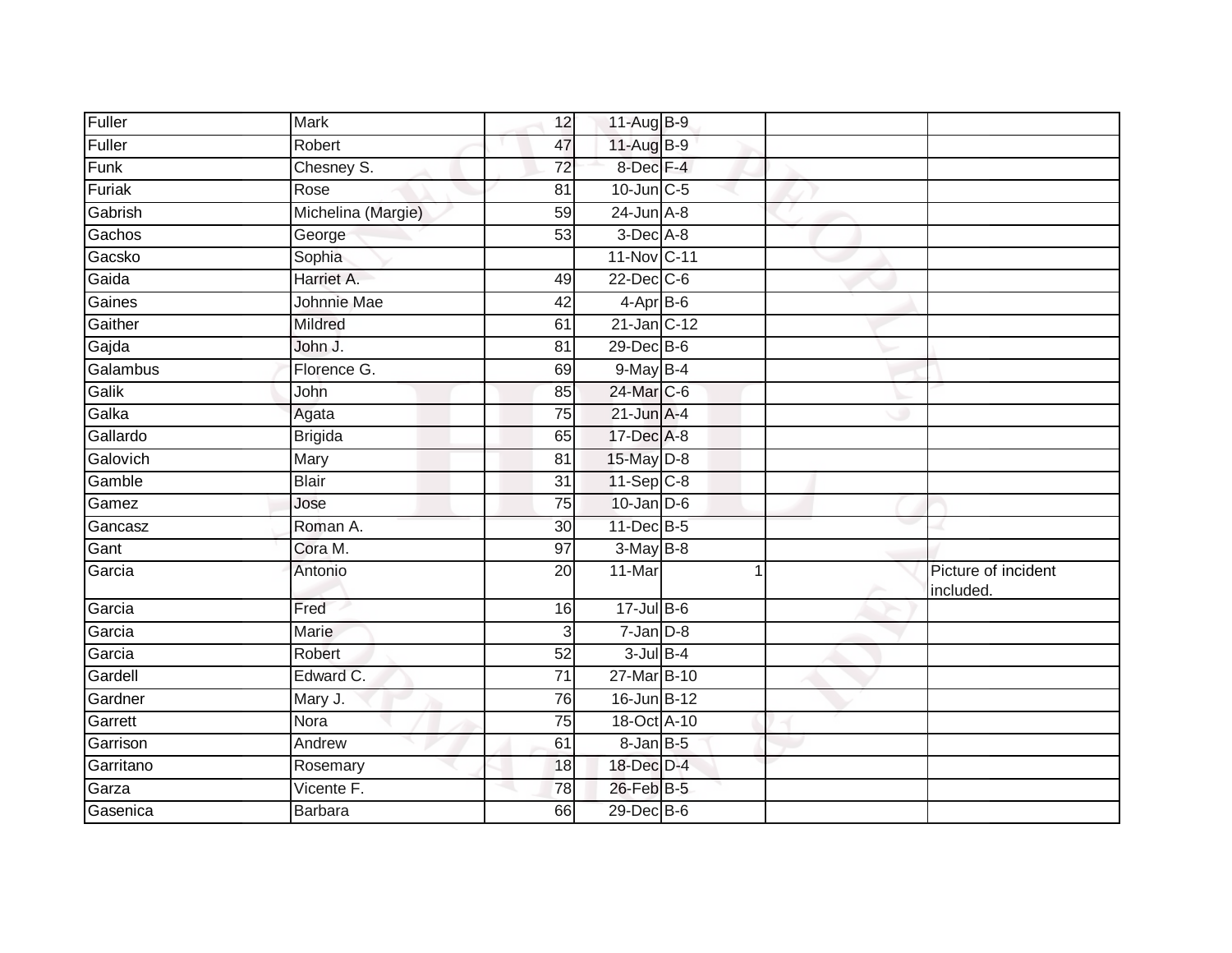| Fuller    | <b>Mark</b>        | 12              | 11-Aug B-9        |                                  |
|-----------|--------------------|-----------------|-------------------|----------------------------------|
| Fuller    | Robert             | 47              | 11-Aug B-9        |                                  |
| Funk      | Chesney S.         | 72              | 8-Dec F-4         |                                  |
| Furiak    | Rose               | 81              | $10$ -Jun $C - 5$ |                                  |
| Gabrish   | Michelina (Margie) | 59              | $24$ -Jun $A-8$   |                                  |
| Gachos    | George             | 53              | 3-Dec A-8         |                                  |
| Gacsko    | Sophia             |                 | 11-Nov C-11       |                                  |
| Gaida     | Harriet A.         | 49              | $22$ -Dec $C-6$   |                                  |
| Gaines    | Johnnie Mae        | 42              | $4-AprB-6$        |                                  |
| Gaither   | Mildred            | 61              | $21$ -Jan $C-12$  |                                  |
| Gajda     | John J.            | 81              | 29-Dec B-6        |                                  |
| Galambus  | Florence G.        | 69              | $9$ -May $B-4$    |                                  |
| Galik     | John               | 85              | 24-Mar C-6        |                                  |
| Galka     | Agata              | 75              | $21$ -Jun $A-4$   |                                  |
| Gallardo  | <b>Brigida</b>     | 65              | 17-Dec A-8        |                                  |
| Galovich  | Mary               | $\overline{81}$ | 15-May D-8        |                                  |
| Gamble    | <b>Blair</b>       | $\overline{31}$ | $11-Sep$ C-8      |                                  |
| Gamez     | Jose               | 75              | $10$ -Jan $D-6$   |                                  |
| Gancasz   | Roman A.           | 30              | 11-Dec B-5        |                                  |
| Gant      | Cora M.            | 97              | $3-May$ B-8       |                                  |
| Garcia    | Antonio            | $\overline{20}$ | 11-Mar            | Picture of incident<br>included. |
| Garcia    | Fred               | 16              | $17 -$ Jul B-6    |                                  |
| Garcia    | <b>Marie</b>       | $\overline{3}$  | $7 - Jan$ $D-8$   |                                  |
| Garcia    | Robert             | 52              | $3$ -Jul $B-4$    |                                  |
| Gardell   | Edward C.          | $\overline{71}$ | 27-Mar B-10       |                                  |
| Gardner   | Mary J.            | 76              | 16-Jun B-12       |                                  |
| Garrett   | Nora               | 75              | 18-Oct A-10       |                                  |
| Garrison  | Andrew             | 61              | 8-Jan B-5         |                                  |
| Garritano | Rosemary           | 18              | 18-Dec D-4        |                                  |
| Garza     | Vicente F.         | 78              | 26-Feb B-5        |                                  |
| Gasenica  | <b>Barbara</b>     | 66              | 29-Dec B-6        |                                  |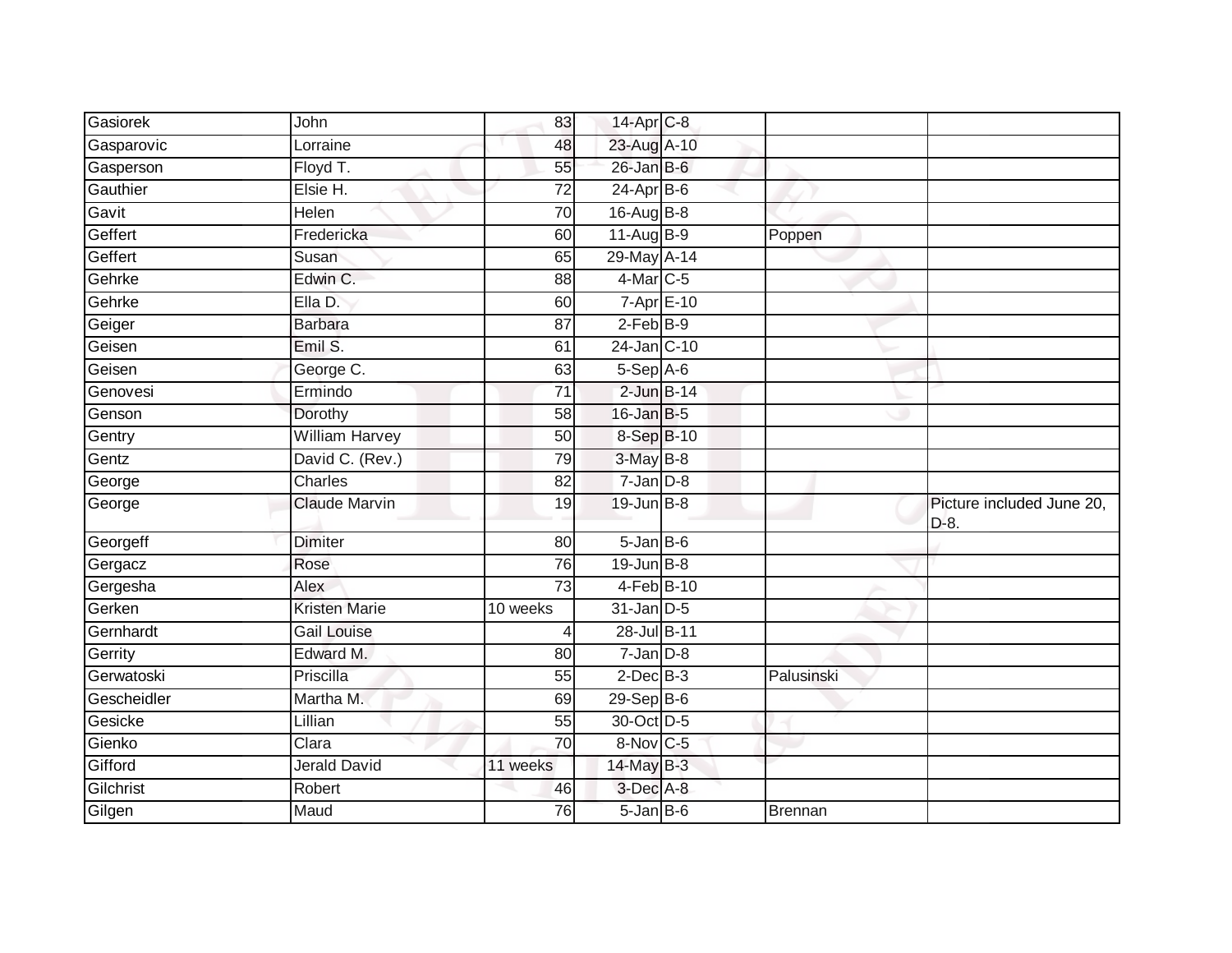| Gasiorek    | John                  | 83       | 14-Apr C-8        |                |                                   |
|-------------|-----------------------|----------|-------------------|----------------|-----------------------------------|
| Gasparovic  | Lorraine              | 48       | 23-Aug A-10       |                |                                   |
| Gasperson   | Floyd T.              | 55       | $26$ -Jan B-6     |                |                                   |
| Gauthier    | Elsie H.              | 72       | 24-Apr B-6        |                |                                   |
| Gavit       | Helen                 | 70       | 16-Aug B-8        |                |                                   |
| Geffert     | Fredericka            | 60       | 11-Aug B-9        | Poppen         |                                   |
| Geffert     | Susan                 | 65       | 29-May A-14       |                |                                   |
| Gehrke      | Edwin C.              | 88       | $4$ -Mar $C$ -5   |                |                                   |
| Gehrke      | Ella D.               | 60       | $7 - Apr$ $E-10$  |                |                                   |
| Geiger      | <b>Barbara</b>        | 87       | $2-FebB-9$        |                |                                   |
| Geisen      | Emil S.               | 61       | 24-Jan C-10       |                |                                   |
| Geisen      | George C.             | 63       | $5-Sep$ A-6       |                |                                   |
| Genovesi    | Ermindo               | 71       | $2$ -Jun $B-14$   |                |                                   |
| Genson      | Dorothy               | 58       | 16-Jan B-5        |                |                                   |
| Gentry      | <b>William Harvey</b> | 50       | 8-Sep B-10        |                |                                   |
| Gentz       | David C. (Rev.)       | 79       | $3-May$ B-8       |                |                                   |
| George      | Charles               | 82       | $7 - Jan$ $D-8$   |                |                                   |
| George      | Claude Marvin         | 19       | $19$ -Jun $B - 8$ |                | Picture included June 20,<br>D-8. |
| Georgeff    | <b>Dimiter</b>        | 80       | $5 - Jan$ $B - 6$ |                |                                   |
| Gergacz     | Rose                  | 76       | $19$ -Jun $B - 8$ |                |                                   |
| Gergesha    | <b>Alex</b>           | 73       | 4-Feb B-10        |                |                                   |
| Gerken      | <b>Kristen Marie</b>  | 10 weeks | $31$ -Jan $D-5$   |                |                                   |
| Gernhardt   | <b>Gail Louise</b>    |          | 28-Jul B-11       |                |                                   |
| Gerrity     | Edward M.             | 80       | $7$ -Jan $D-8$    |                |                                   |
| Gerwatoski  | Priscilla             | 55       | $2$ -Dec $B-3$    | Palusinski     |                                   |
| Gescheidler | Martha M.             | 69       | 29-Sep B-6        |                |                                   |
| Gesicke     | Lillian               | 55       | 30-Oct D-5        |                |                                   |
| Gienko      | Clara                 | 70       | 8-Nov C-5         |                |                                   |
| Gifford     | <b>Jerald David</b>   | 11 weeks | 14-May B-3        |                |                                   |
| Gilchrist   | Robert                | 46       | 3-Dec A-8         |                |                                   |
| Gilgen      | Maud                  | 76       | $5 - Jan$ $B - 6$ | <b>Brennan</b> |                                   |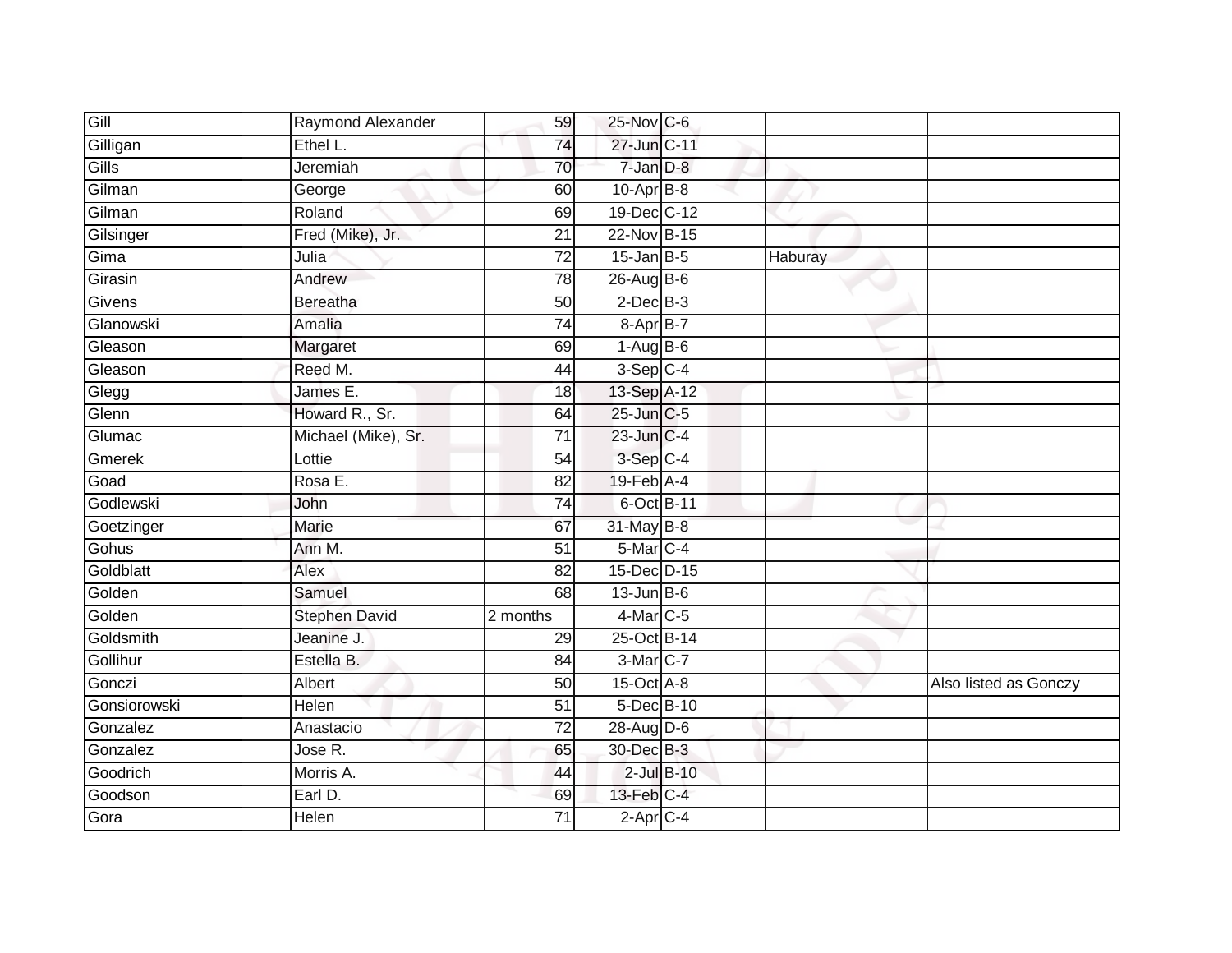| Gill         | Raymond Alexander    | 59              | 25-Nov C-6             |                 |         |                       |
|--------------|----------------------|-----------------|------------------------|-----------------|---------|-----------------------|
| Gilligan     | Ethel L.             | 74              | 27-Jun C-11            |                 |         |                       |
| Gills        | Jeremiah             | 70              | 7-Jan D-8              |                 |         |                       |
| Gilman       | George               | 60              | 10-Apr B-8             |                 |         |                       |
| Gilman       | Roland               | 69              | 19-Dec C-12            |                 |         |                       |
| Gilsinger    | Fred (Mike), Jr.     | 21              | 22-Nov B-15            |                 |         |                       |
| Gima         | Julia                | $\overline{72}$ | $15$ -Jan $B-5$        |                 | Haburay |                       |
| Girasin      | Andrew               | 78              | 26-Aug B-6             |                 |         |                       |
| Givens       | Bereatha             | 50              | $2$ -Dec $B-3$         |                 |         |                       |
| Glanowski    | Amalia               | 74              | $8 - AprB - 7$         |                 |         |                       |
| Gleason      | Margaret             | 69              | $1-AugB-6$             |                 |         |                       |
| Gleason      | Reed M.              | 44              | $3-Sep$ C-4            |                 |         |                       |
| Glegg        | James E.             | 18              | 13-Sep A-12            |                 |         |                       |
| Glenn        | Howard R., Sr.       | 64              | 25-Jun C-5             |                 |         |                       |
| Glumac       | Michael (Mike), Sr.  | $\overline{71}$ | 23-Jun C-4             |                 |         |                       |
| Gmerek       | Lottie               | 54              | $3-Sep$ $C-4$          |                 |         |                       |
| Goad         | Rosa E.              | $\overline{82}$ | $19$ -Feb $A$ -4       |                 |         |                       |
| Godlewski    | John                 | 74              | 6-Oct B-11             |                 |         |                       |
| Goetzinger   | Marie                | 67              | 31-May B-8             |                 |         |                       |
| Gohus        | Ann M.               | $\overline{51}$ | 5-Mar <sub>C-4</sub>   |                 |         |                       |
| Goldblatt    | Alex                 | 82              | 15-Dec D-15            |                 |         |                       |
| Golden       | Samuel               | $\overline{68}$ | $13$ -Jun $B$ -6       |                 |         |                       |
| Golden       | <b>Stephen David</b> | 2 months        | 4-Mar C-5              |                 |         |                       |
| Goldsmith    | Jeanine J.           | 29              | 25-Oct B-14            |                 |         |                       |
| Gollihur     | Estella B.           | 84              | 3-Mar C-7              |                 |         |                       |
| Gonczi       | Albert               | 50              | 15-Oct A-8             |                 |         | Also listed as Gonczy |
| Gonsiorowski | Helen                | $\overline{51}$ | 5-Dec B-10             |                 |         |                       |
| Gonzalez     | Anastacio            | 72              | 28-Aug D-6             |                 |         |                       |
| Gonzalez     | Jose R.              | 65              | 30-Dec B-3             |                 |         |                       |
| Goodrich     | Morris A.            | 44              |                        | $2$ -Jul $B-10$ |         |                       |
| Goodson      | Earl D.              | 69              | 13-Feb C-4             |                 |         |                       |
| Gora         | Helen                | $\overline{71}$ | $2-\overline{Apr}$ C-4 |                 |         |                       |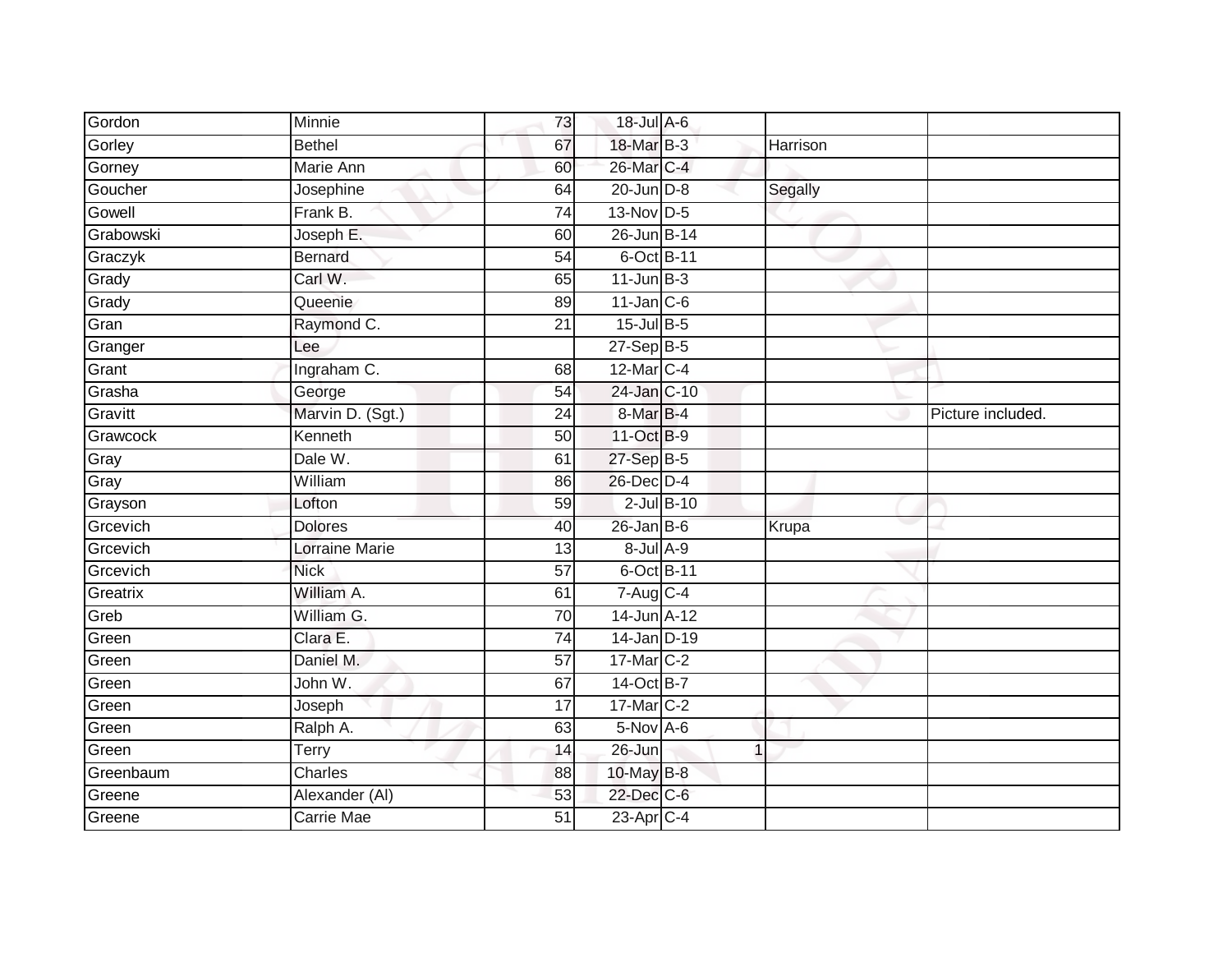| Gordon    | <b>Minnie</b>         | 73              | 18-Jul A-6                               |                |          |                   |
|-----------|-----------------------|-----------------|------------------------------------------|----------------|----------|-------------------|
| Gorley    | <b>Bethel</b>         | 67              | 18-Mar B-3                               |                | Harrison |                   |
| Gorney    | <b>Marie Ann</b>      | 60              | 26-Mar C-4                               |                |          |                   |
| Goucher   | Josephine             | 64              | $20$ -Jun $D-8$                          |                | Segally  |                   |
| Gowell    | Frank B.              | $\overline{74}$ | 13-Nov D-5                               |                |          |                   |
| Grabowski | Joseph E.             | 60              | 26-Jun B-14                              |                |          |                   |
| Graczyk   | <b>Bernard</b>        | 54              | 6-Oct B-11                               |                |          |                   |
| Grady     | Carl W.               | 65              | $11$ -Jun $B-3$                          |                |          |                   |
| Grady     | Queenie               | 89              | $11$ -Jan $C-6$                          |                |          |                   |
| Gran      | Raymond C.            | 21              | $15$ -Jul B-5                            |                |          |                   |
| Granger   | Lee                   |                 | 27-Sep B-5                               |                |          |                   |
| Grant     | Ingraham C.           | 68              | 12-Mar C-4                               |                |          |                   |
| Grasha    | George                | 54              | 24-Jan C-10                              |                |          |                   |
| Gravitt   | Marvin D. (Sgt.)      | 24              | 8-Mar B-4                                |                |          | Picture included. |
| Grawcock  | Kenneth               | 50              | 11-Oct B-9                               |                |          |                   |
| Gray      | Dale W.               | 61              | 27-Sep B-5                               |                |          |                   |
| Gray      | William               | $\overline{86}$ | 26-Dec D-4                               |                |          |                   |
| Grayson   | Lofton                | 59              | $2$ -Jul $B-10$                          |                |          |                   |
| Grcevich  | <b>Dolores</b>        | 40              | $26$ -Jan B-6                            |                | Krupa    |                   |
| Grcevich  | <b>Lorraine Marie</b> | $\overline{13}$ | 8-Jul A-9                                |                |          |                   |
| Grcevich  | <b>Nick</b>           | $\overline{57}$ | 6-Oct B-11                               |                |          |                   |
| Greatrix  | William A.            | 61              | $7 - \text{Aug} \overline{\text{C} - 4}$ |                |          |                   |
| Greb      | William G.            | 70              | 14-Jun A-12                              |                |          |                   |
| Green     | Clara E.              | 74              | 14-Jan D-19                              |                |          |                   |
| Green     | Daniel M.             | 57              | 17-Mar C-2                               |                |          |                   |
| Green     | John W.               | 67              | 14-Oct B-7                               |                |          |                   |
| Green     | Joseph                | $\overline{17}$ | 17-Mar C-2                               |                |          |                   |
| Green     | Ralph A.              | 63              | $5$ -Nov A-6                             |                |          |                   |
| Green     | Terry                 | 14              | 26-Jun                                   | $\overline{1}$ |          |                   |
| Greenbaum | Charles               | 88              | 10-May B-8                               |                |          |                   |
| Greene    | Alexander (AI)        | 53              | 22-Dec C-6                               |                |          |                   |
| Greene    | <b>Carrie Mae</b>     | $\overline{51}$ | $23$ -Apr $C-4$                          |                |          |                   |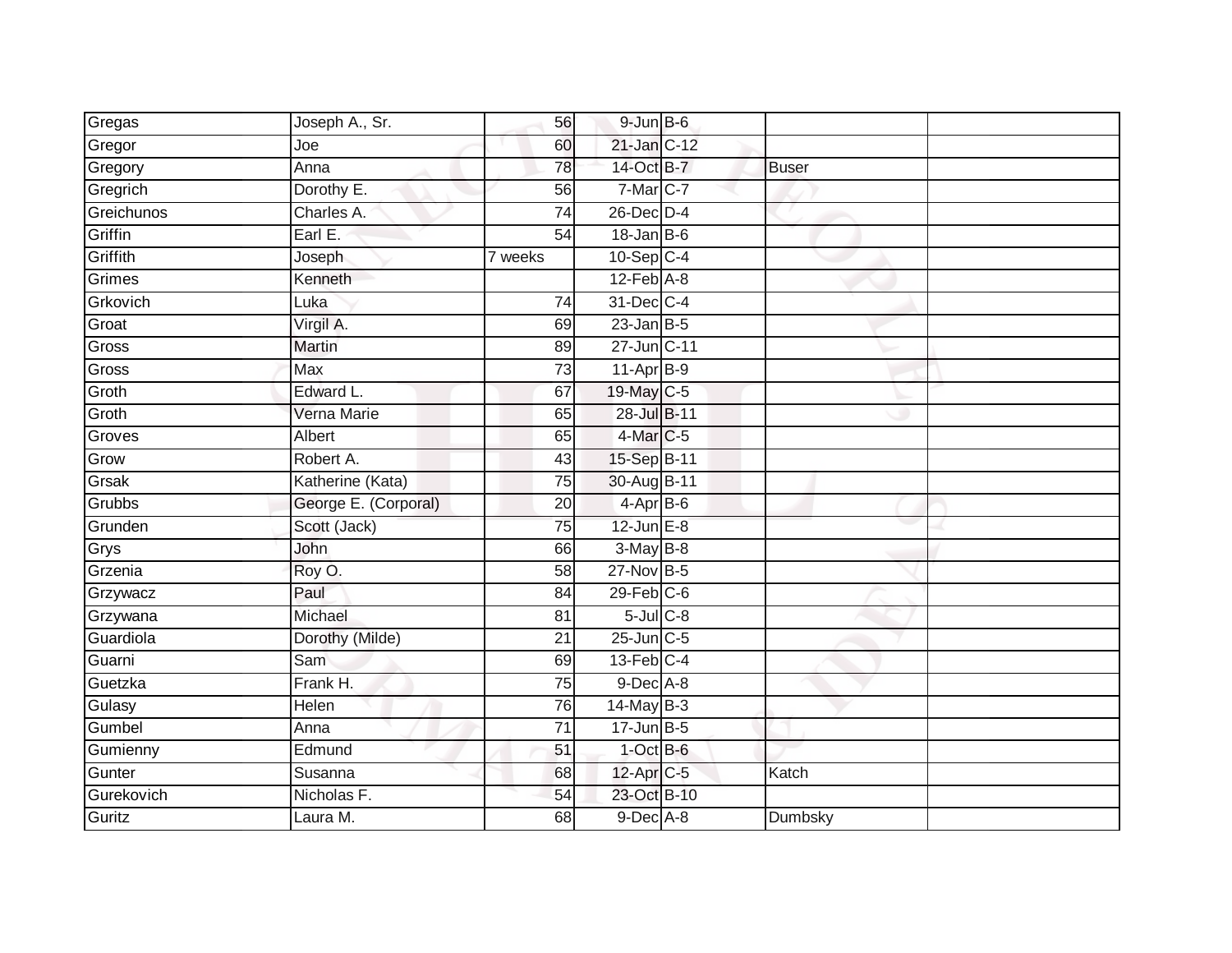| Gregas     | Joseph A., Sr.       | 56              | $9$ -Jun $B$ -6  |              |  |
|------------|----------------------|-----------------|------------------|--------------|--|
| Gregor     | Joe                  | 60              | 21-Jan C-12      |              |  |
| Gregory    | Anna                 | 78              | 14-Oct B-7       | <b>Buser</b> |  |
| Gregrich   | Dorothy E.           | 56              | 7-Mar C-7        |              |  |
| Greichunos | Charles A.           | $\overline{74}$ | $26$ -Dec $D-4$  |              |  |
| Griffin    | Earl E.              | 54              | $18 - Jan$ $B-6$ |              |  |
| Griffith   | Joseph               | 7 weeks         | $10-Sep$ C-4     |              |  |
| Grimes     | Kenneth              |                 | $12$ -Feb $A-8$  |              |  |
| Grkovich   | Luka                 | 74              | 31-Dec C-4       |              |  |
| Groat      | Virgil A.            | 69              | $23$ -Jan B-5    |              |  |
| Gross      | <b>Martin</b>        | 89              | 27-Jun C-11      |              |  |
| Gross      | <b>Max</b>           | 73              | 11-Apr B-9       |              |  |
| Groth      | Edward L.            | 67              | 19-May C-5       |              |  |
| Groth      | Verna Marie          | 65              | 28-Jul B-11      |              |  |
| Groves     | <b>Albert</b>        | 65              | 4-Mar C-5        |              |  |
| Grow       | Robert A.            | 43              | 15-Sep B-11      |              |  |
| Grsak      | Katherine (Kata)     | 75              | 30-Aug B-11      |              |  |
| Grubbs     | George E. (Corporal) | 20              | $4-AprB-6$       |              |  |
| Grunden    | Scott (Jack)         | 75              | $12$ -Jun $E-8$  |              |  |
| Grys       | John                 | 66              | $3-May$ B-8      |              |  |
| Grzenia    | Roy O.               | 58              | 27-Nov B-5       |              |  |
| Grzywacz   | Paul                 | 84              | $29$ -Feb $C$ -6 |              |  |
| Grzywana   | Michael              | 81              | $5$ -Jul $C$ -8  |              |  |
| Guardiola  | Dorothy (Milde)      | $\overline{21}$ | $25$ -Jun $C$ -5 |              |  |
| Guarni     | Sam                  | 69              | $13$ -Feb $C-4$  |              |  |
| Guetzka    | Frank H.             | 75              | $9$ -Dec A-8     |              |  |
| Gulasy     | Helen                | 76              | $14$ -May B-3    |              |  |
| Gumbel     | Anna                 | 71              | $17$ -Jun $B$ -5 |              |  |
| Gumienny   | Edmund               | 51              | $1$ -Oct B-6     |              |  |
| Gunter     | Susanna              | 68              | 12-Apr C-5       | Katch        |  |
| Gurekovich | Nicholas F.          | 54              | 23-Oct B-10      |              |  |
| Guritz     | Laura M.             | 68              | $9$ -Dec $A$ -8  | Dumbsky      |  |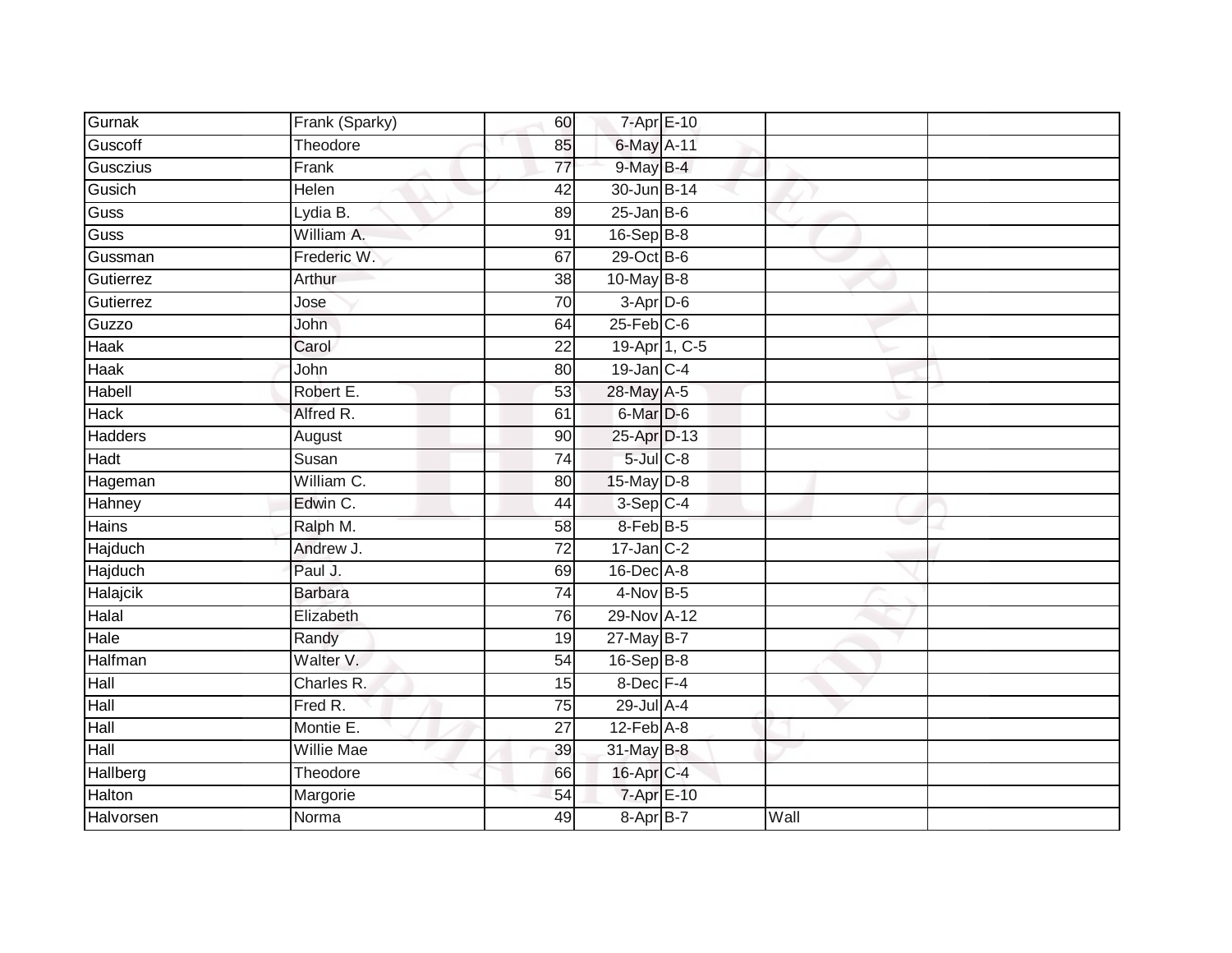| Gurnak         | Frank (Sparky)    | 60              | 7-Apr E-10       |      |  |
|----------------|-------------------|-----------------|------------------|------|--|
| Guscoff        | Theodore          | 85              | 6-May A-11       |      |  |
| Gusczius       | Frank             | $\overline{77}$ | $9$ -May B-4     |      |  |
| Gusich         | Helen             | 42              | 30-Jun B-14      |      |  |
| Guss           | Lydia B.          | 89              | $25$ -Jan B-6    |      |  |
| Guss           | William A.        | 91              | 16-Sep B-8       |      |  |
| Gussman        | Frederic W.       | 67              | 29-Oct B-6       |      |  |
| Gutierrez      | Arthur            | 38              | $10$ -May B-8    |      |  |
| Gutierrez      | Jose              | 70              | $3-Apr$ D-6      |      |  |
| Guzzo          | John              | 64              | $25$ -Feb $C$ -6 |      |  |
| <b>Haak</b>    | Carol             | 22              | 19-Apr 1, C-5    |      |  |
| Haak           | John              | 80              | $19$ -Jan $C-4$  |      |  |
| Habell         | Robert E.         | 53              | 28-May A-5       |      |  |
| <b>Hack</b>    | Alfred R.         | 61              | 6-Mar D-6        |      |  |
| <b>Hadders</b> | August            | 90              | 25-Apr D-13      |      |  |
| Hadt           | Susan             | 74              | $5$ -Jul $C$ -8  |      |  |
| Hageman        | William C.        | 80              | $15$ -May $D-8$  |      |  |
| Hahney         | Edwin C.          | 44              | $3-$ Sep $C-4$   |      |  |
| Hains          | Ralph M.          | 58              | 8-Feb B-5        |      |  |
| <b>Hajduch</b> | Andrew J.         | $\overline{72}$ | $17$ -Jan $C-2$  |      |  |
| Hajduch        | Paul J.           | 69              | 16-Dec A-8       |      |  |
| Halajcik       | <b>Barbara</b>    | 74              | $4$ -Nov B-5     |      |  |
| Halal          | Elizabeth         | 76              | 29-Nov A-12      |      |  |
| Hale           | Randy             | 19              | 27-May B-7       |      |  |
| Halfman        | Walter V.         | 54              | 16-Sep B-8       |      |  |
| Hall           | Charles R.        | 15              | 8-Dec F-4        |      |  |
| Hall           | Fred R.           | 75              | 29-Jul A-4       |      |  |
| Hall           | Montie E.         | 27              | $12$ -Feb $A$ -8 |      |  |
| Hall           | <b>Willie Mae</b> | 39              | 31-May B-8       |      |  |
| Hallberg       | Theodore          | 66              | 16-Apr C-4       |      |  |
| Halton         | Margorie          | 54              | 7-Apr E-10       |      |  |
| Halvorsen      | Norma             | 49              | 8-Apr B-7        | Wall |  |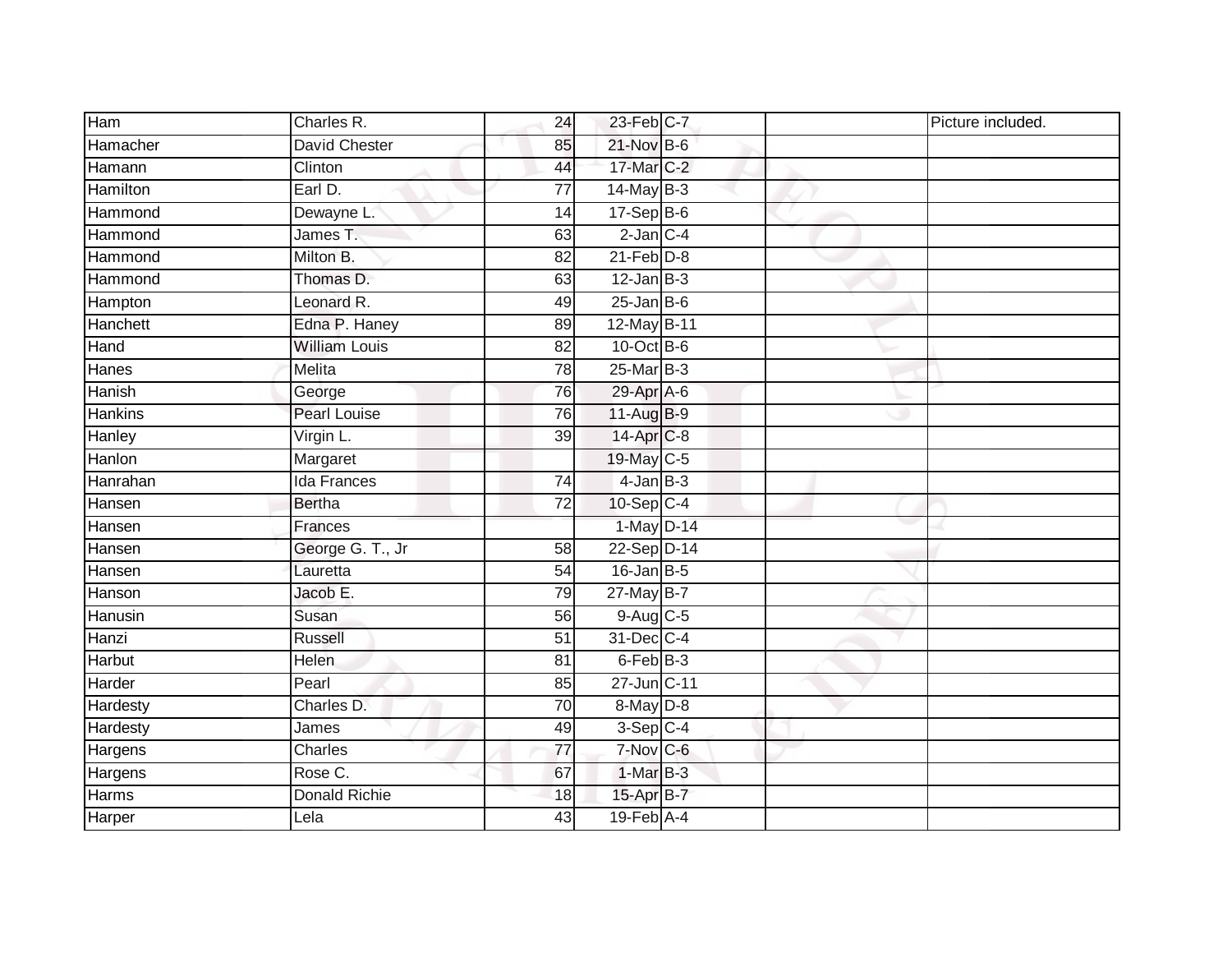| Ham      | Charles R.           | 24              | 23-Feb C-7       |  | Picture included. |
|----------|----------------------|-----------------|------------------|--|-------------------|
| Hamacher | <b>David Chester</b> | 85              | 21-Nov B-6       |  |                   |
| Hamann   | Clinton              | 44              | 17-Mar C-2       |  |                   |
| Hamilton | Earl D.              | $\overline{77}$ | $14$ -May B-3    |  |                   |
| Hammond  | Dewayne L.           | 14              | $17-Sep$ B-6     |  |                   |
| Hammond  | James T.             | 63              | $2$ -Jan $C-4$   |  |                   |
| Hammond  | Milton B.            | 82              | $21$ -Feb $D-8$  |  |                   |
| Hammond  | Thomas D.            | 63              | $12$ -Jan B-3    |  |                   |
| Hampton  | Leonard R.           | 49              | $25$ -Jan B-6    |  |                   |
| Hanchett | Edna P. Haney        | 89              | 12-May B-11      |  |                   |
| Hand     | <b>William Louis</b> | 82              | 10-Oct B-6       |  |                   |
| Hanes    | <b>Melita</b>        | 78              | 25-Mar B-3       |  |                   |
| Hanish   | George               | 76              | 29-Apr A-6       |  |                   |
| Hankins  | <b>Pearl Louise</b>  | 76              | 11-Aug B-9       |  |                   |
| Hanley   | Virgin L.            | 39              | 14-Apr C-8       |  |                   |
| Hanlon   | Margaret             |                 | 19-May C-5       |  |                   |
| Hanrahan | <b>Ida Frances</b>   | 74              | $4$ -Jan $B-3$   |  |                   |
| Hansen   | <b>Bertha</b>        | 72              | $10-Sep$ C-4     |  |                   |
| Hansen   | Frances              |                 | 1-May D-14       |  |                   |
| Hansen   | George G. T., Jr     | 58              | 22-Sep D-14      |  |                   |
| Hansen   | Lauretta             | 54              | $16$ -Jan B-5    |  |                   |
| Hanson   | Jacob E.             | 79              | 27-May B-7       |  |                   |
| Hanusin  | Susan                | 56              | $9-Aug$ C-5      |  |                   |
| Hanzi    | <b>Russell</b>       | $\overline{51}$ | 31-Dec C-4       |  |                   |
| Harbut   | Helen                | 81              | 6-Feb B-3        |  |                   |
| Harder   | Pearl                | 85              | 27-Jun C-11      |  |                   |
| Hardesty | Charles D.           | 70              | $8-May$ D-8      |  |                   |
| Hardesty | James                | 49              | $3-Sep$ C-4      |  |                   |
| Hargens  | Charles              | 77              | 7-Nov C-6        |  |                   |
| Hargens  | Rose C.              | 67              | $1-MarB-3$       |  |                   |
| Harms    | Donald Richie        | 18              | 15-Apr B-7       |  |                   |
| Harper   | Lela                 | 43              | $19$ -Feb $A$ -4 |  |                   |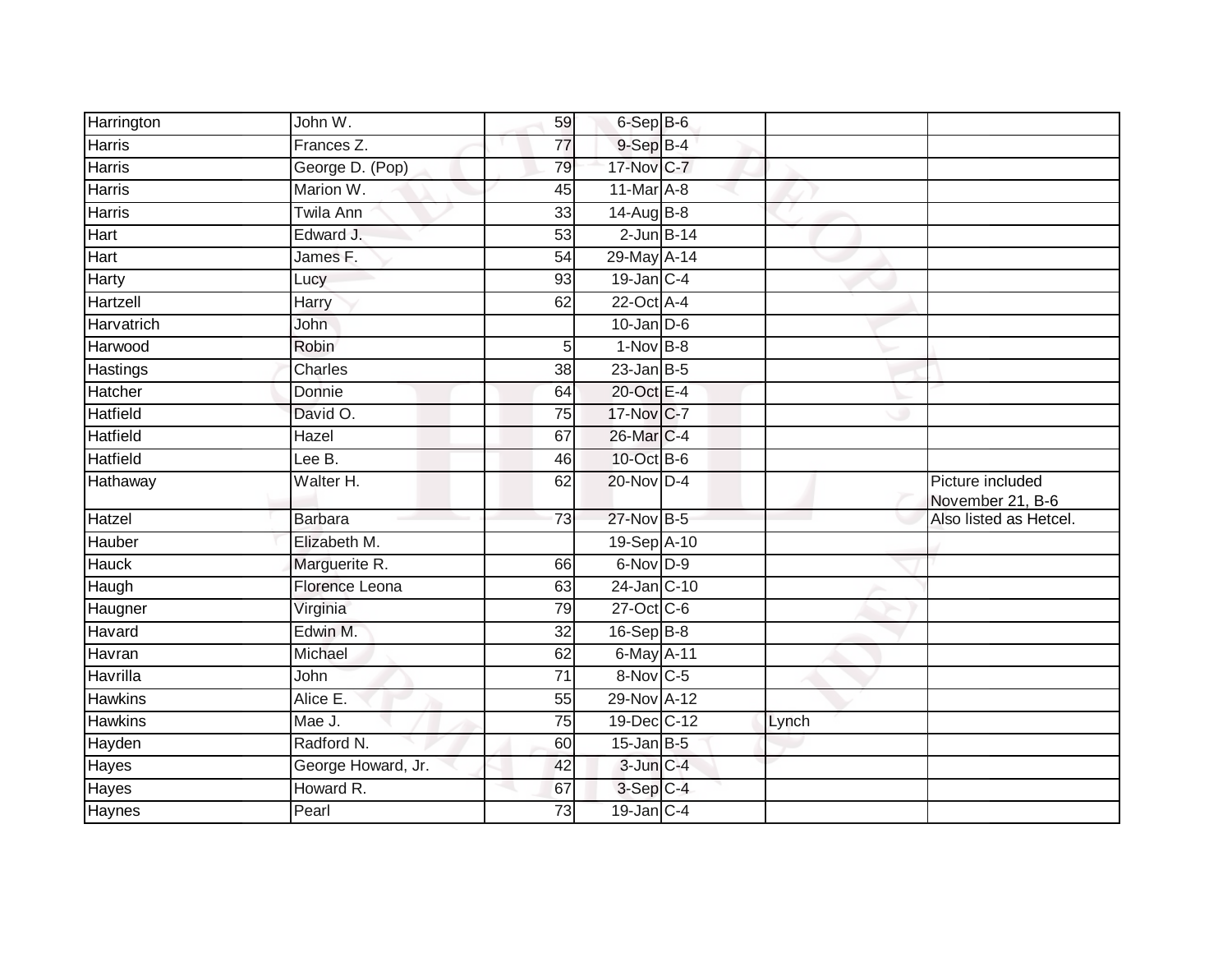| Harrington        | John W.               | 59              | 6-Sep B-6                   |       |                                      |
|-------------------|-----------------------|-----------------|-----------------------------|-------|--------------------------------------|
| Harris            | Frances <sub>Z.</sub> | $\overline{77}$ | 9-Sep B-4                   |       |                                      |
| <b>Harris</b>     | George D. (Pop)       | 79              | 17-Nov C-7                  |       |                                      |
| Harris            | Marion W.             | 45              | $11$ -Mar $\overline{A}$ -8 |       |                                      |
| Harris            | <b>Twila Ann</b>      | 33              | 14-Aug B-8                  |       |                                      |
| Hart              | Edward J.             | $\overline{53}$ | $2$ -Jun $B-14$             |       |                                      |
| Hart              | James F.              | 54              | 29-May A-14                 |       |                                      |
| Harty             | Lucy                  | 93              | $19$ -Jan C-4               |       |                                      |
| Hartzell          | Harry                 | 62              | 22-Oct A-4                  |       |                                      |
| <b>Harvatrich</b> | John                  |                 | $10$ -Jan $D-6$             |       |                                      |
| Harwood           | Robin                 | 5               | $1-Nov$ B-8                 |       |                                      |
| Hastings          | Charles               | 38              | $23$ -Jan $B-5$             |       |                                      |
| Hatcher           | Donnie                | 64              | 20-Oct E-4                  |       |                                      |
| <b>Hatfield</b>   | David O.              | 75              | 17-Nov C-7                  |       |                                      |
| <b>Hatfield</b>   | Hazel                 | 67              | 26-Mar C-4                  |       |                                      |
| <b>Hatfield</b>   | Lee B.                | 46              | 10-Oct B-6                  |       |                                      |
| Hathaway          | Walter H.             | 62              | 20-Nov D-4                  |       | Picture included<br>November 21, B-6 |
| Hatzel            | <b>Barbara</b>        | 73              | 27-Nov B-5                  |       | Also listed as Hetcel.               |
| Hauber            | Elizabeth M.          |                 | 19-Sep A-10                 |       |                                      |
| Hauck             | Marguerite R.         | 66              | 6-Nov D-9                   |       |                                      |
| Haugh             | Florence Leona        | 63              | 24-Jan C-10                 |       |                                      |
| Haugner           | Virginia              | 79              | $27$ -Oct $C$ -6            |       |                                      |
| Havard            | Edwin M.              | 32              | $16-Sep$ B-8                |       |                                      |
| Havran            | Michael               | 62              | 6-May A-11                  |       |                                      |
| Havrilla          | John                  | $\overline{71}$ | 8-Nov C-5                   |       |                                      |
| <b>Hawkins</b>    | Alice E.              | 55              | 29-Nov A-12                 |       |                                      |
| <b>Hawkins</b>    | Mae J.                | 75              | 19-Dec C-12                 | Lynch |                                      |
| Hayden            | Radford N.            | 60              | $15$ -Jan $B-5$             |       |                                      |
| Hayes             | George Howard, Jr.    | 42              | $3$ -Jun $C-4$              |       |                                      |
| Hayes             | Howard R.             | 67              | 3-Sep C-4                   |       |                                      |
| Haynes            | Pearl                 | 73              | $19$ -Jan $ C-4 $           |       |                                      |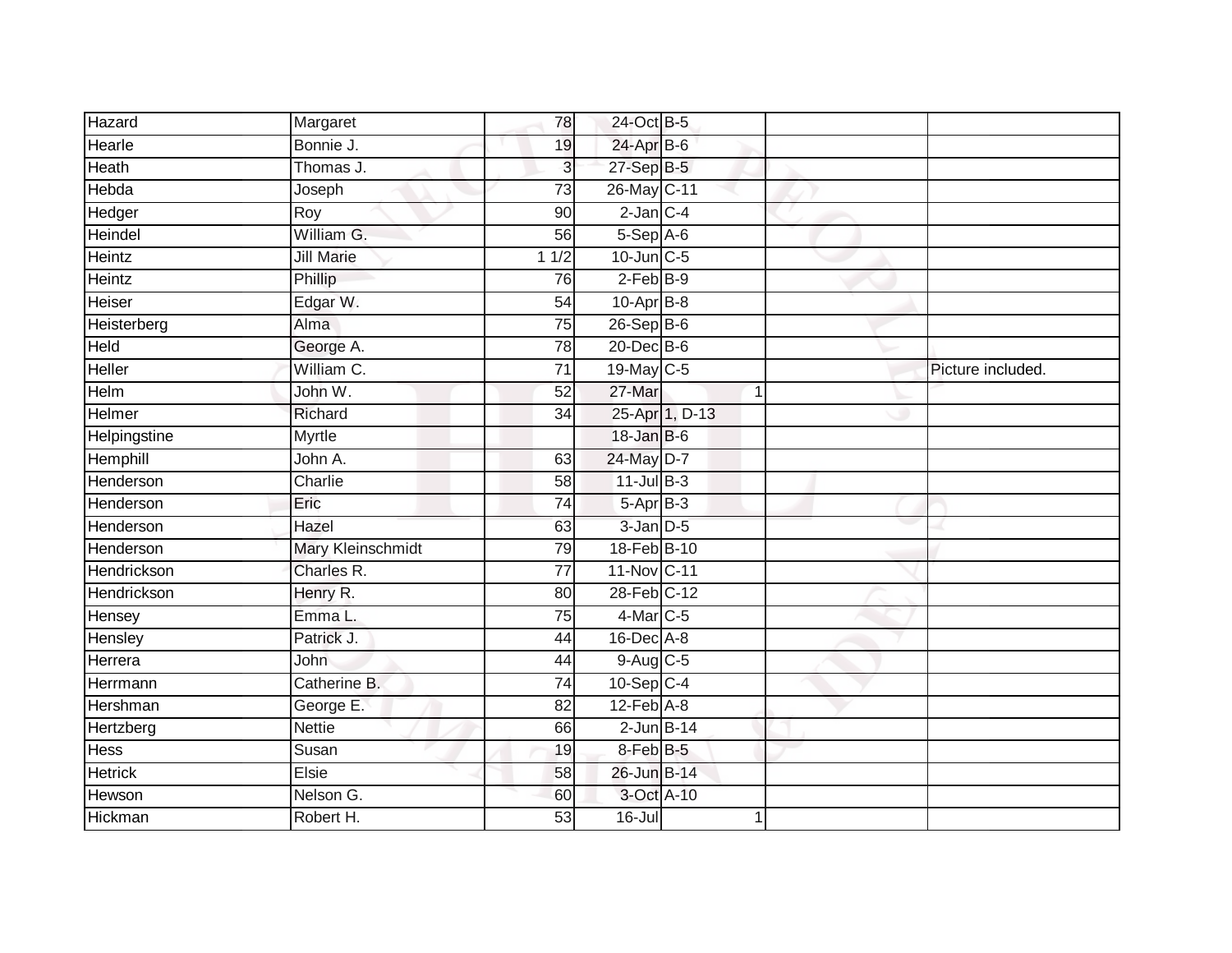| Hazard         | Margaret                 | 78              | 24-Oct B-5        |                |                   |
|----------------|--------------------------|-----------------|-------------------|----------------|-------------------|
| Hearle         | Bonnie J.                | 19              | 24-Apr B-6        |                |                   |
| Heath          | Thomas J.                | 3               | $27-Sep$ B-5      |                |                   |
| Hebda          | Joseph                   | 73              | 26-May C-11       |                |                   |
| Hedger         | Roy                      | $\overline{90}$ | $2$ -Jan $C-4$    |                |                   |
| Heindel        | William G.               | 56              | 5-Sep A-6         |                |                   |
| Heintz         | <b>Jill Marie</b>        | 11/2            | $10$ -Jun $C - 5$ |                |                   |
| Heintz         | Phillip                  | 76              | $2$ -Feb $B-9$    |                |                   |
| Heiser         | Edgar W.                 | 54              | $10$ -Apr $B$ -8  |                |                   |
| Heisterberg    | Alma                     | $\overline{75}$ | 26-Sep B-6        |                |                   |
| Held           | George A.                | 78              | $20$ -Dec $B-6$   |                |                   |
| Heller         | William C.               | $\overline{71}$ | 19-May C-5        |                | Picture included. |
| Helm           | John W.                  | 52              | 27-Mar            | 1              |                   |
| Helmer         | Richard                  | 34              |                   | 25-Apr 1, D-13 |                   |
| Helpingstine   | <b>Myrtle</b>            |                 | $18$ -Jan $B$ -6  |                |                   |
| Hemphill       | John A.                  | 63              | 24-May D-7        |                |                   |
| Henderson      | Charlie                  | 58              | $11$ -Jul B-3     |                |                   |
| Henderson      | Eric                     | 74              | $5-AprB-3$        |                |                   |
| Henderson      | Hazel                    | 63              | $3$ -Jan $D-5$    |                |                   |
| Henderson      | <b>Mary Kleinschmidt</b> | 79              | 18-Feb B-10       |                |                   |
| Hendrickson    | Charles R.               | 77              | 11-Nov C-11       |                |                   |
| Hendrickson    | Henry R.                 | $\overline{80}$ | 28-Feb C-12       |                |                   |
| Hensey         | Emma L.                  | 75              | 4-Mar C-5         |                |                   |
| Hensley        | Patrick J.               | 44              | 16-Dec A-8        |                |                   |
| Herrera        | John                     | 44              | $9$ -Aug C-5      |                |                   |
| Herrmann       | Catherine B.             | 74              | $10-Sep$ C-4      |                |                   |
| Hershman       | George E.                | 82              | $12$ -Feb $A-8$   |                |                   |
| Hertzberg      | <b>Nettie</b>            | 66              | $2$ -Jun $B$ -14  |                |                   |
| Hess           | Susan                    | 19              | 8-Feb B-5         |                |                   |
| <b>Hetrick</b> | Elsie                    | 58              | 26-Jun B-14       |                |                   |
| Hewson         | Nelson G.                | 60              | 3-Oct A-10        |                |                   |
| Hickman        | Robert H.                | $\overline{53}$ | $16 -$ Jul        | 1              |                   |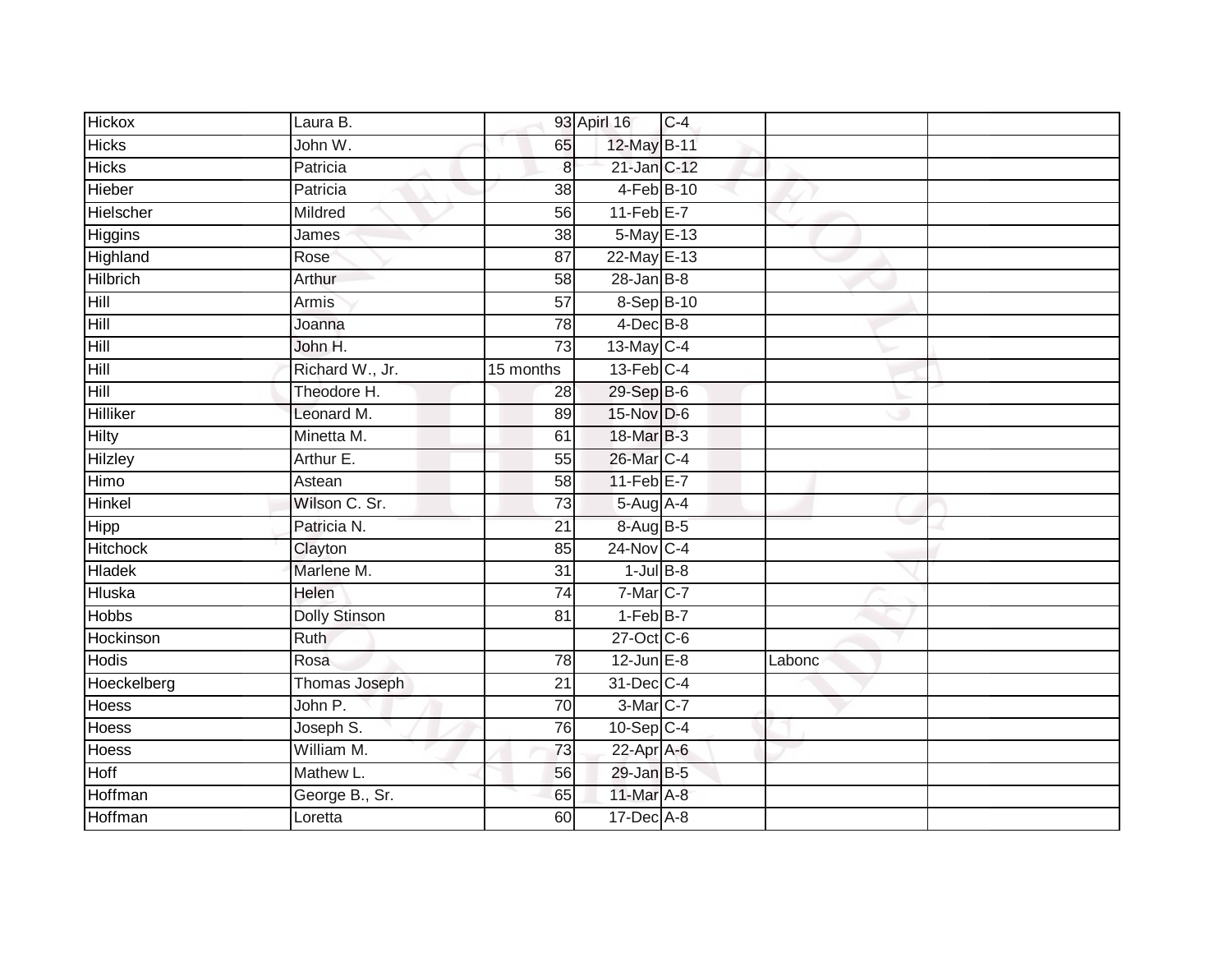| <b>Hickox</b>   | Laura B.             |                 | 93 Apirl 16      | $C-4$ |        |  |
|-----------------|----------------------|-----------------|------------------|-------|--------|--|
| <b>Hicks</b>    | John W.              | 65              | 12-May B-11      |       |        |  |
| <b>Hicks</b>    | Patricia             | 8 <sup>1</sup>  | 21-Jan C-12      |       |        |  |
| Hieber          | Patricia             | 38              | 4-Feb B-10       |       |        |  |
| Hielscher       | Mildred              | 56              | $11-Feb$ E-7     |       |        |  |
| Higgins         | James                | 38              | 5-May E-13       |       |        |  |
| Highland        | Rose                 | $\overline{87}$ | $22$ -May $E-13$ |       |        |  |
| <b>Hilbrich</b> | Arthur               | 58              | $28 - Jan$ $B-8$ |       |        |  |
| <b>Hill</b>     | Armis                | $\overline{57}$ | 8-Sep B-10       |       |        |  |
| Hill            | Joanna               | 78              | $4$ -Dec $B-8$   |       |        |  |
| Hill            | John H.              | 73              | 13-May C-4       |       |        |  |
| Hill            | Richard W., Jr.      | 15 months       | $13$ -Feb $C-4$  |       |        |  |
| Hill            | Theodore H.          | 28              | 29-Sep B-6       |       |        |  |
| <b>Hilliker</b> | Leonard M.           | 89              | 15-Nov D-6       |       |        |  |
| <b>Hilty</b>    | Minetta M.           | 61              | 18-Mar B-3       |       |        |  |
| Hilzley         | Arthur E.            | $\overline{55}$ | 26-Mar C-4       |       |        |  |
| Himo            | Astean               | 58              | $11-Feb$ E-7     |       |        |  |
| Hinkel          | Wilson C. Sr.        | 73              | 5-Aug A-4        |       |        |  |
| <b>Hipp</b>     | Patricia N.          | 21              | 8-Aug B-5        |       |        |  |
| Hitchock        | Clayton              | 85              | $24$ -Nov C-4    |       |        |  |
| <b>Hladek</b>   | Marlene M.           | 31              | $1$ -Jul $B-8$   |       |        |  |
| <b>Hluska</b>   | <b>Helen</b>         | $\overline{74}$ | $7-Mar$ C-7      |       |        |  |
| <b>Hobbs</b>    | <b>Dolly Stinson</b> | 81              | $1-FebB-7$       |       |        |  |
| Hockinson       | <b>Ruth</b>          |                 | 27-Oct C-6       |       |        |  |
| <b>Hodis</b>    | Rosa                 | 78              | $12$ -Jun $E-8$  |       | Labonc |  |
| Hoeckelberg     | Thomas Joseph        | $\overline{21}$ | 31-Dec C-4       |       |        |  |
| <b>Hoess</b>    | John P.              | 70              | 3-Mar C-7        |       |        |  |
| <b>Hoess</b>    | Joseph S.            | 76              | $10-Sep$ C-4     |       |        |  |
| Hoess           | William M.           | 73              | 22-Apr A-6       |       |        |  |
| <b>Hoff</b>     | Mathew L.            | 56              | 29-Jan B-5       |       |        |  |
| Hoffman         | George B., Sr.       | 65              | 11-Mar A-8       |       |        |  |
| Hoffman         | Loretta              | 60              | 17-Dec A-8       |       |        |  |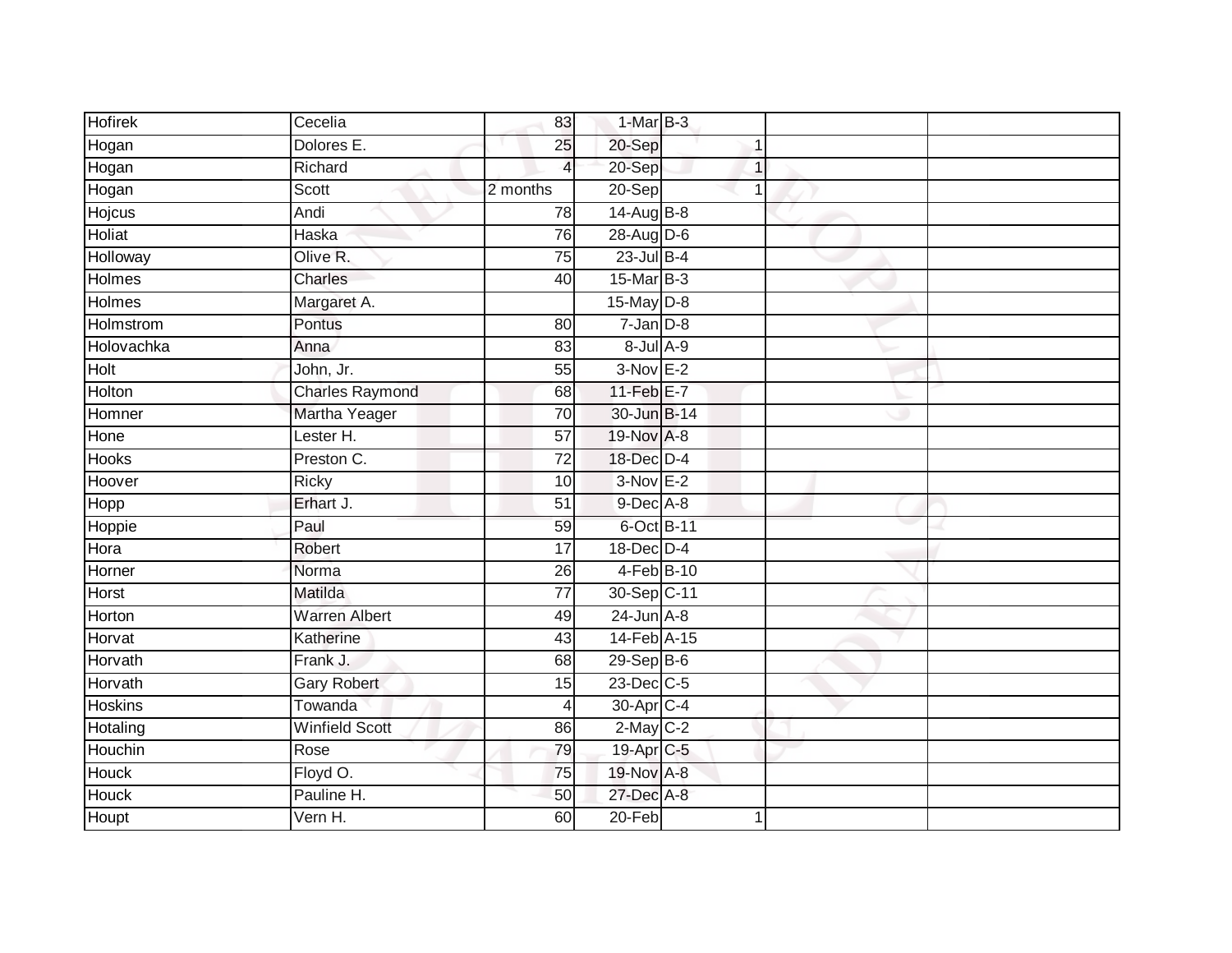| <b>Hofirek</b> | $\overline{C}$ ecelia  | 83              | $1-MarB-3$      |   |  |
|----------------|------------------------|-----------------|-----------------|---|--|
| Hogan          | Dolores E.             | 25              | 20-Sep          |   |  |
| Hogan          | Richard                | $\overline{4}$  | 20-Sep          | 1 |  |
| Hogan          | Scott                  | 2 months        | $20-Sep$        |   |  |
| Hojcus         | Andi                   | 78              | 14-Aug B-8      |   |  |
| Holiat         | Haska                  | 76              | 28-Aug D-6      |   |  |
| Holloway       | Olive R.               | 75              | $23$ -Jul $B-4$ |   |  |
| Holmes         | Charles                | 40              | 15-Mar B-3      |   |  |
| <b>Holmes</b>  | Margaret A.            |                 | $15$ -May $D-8$ |   |  |
| Holmstrom      | Pontus                 | 80              | $7 - Jan D-8$   |   |  |
| Holovachka     | Anna                   | 83              | 8-Jul A-9       |   |  |
| Holt           | John, Jr.              | 55              | $3-Nov E-2$     |   |  |
| Holton         | <b>Charles Raymond</b> | 68              | 11-Feb $E-7$    |   |  |
| Homner         | Martha Yeager          | 70              | 30-Jun B-14     |   |  |
| Hone           | Lester H.              | $\overline{57}$ | 19-Nov A-8      |   |  |
| Hooks          | Preston C.             | $\overline{72}$ | 18-Dec D-4      |   |  |
| Hoover         | <b>Ricky</b>           | 10              | $3-NovE-2$      |   |  |
| <b>Hopp</b>    | Erhart J.              | 51              | 9-Dec A-8       |   |  |
| Hoppie         | Paul                   | 59              | 6-Oct B-11      |   |  |
| Hora           | Robert                 | $\overline{17}$ | 18-Dec D-4      |   |  |
| Horner         | Norma                  | 26              | $4-Feb$ B-10    |   |  |
| <b>Horst</b>   | Matilda                | $\overline{77}$ | 30-Sep C-11     |   |  |
| Horton         | <b>Warren Albert</b>   | 49              | $24$ -Jun $A-8$ |   |  |
| Horvat         | Katherine              | 43              | 14-Feb A-15     |   |  |
| Horvath        | Frank J.               | 68              | 29-Sep B-6      |   |  |
| Horvath        | <b>Gary Robert</b>     | 15              | $23$ -Dec $C-5$ |   |  |
| <b>Hoskins</b> | Towanda                | 4               | 30-Apr C-4      |   |  |
| Hotaling       | <b>Winfield Scott</b>  | 86              | $2$ -May $C-2$  |   |  |
| Houchin        | Rose                   | 79              | 19-Apr C-5      |   |  |
| <b>Houck</b>   | Floyd O.               | 75              | 19-Nov A-8      |   |  |
| Houck          | Pauline H.             | 50              | 27-Dec A-8      |   |  |
| Houpt          | Vern H.                | 60              | $20 - Feb$      | 1 |  |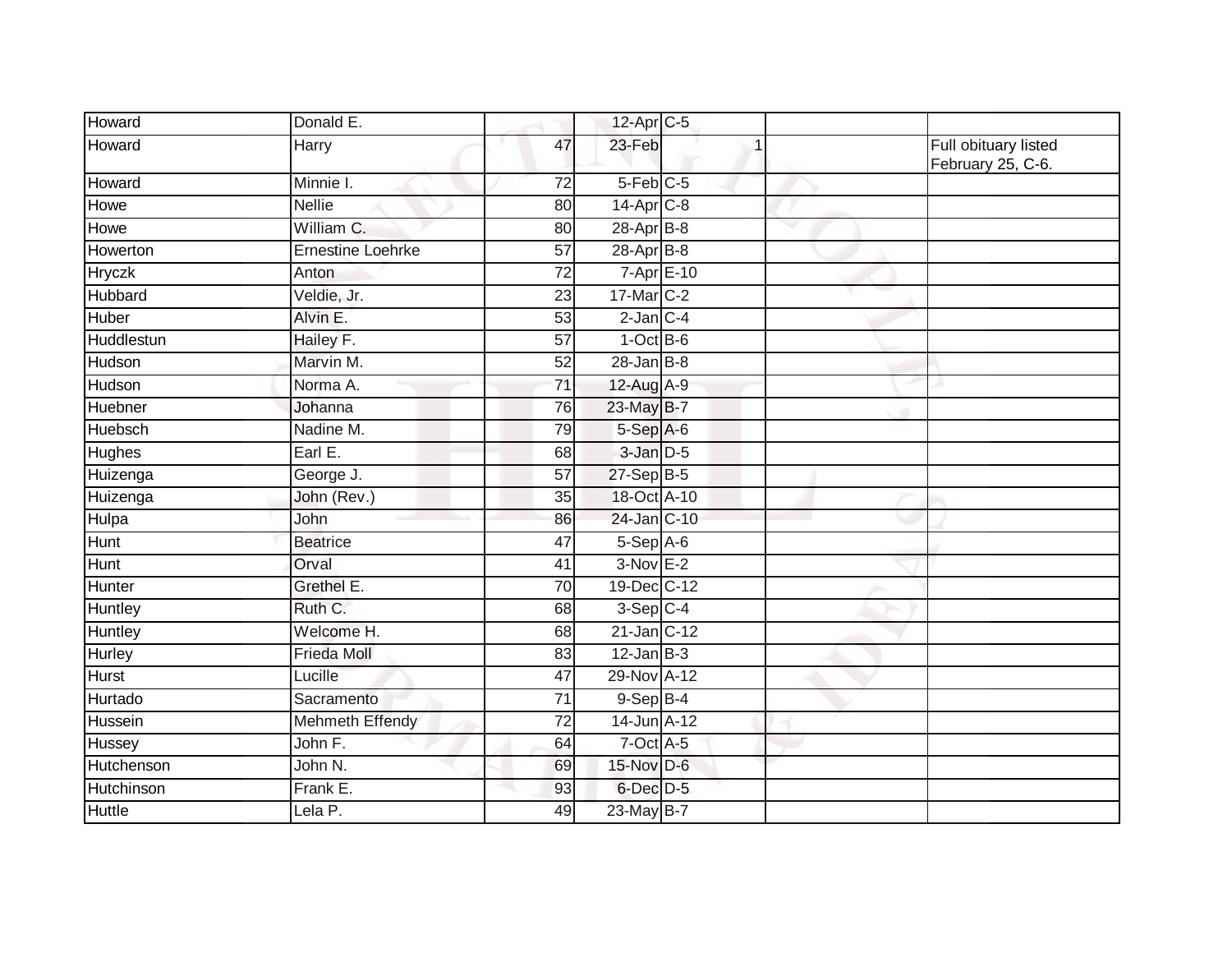| Howard         | Donald E.                |                 | 12-Apr C-5             |   |                                           |
|----------------|--------------------------|-----------------|------------------------|---|-------------------------------------------|
| Howard         | Harry                    | 47              | 23-Feb                 |   | Full obituary listed<br>February 25, C-6. |
| Howard         | Minnie I.                | $\overline{72}$ | $5-Feb$ <sub>C-5</sub> |   |                                           |
| Howe           | <b>Nellie</b>            | 80              | 14-Apr <sub>C-8</sub>  |   |                                           |
| Howe           | William C.               | 80              | 28-Apr B-8             | v |                                           |
| Howerton       | <b>Ernestine Loehrke</b> | 57              | $28-Apr$ B-8           |   |                                           |
| Hryczk         | Anton                    | 72              | $7 - Apr$ $E-10$       |   |                                           |
| <b>Hubbard</b> | Veldie, Jr.              | $\overline{23}$ | 17-Mar C-2             |   |                                           |
| Huber          | Alvin E.                 | 53              | $2$ -Jan $C-4$         |   |                                           |
| Huddlestun     | Hailey F.                | 57              | $1-OctB-6$             |   |                                           |
| Hudson         | Marvin M.                | 52              | $28$ -Jan B-8          |   |                                           |
| Hudson         | Norma A.                 | $\overline{71}$ | 12-Aug A-9             |   |                                           |
| Huebner        | Johanna                  | 76              | 23-May B-7             |   |                                           |
| <b>Huebsch</b> | Nadine M.                | 79              | 5-Sep A-6              |   |                                           |
| <b>Hughes</b>  | Earl E.                  | 68              | 3-Jan D-5              |   |                                           |
| Huizenga       | George J.                | 57              | $27-Sep$ B-5           |   |                                           |
| Huizenga       | John (Rev.)              | 35              | 18-Oct A-10            |   |                                           |
| Hulpa          | John                     | 86              | 24-Jan C-10            |   |                                           |
| Hunt           | <b>Beatrice</b>          | 47              | $5-Sep$ A-6            |   |                                           |
| Hunt           | Orval                    | 41              | $3-NovE-2$             |   |                                           |
| Hunter         | Grethel E.               | 70              | 19-Dec C-12            |   |                                           |
| Huntley        | Ruth C.                  | 68              | $3-Sep$ C-4            |   |                                           |
| Huntley        | Welcome H.               | 68              | $21$ -Jan $ C-12 $     |   |                                           |
| Hurley         | <b>Frieda Moll</b>       | 83              | $12$ -Jan B-3          |   |                                           |
| <b>Hurst</b>   | Lucille                  | 47              | 29-Nov A-12            |   |                                           |
| Hurtado        | Sacramento               | 71              | $9-$ Sep $B-4$         |   |                                           |
| Hussein        | <b>Mehmeth Effendy</b>   | $\overline{72}$ | 14-Jun A-12            |   |                                           |
| Hussey         | John F.                  | 64              | $7$ -Oct $A$ -5        |   |                                           |
| Hutchenson     | John N.                  | 69              | 15-Nov D-6             |   |                                           |
| Hutchinson     | Frank E.                 | 93              | $6$ -Dec $D-5$         |   |                                           |
| <b>Huttle</b>  | Lela P.                  | 49              | 23-May B-7             |   |                                           |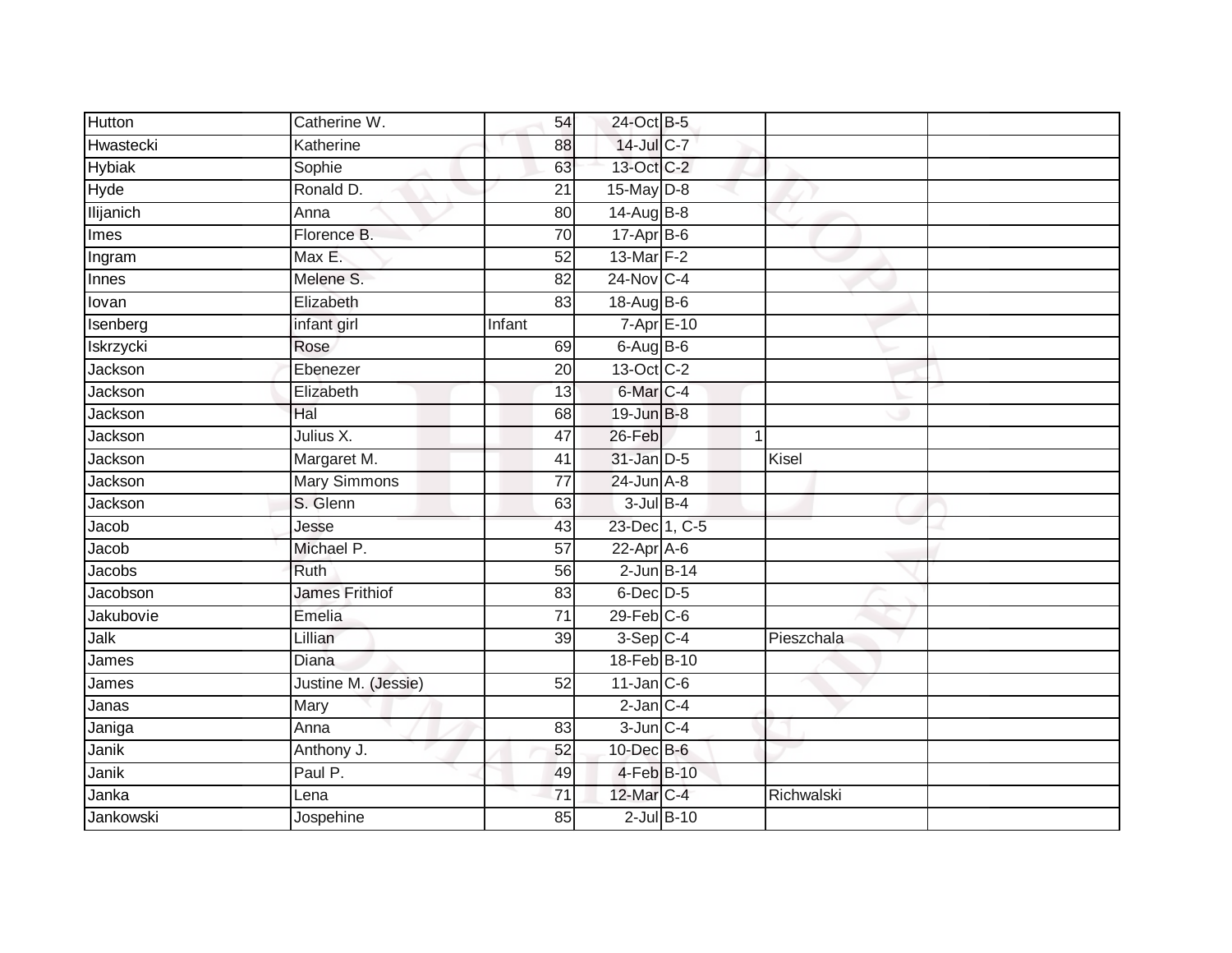| Hutton           | Catherine W.          | 54              | 24-Oct B-5           |                 |             |  |
|------------------|-----------------------|-----------------|----------------------|-----------------|-------------|--|
| Hwastecki        | Katherine             | 88              | $14$ -Jul C-7        |                 |             |  |
| <b>Hybiak</b>    | Sophie                | 63              | 13-Oct C-2           |                 |             |  |
| Hyde             | Ronald D.             | $\overline{21}$ | 15-May $D-8$         |                 |             |  |
| <b>Ilijanich</b> | Anna                  | 80              | $14$ -Aug B-8        |                 |             |  |
| Imes             | Florence B.           | 70              | $17-Apr$ B-6         |                 |             |  |
| Ingram           | Max E.                | 52              | 13-Mar F-2           |                 |             |  |
| Innes            | Melene S.             | 82              | 24-Nov C-4           |                 |             |  |
| lovan            | Elizabeth             | 83              | 18-Aug B-6           |                 |             |  |
| Isenberg         | infant girl           | Infant          | 7-Apr E-10           |                 |             |  |
| Iskrzycki        | Rose                  | 69              | $6$ -Aug $B$ -6      |                 |             |  |
| Jackson          | Ebenezer              | 20              | 13-Oct C-2           |                 |             |  |
| Jackson          | Elizabeth             | 13              | 6-Mar <sub>C-4</sub> |                 |             |  |
| Jackson          | Hal                   | 68              | 19-Jun B-8           |                 |             |  |
| Jackson          | Julius X.             | 47              | 26-Feb               |                 | $\mathbf 1$ |  |
| Jackson          | Margaret M.           | 41              | 31-Jan D-5           |                 | Kisel       |  |
| Jackson          | <b>Mary Simmons</b>   | $\overline{77}$ | $24$ -Jun $A-8$      |                 |             |  |
| Jackson          | S. Glenn              | 63              | $3$ -Jul $B-4$       |                 |             |  |
| Jacob            | Jesse                 | 43              | 23-Dec 1, C-5        |                 |             |  |
| Jacob            | Michael P.            | 57              | $22$ -Apr $A$ -6     |                 |             |  |
| Jacobs           | <b>Ruth</b>           | 56              | $2$ -Jun $B-14$      |                 |             |  |
| Jacobson         | <b>James Frithiof</b> | 83              | $6$ -Dec $D-5$       |                 |             |  |
| Jakubovie        | Emelia                | 71              | $29$ -Feb $C$ -6     |                 |             |  |
| Jalk             | Lillian               | 39              | $3-Sep$ C-4          |                 | Pieszchala  |  |
| James            | Diana                 |                 | 18-Feb B-10          |                 |             |  |
| James            | Justine M. (Jessie)   | 52              | $11$ -Jan C-6        |                 |             |  |
| Janas            | Mary                  |                 | $2$ -Jan $C-4$       |                 |             |  |
| Janiga           | Anna                  | 83              | $3$ -Jun $C-4$       |                 |             |  |
| Janik            | Anthony J.            | 52              | $10$ -Dec $B$ -6     |                 |             |  |
| Janik            | Paul P.               | 49              | 4-Feb B-10           |                 |             |  |
| Janka            | Lena                  | 71              | 12-Mar C-4           |                 | Richwalski  |  |
| Jankowski        | Jospehine             | 85              |                      | $2$ -Jul $B-10$ |             |  |
|                  |                       |                 |                      |                 |             |  |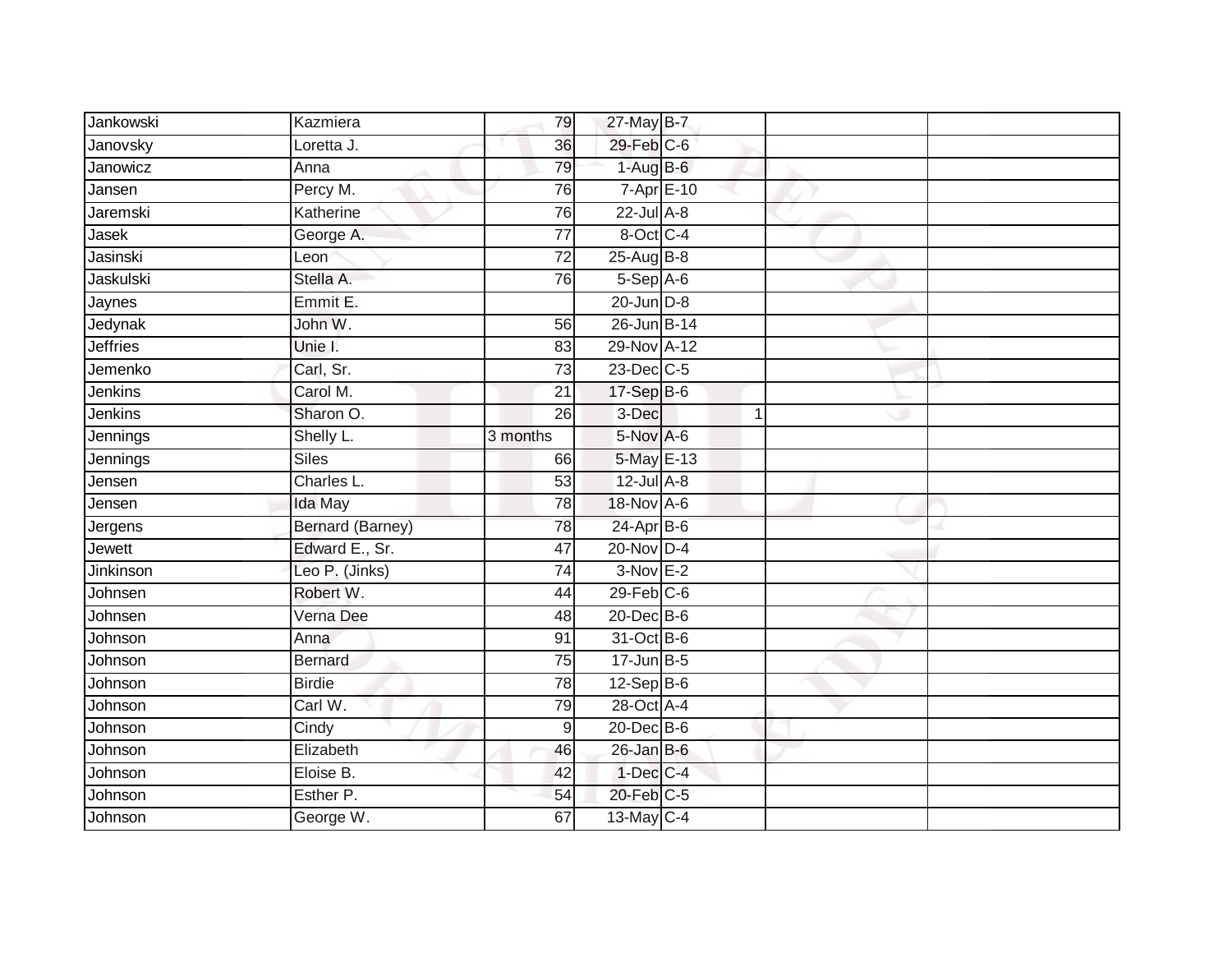| Jankowski       | Kazmiera                | 79              | 27-May B-7         |   |  |
|-----------------|-------------------------|-----------------|--------------------|---|--|
| Janovsky        | Loretta J.              | 36              | 29-Feb C-6         |   |  |
| Janowicz        | Anna                    | 79              | $1-AugB-6$         |   |  |
| Jansen          | Percy M.                | 76              | $7 - Apr$ $E - 10$ |   |  |
| Jaremski        | Katherine               | 76              | $22$ -Jul $A-8$    |   |  |
| $J$ asek        | George A.               | $\overline{77}$ | 8-Oct C-4          |   |  |
| Jasinski        | Leon                    | $\overline{72}$ | $25$ -Aug $B$ -8   |   |  |
| Jaskulski       | Stella A.               | 76              | $5-$ Sep $A-6$     |   |  |
| Jaynes          | Emmit E.                |                 | $20$ -Jun $D-8$    |   |  |
| Jedynak         | John W.                 | 56              | 26-Jun B-14        |   |  |
| <b>Jeffries</b> | Unie I.                 | 83              | 29-Nov A-12        |   |  |
| Jemenko         | Carl, Sr.               | 73              | 23-Dec C-5         |   |  |
| Jenkins         | Carol M.                | 21              | 17-Sep B-6         |   |  |
| Jenkins         | Sharon O.               | 26              | 3-Dec              | 1 |  |
| Jennings        | Shelly L.               | 3 months        | 5-Nov A-6          |   |  |
| Jennings        | <b>Siles</b>            | 66              | 5-May E-13         |   |  |
| Jensen          | Charles L.              | $\overline{53}$ | $12$ -Jul $A-8$    |   |  |
| Jensen          | Ida May                 | 78              | 18-Nov A-6         |   |  |
| Jergens         | <b>Bernard (Barney)</b> | 78              | $24$ -Apr $B$ -6   |   |  |
| Jewett          | Edward E., Sr.          | 47              | 20-Nov D-4         |   |  |
| Jinkinson       | Leo P. (Jinks)          | 74              | $3-Nov E-2$        |   |  |
| Johnsen         | Robert W.               | 44              | $29$ -Feb $C$ -6   |   |  |
| Johnsen         | Verna Dee               | 48              | 20-Dec B-6         |   |  |
| Johnson         | Anna                    | 91              | 31-Oct B-6         |   |  |
| Johnson         | <b>Bernard</b>          | 75              | $17 - Jun$ B-5     |   |  |
| Johnson         | <b>Birdie</b>           | 78              | $12-Sep$ B-6       |   |  |
| Johnson         | Carl W.                 | 79              | 28-Oct A-4         |   |  |
| Johnson         | Cindy                   | $9\,$           | 20-Dec B-6         |   |  |
| Johnson         | Elizabeth               | 46              | $26$ -Jan B-6      |   |  |
| Johnson         | Eloise B.               | 42              | $1-Dec$ $C-4$      |   |  |
| Johnson         | Esther P.               | 54              | 20-Feb C-5         |   |  |
| Johnson         | George W.               | 67              | 13-May C-4         |   |  |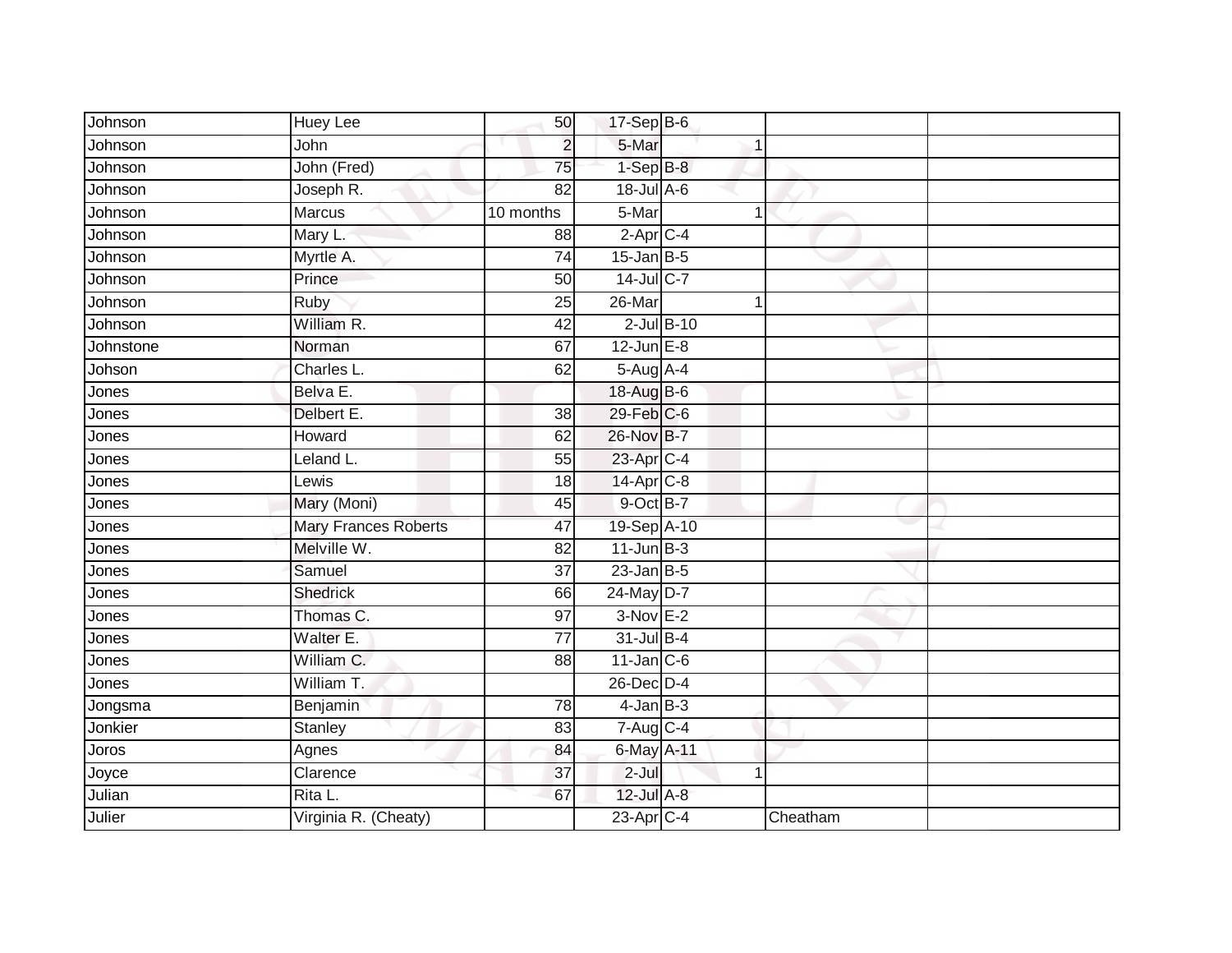| Johnson   | Huey Lee                    | 50              | $17-Sep$ B-6              |                 |          |  |
|-----------|-----------------------------|-----------------|---------------------------|-----------------|----------|--|
| Johnson   | John                        | $\overline{2}$  | 5-Mar                     |                 | 1        |  |
| Johnson   | John (Fred)                 | $\overline{75}$ | $1-SepB-8$                |                 |          |  |
| Johnson   | Joseph R.                   | 82              | $18 -$ Jul A-6            |                 |          |  |
| Johnson   | <b>Marcus</b>               | 10 months       | 5-Mar                     |                 | 1        |  |
| Johnson   | Mary L.                     | 88              | $2$ -Apr $C$ -4           |                 |          |  |
| Johnson   | Myrtle A.                   | 74              | $15$ -Jan B-5             |                 |          |  |
| Johnson   | Prince                      | 50              | 14-Jul C-7                |                 |          |  |
| Johnson   | Ruby                        | 25              | $26$ -Mar                 |                 | 1        |  |
| Johnson   | William R.                  | 42              |                           | $2$ -Jul $B-10$ |          |  |
| Johnstone | Norman                      | 67              | $12$ -Jun $E-8$           |                 |          |  |
| Johson    | Charles L.                  | 62              | 5-Aug A-4                 |                 |          |  |
| Jones     | Belva E.                    |                 | 18-Aug B-6                |                 |          |  |
| Jones     | Delbert E.                  | 38              | 29-Feb C-6                |                 |          |  |
| Jones     | Howard                      | 62              | 26-Nov B-7                |                 |          |  |
| Jones     | Leland L.                   | 55              | 23-Apr C-4                |                 |          |  |
| Jones     | Lewis                       | $\overline{18}$ | 14-Apr C-8                |                 |          |  |
| Jones     | Mary (Moni)                 | 45              | 9-Oct B-7                 |                 |          |  |
| Jones     | <b>Mary Frances Roberts</b> | 47              | 19-Sep A-10               |                 |          |  |
| Jones     | Melville W.                 | 82              | $11$ -Jun $B-3$           |                 |          |  |
| Jones     | Samuel                      | 37              | $23$ -Jan B-5             |                 |          |  |
| Jones     | <b>Shedrick</b>             | 66              | 24-May D-7                |                 |          |  |
| Jones     | Thomas C.                   | 97              | $3-Nov$ E-2               |                 |          |  |
| Jones     | Walter E.                   | $\overline{77}$ | 31-Jul B-4                |                 |          |  |
| Jones     | William C.                  | 88              | $11$ -Jan C-6             |                 |          |  |
| Jones     | William T.                  |                 | 26-Dec D-4                |                 |          |  |
| Jongsma   | Benjamin                    | 78              | $4$ -Jan $B-3$            |                 |          |  |
| Jonkier   | <b>Stanley</b>              | 83              | $7 - \overline{AugC - 4}$ |                 |          |  |
| Joros     | Agnes                       | 84              | 6-May A-11                |                 |          |  |
| Joyce     | Clarence                    | 37              | $2-Jul$                   |                 | 1        |  |
| Julian    | Rita L.                     | 67              | 12-Jul A-8                |                 |          |  |
| Julier    | Virginia R. (Cheaty)        |                 | 23-Apr C-4                |                 | Cheatham |  |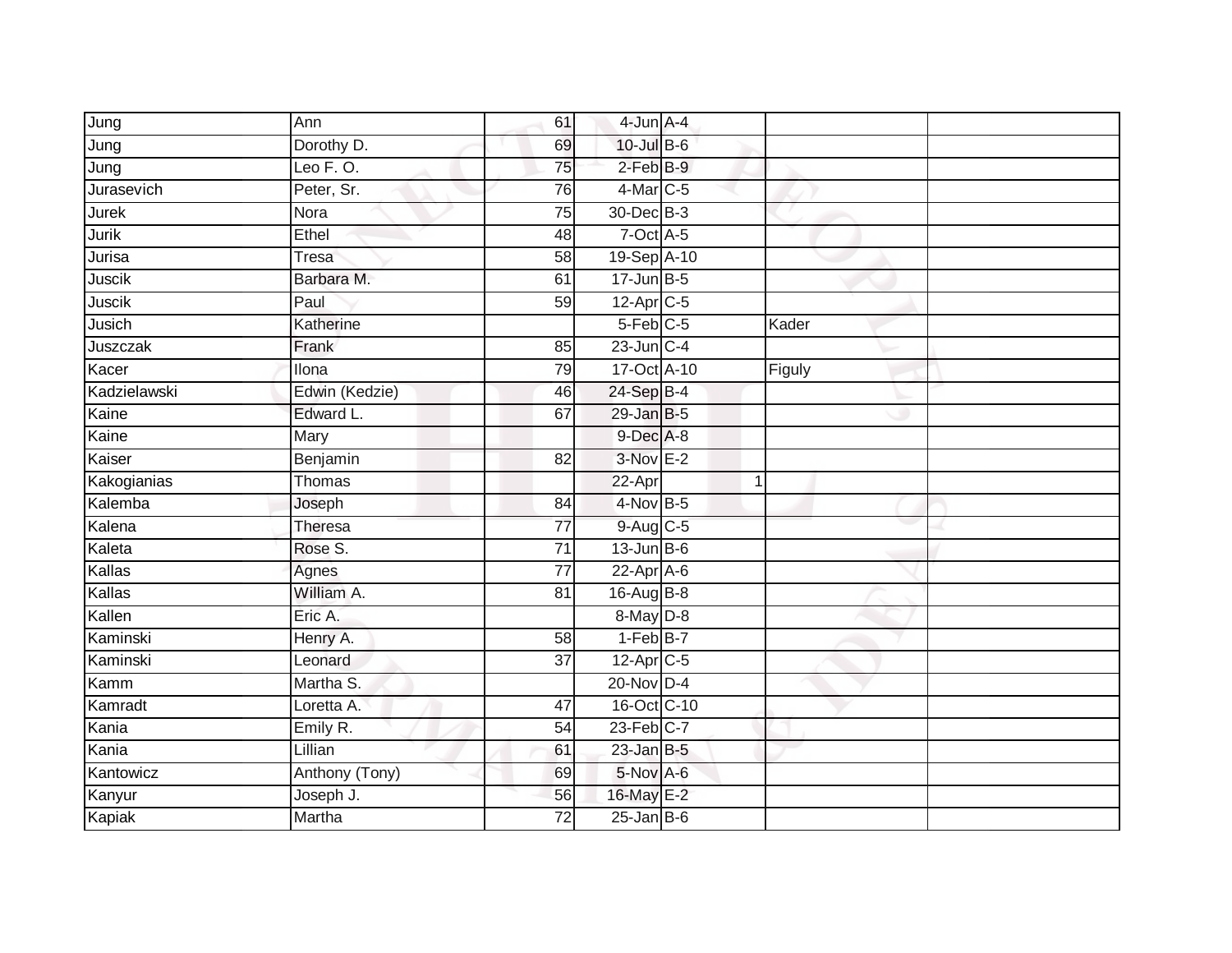| Jung         | Ann            | 61              | 4-Jun A-4              |              |  |
|--------------|----------------|-----------------|------------------------|--------------|--|
| Jung         | Dorothy D.     | 69              | 10-Jul B-6             |              |  |
| Jung         | Leo $F. O.$    | $\overline{75}$ | $2$ -Feb $B-9$         |              |  |
| Jurasevich   | Peter, Sr.     | 76              | 4-Mar C-5              |              |  |
| <b>Jurek</b> | Nora           | $\overline{75}$ | 30-Dec B-3             |              |  |
| Jurik        | Ethel          | 48              | $7$ -Oct $A$ -5        |              |  |
| Jurisa       | <b>Tresa</b>   | 58              | 19-Sep A-10            |              |  |
| Juscik       | Barbara M.     | 61              | $17 - Jun$ B-5         |              |  |
| Juscik       | Paul           | 59              | 12-Apr C-5             |              |  |
| Jusich       | Katherine      |                 | $5-Feb$ <sub>C-5</sub> | Kader        |  |
| Juszczak     | Frank          | 85              | $23$ -Jun $C-4$        |              |  |
| Kacer        | Ilona          | 79              | 17-Oct A-10            | Figuly       |  |
| Kadzielawski | Edwin (Kedzie) | 46              | 24-Sep B-4             |              |  |
| Kaine        | Edward L.      | 67              | $29$ -Jan B-5          |              |  |
| Kaine        | Mary           |                 | $9$ -Dec $A$ -8        |              |  |
| Kaiser       | Benjamin       | 82              | $3-Nov$ E-2            |              |  |
| Kakogianias  | Thomas         |                 | 22-Apr                 | $\mathbf{1}$ |  |
| Kalemba      | Joseph         | 84              | 4-Nov B-5              |              |  |
| Kalena       | Theresa        | $\overline{77}$ | 9-Aug C-5              |              |  |
| Kaleta       | Rose S.        | 71              | $13$ -Jun B-6          |              |  |
| Kallas       | Agnes          | 77              | 22-Apr A-6             |              |  |
| Kallas       | William A.     | 81              | 16-Aug B-8             |              |  |
| Kallen       | Eric A.        |                 | 8-May D-8              |              |  |
| Kaminski     | Henry A.       | $\overline{58}$ | $1-FebB-7$             |              |  |
| Kaminski     | Leonard        | $\overline{37}$ | 12-Apr C-5             |              |  |
| Kamm         | Martha S.      |                 | $20$ -Nov $D-4$        |              |  |
| Kamradt      | Loretta A.     | 47              | 16-Oct C-10            |              |  |
| Kania        | Emily R.       | 54              | $23$ -Feb $C-7$        |              |  |
| Kania        | Lillian        | 61              | $23$ -Jan B-5          |              |  |
| Kantowicz    | Anthony (Tony) | 69              | 5-Nov A-6              |              |  |
| Kanyur       | Joseph J.      | 56              | 16-May E-2             |              |  |
| Kapiak       | Martha         | $\overline{72}$ | $25$ -Jan B-6          |              |  |
|              |                |                 |                        |              |  |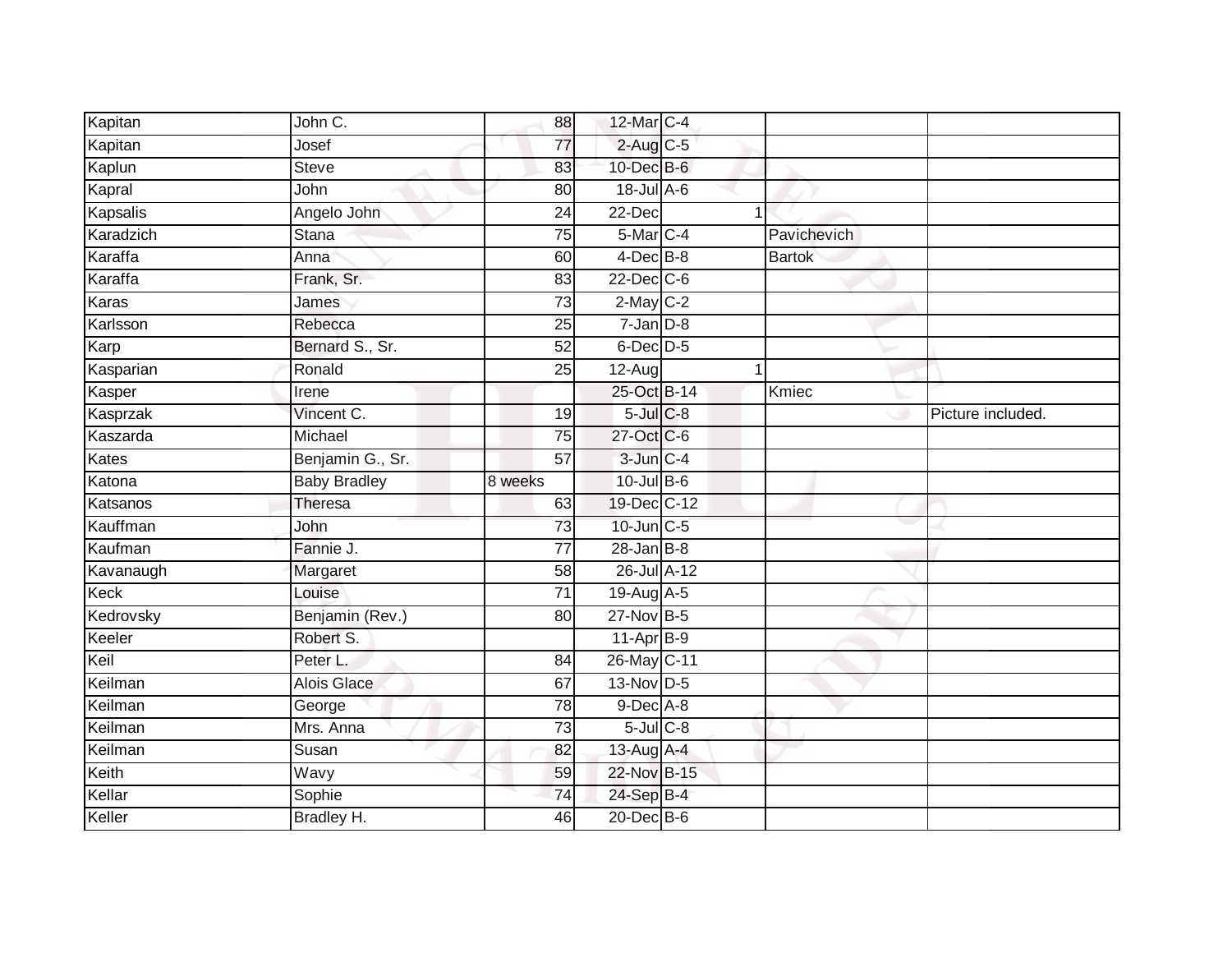| Kapitan   | John C.             | 88              | 12-Mar C-4           |                |               |                   |
|-----------|---------------------|-----------------|----------------------|----------------|---------------|-------------------|
| Kapitan   | Josef               | 77              | $2$ -Aug C-5         |                |               |                   |
| Kaplun    | <b>Steve</b>        | 83              | 10-Dec B-6           |                |               |                   |
| Kapral    | John                | 80              | $18$ -Jul $A$ -6     |                |               |                   |
| Kapsalis  | Angelo John         | $\overline{24}$ | $22$ -Dec            | 1              |               |                   |
| Karadzich | Stana               | 75              | 5-Mar C-4            |                | Pavichevich   |                   |
| Karaffa   | Anna                | 60              | 4-Dec <sup>B-8</sup> |                | <b>Bartok</b> |                   |
| Karaffa   | Frank, Sr.          | 83              | $22$ -Dec $C-6$      |                |               |                   |
| Karas     | James               | $\overline{73}$ | $2-May$ $C-2$        |                |               |                   |
| Karlsson  | Rebecca             | 25              | $7 - Jan$ $D-8$      |                |               |                   |
| Karp      | Bernard S., Sr.     | 52              | $6$ -Dec $D$ -5      |                |               |                   |
| Kasparian | Ronald              | 25              | $12-Aug$             | $\overline{1}$ |               |                   |
| Kasper    | Irene               |                 | 25-Oct B-14          |                | Kmiec         |                   |
| Kasprzak  | Vincent C.          | 19              | $5$ -Jul $C$ -8      |                |               | Picture included. |
| Kaszarda  | Michael             | $\overline{75}$ | 27-Oct C-6           |                |               |                   |
| Kates     | Benjamin G., Sr.    | 57              | 3-Jun C-4            |                |               |                   |
|           |                     |                 |                      |                |               |                   |
| Katona    | <b>Baby Bradley</b> | 8 weeks         | $10$ -Jul B-6        |                |               |                   |
| Katsanos  | <b>Theresa</b>      | 63              | 19-Dec C-12          |                |               |                   |
| Kauffman  | John                | 73              | 10-Jun C-5           |                |               |                   |
| Kaufman   | Fannie J.           | 77              | $28$ -Jan B-8        |                |               |                   |
| Kavanaugh | Margaret            | 58              | 26-Jul A-12          |                |               |                   |
| Keck      | Louise              | $\overline{71}$ | 19-Aug A-5           |                |               |                   |
| Kedrovsky | Benjamin (Rev.)     | 80              | 27-Nov B-5           |                |               |                   |
| Keeler    | Robert S.           |                 | $11$ -Apr $B-9$      |                |               |                   |
| Keil      | Peter L.            | 84              | 26-May C-11          |                |               |                   |
| Keilman   | <b>Alois Glace</b>  | 67              | 13-Nov D-5           |                |               |                   |
| Keilman   | George              | 78              | $9$ -Dec $A$ -8      |                |               |                   |
| Keilman   | Mrs. Anna           | $\overline{73}$ | $5$ -Jul $C$ -8      |                |               |                   |
| Keilman   | Susan               | 82              | 13-Aug A-4           |                |               |                   |
| Keith     | Wavy                | 59              | 22-Nov B-15          |                |               |                   |
| Kellar    | Sophie              | $\overline{74}$ | 24-Sep B-4           |                |               |                   |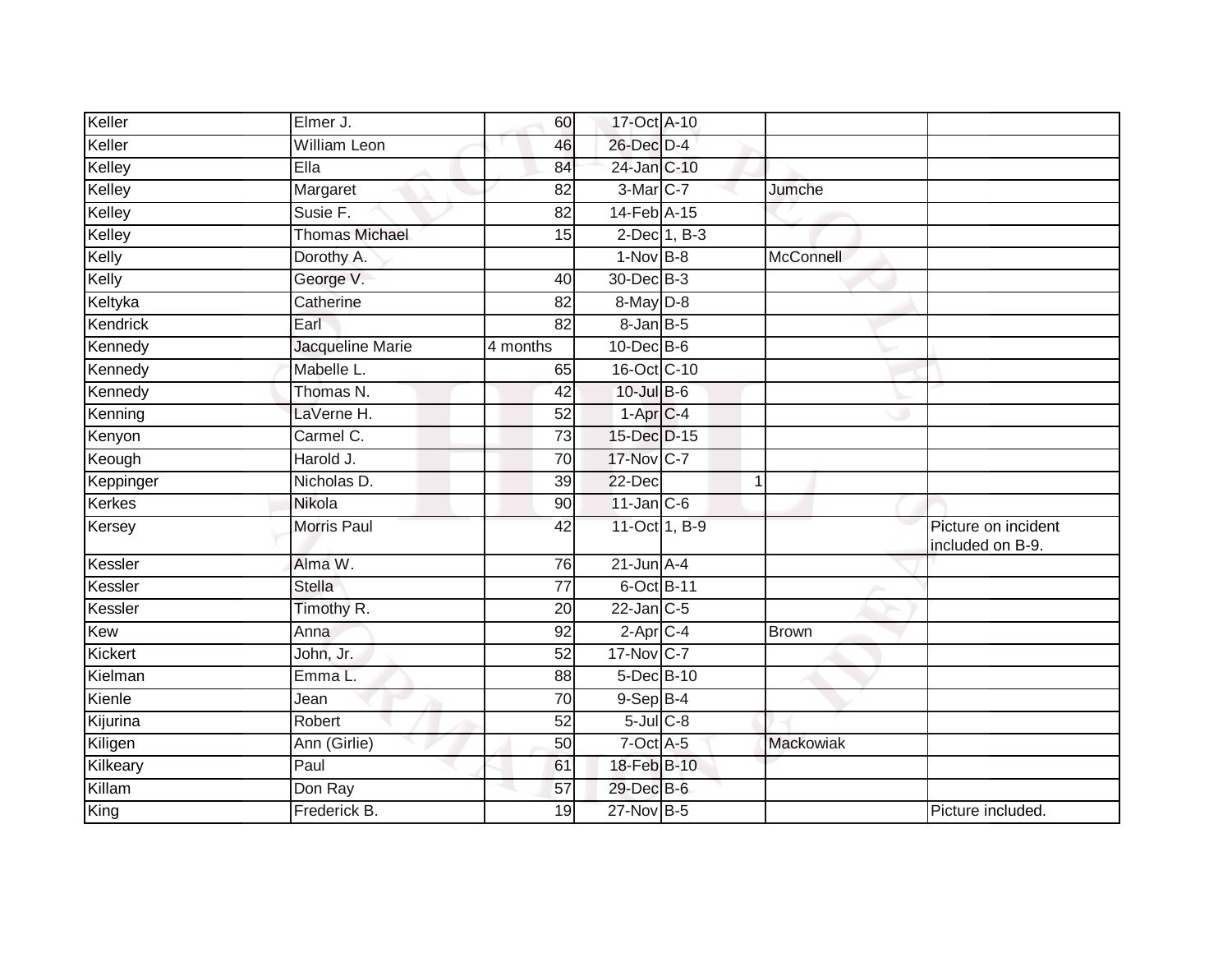| Keller    | Elmer J.              | 60              | 17-Oct A-10       |              |                                         |
|-----------|-----------------------|-----------------|-------------------|--------------|-----------------------------------------|
| Keller    | <b>William Leon</b>   | 46              | 26-Dec D-4        |              |                                         |
| Kelley    | EIIa                  | 84              | 24-Jan C-10       |              |                                         |
| Kelley    | Margaret              | 82              | 3-Mar C-7         | Jumche       |                                         |
| Kelley    | Susie F.              | $\overline{82}$ | 14-Feb A-15       |              |                                         |
| Kelley    | <b>Thomas Michael</b> | 15              | 2-Dec 1, B-3      |              |                                         |
| Kelly     | Dorothy A.            |                 | $1-Nov$ B-8       | McConnell    |                                         |
| Kelly     | George V.             | 40              | 30-Dec B-3        |              |                                         |
| Keltyka   | Catherine             | 82              | 8-May D-8         |              |                                         |
| Kendrick  | Earl                  | 82              | $8 - Jan$ $B - 5$ |              |                                         |
| Kennedy   | Jacqueline Marie      | 4 months        | 10-Dec B-6        |              |                                         |
| Kennedy   | Mabelle L.            | 65              | 16-Oct C-10       |              |                                         |
| Kennedy   | Thomas N.             | $\overline{42}$ | $10$ -Jul $B$ -6  |              |                                         |
| Kenning   | LaVerne H.            | 52              | $1-AprC-4$        |              |                                         |
| Kenyon    | Carmel C.             | $\overline{73}$ | 15-Dec D-15       |              |                                         |
| Keough    | Harold J.             | 70              | 17-Nov C-7        |              |                                         |
| Keppinger | Nicholas D.           | 39              | 22-Dec            | 1            |                                         |
| Kerkes    | Nikola                | 90              | $11$ -Jan $C$ -6  |              |                                         |
| Kersey    | <b>Morris Paul</b>    | 42              | 11-Oct 1, B-9     |              | Picture on incident<br>included on B-9. |
| Kessler   | Alma W.               | 76              | $21$ -Jun $A-4$   |              |                                         |
| Kessler   | <b>Stella</b>         | 77              | 6-Oct B-11        |              |                                         |
| Kessler   | Timothy R.            | $\overline{20}$ | $22$ -Jan $C-5$   |              |                                         |
| Kew       | Anna                  | 92              | $2$ -Apr $C$ -4   | <b>Brown</b> |                                         |
| Kickert   | John, Jr.             | 52              | 17-Nov C-7        |              |                                         |
| Kielman   | Emma L.               | 88              | 5-Dec B-10        |              |                                         |
| Kienle    | Jean                  | 70              | $9-$ Sep $B-4$    |              |                                         |
| Kijurina  | Robert                | 52              | $5$ -Jul $C$ -8   |              |                                         |
| Kiligen   | Ann (Girlie)          | 50              | 7-Oct A-5         | Mackowiak    |                                         |
| Kilkeary  | Paul                  | 61              | 18-Feb B-10       |              |                                         |
| Killam    | Don Ray               | 57              | 29-Dec B-6        |              |                                         |
| King      | Frederick B.          | 19              | 27-Nov B-5        |              | Picture included.                       |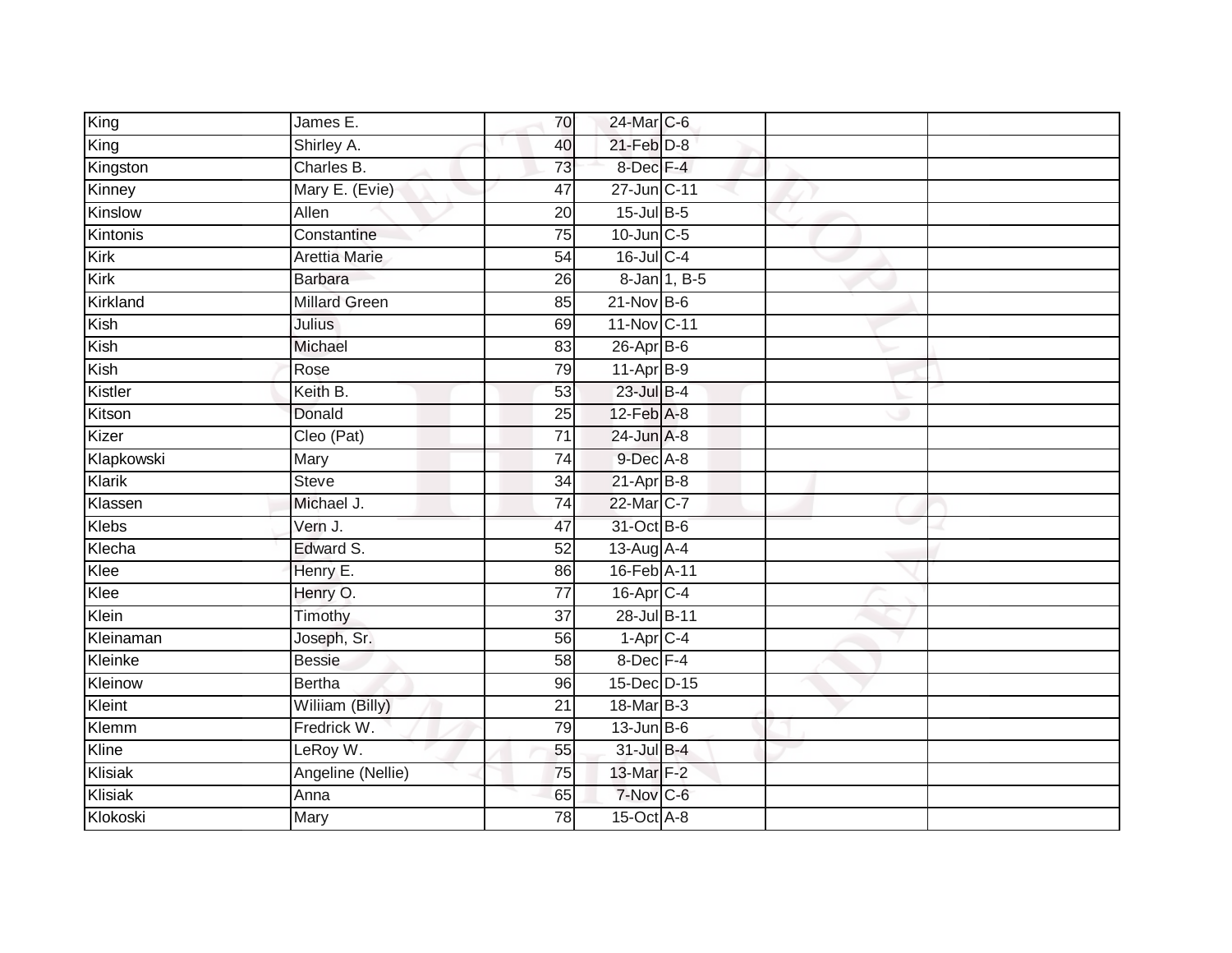| King          | James E.             | 70              | 24-Mar C-6                  |  |
|---------------|----------------------|-----------------|-----------------------------|--|
| King          | Shirley A.           | 40              | $21$ -Feb $D-8$             |  |
| Kingston      | Charles B.           | 73              | 8-Dec F-4                   |  |
| Kinney        | Mary E. (Evie)       | 47              | 27-Jun C-11                 |  |
| Kinslow       | Allen                | $\overline{20}$ | 15-Jul B-5                  |  |
| Kintonis      | Constantine          | 75              | 10-Jun C-5                  |  |
| Kirk          | Arettia Marie        | 54              | 16-Jul C-4                  |  |
| Kirk          | <b>Barbara</b>       | 26              | 8-Jan 1, B-5                |  |
| Kirkland      | <b>Millard Green</b> | 85              | $21-Nov$ B-6                |  |
| Kish          | <b>Julius</b>        | 69              | 11-Nov C-11                 |  |
| Kish          | Michael              | 83              | $26$ -Apr $B$ -6            |  |
| Kish          | Rose                 | 79              | 11-Apr B-9                  |  |
| Kistler       | Keith B.             | 53              | $23$ -Jul B-4               |  |
| Kitson        | Donald               | 25              | $12$ -Feb $\overline{A}$ -8 |  |
| Kizer         | Cleo (Pat)           | $\overline{71}$ | 24-Jun A-8                  |  |
| Klapkowski    | Mary                 | 74              | 9-Dec A-8                   |  |
| <b>Klarik</b> | <b>Steve</b>         | $\overline{34}$ | $21-AprB-8$                 |  |
| Klassen       | Michael J.           | 74              | 22-Mar C-7                  |  |
| Klebs         | Vern J.              | 47              | 31-Oct B-6                  |  |
| Klecha        | Edward S.            | 52              | 13-Aug A-4                  |  |
| Klee          | Henry E.             | 86              | 16-Feb A-11                 |  |
| Klee          | Henry O.             | 77              | $16$ -Apr $C-4$             |  |
| Klein         | Timothy              | 37              | 28-Jul B-11                 |  |
| Kleinaman     | Joseph, Sr.          | 56              | $1-\overline{Apr}$ C-4      |  |
| Kleinke       | <b>Bessie</b>        | 58              | 8-Dec F-4                   |  |
| Kleinow       | <b>Bertha</b>        | 96              | 15-Dec D-15                 |  |
| Kleint        | Wiliiam (Billy)      | $\overline{21}$ | 18-Mar B-3                  |  |
| Klemm         | Fredrick W.          | 79              | $13$ -Jun $B$ -6            |  |
| Kline         | LeRoy W.             | 55              | 31-Jul B-4                  |  |
| Klisiak       | Angeline (Nellie)    | 75              | 13-Mar F-2                  |  |
| Klisiak       | Anna                 | 65              | 7-Nov C-6                   |  |
| Klokoski      | <b>Mary</b>          | $\overline{78}$ | 15-Oct A-8                  |  |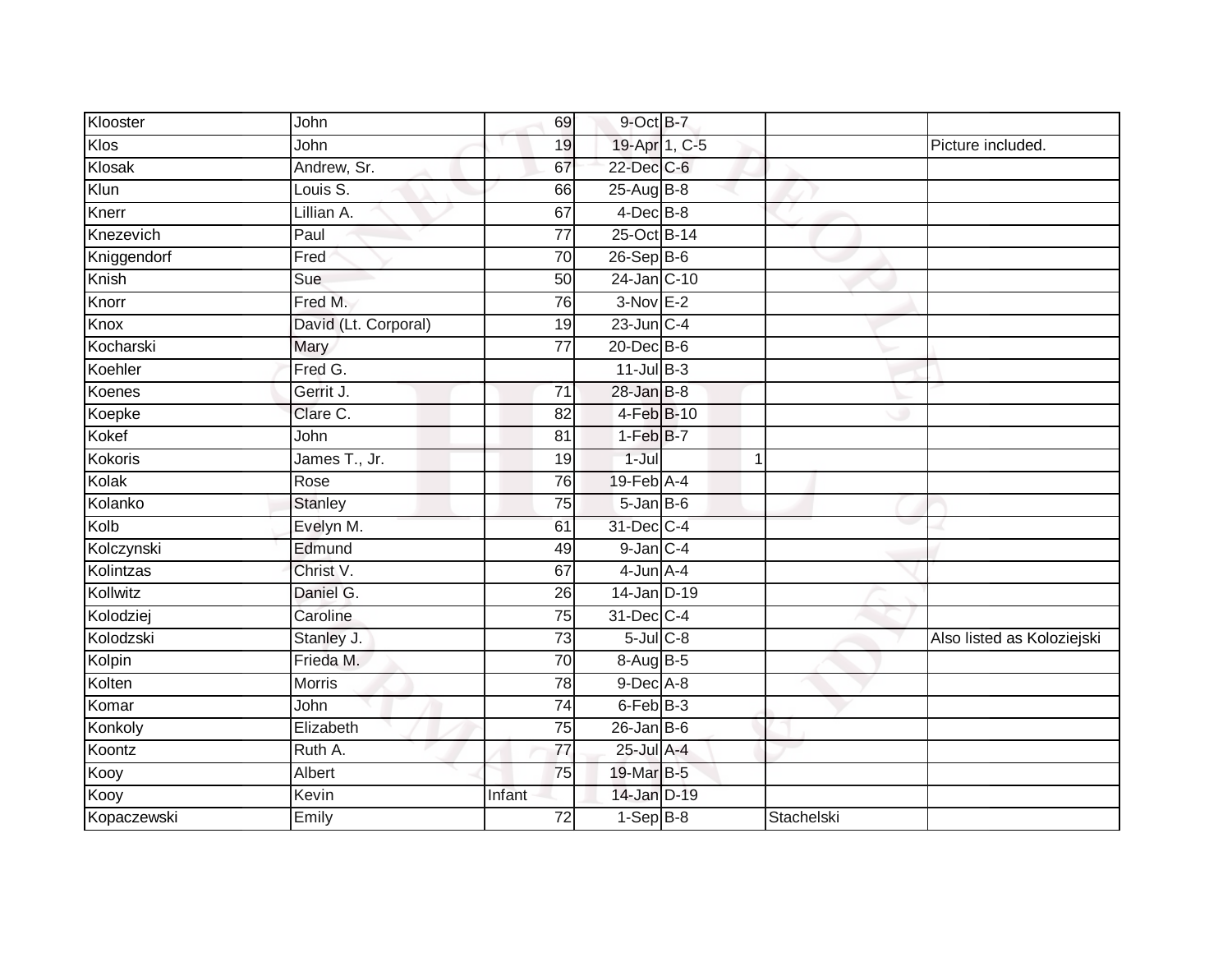| Klooster       | John                 | 69              | 9-Oct B-7                  |               |            |                            |
|----------------|----------------------|-----------------|----------------------------|---------------|------------|----------------------------|
| Klos           | John                 | 19              |                            | 19-Apr 1, C-5 |            | Picture included.          |
| Klosak         | Andrew, Sr.          | 67              | 22-Dec C-6                 |               |            |                            |
| Klun           | Louis S.             | 66              | 25-Aug B-8                 |               |            |                            |
| Knerr          | Lillian A.           | 67              | $4$ -Dec $B-8$             |               |            |                            |
| Knezevich      | Paul                 | $\overline{77}$ | 25-Oct B-14                |               |            |                            |
| Kniggendorf    | Fred                 | 70              | $26-Sep$ B-6               |               |            |                            |
| Knish          | Sue                  | 50              | 24-Jan C-10                |               |            |                            |
| Knorr          | Fred M.              | 76              | $3-Nov$ E-2                |               |            |                            |
| Knox           | David (Lt. Corporal) | 19              | $23$ -Jun $C-4$            |               |            |                            |
| Kocharski      | Mary                 | 77              | $20$ -Dec $B$ -6           |               |            |                            |
| Koehler        | Fred G.              |                 | $11$ -Jul B-3              |               |            |                            |
| Koenes         | Gerrit J.            | 71              | $28 - Jan$ $B-8$           |               |            |                            |
| Koepke         | Clare C.             | 82              | $4-FebB-10$                |               |            |                            |
| Kokef          | John                 | $\overline{81}$ | $1-FebB-7$                 |               |            |                            |
| <b>Kokoris</b> | James T., Jr.        | 19              | $1 -$ Jul                  | 1             |            |                            |
| Kolak          | Rose                 | 76              | $19$ -Feb $\overline{A-4}$ |               |            |                            |
| Kolanko        | <b>Stanley</b>       | 75              | $5 - Jan$ $B - 6$          |               |            |                            |
| Kolb           | Evelyn M.            | 61              | 31-Dec C-4                 |               |            |                            |
| Kolczynski     | Edmund               | 49              | $9$ -Jan $C-4$             |               |            |                            |
| Kolintzas      | Christ V.            | 67              | $4$ -Jun $A$ -4            |               |            |                            |
| Kollwitz       | Daniel G.            | 26              | 14-Jan D-19                |               |            |                            |
| Kolodziej      | Caroline             | 75              | 31-Dec C-4                 |               |            |                            |
| Kolodzski      | Stanley J.           | $\overline{73}$ | $5$ -Jul $C$ -8            |               |            | Also listed as Koloziejski |
| Kolpin         | Frieda M.            | 70              | 8-Aug B-5                  |               |            |                            |
| Kolten         | Morris               | 78              | $9$ -Dec $A$ -8            |               |            |                            |
| Komar          | John                 | 74              | 6-Feb B-3                  |               |            |                            |
| Konkoly        | Elizabeth            | 75              | $26$ -Jan B-6              |               |            |                            |
| Koontz         | Ruth A.              | 77              | 25-Jul A-4                 |               |            |                            |
| Kooy           | Albert               | 75              | 19-Mar B-5                 |               |            |                            |
| Kooy           | Kevin                | Infant          | 14-Jan D-19                |               |            |                            |
| Kopaczewski    | Emily                | $\overline{72}$ | $1-Sep$ B-8                |               | Stachelski |                            |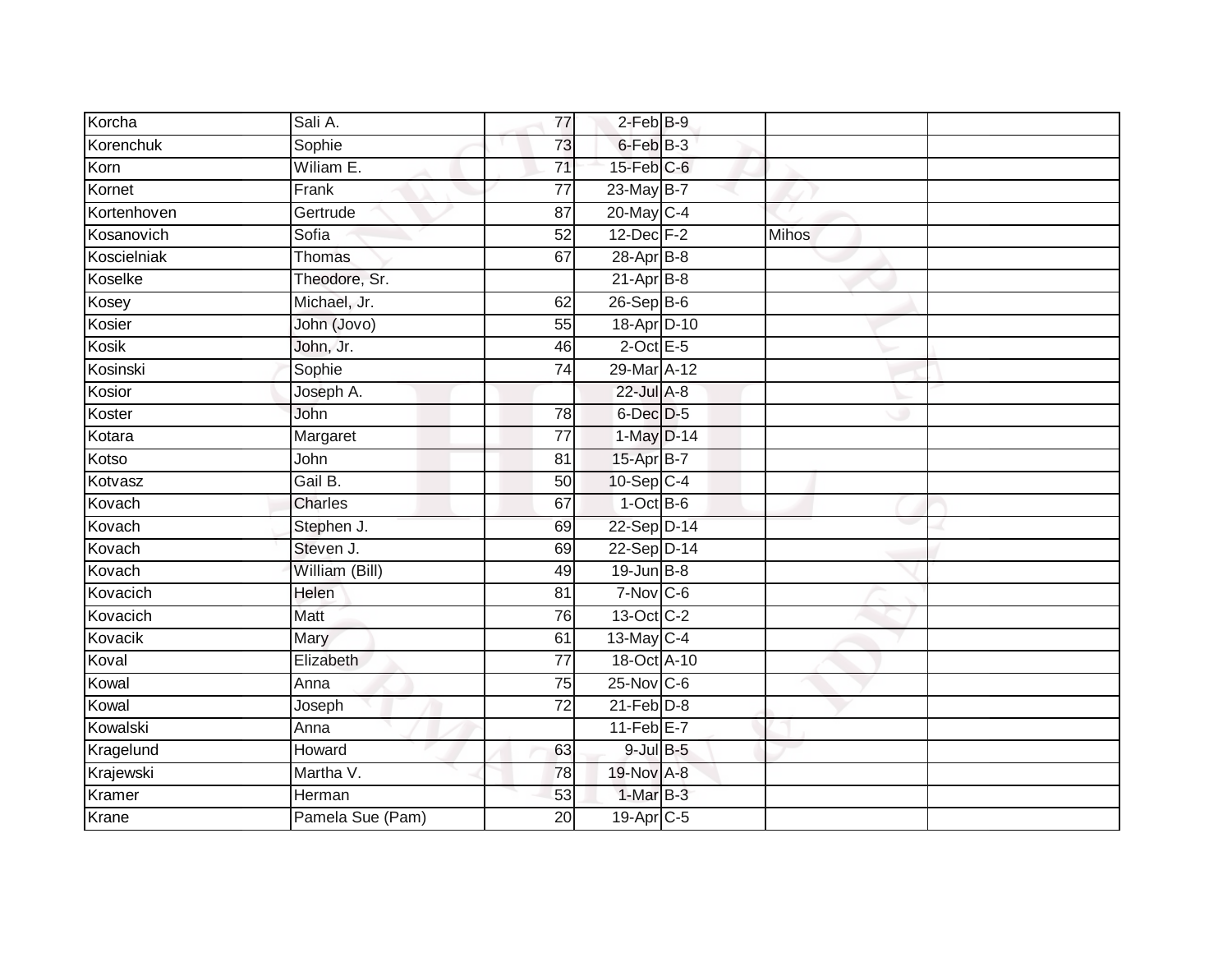| Korcha      | Sali A.          | $\overline{77}$ | $2$ -Feb $B-9$    |              |  |
|-------------|------------------|-----------------|-------------------|--------------|--|
| Korenchuk   | Sophie           | 73              | 6-Feb B-3         |              |  |
| Korn        | Wiliam E.        | $\overline{71}$ | 15-Feb C-6        |              |  |
| Kornet      | Frank            | $\overline{77}$ | 23-May B-7        |              |  |
| Kortenhoven | Gertrude         | $\overline{87}$ | 20-May C-4        |              |  |
| Kosanovich  | Sofia            | 52              | $12$ -Dec $F-2$   | <b>Mihos</b> |  |
| Koscielniak | Thomas           | 67              | $28-Apr$ B-8      |              |  |
| Koselke     | Theodore, Sr.    |                 | $21-Apr$ B-8      |              |  |
| Kosey       | Michael, Jr.     | 62              | $26-SepB-6$       |              |  |
| Kosier      | John (Jovo)      | $\overline{55}$ | 18-Apr D-10       |              |  |
| Kosik       | John, Jr.        | 46              | $2$ -Oct E-5      |              |  |
| Kosinski    | Sophie           | $\overline{74}$ | 29-Mar A-12       |              |  |
| Kosior      | Joseph A.        |                 | 22-Jul A-8        |              |  |
| Koster      | John             | 78              | 6-Dec D-5         |              |  |
| Kotara      | Margaret         | $\overline{77}$ | 1-May D-14        |              |  |
| Kotso       | John             | 81              | 15-Apr B-7        |              |  |
| Kotvasz     | Gail B.          | 50              | $10-Sep$ C-4      |              |  |
| Kovach      | Charles          | 67              | $1-OctB-6$        |              |  |
| Kovach      | Stephen J.       | 69              | 22-Sep D-14       |              |  |
| Kovach      | Steven J.        | 69              | 22-Sep D-14       |              |  |
| Kovach      | William (Bill)   | 49              | $19$ -Jun $B - 8$ |              |  |
| Kovacich    | Helen            | 81              | $7-Nov$ $C-6$     |              |  |
| Kovacich    | Matt             | 76              | 13-Oct C-2        |              |  |
| Kovacik     | Mary             | 61              | 13-May C-4        |              |  |
| Koval       | Elizabeth        | $\overline{77}$ | 18-Oct A-10       |              |  |
| Kowal       | Anna             | 75              | $25$ -Nov $C$ -6  |              |  |
| Kowal       | Joseph           | $\overline{72}$ | $21$ -Feb $D-8$   |              |  |
| Kowalski    | Anna             |                 | 11-Feb E-7        |              |  |
| Kragelund   | Howard           | 63              | $9$ -Jul $B$ -5   |              |  |
| Krajewski   | Martha V.        | 78              | 19-Nov A-8        |              |  |
| Kramer      | Herman           | 53              | 1-Mar B-3         |              |  |
| Krane       | Pamela Sue (Pam) | $\overline{20}$ | 19-Apr C-5        |              |  |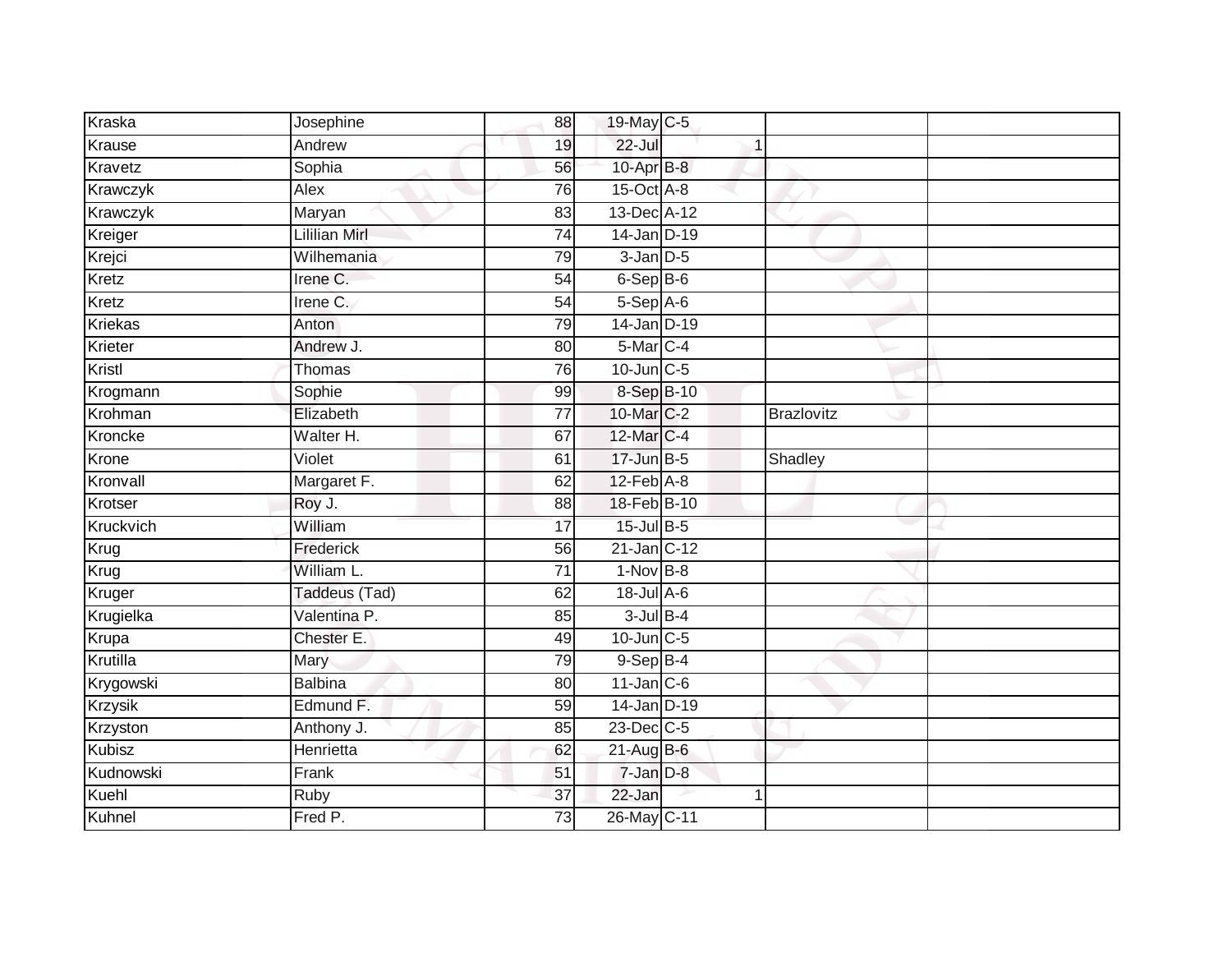| Kraska        | Josephine            | 88              | 19-May C-5        |   |                   |  |
|---------------|----------------------|-----------------|-------------------|---|-------------------|--|
| Krause        | Andrew               | 19              | $22$ -Jul         | 1 |                   |  |
| Kravetz       | Sophia               | 56              | 10-Apr B-8        |   |                   |  |
| Krawczyk      | Alex                 | 76              | 15-Oct A-8        |   |                   |  |
| Krawczyk      | Maryan               | 83              | 13-Dec A-12       |   |                   |  |
| Kreiger       | <b>Lililian Mirl</b> | $\overline{74}$ | 14-Jan D-19       |   |                   |  |
| Krejci        | Wilhemania           | 79              | $3$ -Jan $D-5$    |   |                   |  |
| Kretz         | Irene C.             | 54              | 6-Sep B-6         |   |                   |  |
| Kretz         | Irene C.             | 54              | $5-Sep$ A-6       |   |                   |  |
| Kriekas       | Anton                | 79              | $14$ -Jan D-19    |   |                   |  |
| Krieter       | Andrew J.            | 80              | 5-Mar C-4         |   |                   |  |
| Kristl        | Thomas               | 76              | 10-Jun C-5        |   |                   |  |
| Krogmann      | Sophie               | 99              | 8-Sep B-10        |   |                   |  |
| Krohman       | Elizabeth            | 77              | 10-Mar C-2        |   | <b>Brazlovitz</b> |  |
| Kroncke       | Walter H.            | 67              | 12-Mar C-4        |   |                   |  |
| Krone         | Violet               | 61              | 17-Jun B-5        |   | Shadley           |  |
| Kronvall      | Margaret F.          | 62              | $12$ -Feb $A-8$   |   |                   |  |
| Krotser       | Roy J.               | 88              | 18-Feb B-10       |   |                   |  |
| Kruckvich     | William              | 17              | 15-Jul B-5        |   |                   |  |
| Krug          | Frederick            | 56              | 21-Jan C-12       |   |                   |  |
| Krug          | William L.           | 71              | $1-Nov$ B-8       |   |                   |  |
| Kruger        | Taddeus (Tad)        | 62              | 18-Jul A-6        |   |                   |  |
| Krugielka     | Valentina P.         | 85              | $3$ -Jul $B$ -4   |   |                   |  |
| Krupa         | Chester E.           | 49              | $10$ -Jun $C - 5$ |   |                   |  |
| Krutilla      | Mary                 | 79              | $9-$ Sep $B-4$    |   |                   |  |
| Krygowski     | <b>Balbina</b>       | 80              | $11$ -Jan $C$ -6  |   |                   |  |
| Krzysik       | Edmund F.            | 59              | $14$ -Jan D-19    |   |                   |  |
| Krzyston      | Anthony J.           | 85              | 23-Dec C-5        |   |                   |  |
| <b>Kubisz</b> | Henrietta            | 62              | 21-Aug B-6        |   |                   |  |
| Kudnowski     | Frank                | 51              | 7-Jan D-8         |   |                   |  |
| Kuehl         | Ruby                 | 37              | 22-Jan            | 1 |                   |  |
| Kuhnel        | Fred P.              | 73              | 26-May C-11       |   |                   |  |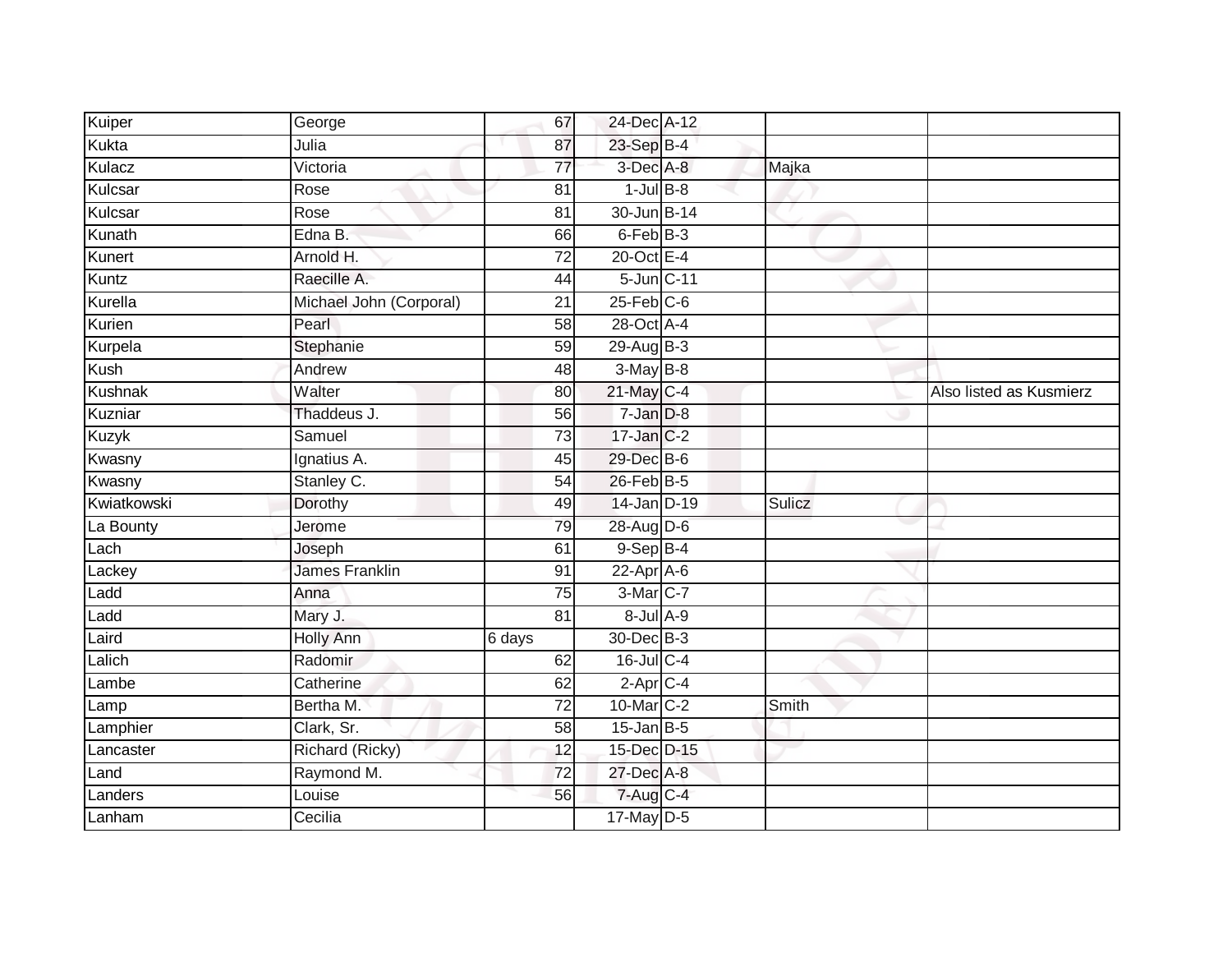| Kuiper      | George                  | 67              | 24-Dec A-12      |        |                         |
|-------------|-------------------------|-----------------|------------------|--------|-------------------------|
| Kukta       | Julia                   | 87              | 23-Sep B-4       |        |                         |
| Kulacz      | Victoria                | $\overline{77}$ | 3-Dec A-8        | Majka  |                         |
| Kulcsar     | Rose                    | 81              | $1$ -Jul $B$ -8  |        |                         |
| Kulcsar     | Rose                    | $\overline{81}$ | 30-Jun B-14      |        |                         |
| Kunath      | Edna B.                 | 66              | 6-Feb B-3        |        |                         |
| Kunert      | Arnold H.               | $\overline{72}$ | 20-Oct E-4       |        |                         |
| Kuntz       | Raecille A.             | 44              | 5-Jun C-11       |        |                         |
| Kurella     | Michael John (Corporal) | 21              | $25$ -Feb $C$ -6 |        |                         |
| Kurien      | Pearl                   | 58              | 28-Oct A-4       |        |                         |
| Kurpela     | Stephanie               | 59              | $29$ -Aug $B-3$  |        |                         |
| Kush        | Andrew                  | 48              | $3-May$ B-8      |        |                         |
| Kushnak     | Walter                  | 80              | 21-May C-4       |        | Also listed as Kusmierz |
| Kuzniar     | Thaddeus J.             | 56              | 7-Jan D-8        |        |                         |
| Kuzyk       | Samuel                  | 73              | 17-Jan C-2       |        |                         |
| Kwasny      | Ignatius A.             | 45              | 29-Dec B-6       |        |                         |
| Kwasny      | Stanley C.              | $\overline{54}$ | 26-Feb B-5       |        |                         |
| Kwiatkowski | Dorothy                 | 49              | 14-Jan D-19      | Sulicz |                         |
| La Bounty   | Jerome                  | 79              | 28-Aug D-6       |        |                         |
| Lach        | Joseph                  | 61              | $9-Sep$ $B-4$    |        |                         |
| Lackey      | <b>James Franklin</b>   | 91              | $22$ -Apr $A$ -6 |        |                         |
| Ladd        | Anna                    | 75              | 3-Mar C-7        |        |                         |
| Ladd        | Mary J.                 | 81              | $8$ -Jul $A$ -9  |        |                         |
| Laird       | Holly Ann               | 6 days          | 30-Dec B-3       |        |                         |
| Lalich      | Radomir                 | 62              | $16$ -Jul $C-4$  |        |                         |
| Lambe       | Catherine               | 62              | $2$ -Apr $C$ -4  |        |                         |
| Lamp        | Bertha M.               | $\overline{72}$ | 10-Mar C-2       | Smith  |                         |
| Lamphier    | Clark, Sr.              | 58              | $15$ -Jan B-5    |        |                         |
| Lancaster   | Richard (Ricky)         | 12              | 15-Dec D-15      |        |                         |
| Land        | Raymond M.              | 72              | 27-Dec A-8       |        |                         |
| Landers     | Louise                  | 56              | 7-Aug C-4        |        |                         |
| Lanham      | Cecilia                 |                 | $17$ -May $D-5$  |        |                         |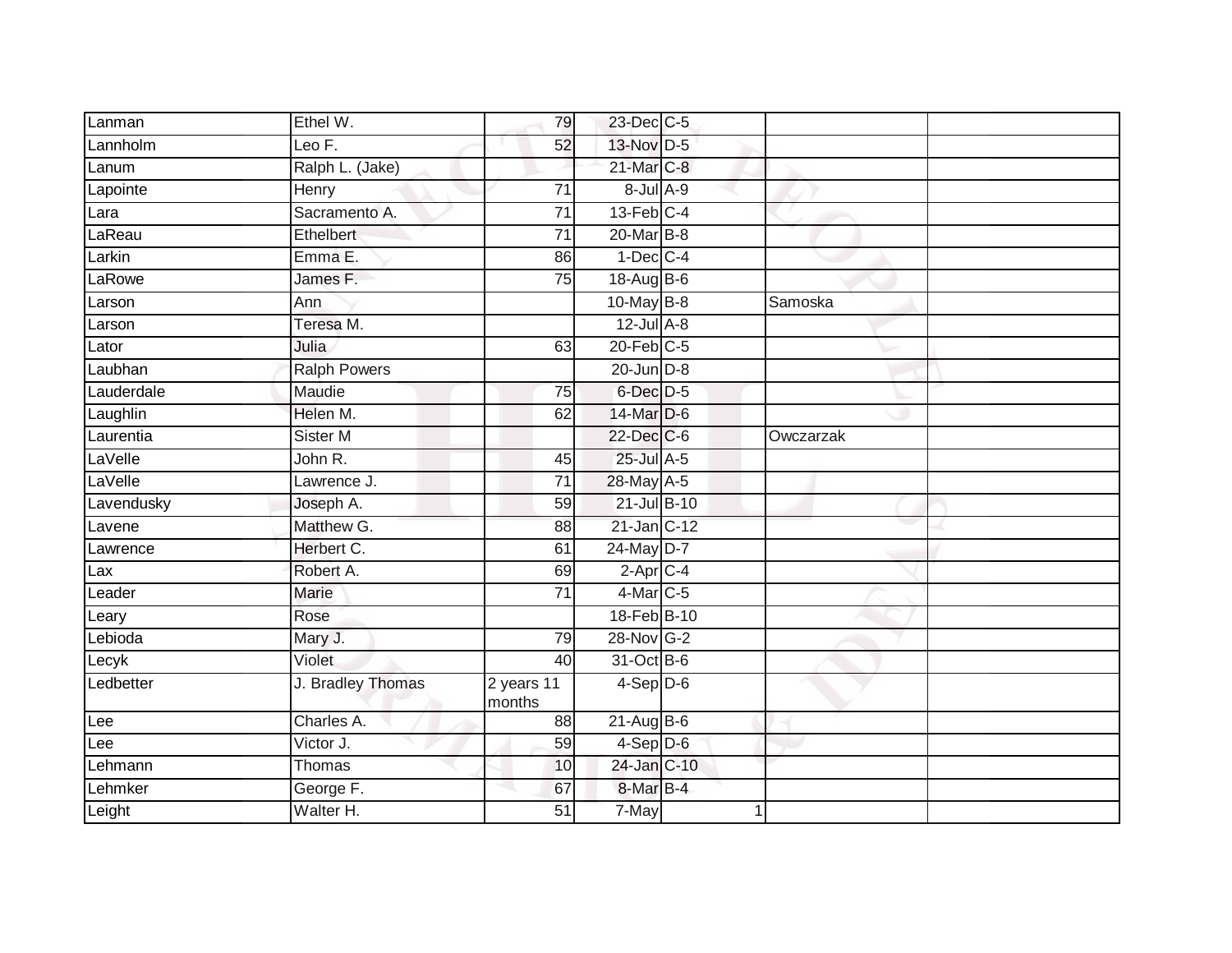| Lanman     | Ethel W.            | 79                   | 23-Dec C-5        |           |  |
|------------|---------------------|----------------------|-------------------|-----------|--|
| Lannholm   | Leo F.              | 52                   | 13-Nov D-5        |           |  |
| Lanum      | Ralph L. (Jake)     |                      | 21-Mar C-8        |           |  |
| Lapointe   | Henry               | 71                   | 8-Jul A-9         |           |  |
| Lara       | Sacramento A.       | $\overline{71}$      | $13$ -Feb $ C-4 $ |           |  |
| LaReau     | <b>Ethelbert</b>    | 71                   | 20-Mar B-8        |           |  |
| Larkin     | Emma E.             | 86                   | $1-Dec$ $C-4$     |           |  |
| LaRowe     | James F.            | 75                   | 18-Aug B-6        |           |  |
| Larson     | Ann                 |                      | 10-May B-8        | Samoska   |  |
| Larson     | Teresa M.           |                      | $12$ -Jul $A-8$   |           |  |
| Lator      | Julia               | 63                   | $20$ -Feb $C-5$   |           |  |
| Laubhan    | <b>Ralph Powers</b> |                      | 20-Jun D-8        |           |  |
| Lauderdale | Maudie              | 75                   | 6-Dec D-5         |           |  |
| Laughlin   | Helen M.            | 62                   | 14-Mar D-6        |           |  |
| Laurentia  | Sister M            |                      | 22-Dec C-6        | Owczarzak |  |
| LaVelle    | John R.             | 45                   | 25-Jul A-5        |           |  |
| LaVelle    | Lawrence J.         | $\overline{71}$      | 28-May A-5        |           |  |
| Lavendusky | Joseph A.           | 59                   | 21-Jul B-10       |           |  |
| Lavene     | Matthew G.          | 88                   | 21-Jan C-12       |           |  |
| Lawrence   | Herbert C.          | 61                   | 24-May D-7        |           |  |
| Lax        | Robert A.           | 69                   | $2$ -Apr $C$ -4   |           |  |
| Leader     | <b>Marie</b>        | $\overline{71}$      | $4$ -Mar $C-5$    |           |  |
| Leary      | Rose                |                      | 18-Feb B-10       |           |  |
| Lebioda    | Mary J.             | 79                   | 28-Nov G-2        |           |  |
| Lecyk      | Violet              | 40                   | 31-Oct B-6        |           |  |
| Ledbetter  | J. Bradley Thomas   | 2 years 11<br>months | $4-Sep$ D-6       |           |  |
| Lee        | Charles A.          | 88                   | $21-Aug$ B-6      |           |  |
| Lee        | Victor J.           | 59                   | $4-Sep$ D-6       |           |  |
| Lehmann    | Thomas              | 10                   | 24-Jan C-10       |           |  |
| Lehmker    | George F.           | 67                   | 8-Mar B-4         |           |  |
| Leight     | Walter H.           | 51                   | 7-May             |           |  |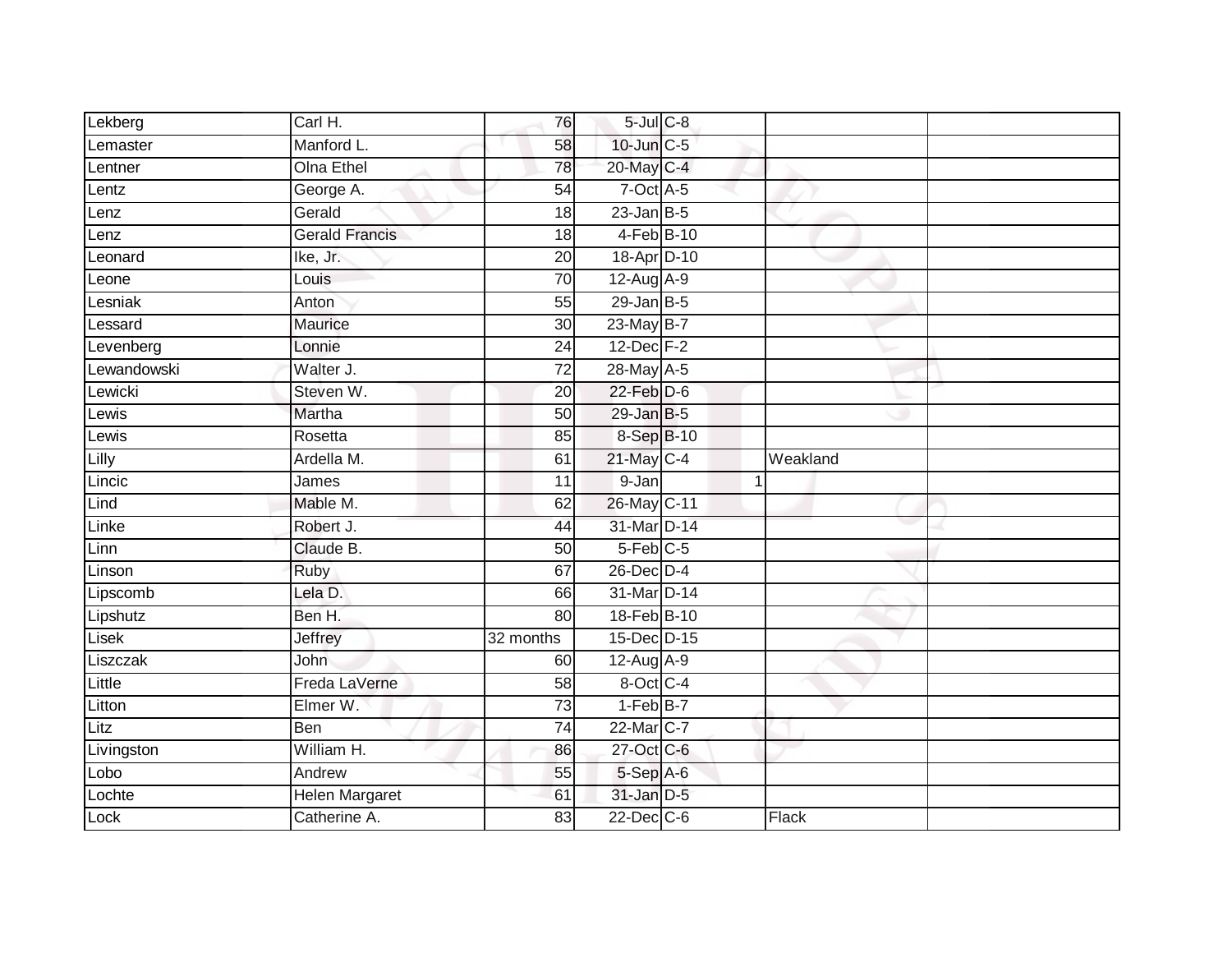| Lekberg            | Carl H.               | 76              | $5$ -Jul $C$ -8  |   |          |  |
|--------------------|-----------------------|-----------------|------------------|---|----------|--|
| Lemaster           | Manford L.            | 58              | 10-Jun C-5       |   |          |  |
| Lentner            | <b>Olna Ethel</b>     | 78              | 20-May C-4       |   |          |  |
| Lentz              | George A.             | 54              | $7$ -Oct $A$ -5  |   |          |  |
| Lenz               | Gerald                | 18              | $23$ -Jan B-5    |   |          |  |
| Lenz               | <b>Gerald Francis</b> | 18              | 4-Feb B-10       |   |          |  |
| Leonard            | Ike, Jr.              | 20              | 18-Apr D-10      |   |          |  |
| Leone              | Louis                 | 70              | 12-Aug A-9       |   |          |  |
| Lesniak            | Anton                 | 55              | $29$ -Jan B-5    |   |          |  |
| Lessard            | Maurice               | 30              | 23-May B-7       |   |          |  |
| Levenberg          | Lonnie                | $\overline{24}$ | 12-Dec F-2       |   |          |  |
| Lewandowski        | Walter J.             | $\overline{72}$ | 28-May A-5       |   |          |  |
| Lewicki            | Steven W.             | 20              | $22$ -Feb $D-6$  |   |          |  |
| Lewis              | Martha                | 50              | $29$ -Jan B-5    |   |          |  |
| $Lewi\overline{s}$ | Rosetta               | 85              | 8-Sep B-10       |   |          |  |
| Lilly              | Ardella M.            | 61              | 21-May C-4       |   | Weakland |  |
| Lincic             | James                 | $\overline{11}$ | 9-Jan            | 1 |          |  |
| Lind               | Mable M.              | 62              | 26-May C-11      |   |          |  |
| Linke              | Robert J.             | 44              | 31-Mar D-14      |   |          |  |
| Linn               | Claude B.             | 50              | $5$ -Feb $C$ -5  |   |          |  |
| Linson             | Ruby                  | 67              | 26-Dec D-4       |   |          |  |
| Lipscomb           | Lela D.               | 66              | 31-Mar D-14      |   |          |  |
| Lipshutz           | Ben H.                | 80              | 18-Feb B-10      |   |          |  |
| Lisek              | Jeffrey               | 32 months       | 15-Dec D-15      |   |          |  |
| Liszczak           | John                  | 60              | 12-Aug A-9       |   |          |  |
| Little             | Freda LaVerne         | 58              | 8-Oct C-4        |   |          |  |
| Litton             | Elmer W.              | 73              | $1-FebB-7$       |   |          |  |
| Litz               | Ben                   | 74              | 22-Mar C-7       |   |          |  |
| Livingston         | William H.            | 86              | 27-Oct C-6       |   |          |  |
| Lobo               | Andrew                | 55              | 5-Sep A-6        |   |          |  |
| Lochte             | Helen Margaret        | 61              | 31-Jan D-5       |   |          |  |
| Lock               | Catherine A.          | 83              | $22$ -Dec $C$ -6 |   | Flack    |  |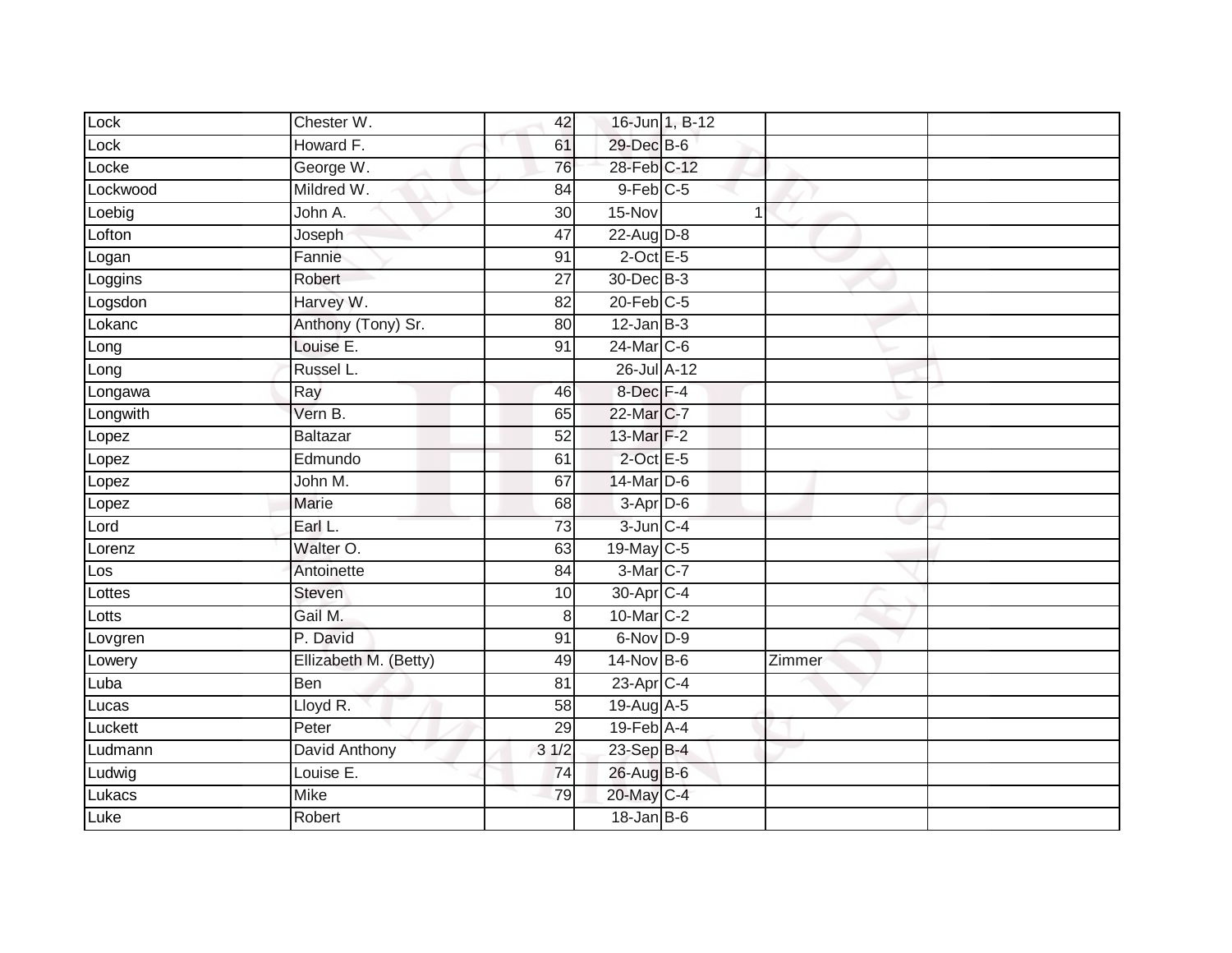| Lock     | Chester W.            | 42              |                  | 16-Jun 1, B-12 |        |  |
|----------|-----------------------|-----------------|------------------|----------------|--------|--|
| Lock     | Howard F.             | 61              | 29-Dec B-6       |                |        |  |
| Locke    | George W.             | 76              | 28-Feb C-12      |                |        |  |
| Lockwood | Mildred W.            | 84              | $9$ -Feb $C$ -5  |                |        |  |
| Loebig   | John A.               | $\overline{30}$ | $15-Nov$         | $\overline{1}$ |        |  |
| Lofton   | Joseph                | 47              | 22-Aug D-8       |                |        |  |
| Logan    | Fannie                | 91              | $2$ -Oct E-5     |                |        |  |
| Loggins  | Robert                | 27              | 30-Dec B-3       |                |        |  |
| Logsdon  | Harvey W.             | 82              | $20$ -Feb $C-5$  |                |        |  |
| Lokanc   | Anthony (Tony) Sr.    | 80              | $12$ -Jan B-3    |                |        |  |
| Long     | Louise E.             | 91              | 24-Mar C-6       |                |        |  |
| Long     | Russel L.             |                 | 26-Jul A-12      |                |        |  |
| Longawa  | Ray                   | 46              | 8-Dec F-4        |                |        |  |
| Longwith | Vern B.               | 65              | 22-Mar C-7       |                |        |  |
| Lopez    | Baltazar              | 52              | 13-Mar F-2       |                |        |  |
| Lopez    | Edmundo               | 61              | $2$ -Oct E-5     |                |        |  |
| Lopez    | John M.               | 67              | 14-Mar D-6       |                |        |  |
| Lopez    | <b>Marie</b>          | 68              | $3-Apr$ D-6      |                |        |  |
| Lord     | Earl L.               | 73              | $3$ -Jun $C-4$   |                |        |  |
| Lorenz   | Walter O.             | 63              | 19-May C-5       |                |        |  |
| Los      | Antoinette            | 84              | 3-Mar C-7        |                |        |  |
| Lottes   | Steven                | 10              | 30-Apr C-4       |                |        |  |
| Lotts    | Gail M.               | 8               | 10-Mar C-2       |                |        |  |
| Lovgren  | P. David              | 91              | 6-Nov D-9        |                |        |  |
| Lowery   | Ellizabeth M. (Betty) | 49              | 14-Nov B-6       |                | Zimmer |  |
| Luba     | Ben                   | 81              | $23$ -Apr $C-4$  |                |        |  |
| Lucas    | Lloyd R.              | 58              | 19-Aug A-5       |                |        |  |
| Luckett  | Peter                 | 29              | $19$ -Feb $A$ -4 |                |        |  |
| Ludmann  | David Anthony         | 31/2            | 23-Sep B-4       |                |        |  |
| Ludwig   | Louise E.             | 74              | 26-Aug B-6       |                |        |  |
| Lukacs   | <b>Mike</b>           | 79              | 20-May C-4       |                |        |  |
| Luke     | Robert                |                 | $18$ -Jan B-6    |                |        |  |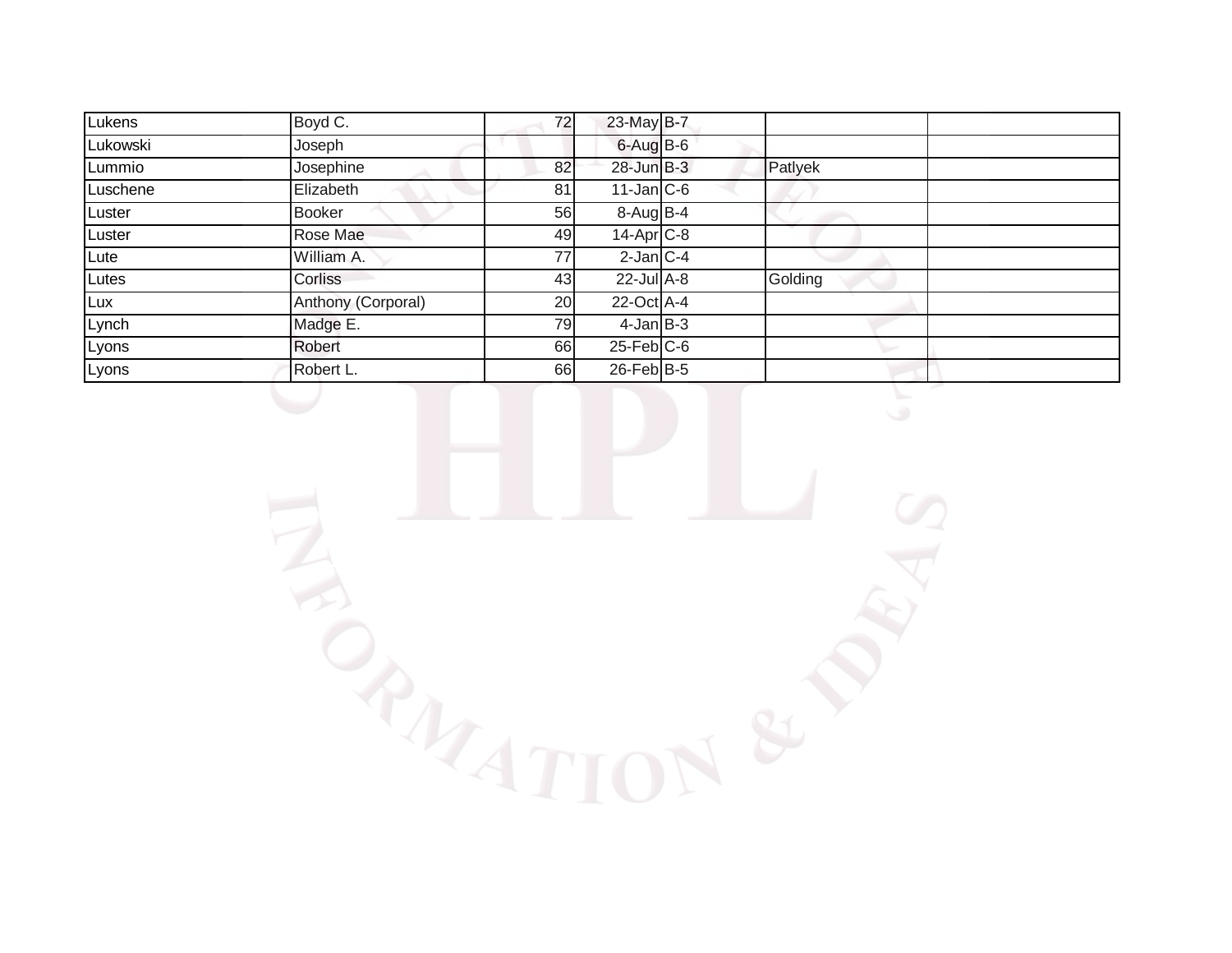| Lukens   | Boyd C.            | 72 | 23-May B-7              |         |  |
|----------|--------------------|----|-------------------------|---------|--|
| Lukowski | Joseph             |    | $6 - Aug$ B-6           |         |  |
| Lummio   | Josephine          | 82 | $28$ -Jun $B-3$         | Patlyek |  |
| Luschene | Elizabeth          | 81 | $11$ -Jan $ C-6 $       |         |  |
| Luster   | <b>Booker</b>      | 56 | $8-AugB-4$              |         |  |
| Luster   | Rose Mae           | 49 | $14-Apr$ <sub>C-8</sub> |         |  |
| Lute     | William A.         | 77 | $2$ -Jan $ C-4 $        |         |  |
| Lutes    | Corliss            | 43 | $22$ -Jul $A-8$         | Golding |  |
| Lux      | Anthony (Corporal) | 20 | $22$ -Oct A-4           |         |  |
| Lynch    | Madge E.           | 79 | $4$ -Jan $B-3$          |         |  |
| Lyons    | Robert             | 66 | $25$ -Feb $C$ -6        |         |  |
| Lyons    | Robert L.          | 66 | $26$ -Feb $B$ -5        |         |  |

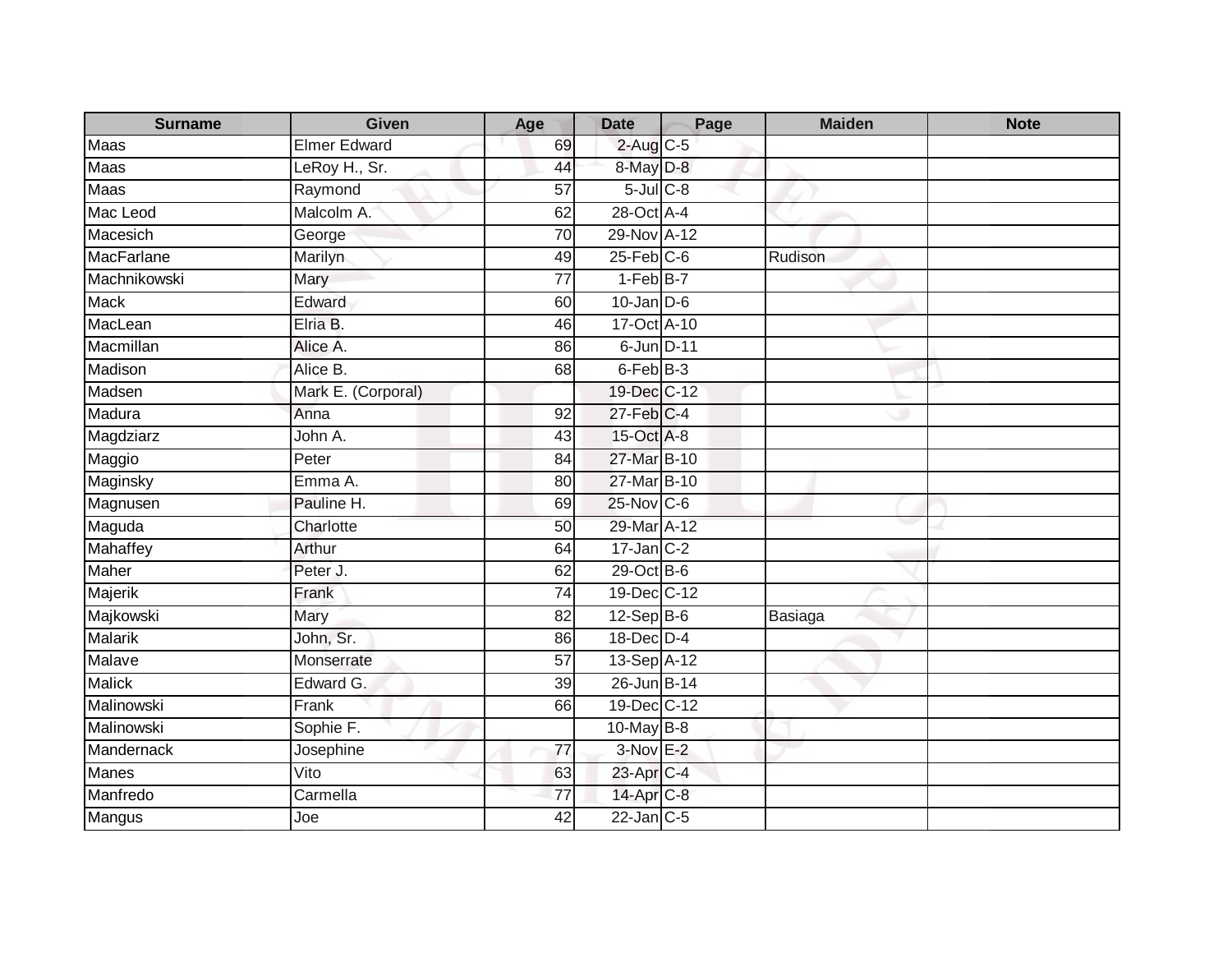| <b>Surname</b> | <b>Given</b>        | Age             | <b>Date</b>             | Page | <b>Maiden</b> | <b>Note</b> |
|----------------|---------------------|-----------------|-------------------------|------|---------------|-------------|
| Maas           | <b>Elmer Edward</b> | 69              | $2$ -Aug $C$ -5         |      |               |             |
| <b>Maas</b>    | LeRoy H., Sr.       | 44              | 8-May D-8               |      |               |             |
| Maas           | Raymond             | 57              | $5$ -Jul $C$ -8         |      |               |             |
| Mac Leod       | Malcolm A.          | 62              | 28-Oct A-4              |      |               |             |
| Macesich       | George              | 70              | 29-Nov A-12             |      |               |             |
| MacFarlane     | Marilyn             | 49              | $25$ -Feb $C$ -6        |      | Rudison       |             |
| Machnikowski   | Mary                | $\overline{77}$ | $1-FebB-7$              |      |               |             |
| <b>Mack</b>    | Edward              | 60              | $10$ -Jan D-6           |      |               |             |
| MacLean        | Elria B.            | 46              | 17-Oct A-10             |      |               |             |
| Macmillan      | Alice A.            | 86              | 6-Jun D-11              |      |               |             |
| Madison        | Alice B.            | 68              | $6$ -Feb $B-3$          |      |               |             |
| Madsen         | Mark E. (Corporal)  |                 | 19-Dec C-12             |      |               |             |
| Madura         | Anna                | 92              | $27$ -Feb $C-4$         |      |               |             |
| Magdziarz      | John A.             | 43              | 15-Oct A-8              |      |               |             |
| Maggio         | Peter               | 84              | 27-Mar B-10             |      |               |             |
| Maginsky       | Emma A.             | 80              | 27-Mar B-10             |      |               |             |
| Magnusen       | Pauline H.          | 69              | $25-Nov$ <sub>C-6</sub> |      |               |             |
| Maguda         | Charlotte           | 50              | 29-Mar A-12             |      |               |             |
| Mahaffey       | Arthur              | 64              | $17$ -Jan $C-2$         |      |               |             |
| <b>Maher</b>   | Peter J.            | 62              | 29-Oct B-6              |      |               |             |
| Majerik        | Frank               | 74              | 19-Dec C-12             |      |               |             |
| Majkowski      | Mary                | 82              | $12-Sep$ B-6            |      | Basiaga       |             |
| <b>Malarik</b> | John, Sr.           | 86              | 18-Dec D-4              |      |               |             |
| Malave         | Monserrate          | 57              | 13-Sep A-12             |      |               |             |
| <b>Malick</b>  | Edward G.           | 39              | 26-Jun B-14             |      |               |             |
| Malinowski     | Frank               | 66              | 19-Dec C-12             |      |               |             |
| Malinowski     | Sophie F.           |                 | 10-May B-8              |      |               |             |
| Mandernack     | Josephine           | 77              | $3-NovE-2$              |      |               |             |
| <b>Manes</b>   | Vito                | 63              | 23-Apr C-4              |      |               |             |
| Manfredo       | Carmella            | 77              | 14-Apr C-8              |      |               |             |
| Mangus         | Joe                 | 42              | $22$ -Jan $C-5$         |      |               |             |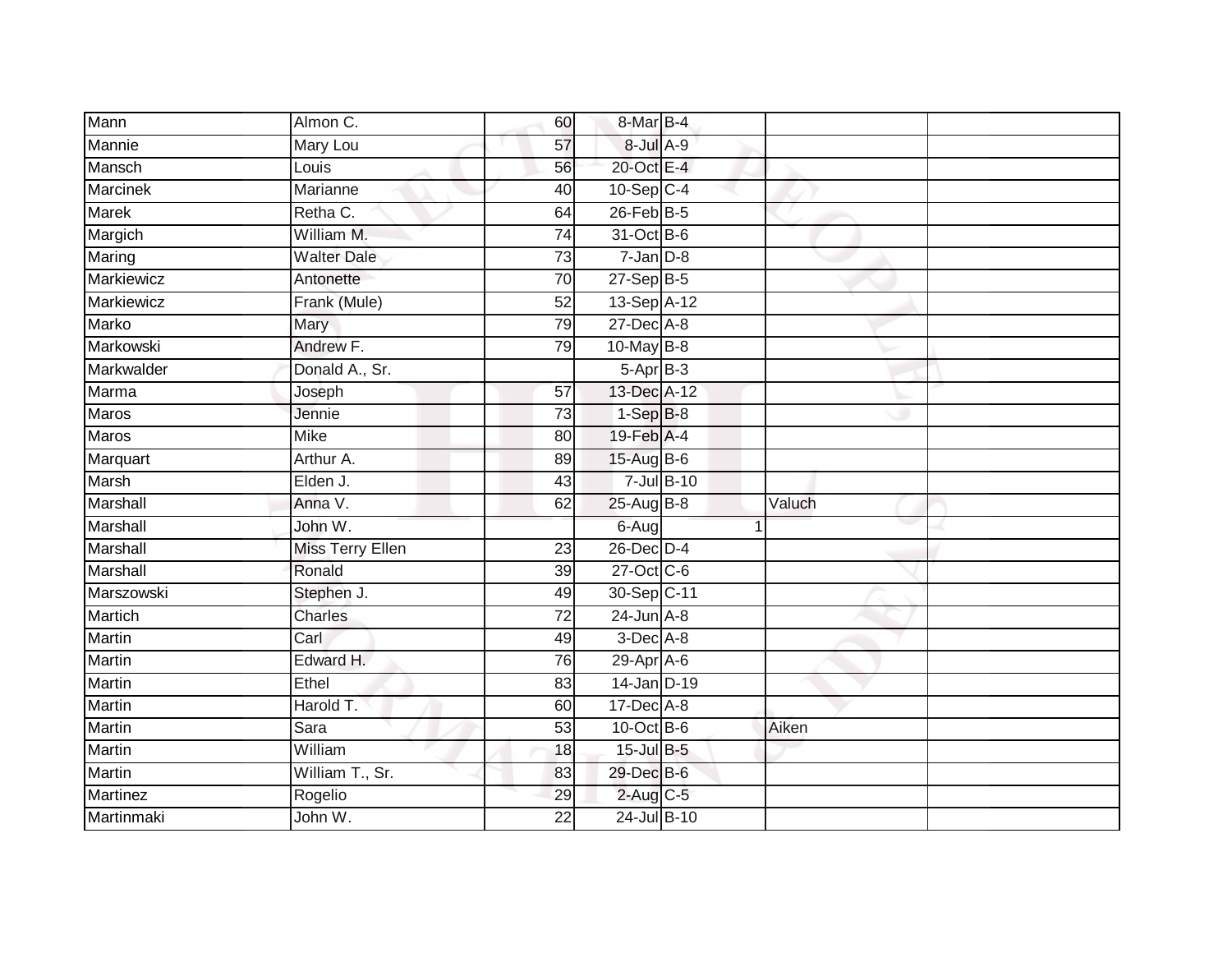| Mann              | Almon C.                | 60              | 8-Mar B-4       |        |
|-------------------|-------------------------|-----------------|-----------------|--------|
| Mannie            | Mary Lou                | 57              | 8-Jul A-9       |        |
| Mansch            | Louis                   | 56              | 20-Oct E-4      |        |
| Marcinek          | Marianne                | 40              | $10-Sep$ C-4    |        |
| Marek             | Retha C.                | 64              | $26$ -Feb $B-5$ |        |
| Margich           | William M.              | 74              | 31-Oct B-6      |        |
| Maring            | <b>Walter Dale</b>      | $\overline{73}$ | $7 - Jan$ $D-8$ |        |
| <b>Markiewicz</b> | Antonette               | 70              | $27-Sep$ B-5    |        |
| Markiewicz        | Frank (Mule)            | 52              | 13-Sep A-12     |        |
| <b>Marko</b>      | Mary                    | 79              | 27-Dec A-8      |        |
| Markowski         | Andrew F.               | 79              | 10-May B-8      |        |
| Markwalder        | Donald A., Sr.          |                 | $5-AprB-3$      |        |
| Marma             | Joseph                  | 57              | 13-Dec A-12     |        |
| <b>Maros</b>      | Jennie                  | 73              | $1-SepB-8$      |        |
| Maros             | <b>Mike</b>             | 80              | 19-Feb A-4      |        |
| Marquart          | Arthur A.               | 89              | 15-Aug B-6      |        |
| <b>Marsh</b>      | Elden J.                | 43              | $7 -$ Jul B-10  |        |
| Marshall          | Anna V.                 | 62              | 25-Aug B-8      | Valuch |
| Marshall          | John W.                 |                 | 6-Aug           |        |
| Marshall          | <b>Miss Terry Ellen</b> | $\overline{23}$ | $26$ -Dec $D-4$ |        |
| Marshall          | Ronald                  | 39              | 27-Oct C-6      |        |
| Marszowski        | Stephen J.              | 49              | 30-Sep C-11     |        |
| Martich           | Charles                 | 72              | $24$ -Jun A-8   |        |
| Martin            | Carl                    | 49              | $3$ -Dec $A-8$  |        |
| Martin            | Edward H.               | 76              | 29-Apr A-6      |        |
| Martin            | Ethel                   | 83              | 14-Jan D-19     |        |
| <b>Martin</b>     | Harold T.               | 60              | 17-Dec A-8      |        |
| Martin            | Sara                    | 53              | $10$ -Oct B-6   | Aiken  |
| Martin            | William                 | 18              | 15-Jul B-5      |        |
| <b>Martin</b>     | William T., Sr.         | 83              | 29-Dec B-6      |        |
| <b>Martinez</b>   | Rogelio                 | 29              | 2-Aug C-5       |        |
| Martinmaki        | John W.                 | $\overline{22}$ | 24-Jul B-10     |        |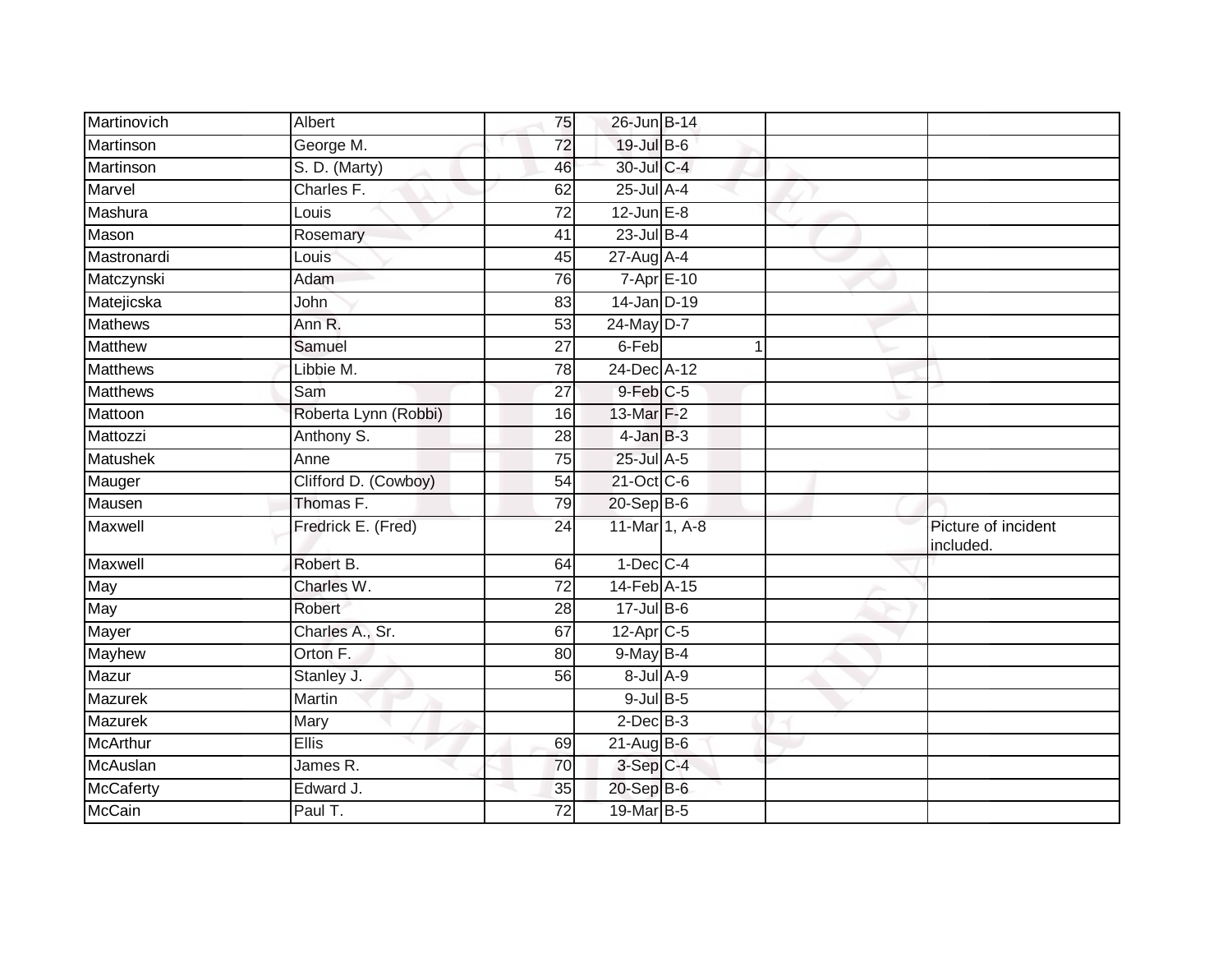| Martinovich     | Albert               | 75              | 26-Jun B-14       |    |                                  |
|-----------------|----------------------|-----------------|-------------------|----|----------------------------------|
| Martinson       | George M.            | $\overline{72}$ | 19-Jul B-6        |    |                                  |
| Martinson       | S. D. (Marty)        | 46              | 30-Jul C-4        |    |                                  |
| Marvel          | Charles F.           | 62              | 25-Jul A-4        |    |                                  |
| Mashura         | Louis                | $\overline{72}$ | $12$ -Jun $E-8$   |    |                                  |
| Mason           | Rosemary             | 41              | $23$ -Jul B-4     |    |                                  |
| Mastronardi     | Louis                | 45              | 27-Aug A-4        |    |                                  |
| Matczynski      | Adam                 | 76              | 7-Apr E-10        |    |                                  |
| Matejicska      | John                 | 83              | 14-Jan D-19       |    |                                  |
| <b>Mathews</b>  | Ann R.               | $\overline{53}$ | 24-May D-7        |    |                                  |
| <b>Matthew</b>  | Samuel               | 27              | 6-Feb             | -1 |                                  |
| Matthews        | Libbie M.            | 78              | 24-Dec A-12       |    |                                  |
| <b>Matthews</b> | Sam                  | 27              | $9$ -Feb $C-5$    |    |                                  |
| Mattoon         | Roberta Lynn (Robbi) | 16              | 13-Mar F-2        |    |                                  |
| Mattozzi        | Anthony S.           | 28              | $4$ -Jan $B-3$    |    |                                  |
| <b>Matushek</b> | Anne                 | 75              | 25-Jul A-5        |    |                                  |
| Mauger          | Clifford D. (Cowboy) | $\overline{54}$ | 21-Oct C-6        |    |                                  |
| Mausen          | Thomas F.            | 79              | 20-Sep B-6        |    |                                  |
| Maxwell         | Fredrick E. (Fred)   | 24              | 11-Mar 1, A-8     |    | Picture of incident<br>included. |
| Maxwell         | Robert B.            | 64              | $1-Dec$ $C-4$     |    |                                  |
| May             | Charles W.           | 72              | 14-Feb A-15       |    |                                  |
| May             | Robert               | 28              | $17 -$ Jul B-6    |    |                                  |
| Mayer           | Charles A., Sr.      | 67              | 12-Apr C-5        |    |                                  |
| Mayhew          | Orton F.             | 80              | 9-May B-4         |    |                                  |
| Mazur           | Stanley J.           | 56              | $8 -$ Jul $A - 9$ |    |                                  |
| Mazurek         | Martin               |                 | $9$ -Jul $B$ -5   |    |                                  |
| Mazurek         | Mary                 |                 | $2$ -Dec $B-3$    |    |                                  |
| <b>McArthur</b> | <b>Ellis</b>         | 69              | $21$ -Aug $B$ -6  |    |                                  |
| McAuslan        | James R.             | 70              | 3-Sep C-4         |    |                                  |
| McCaferty       | Edward J.            | 35              | $20-Sep$ B-6      |    |                                  |
| McCain          | Paul T.              | 72              | 19-Mar B-5        |    |                                  |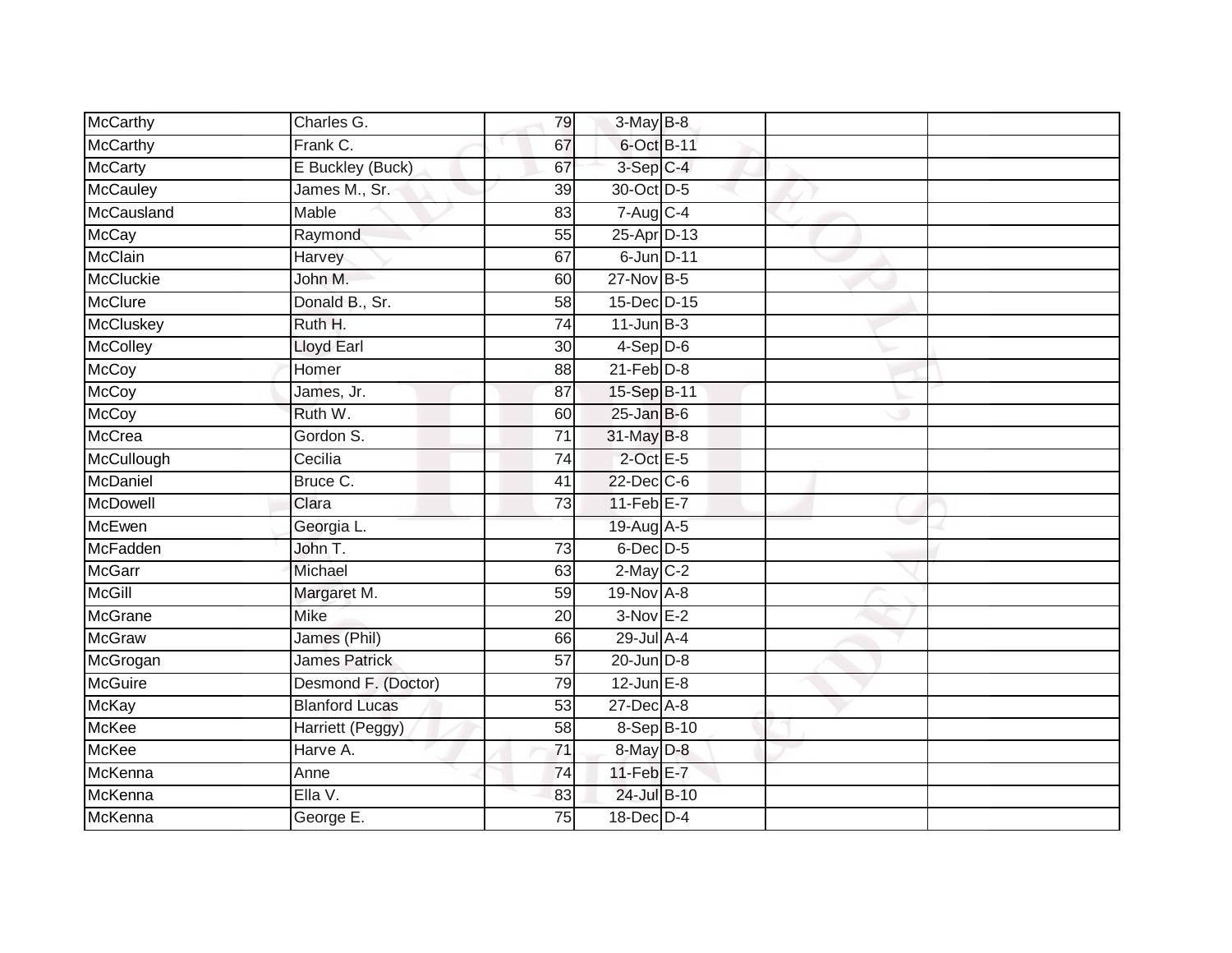| McCarthy         | Charles G.            | 79              | 3-May B-8                |  |  |
|------------------|-----------------------|-----------------|--------------------------|--|--|
| <b>McCarthy</b>  | Frank C.              | 67              | 6-Oct B-11               |  |  |
| <b>McCarty</b>   | E Buckley (Buck)      | 67              | 3-Sep C-4                |  |  |
| McCauley         | James M., Sr.         | 39              | 30-Oct D-5               |  |  |
| McCausland       | <b>Mable</b>          | 83              | $7 - Aug$ <sub>C-4</sub> |  |  |
| <b>McCay</b>     | Raymond               | 55              | 25-Apr D-13              |  |  |
| <b>McClain</b>   | Harvey                | 67              | 6-Jun D-11               |  |  |
| <b>McCluckie</b> | John M.               | 60              | 27-Nov B-5               |  |  |
| <b>McClure</b>   | Donald B., Sr.        | 58              | 15-Dec D-15              |  |  |
| <b>McCluskey</b> | Ruth H.               | 74              | $11$ -Jun $B-3$          |  |  |
| McColley         | Lloyd Earl            | 30              | $4-Sep$ D-6              |  |  |
| McCoy            | Homer                 | 88              | $21$ -Feb $D-8$          |  |  |
| <b>McCoy</b>     | James, Jr.            | 87              | 15-Sep B-11              |  |  |
| <b>McCoy</b>     | Ruth W.               | 60              | $25$ -Jan B-6            |  |  |
| <b>McCrea</b>    | Gordon S.             | $\overline{71}$ | 31-May B-8               |  |  |
| McCullough       | Cecilia               | 74              | $2$ -Oct $E-5$           |  |  |
| McDaniel         | Bruce C.              | $\overline{41}$ | 22-Dec C-6               |  |  |
| McDowell         | Clara                 | 73              | $11-Feb$ $E-7$           |  |  |
| McEwen           | Georgia L.            |                 | 19-Aug A-5               |  |  |
| <b>McFadden</b>  | John T.               | $\overline{73}$ | $6$ -Dec $D$ -5          |  |  |
| <b>McGarr</b>    | Michael               | 63              | $2-May$ $C-2$            |  |  |
| <b>McGill</b>    | Margaret M.           | 59              | 19-Nov A-8               |  |  |
| McGrane          | <b>Mike</b>           | 20              | $3-Nov$ E-2              |  |  |
| <b>McGraw</b>    | James (Phil)          | 66              | 29-Jul A-4               |  |  |
| McGrogan         | <b>James Patrick</b>  | 57              | 20-Jun D-8               |  |  |
| <b>McGuire</b>   | Desmond F. (Doctor)   | 79              | $12$ -Jun $E-8$          |  |  |
| <b>McKay</b>     | <b>Blanford Lucas</b> | 53              | $27$ -Dec $A-8$          |  |  |
| McKee            | Harriett (Peggy)      | 58              | $8-Sep$ B-10             |  |  |
| <b>McKee</b>     | Harve A.              | 71              | 8-May D-8                |  |  |
| McKenna          | Anne                  | 74              | $11$ -Feb $E$ -7         |  |  |
| McKenna          | Ella V.               | 83              | 24-Jul B-10              |  |  |
| McKenna          | George E.             | $\overline{75}$ | 18-Dec D-4               |  |  |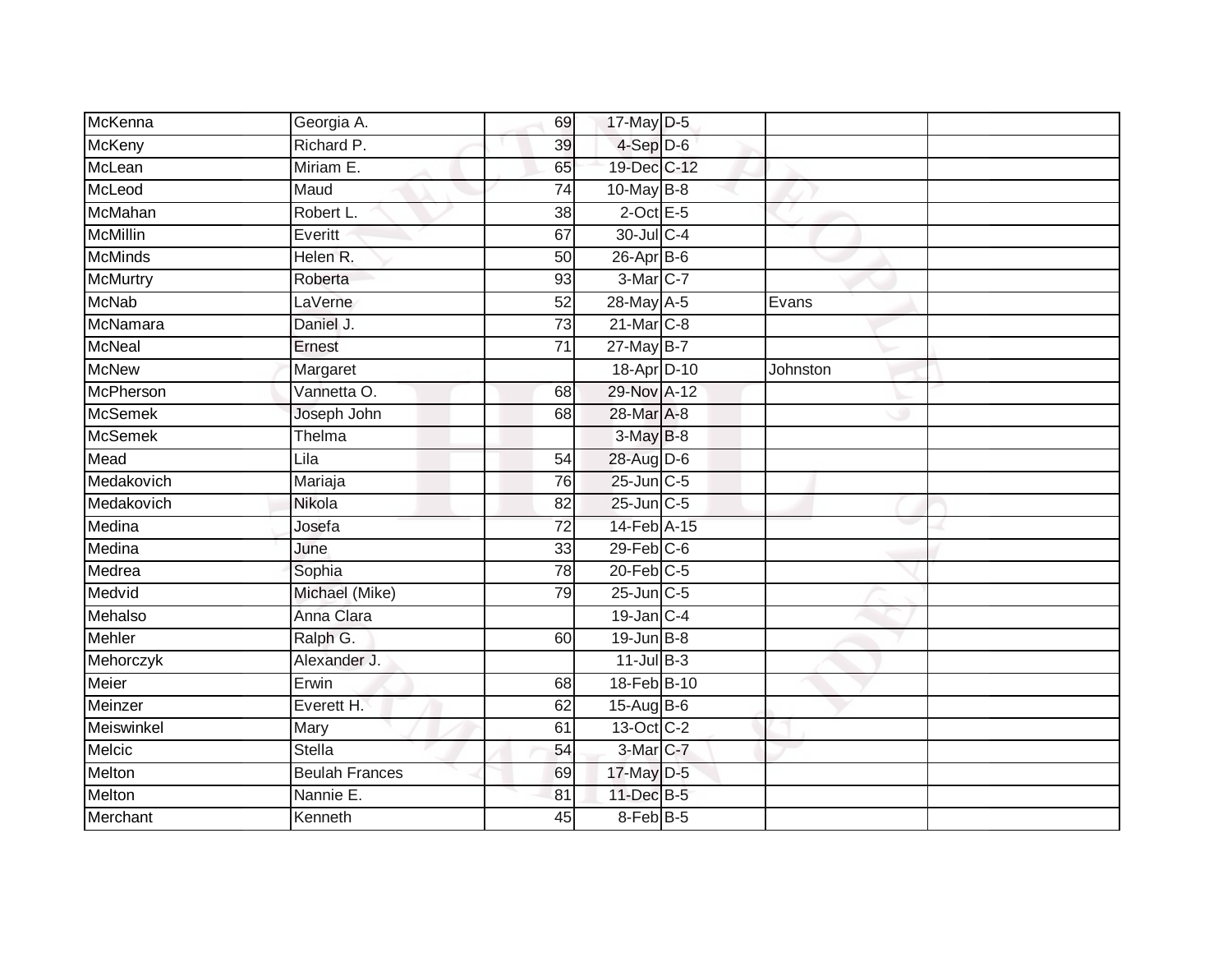| McKenna         | Georgia A.            | 69              | 17-May D-5        |          |
|-----------------|-----------------------|-----------------|-------------------|----------|
| McKeny          | Richard P.            | 39              | $4-Sep$ D-6       |          |
| McLean          | Miriam E.             | 65              | 19-Dec C-12       |          |
| McLeod          | Maud                  | 74              | 10-May B-8        |          |
| McMahan         | Robert L.             | $\overline{38}$ | $2$ -Oct E-5      |          |
| <b>McMillin</b> | Everitt               | 67              | 30-Jul C-4        |          |
| <b>McMinds</b>  | Helen R.              | $\overline{50}$ | $26$ -Apr $B$ -6  |          |
| <b>McMurtry</b> | Roberta               | 93              | 3-Mar C-7         |          |
| <b>McNab</b>    | LaVerne               | 52              | 28-May A-5        | Evans    |
| McNamara        | Daniel J.             | $\overline{73}$ | 21-Mar C-8        |          |
| <b>McNeal</b>   | Ernest                | 71              | 27-May B-7        |          |
| <b>McNew</b>    | Margaret              |                 | 18-Apr D-10       | Johnston |
| McPherson       | Vannetta O.           | 68              | 29-Nov A-12       |          |
| <b>McSemek</b>  | Joseph John           | 68              | 28-Mar A-8        |          |
| <b>McSemek</b>  | Thelma                |                 | 3-May B-8         |          |
| Mead            | Lila                  | 54              | 28-Aug D-6        |          |
| Medakovich      | Mariaja               | 76              | 25-Jun C-5        |          |
| Medakovich      | Nikola                | 82              | 25-Jun C-5        |          |
| Medina          | Josefa                | 72              | 14-Feb A-15       |          |
| Medina          | June                  | 33              | $29$ -Feb $C$ -6  |          |
| Medrea          | Sophia                | 78              | $20$ -Feb $C-5$   |          |
| Medvid          | Michael (Mike)        | 79              | $25$ -Jun $C$ -5  |          |
| Mehalso         | Anna Clara            |                 | 19-Jan C-4        |          |
| Mehler          | Ralph G.              | 60              | $19$ -Jun $B - 8$ |          |
| Mehorczyk       | Alexander J.          |                 | $11$ -Jul B-3     |          |
| Meier           | Erwin                 | 68              | 18-Feb B-10       |          |
| Meinzer         | Everett H.            | 62              | 15-Aug B-6        |          |
| Meiswinkel      | Mary                  | 61              | 13-Oct C-2        |          |
| Melcic          | <b>Stella</b>         | 54              | $3-Mar$ C-7       |          |
| Melton          | <b>Beulah Frances</b> | 69              | 17-May D-5        |          |
| Melton          | Nannie E.             | 81              | 11-Dec B-5        |          |
| Merchant        | Kenneth               | 45              | 8-Feb B-5         |          |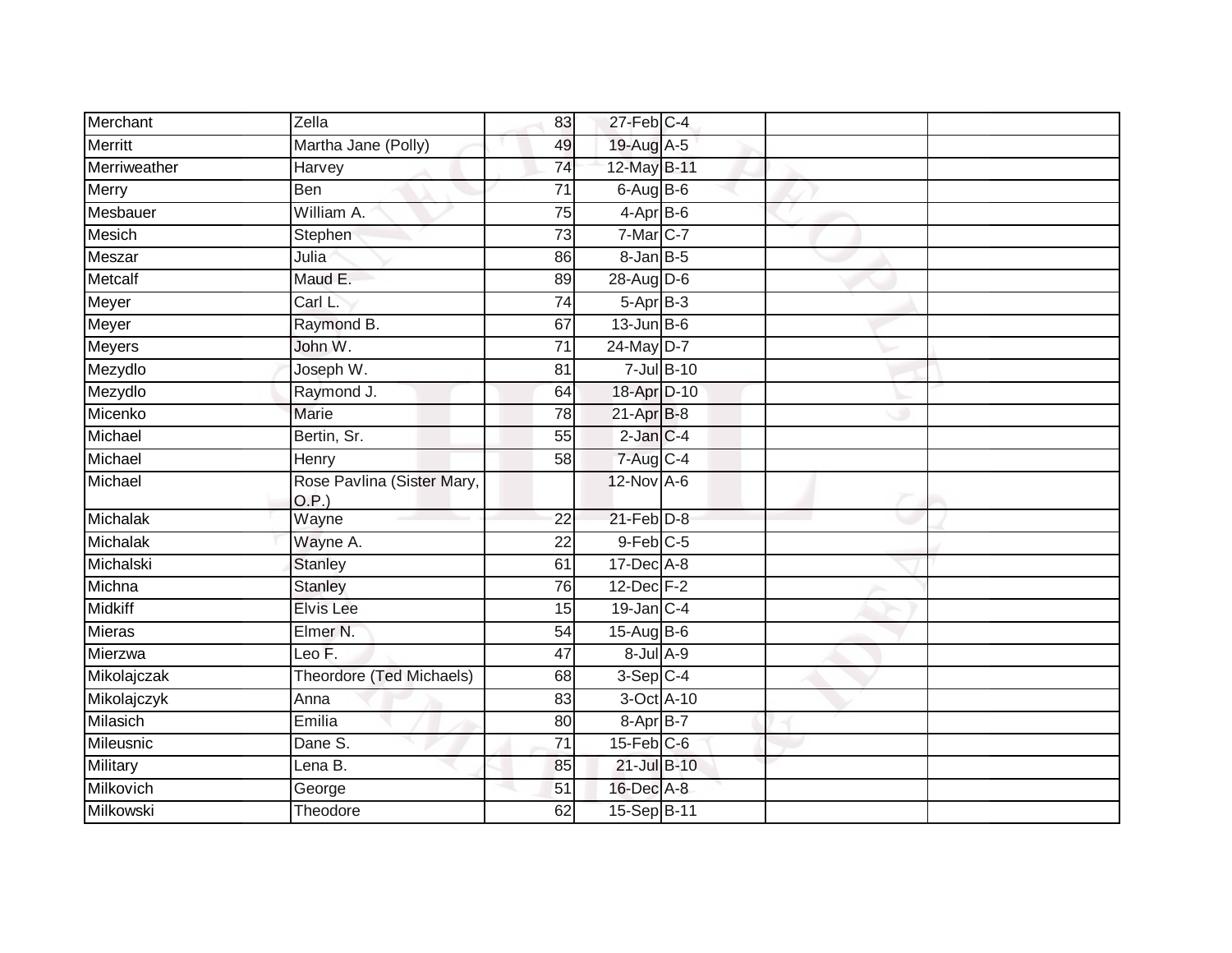| Merchant        | Zella                               | 83              | 27-Feb C-4        |                 |  |
|-----------------|-------------------------------------|-----------------|-------------------|-----------------|--|
| <b>Merritt</b>  | Martha Jane (Polly)                 | 49              | 19-Aug A-5        |                 |  |
| Merriweather    | Harvey                              | $\overline{74}$ | 12-May B-11       |                 |  |
| Merry           | Ben                                 | $\overline{71}$ | $6$ -Aug $B$ -6   |                 |  |
| Mesbauer        | William A.                          | $\overline{75}$ | $4-AprB-6$        |                 |  |
| Mesich          | Stephen                             | 73              | 7-Mar C-7         |                 |  |
| Meszar          | Julia                               | 86              | $8 - Jan$ $B - 5$ |                 |  |
| Metcalf         | Maud E.                             | 89              | 28-Aug D-6        |                 |  |
| Meyer           | Carl L.                             | $\overline{74}$ | $5-AprB-3$        |                 |  |
| Meyer           | Raymond B.                          | 67              | $13$ -Jun B-6     |                 |  |
| <b>Meyers</b>   | John W.                             | $\overline{71}$ | 24-May D-7        |                 |  |
| Mezydlo         | Joseph W.                           | 81              |                   | $7$ -Jul $B-10$ |  |
| Mezydlo         | Raymond J.                          | 64              | 18-Apr D-10       |                 |  |
| Micenko         | Marie                               | 78              | 21-Apr B-8        |                 |  |
| Michael         | Bertin, Sr.                         | $\overline{55}$ | 2-Jan C-4         |                 |  |
| Michael         | Henry                               | 58              | 7-Aug C-4         |                 |  |
| Michael         | Rose Pavlina (Sister Mary,<br>O.P.) |                 | 12-Nov A-6        |                 |  |
| Michalak        | Wayne                               | $\overline{22}$ | $21$ -Feb $D-8$   |                 |  |
| Michalak        | Wayne A.                            | 22              | $9$ -Feb $C$ -5   |                 |  |
| Michalski       | <b>Stanley</b>                      | 61              | $17 - Dec$ $A-8$  |                 |  |
| Michna          | <b>Stanley</b>                      | 76              | $12$ -Dec $F-2$   |                 |  |
| <b>Midkiff</b>  | <b>Elvis Lee</b>                    | 15              | $19$ -Jan C-4     |                 |  |
| <b>Mieras</b>   | Elmer N.                            | 54              | $15-Aug$ B-6      |                 |  |
| Mierzwa         | Leo F.                              | 47              | $8$ -Jul $A$ -9   |                 |  |
| Mikolajczak     | Theordore (Ted Michaels)            | 68              | $3-Sep C-4$       |                 |  |
| Mikolajczyk     | Anna                                | $\overline{83}$ | 3-Oct A-10        |                 |  |
| Milasich        | Emilia                              | 80              | 8-Apr B-7         |                 |  |
| Mileusnic       | Dane S.                             | 71              | $15$ -Feb $C$ -6  |                 |  |
| <b>Military</b> | Lena B.                             | 85              | 21-Jul B-10       |                 |  |
| Milkovich       | George                              | 51              | 16-Dec A-8        |                 |  |
| Milkowski       | Theodore                            | 62              | 15-Sep B-11       |                 |  |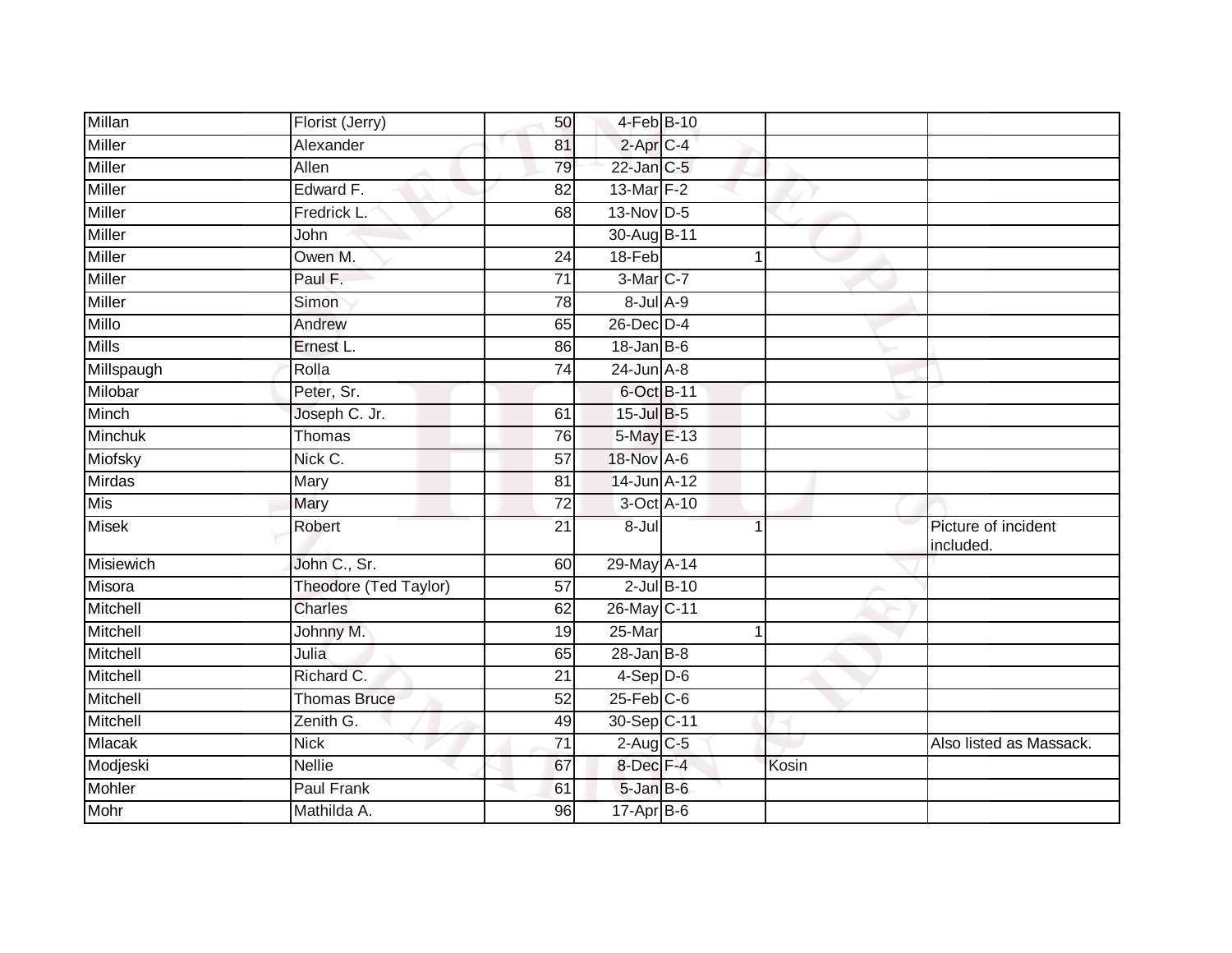| Millan           | Florist (Jerry)       | 50              | 4-Feb B-10       |                 |                |                                  |
|------------------|-----------------------|-----------------|------------------|-----------------|----------------|----------------------------------|
| Miller           | Alexander             | 81              | $2$ -Apr $C$ -4  |                 |                |                                  |
| Miller           | Allen                 | 79              | $22$ -Jan $C-5$  |                 |                |                                  |
| Miller           | Edward F.             | 82              | 13-Mar F-2       |                 |                |                                  |
| Miller           | Fredrick L.           | 68              | $13-Nov$ D-5     |                 |                |                                  |
| Miller           | John                  |                 | 30-Aug B-11      |                 |                |                                  |
| Miller           | Owen M.               | 24              | 18-Feb           |                 | 1              |                                  |
| Miller           | Paul F.               | $\overline{71}$ | 3-Mar C-7        |                 |                |                                  |
| Miller           | Simon                 | 78              | 8-Jul A-9        |                 |                |                                  |
| Millo            | Andrew                | 65              | 26-Dec D-4       |                 |                |                                  |
| <b>Mills</b>     | Ernest L.             | 86              | $18$ -Jan B-6    |                 |                |                                  |
| Millspaugh       | Rolla                 | 74              | $24$ -Jun $A-8$  |                 |                |                                  |
| Milobar          | Peter, Sr.            |                 | 6-Oct B-11       |                 |                |                                  |
| <b>Minch</b>     | Joseph C. Jr.         | 61              | 15-Jul B-5       |                 |                |                                  |
| Minchuk          | Thomas                | $\overline{76}$ | 5-May E-13       |                 |                |                                  |
| Miofsky          | Nick C.               | 57              | 18-Nov A-6       |                 |                |                                  |
| Mirdas           | Mary                  | 81              | 14-Jun A-12      |                 |                |                                  |
| Mis              | Mary                  | 72              | 3-Oct A-10       |                 |                |                                  |
| <b>Misek</b>     | Robert                | $\overline{21}$ | 8-Jul            |                 | 1              | Picture of incident<br>included. |
| <b>Misiewich</b> | John C., Sr.          | 60              | 29-May A-14      |                 |                |                                  |
| Misora           | Theodore (Ted Taylor) | 57              |                  | $2$ -Jul $B-10$ |                |                                  |
| Mitchell         | Charles               | 62              | 26-May C-11      |                 |                |                                  |
| Mitchell         | Johnny M.             | 19              | 25-Mar           |                 | $\overline{1}$ |                                  |
| Mitchell         | Julia                 | 65              | $28 - Jan$ $B-8$ |                 |                |                                  |
| Mitchell         | Richard C.            | $\overline{21}$ | $4-Sep$ D-6      |                 |                |                                  |
| Mitchell         | <b>Thomas Bruce</b>   | 52              | $25$ -Feb $C$ -6 |                 |                |                                  |
| Mitchell         | Zenith G.             | 49              | 30-Sep C-11      |                 |                |                                  |
| Mlacak           | <b>Nick</b>           | $\overline{71}$ | $2$ -Aug $C$ -5  |                 |                | Also listed as Massack.          |
| Modjeski         | <b>Nellie</b>         | 67              | 8-Dec F-4        |                 | Kosin          |                                  |
| Mohler           | Paul Frank            | 61              | 5-Jan B-6        |                 |                |                                  |
| Mohr             | Mathilda A.           | 96              | $17$ -Apr $B$ -6 |                 |                |                                  |
|                  |                       |                 |                  |                 |                |                                  |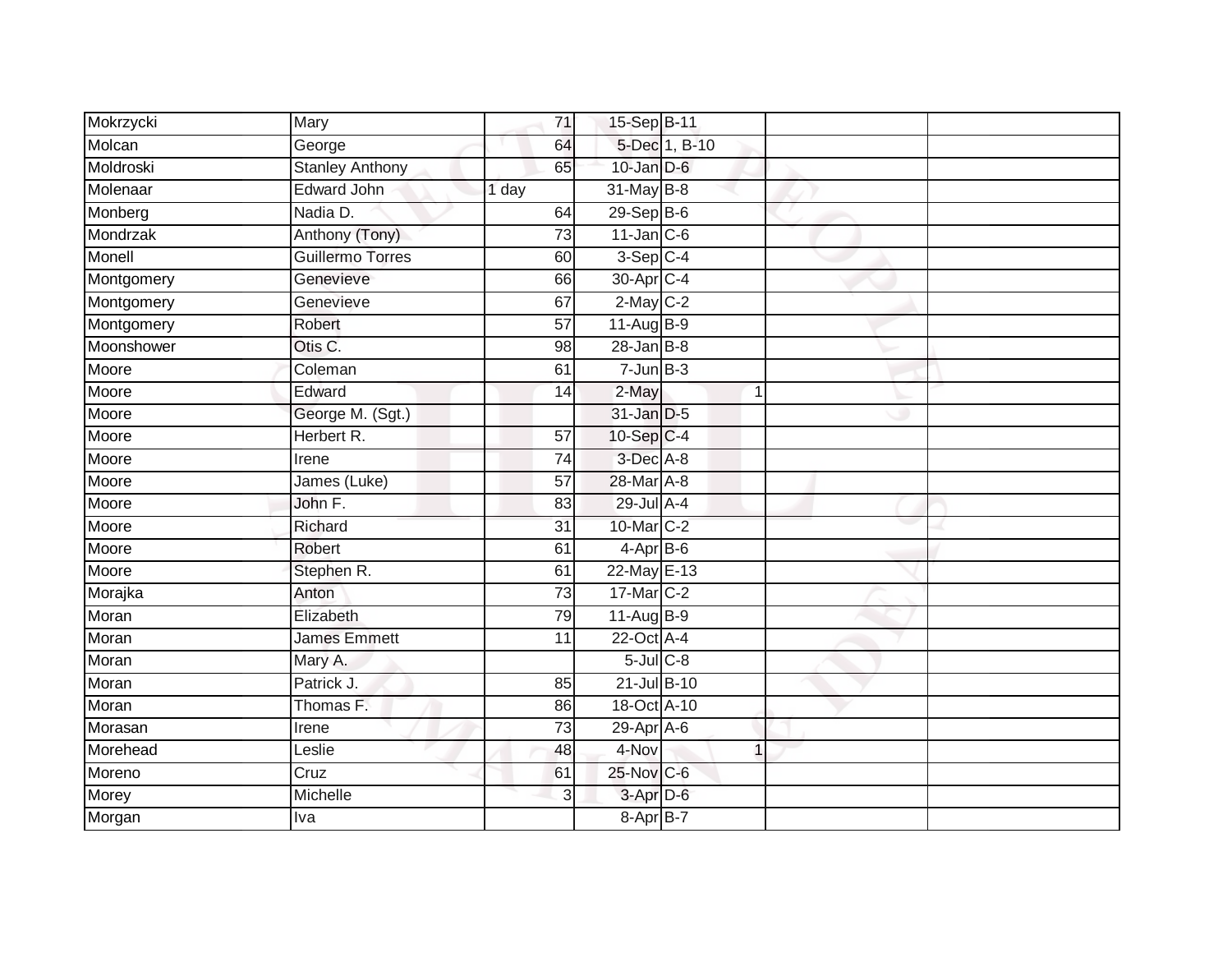| Mokrzycki  | Mary                   | 71              | 15-Sep B-11           |               |  |
|------------|------------------------|-----------------|-----------------------|---------------|--|
| Molcan     | George                 | 64              |                       | 5-Dec 1, B-10 |  |
| Moldroski  | <b>Stanley Anthony</b> | 65              | $10$ -Jan $D-6$       |               |  |
| Molenaar   | <b>Edward John</b>     | 1 day           | 31-May B-8            |               |  |
| Monberg    | Nadia D.               | 64              | $29-Sep$ B-6          |               |  |
| Mondrzak   | Anthony (Tony)         | $\overline{73}$ | $11$ -Jan C-6         |               |  |
| Monell     | Guillermo Torres       | 60              | $3-Sep$ C-4           |               |  |
| Montgomery | Genevieve              | 66              | 30-Apr <sub>C-4</sub> |               |  |
| Montgomery | Genevieve              | 67              | $2-May$ $C-2$         |               |  |
| Montgomery | Robert                 | 57              | 11-Aug B-9            |               |  |
| Moonshower | Otis C.                | 98              | $28 - Jan$ $B-8$      |               |  |
| Moore      | Coleman                | 61              | $7 - Jun$ B-3         |               |  |
| Moore      | Edward                 | 14              | 2-May                 | 1             |  |
| Moore      | George M. (Sgt.)       |                 | 31-Jan D-5            |               |  |
| Moore      | Herbert R.             | 57              | 10-Sep C-4            |               |  |
| Moore      | Irene                  | 74              | $3$ -Dec $A$ -8       |               |  |
| Moore      | James (Luke)           | 57              | 28-Mar A-8            |               |  |
| Moore      | John F.                | 83              | 29-Jul A-4            |               |  |
| Moore      | Richard                | 31              | 10-Mar C-2            |               |  |
| Moore      | Robert                 | 61              | $4-AprB-6$            |               |  |
| Moore      | Stephen R.             | 61              | 22-May E-13           |               |  |
| Morajka    | Anton                  | $\overline{73}$ | 17-Mar C-2            |               |  |
| Moran      | Elizabeth              | 79              | 11-Aug B-9            |               |  |
| Moran      | <b>James Emmett</b>    | 11              | 22-Oct A-4            |               |  |
| Moran      | Mary A.                |                 | $5$ -Jul $C$ -8       |               |  |
| Moran      | Patrick J.             | 85              | 21-Jul B-10           |               |  |
| Moran      | Thomas F.              | 86              | 18-Oct A-10           |               |  |
| Morasan    | Irene                  | 73              | 29-Apr A-6            |               |  |
| Morehead   | Leslie                 | 48              | 4-Nov                 | 1             |  |
| Moreno     | Cruz                   | 61              | 25-Nov C-6            |               |  |
| Morey      | Michelle               | 3               | 3-Apr D-6             |               |  |
| Morgan     | Iva                    |                 | 8-Apr B-7             |               |  |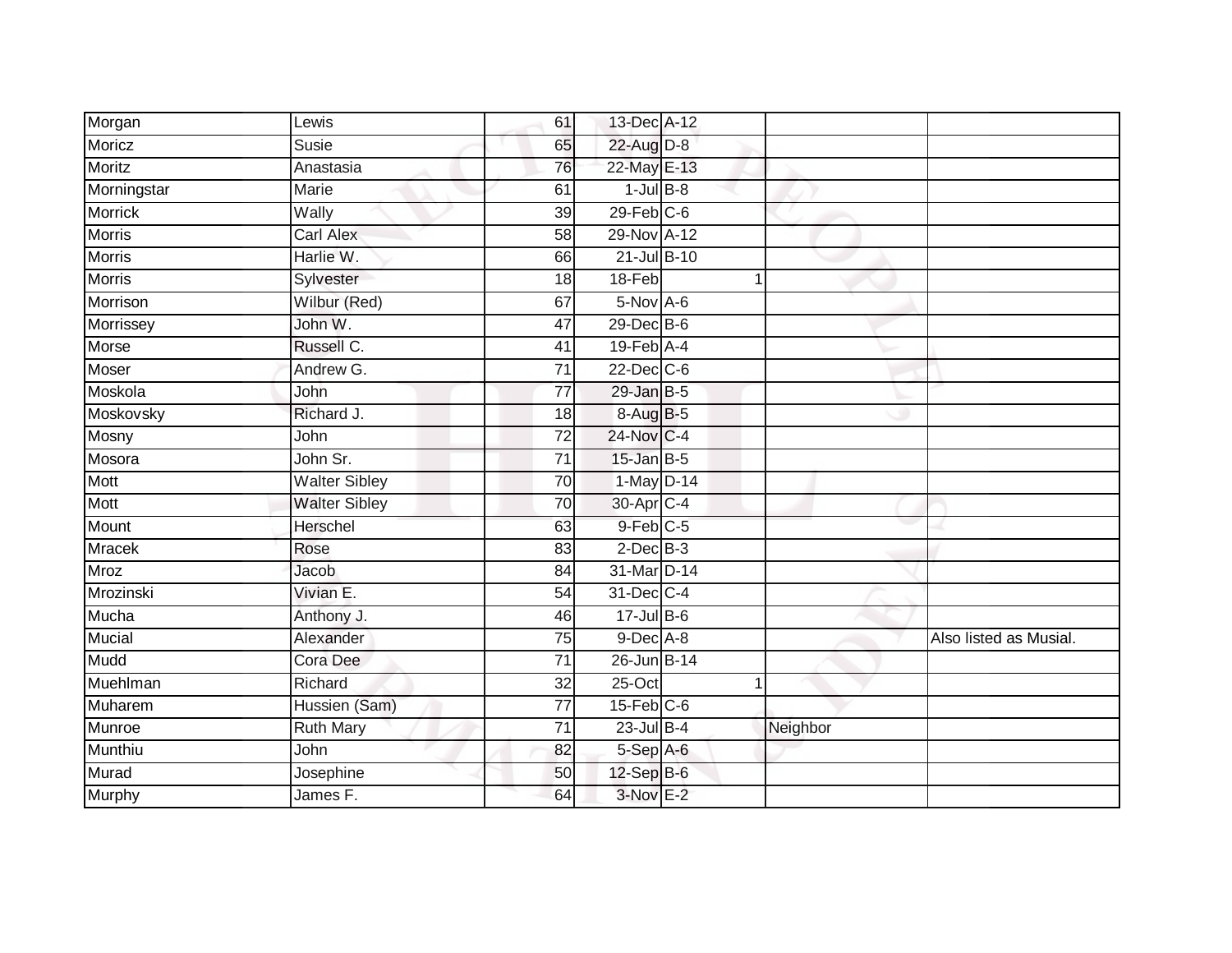| Morgan         | Lewis                | 61              | 13-Dec A-12      |             |          |                        |
|----------------|----------------------|-----------------|------------------|-------------|----------|------------------------|
| Moricz         | <b>Susie</b>         | 65              | 22-Aug D-8       |             |          |                        |
| <b>Moritz</b>  | Anastasia            | 76              | 22-May E-13      |             |          |                        |
| Morningstar    | Marie                | 61              | $1$ -Jul $B-8$   |             |          |                        |
| <b>Morrick</b> | Wally                | $\overline{39}$ | $29$ -Feb $C-6$  |             |          |                        |
| <b>Morris</b>  | <b>Carl Alex</b>     | 58              | 29-Nov A-12      |             |          |                        |
| <b>Morris</b>  | Harlie W.            | 66              | 21-Jul B-10      |             |          |                        |
| <b>Morris</b>  | Sylvester            | 18              | 18-Feb           | $\mathbf 1$ |          |                        |
| Morrison       | Wilbur (Red)         | 67              | 5-Nov A-6        |             |          |                        |
| Morrissey      | John W.              | 47              | 29-Dec B-6       |             |          |                        |
| Morse          | Russell C.           | 41              | 19-Feb A-4       |             |          |                        |
| Moser          | Andrew G.            | $\overline{71}$ | 22-Dec C-6       |             |          |                        |
| Moskola        | John                 | $\overline{77}$ | $29$ -Jan B-5    |             |          |                        |
| Moskovsky      | Richard J.           | 18              | 8-Aug B-5        |             |          |                        |
| Mosny          | John                 | 72              | 24-Nov C-4       |             |          |                        |
| Mosora         | John Sr.             | 71              | $15$ -Jan B-5    |             |          |                        |
| Mott           | <b>Walter Sibley</b> | $\overline{70}$ | $1-May$ D-14     |             |          |                        |
| Mott           | <b>Walter Sibley</b> | 70              | 30-Apr C-4       |             |          |                        |
| Mount          | Herschel             | 63              | 9-Feb C-5        |             |          |                        |
| <b>Mracek</b>  | Rose                 | 83              | $2$ -Dec $B-3$   |             |          |                        |
| <b>Mroz</b>    | Jacob                | 84              | 31-Mar D-14      |             |          |                        |
| Mrozinski      | Vivian E.            | $\overline{54}$ | 31-Dec C-4       |             |          |                        |
| Mucha          | Anthony J.           | 46              | $17 -$ Jul B-6   |             |          |                        |
| Mucial         | Alexander            | 75              | $9$ -Dec $A$ -8  |             |          | Also listed as Musial. |
| Mudd           | Cora Dee             | $\overline{71}$ | 26-Jun B-14      |             |          |                        |
| Muehlman       | Richard              | 32              | $25$ -Oct        |             |          |                        |
| Muharem        | Hussien (Sam)        | $\overline{77}$ | $15$ -Feb $C$ -6 |             |          |                        |
| Munroe         | <b>Ruth Mary</b>     | 71              | $23$ -Jul B-4    |             | Neighbor |                        |
| Munthiu        | John                 | 82              | 5-Sep A-6        |             |          |                        |
| Murad          | Josephine            | 50              | $12$ -Sep $B$ -6 |             |          |                        |
| <b>Murphy</b>  | James F.             | 64              | 3-Nov E-2        |             |          |                        |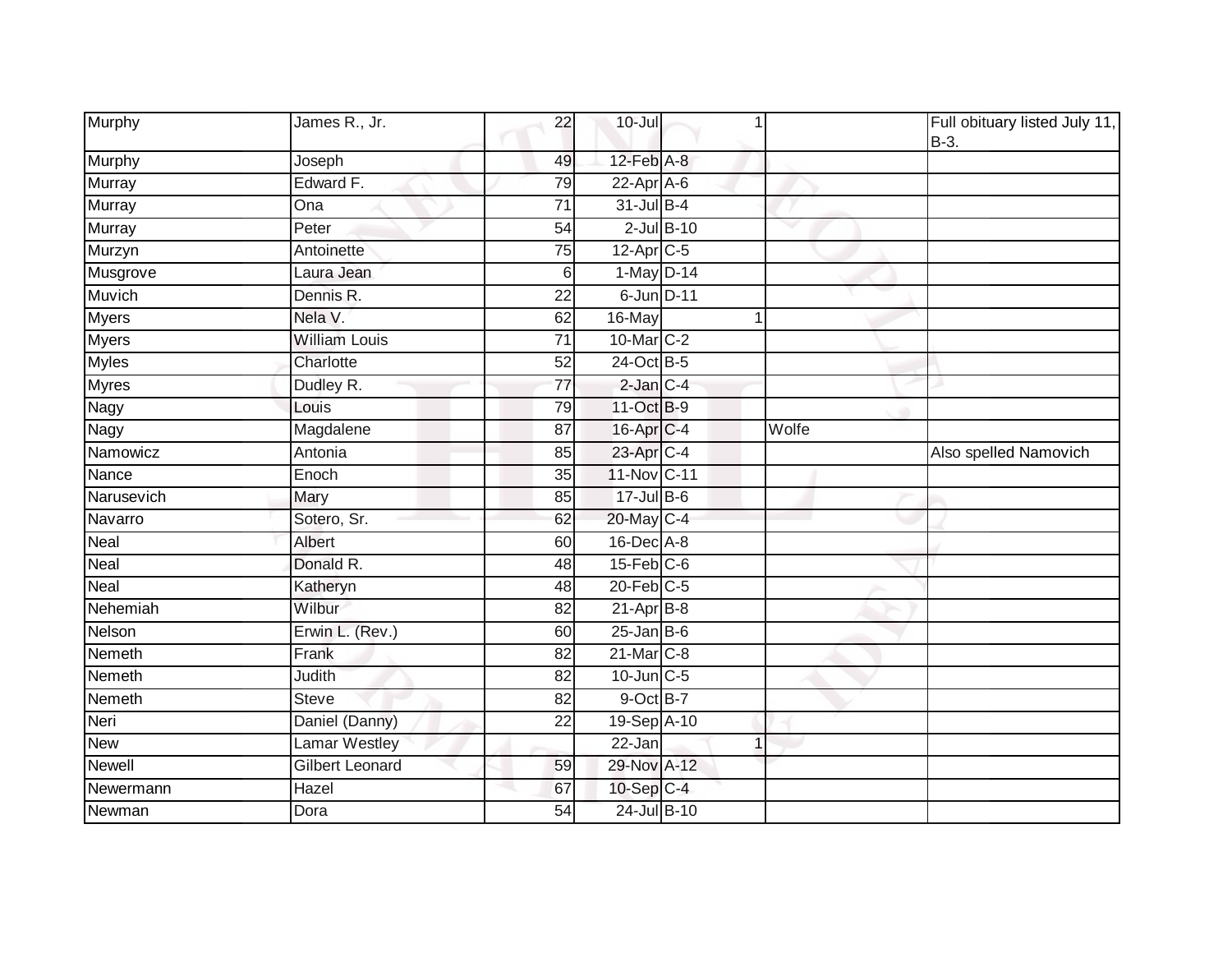| Murphy            | James R., Jr.          | 22              | $10 -$ Jul        | 1     | Full obituary listed July 11,<br>$B-3$ . |
|-------------------|------------------------|-----------------|-------------------|-------|------------------------------------------|
| Murphy            | Joseph                 | 49              | 12-Feb A-8        |       |                                          |
| <b>Murray</b>     | Edward F.              | 79              | $22-Apr$ A-6      |       |                                          |
| Murray            | Ona                    | $\overline{71}$ | 31-Jul B-4        |       |                                          |
| Murray            | Peter                  | 54              | $2$ -Jul $B-10$   |       |                                          |
| Murzyn            | Antoinette             | 75              | 12-Apr C-5        |       |                                          |
| Musgrove          | Laura Jean             | 6               | $1-May$ D-14      |       |                                          |
| Muvich            | Dennis R.              | $\overline{22}$ | 6-Jun D-11        |       |                                          |
| Myers             | Nela V.                | 62              | 16-May            | 1     |                                          |
| <b>Myers</b>      | <b>William Louis</b>   | 71              | 10-Mar C-2        |       |                                          |
| <b>Myles</b>      | Charlotte              | 52              | 24-Oct B-5        |       |                                          |
| <b>Myres</b>      | Dudley R.              | $\overline{77}$ | $2$ -Jan $C-4$    |       |                                          |
| Nagy              | Louis                  | 79              | 11-Oct B-9        |       |                                          |
| Nagy              | Magdalene              | 87              | 16-Apr C-4        | Wolfe |                                          |
| Namowicz          | Antonia                | 85              | 23-Apr C-4        |       | Also spelled Namovich                    |
| Nance             | Enoch                  | 35              | 11-Nov C-11       |       |                                          |
| Narusevich        | Mary                   | 85              | 17-Jul B-6        |       |                                          |
| Navarro           | Sotero, Sr.            | 62              | 20-May C-4        |       |                                          |
| Neal              | Albert                 | 60              | 16-Dec A-8        |       |                                          |
| Neal              | Donald R.              | 48              | $15$ -Feb $C$ -6  |       |                                          |
| $Nea\overline{I}$ | Katheryn               | 48              | 20-Feb C-5        |       |                                          |
| Nehemiah          | Wilbur                 | 82              | $21-Apr$ B-8      |       |                                          |
| Nelson            | Erwin L. (Rev.)        | 60              | $25$ -Jan B-6     |       |                                          |
| Nemeth            | Frank                  | 82              | 21-Mar C-8        |       |                                          |
| Nemeth            | <b>Judith</b>          | $\overline{82}$ | $10$ -Jun $C - 5$ |       |                                          |
| Nemeth            | <b>Steve</b>           | 82              | 9-Oct B-7         |       |                                          |
| Neri              | Daniel (Danny)         | 22              | 19-Sep A-10       |       |                                          |
| New               | Lamar Westley          |                 | 22-Jan            | 1     |                                          |
| <b>Newell</b>     | <b>Gilbert Leonard</b> | 59              | 29-Nov A-12       |       |                                          |
| Newermann         | Hazel                  | 67              | 10-Sep C-4        |       |                                          |
| Newman            | Dora                   | 54              | 24-Jul B-10       |       |                                          |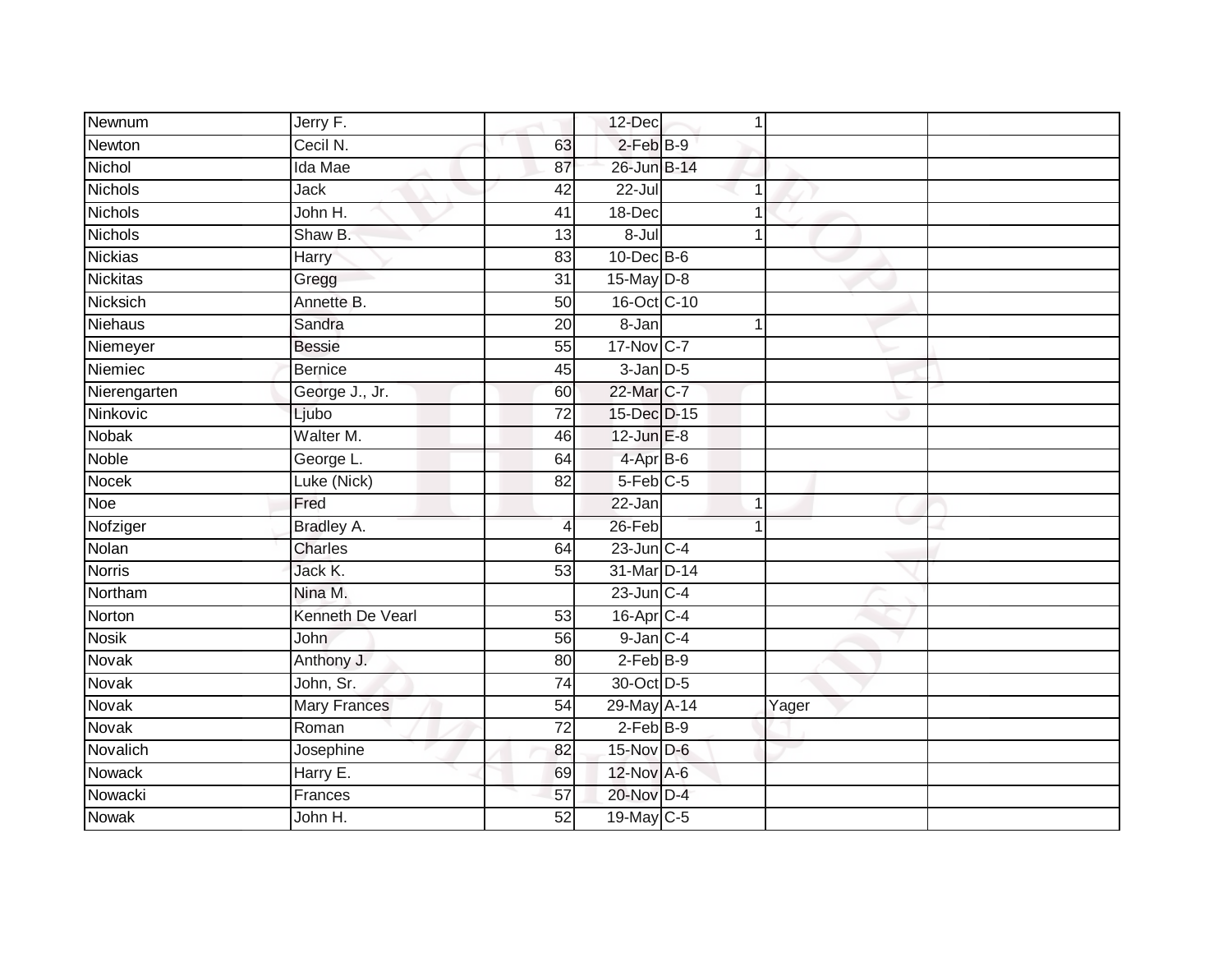| Newnum          | Jerry F.            |                 | 12-Dec           |       |  |
|-----------------|---------------------|-----------------|------------------|-------|--|
| Newton          | Cecil N.            | 63              | $2$ -Feb $B-9$   |       |  |
| Nichol          | Ida Mae             | 87              | 26-Jun B-14      |       |  |
| Nichols         | Jack                | 42              | 22-Jul           |       |  |
| <b>Nichols</b>  | John H.             | 41              | 18-Dec           |       |  |
| <b>Nichols</b>  | Shaw B.             | 13              | $8 -$ Jul        |       |  |
| <b>Nickias</b>  | Harry               | 83              | $10$ -Dec $B$ -6 |       |  |
| <b>Nickitas</b> | Gregg               | $\overline{31}$ | $15$ -May $D-8$  |       |  |
| Nicksich        | Annette B.          | 50              | 16-Oct C-10      |       |  |
| Niehaus         | Sandra              | $\overline{20}$ | 8-Jan            |       |  |
| Niemeyer        | <b>Bessie</b>       | 55              | 17-Nov C-7       |       |  |
| Niemiec         | <b>Bernice</b>      | 45              | $3$ -Jan $D-5$   |       |  |
| Nierengarten    | George J., Jr.      | 60              | 22-Mar C-7       |       |  |
| Ninkovic        | Ljubo               | $\overline{72}$ | 15-Dec D-15      |       |  |
| <b>Nobak</b>    | Walter M.           | 46              | $12$ -Jun $E-8$  |       |  |
| Noble           | George L.           | 64              | $4-AprB-6$       |       |  |
| Nocek           | Luke (Nick)         | 82              | $5$ -Feb $C$ -5  |       |  |
| Noe             | Fred                |                 | 22-Jan           |       |  |
| Nofziger        | Bradley A.          | $\overline{4}$  | 26-Feb           |       |  |
| Nolan           | <b>Charles</b>      | 64              | 23-Jun C-4       |       |  |
| <b>Norris</b>   | Jack K.             | 53              | 31-Mar D-14      |       |  |
| Northam         | Nina M.             |                 | $23$ -Jun $C-4$  |       |  |
| Norton          | Kenneth De Vearl    | 53              | $16$ -Apr $C$ -4 |       |  |
| <b>Nosik</b>    | <b>John</b>         | 56              | $9$ -Jan $C-4$   |       |  |
| Novak           | Anthony J.          | 80              | $2-Feb$ B-9      |       |  |
| Novak           | John, Sr.           | 74              | 30-Oct D-5       |       |  |
| Novak           | <b>Mary Frances</b> | 54              | 29-May A-14      | Yager |  |
| <b>Novak</b>    | Roman               | 72              | $2-FebB-9$       |       |  |
| Novalich        | Josephine           | 82              | 15-Nov D-6       |       |  |
| Nowack          | Harry E.            | 69              | 12-Nov A-6       |       |  |
| Nowacki         | Frances             | 57              | 20-Nov D-4       |       |  |
| <b>Nowak</b>    | John H.             | 52              | 19-May C-5       |       |  |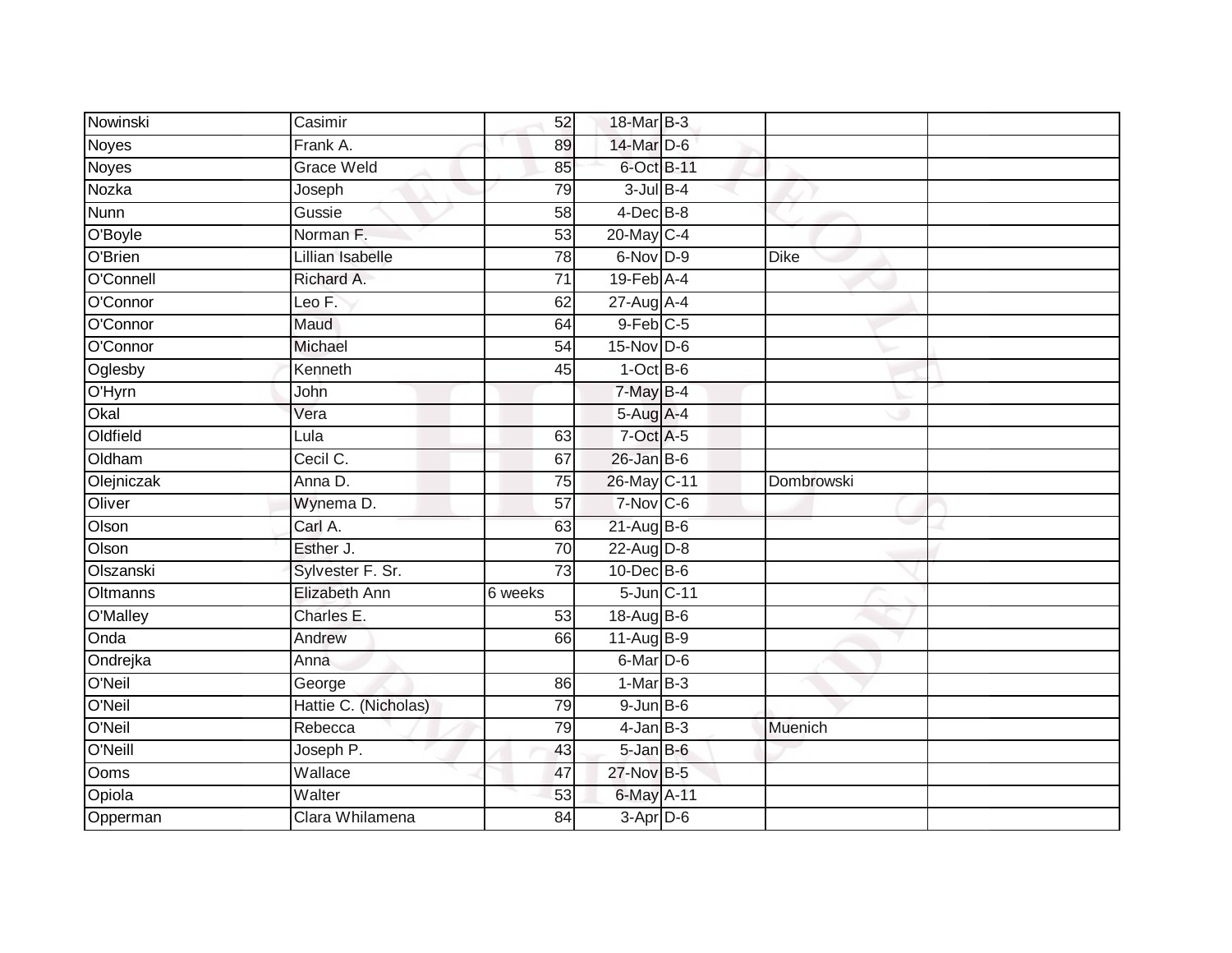| Nowinski     | Casimir              | 52              | 18-Mar B-3             |             |  |
|--------------|----------------------|-----------------|------------------------|-------------|--|
| <b>Noyes</b> | Frank A.             | 89              | 14-Mar D-6             |             |  |
| <b>Noyes</b> | <b>Grace Weld</b>    | 85              | 6-Oct B-11             |             |  |
| Nozka        | Joseph               | 79              | $3$ -Jul $B-4$         |             |  |
| <b>Nunn</b>  | Gussie               | $\overline{58}$ | $4$ -Dec $B$ -8        |             |  |
| O'Boyle      | Norman F.            | 53              | 20-May C-4             |             |  |
| O'Brien      | Lillian Isabelle     | $\overline{78}$ | 6-Nov D-9              | <b>Dike</b> |  |
| O'Connell    | Richard A.           | 71              | $19$ -Feb $A$ -4       |             |  |
| O'Connor     | Leo F.               | 62              | 27-Aug A-4             |             |  |
| O'Connor     | Maud                 | 64              | $9$ -Feb $C$ -5        |             |  |
| O'Connor     | Michael              | 54              | 15-Nov D-6             |             |  |
| Oglesby      | Kenneth              | 45              | $1-Oct$ B-6            |             |  |
| O'Hyrn       | John                 |                 | $7-May$ <sub>B-4</sub> |             |  |
| Okal         | Vera                 |                 | $5-Aug$ A-4            |             |  |
| Oldfield     | Lula                 | 63              | 7-Oct A-5              |             |  |
| Oldham       | Cecil C.             | 67              | $26$ -Jan B-6          |             |  |
| Olejniczak   | Anna D.              | 75              | 26-May C-11            | Dombrowski  |  |
| Oliver       | Wynema D.            | 57              | $7-Nov$ C-6            |             |  |
| Olson        | Carl A.              | 63              | $21$ -Aug $B$ -6       |             |  |
| Olson        | Esther J.            | $\overline{70}$ | $22$ -Aug D-8          |             |  |
| Olszanski    | Sylvester F. Sr.     | $\overline{73}$ | $10$ -Dec $B$ -6       |             |  |
| Oltmanns     | Elizabeth Ann        | 6 weeks         | 5-Jun C-11             |             |  |
| O'Malley     | Charles E.           | 53              | $18-Aug$ B-6           |             |  |
| <b>Onda</b>  | Andrew               | 66              | $11-Aug$ B-9           |             |  |
| Ondrejka     | Anna                 |                 | $6$ -Mar $D$ -6        |             |  |
| O'Neil       | George               | 86              | $1-MarB-3$             |             |  |
| O'Neil       | Hattie C. (Nicholas) | 79              | $9$ -Jun $B$ -6        |             |  |
| O'Neil       | Rebecca              | 79              | $4$ -Jan $B-3$         | Muenich     |  |
| O'Neill      | Joseph P.            | 43              | $5 - Jan$ $B - 6$      |             |  |
| Ooms         | Wallace              | 47              | 27-Nov B-5             |             |  |
| Opiola       | Walter               | 53              | 6-May A-11             |             |  |
| Opperman     | Clara Whilamena      | 84              | $3-Apr$ D-6            |             |  |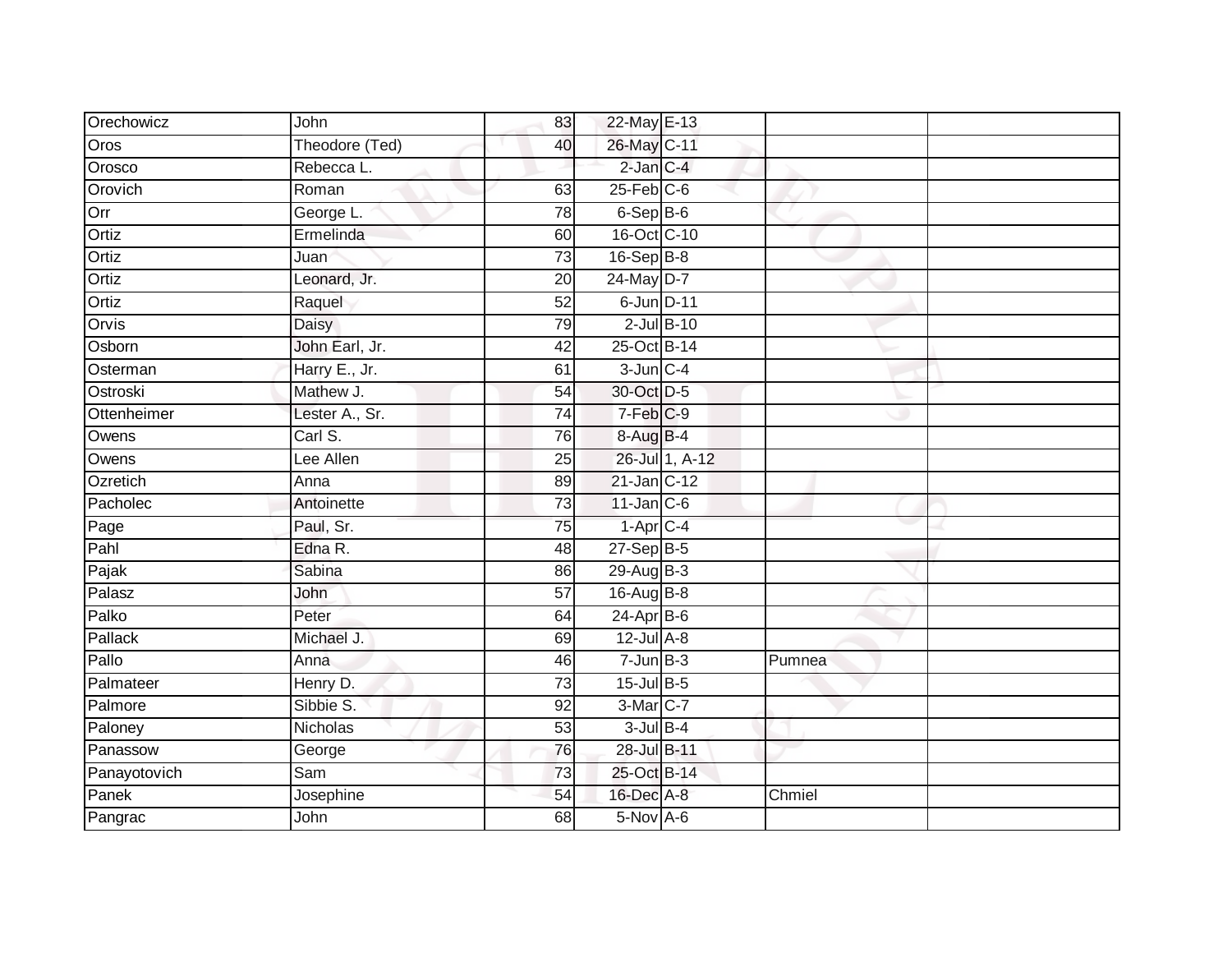| Orechowicz   | John           | 83              | 22-May E-13      |                 |        |  |
|--------------|----------------|-----------------|------------------|-----------------|--------|--|
| Oros         | Theodore (Ted) | 40              | 26-May C-11      |                 |        |  |
| Orosco       | Rebecca L.     |                 | 2-Jan C-4        |                 |        |  |
| Orovich      | Roman          | 63              | $25$ -Feb $C$ -6 |                 |        |  |
| Orr          | George L.      | 78              | $6-$ Sep $B-6$   |                 |        |  |
| Ortiz        | Ermelinda      | 60              | 16-Oct C-10      |                 |        |  |
| Ortiz        | Juan           | $\overline{73}$ | $16-SepB-8$      |                 |        |  |
| Ortiz        | Leonard, Jr.   | 20              | 24-May D-7       |                 |        |  |
| Ortiz        | Raquel         | $\overline{52}$ | 6-Jun D-11       |                 |        |  |
| Orvis        | <b>Daisy</b>   | 79              |                  | $2$ -Jul $B-10$ |        |  |
| Osborn       | John Earl, Jr. | 42              | 25-Oct B-14      |                 |        |  |
| Osterman     | Harry E., Jr.  | 61              | $3$ -Jun $C-4$   |                 |        |  |
| Ostroski     | Mathew J.      | 54              | 30-Oct D-5       |                 |        |  |
| Ottenheimer  | Lester A., Sr. | $\overline{74}$ | 7-Feb C-9        |                 |        |  |
| Owens        | Carl S.        | 76              | 8-Aug B-4        |                 |        |  |
| Owens        | Lee Allen      | 25              |                  | 26-Jul 1, A-12  |        |  |
| Ozretich     | Anna           | 89              | 21-Jan C-12      |                 |        |  |
| Pacholec     | Antoinette     | 73              | $11$ -Jan C-6    |                 |        |  |
| Page         | Paul, Sr.      | 75              | $1-AprC-4$       |                 |        |  |
| Pahl         | Edna R.        | 48              | $27-SepB-5$      |                 |        |  |
| Pajak        | Sabina         | 86              | 29-Aug B-3       |                 |        |  |
| Palasz       | John           | $\overline{57}$ | 16-Aug B-8       |                 |        |  |
| Palko        | Peter          | 64              | 24-Apr B-6       |                 |        |  |
| Pallack      | Michael J.     | 69              | $12$ -Jul $A-8$  |                 |        |  |
| Pallo        | Anna           | 46              | $7 - Jun$ B-3    |                 | Pumnea |  |
| Palmateer    | Henry D.       | $\overline{73}$ | 15-Jul B-5       |                 |        |  |
| Palmore      | Sibbie S.      | $\overline{92}$ | 3-Mar C-7        |                 |        |  |
| Paloney      | Nicholas       | 53              | $3$ -Jul $B-4$   |                 |        |  |
| Panassow     | George         | 76              | 28-Jul B-11      |                 |        |  |
| Panayotovich | Sam            | 73              | 25-Oct B-14      |                 |        |  |
| Panek        | Josephine      | 54              | 16-Dec A-8       |                 | Chmiel |  |
| Pangrac      | John           | 68              | $5-Nov$ A-6      |                 |        |  |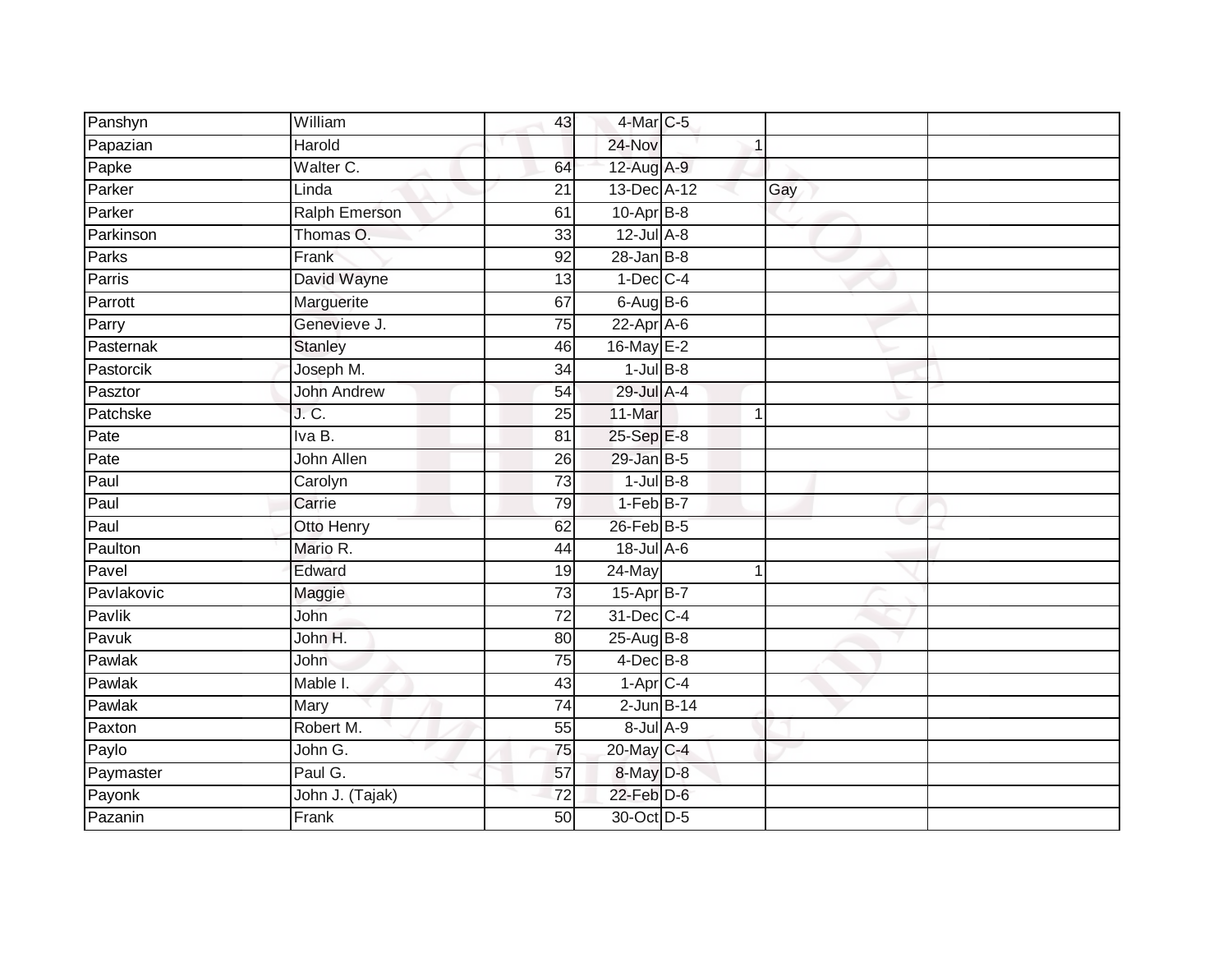| Panshyn            | William              | 43              | 4-Mar C-5        |   |     |  |
|--------------------|----------------------|-----------------|------------------|---|-----|--|
| Papazian           | Harold               |                 | 24-Nov           |   |     |  |
| Papke              | Walter C.            | 64              | 12-Aug A-9       |   |     |  |
| Parker             | Linda                | 21              | 13-Dec A-12      |   | Gay |  |
| Parker             | <b>Ralph Emerson</b> | 61              | $10$ -Apr $B$ -8 |   |     |  |
| Parkinson          | Thomas O.            | 33              | $12$ -Jul $A-8$  |   |     |  |
| Parks              | Frank                | 92              | $28 - Jan$ $B-8$ |   |     |  |
| Parris             | David Wayne          | 13              | $1-Dec$ $C-4$    |   |     |  |
| Parrott            | Marguerite           | 67              | $6-AugB-6$       |   |     |  |
| Parry              | Genevieve J.         | 75              | 22-Apr A-6       |   |     |  |
| Pasternak          | <b>Stanley</b>       | 46              | 16-May E-2       |   |     |  |
| Pastorcik          | Joseph M.            | 34              | $1$ -Jul B-8     |   |     |  |
| Pasztor            | <b>John Andrew</b>   | 54              | 29-Jul A-4       |   |     |  |
| Patchske           | J. C.                | 25              | 11-Mar           | 1 |     |  |
| Pate               | Iva B.               | 81              | 25-Sep E-8       |   |     |  |
| $\overline{P}$ ate | John Allen           | 26              | $29$ -Jan $B-5$  |   |     |  |
| Paul               | Carolyn              | $\overline{73}$ | $1$ -Jul $B-8$   |   |     |  |
| Paul               | Carrie               | 79              | $1-FebB-7$       |   |     |  |
| Paul               | Otto Henry           | 62              | 26-Feb B-5       |   |     |  |
| Paulton            | Mario R.             | 44              | 18-Jul A-6       |   |     |  |
| Pavel              | Edward               | 19              | $24$ -May        | 1 |     |  |
| Pavlakovic         | Maggie               | 73              | 15-Apr B-7       |   |     |  |
| Pavlik             | John                 | 72              | 31-Dec C-4       |   |     |  |
| Pavuk              | John H.              | 80              | $25$ -Aug $B$ -8 |   |     |  |
| Pawlak             | John                 | 75              | $4$ -Dec $B$ -8  |   |     |  |
| Pawlak             | Mable I.             | 43              | $1-AprC-4$       |   |     |  |
| Pawlak             | Mary                 | $\overline{74}$ | $2$ -Jun $B-14$  |   |     |  |
| Paxton             | Robert M.            | 55              | $8$ -Jul $A-9$   |   |     |  |
| Paylo              | John G.              | 75              | 20-May C-4       |   |     |  |
| Paymaster          | Paul G.              | 57              | 8-May D-8        |   |     |  |
| Payonk             | John J. (Tajak)      | $\overline{72}$ | $22$ -Feb $D-6$  |   |     |  |
| Pazanin            | Frank                | $\overline{50}$ | 30-Oct D-5       |   |     |  |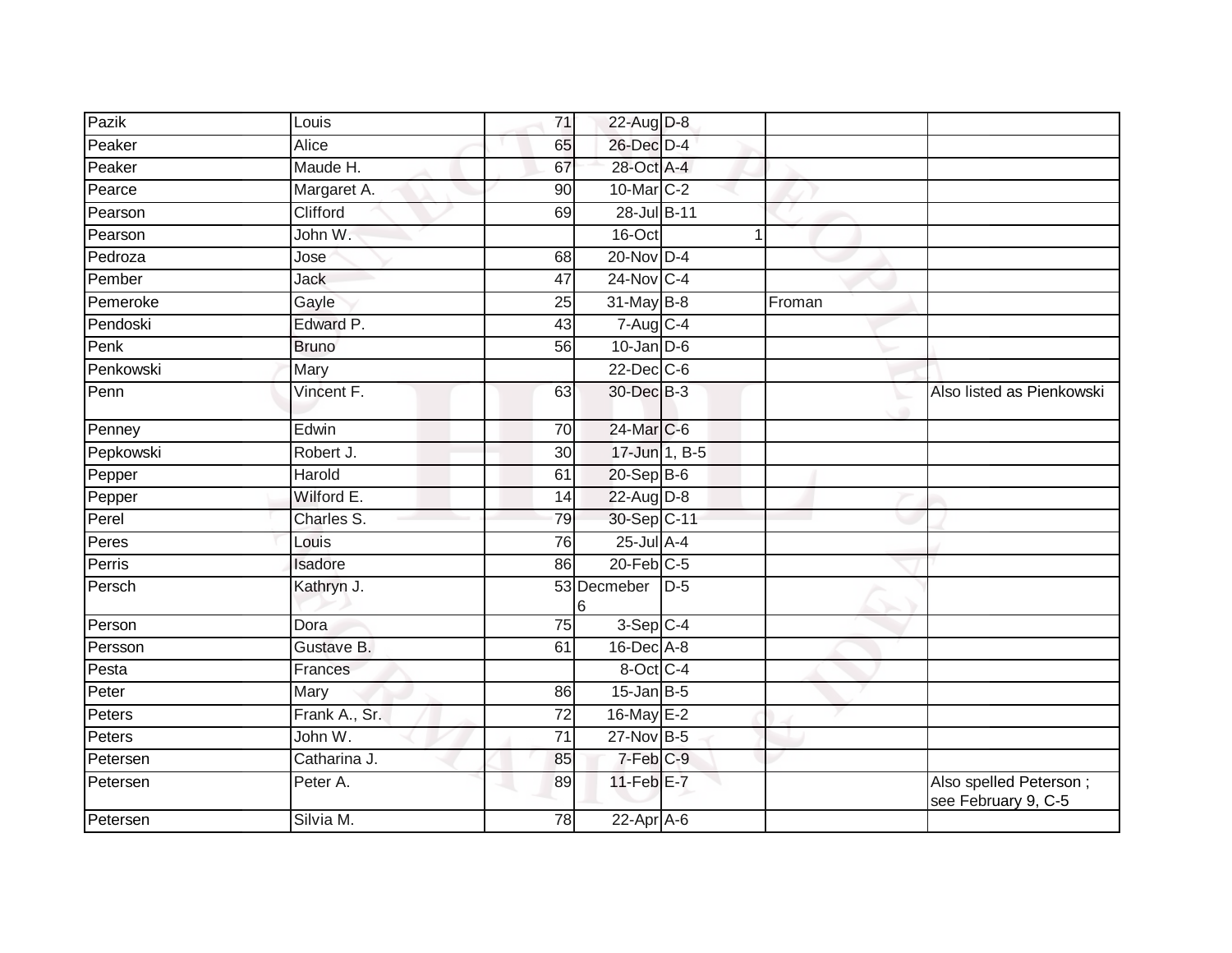| Pazik     | Louis         | 71              | 22-Aug D-8           |        |                                               |
|-----------|---------------|-----------------|----------------------|--------|-----------------------------------------------|
| Peaker    | Alice         | 65              | 26-Dec D-4           |        |                                               |
| Peaker    | Maude H.      | 67              | 28-Oct A-4           |        |                                               |
| Pearce    | Margaret A.   | 90              | 10-Mar C-2           |        |                                               |
| Pearson   | Clifford      | 69              | 28-Jul B-11          |        |                                               |
| Pearson   | John W.       |                 | 16-Oct               | 1      |                                               |
| Pedroza   | Jose          | 68              | $20$ -Nov $D-4$      |        |                                               |
| Pember    | Jack          | 47              | 24-Nov C-4           |        |                                               |
| Pemeroke  | Gayle         | $\overline{25}$ | 31-May B-8           | Froman |                                               |
| Pendoski  | Edward P.     | 43              | $7-Aug$ C-4          |        |                                               |
| Penk      | <b>Bruno</b>  | 56              | $10$ -Jan D-6        |        |                                               |
| Penkowski | Mary          |                 | $22$ -Dec $C-6$      |        |                                               |
| Penn      | Vincent F.    | 63              | 30-Dec B-3           |        | Also listed as Pienkowski                     |
| Penney    | Edwin         | 70              | 24-Mar C-6           |        |                                               |
| Pepkowski | Robert J.     | 30              | 17-Jun 1, B-5        |        |                                               |
| Pepper    | Harold        | 61              | $20 - Sep$ B-6       |        |                                               |
| Pepper    | Wilford E.    | 14              | $22$ -Aug $D-8$      |        |                                               |
| Perel     | Charles S.    | 79              | 30-Sep C-11          |        |                                               |
| Peres     | Louis         | $\overline{76}$ | $25$ -Jul $A-4$      |        |                                               |
| Perris    | Isadore       | 86              | $20$ -Feb $C-5$      |        |                                               |
| Persch    | Kathryn J.    |                 | 53 Decmeber D-5<br>6 |        |                                               |
| Person    | Dora          | 75              | $3-Sep$ $C-4$        |        |                                               |
| Persson   | Gustave B.    | 61              | 16-Dec A-8           |        |                                               |
| Pesta     | Frances       |                 | 8-Oct C-4            |        |                                               |
| Peter     | Mary          | 86              | $15$ -Jan B-5        |        |                                               |
| Peters    | Frank A., Sr. | $\overline{72}$ | 16-May E-2           |        |                                               |
| Peters    | John W.       | $\overline{71}$ | $27$ -Nov $B-5$      |        |                                               |
| Petersen  | Catharina J.  | 85              | 7-Feb C-9            |        |                                               |
| Petersen  | Peter A.      | 89              | $11$ -Feb $E$ -7     |        | Also spelled Peterson;<br>see February 9, C-5 |
| Petersen  | Silvia M.     | 78              | $22$ -Apr $A$ -6     |        |                                               |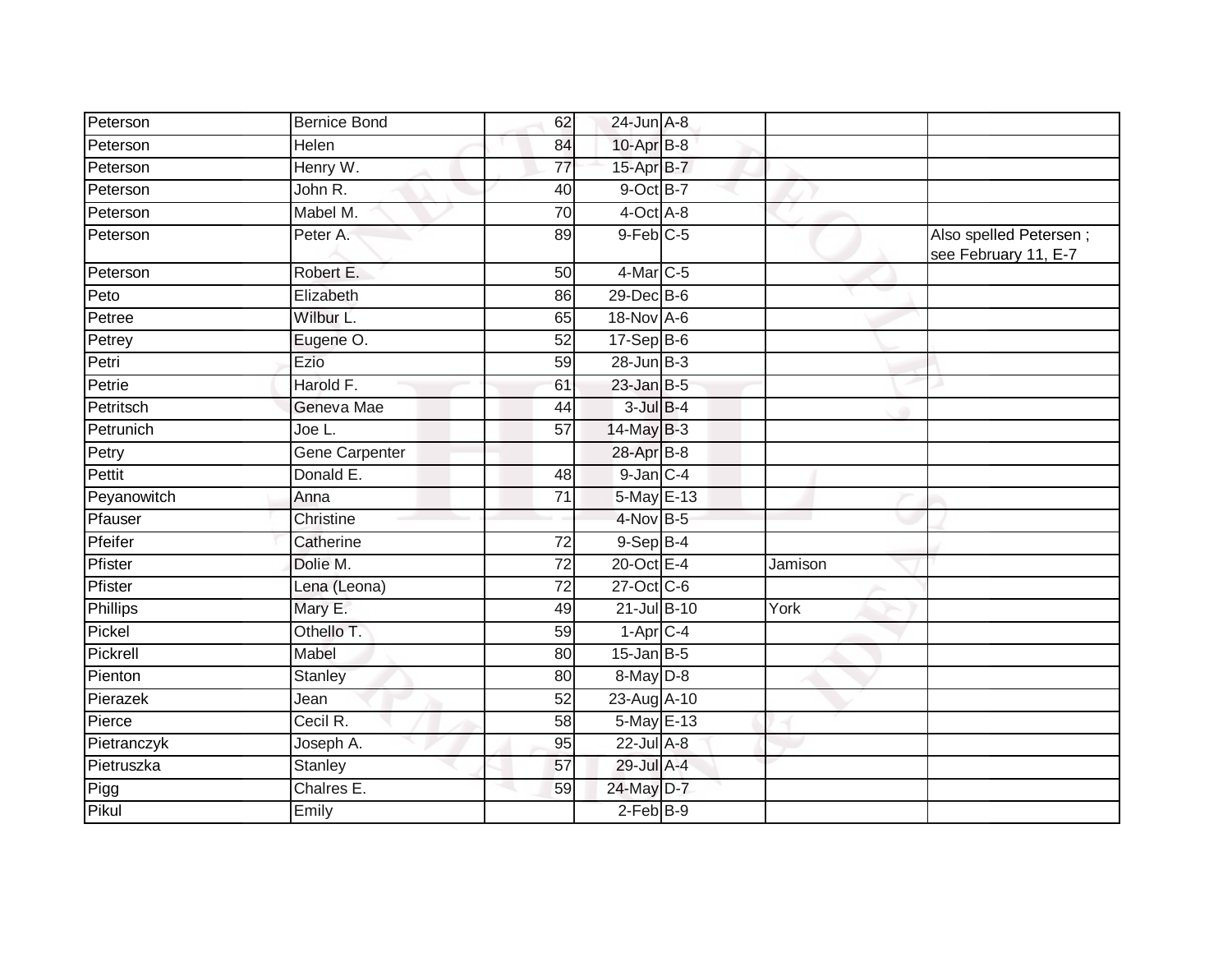| Peterson    | <b>Bernice Bond</b>   | 62              | $24$ -Jun $A-8$ |         |                                                |
|-------------|-----------------------|-----------------|-----------------|---------|------------------------------------------------|
| Peterson    | Helen                 | 84              | 10-Apr B-8      |         |                                                |
| Peterson    | Henry W.              | 77              | 15-Apr B-7      |         |                                                |
| Peterson    | John R.               | 40              | 9-Oct B-7       |         |                                                |
| Peterson    | Mabel M.              | $\overline{70}$ | $4$ -Oct $A$ -8 |         |                                                |
| Peterson    | Peter A.              | 89              | $9$ -Feb $C$ -5 |         | Also spelled Petersen;<br>see February 11, E-7 |
| Peterson    | Robert E.             | 50              | $4$ -Mar $C$ -5 |         |                                                |
| Peto        | Elizabeth             | 86              | 29-Dec B-6      |         |                                                |
| Petree      | Wilbur L.             | 65              | 18-Nov A-6      |         |                                                |
| Petrey      | Eugene O.             | 52              | $17-Sep$ B-6    |         |                                                |
| Petri       | Ezio                  | 59              | $28$ -Jun $B-3$ |         |                                                |
| Petrie      | Harold F.             | 61              | $23$ -Jan B-5   |         |                                                |
| Petritsch   | Geneva Mae            | 44              | $3$ -Jul $B$ -4 |         |                                                |
| Petrunich   | Joe L.                | 57              | 14-May B-3      |         |                                                |
| Petry       | <b>Gene Carpenter</b> |                 | 28-Apr B-8      |         |                                                |
| Pettit      | Donald E.             | 48              | $9$ -Jan $C-4$  |         |                                                |
| Peyanowitch | Anna                  | $\overline{71}$ | 5-May E-13      |         |                                                |
| Pfauser     | Christine             |                 | 4-Nov B-5       |         |                                                |
| Pfeifer     | Catherine             | 72              | $9-Sep$ B-4     |         |                                                |
| Pfister     | Dolie M.              | 72              | 20-Oct E-4      | Jamison |                                                |
| Pfister     | Lena (Leona)          | 72              | 27-Oct C-6      |         |                                                |
| Phillips    | Mary E.               | 49              | 21-Jul B-10     | York    |                                                |
| Pickel      | Othello T.            | 59              | $1-AprC-4$      |         |                                                |
| Pickrell    | Mabel                 | 80              | $15$ -Jan B-5   |         |                                                |
| Pienton     | Stanley               | 80              | 8-May D-8       |         |                                                |
| Pierazek    | Jean                  | 52              | 23-Aug A-10     |         |                                                |
| Pierce      | Cecil R.              | 58              | 5-May E-13      |         |                                                |
| Pietranczyk | Joseph A.             | 95              | 22-Jul A-8      |         |                                                |
| Pietruszka  | Stanley               | 57              | 29-Jul A-4      |         |                                                |
| Pigg        | Chalres E.            | 59              | 24-May D-7      |         |                                                |
| Pikul       | Emily                 |                 | $2$ -Feb $B-9$  |         |                                                |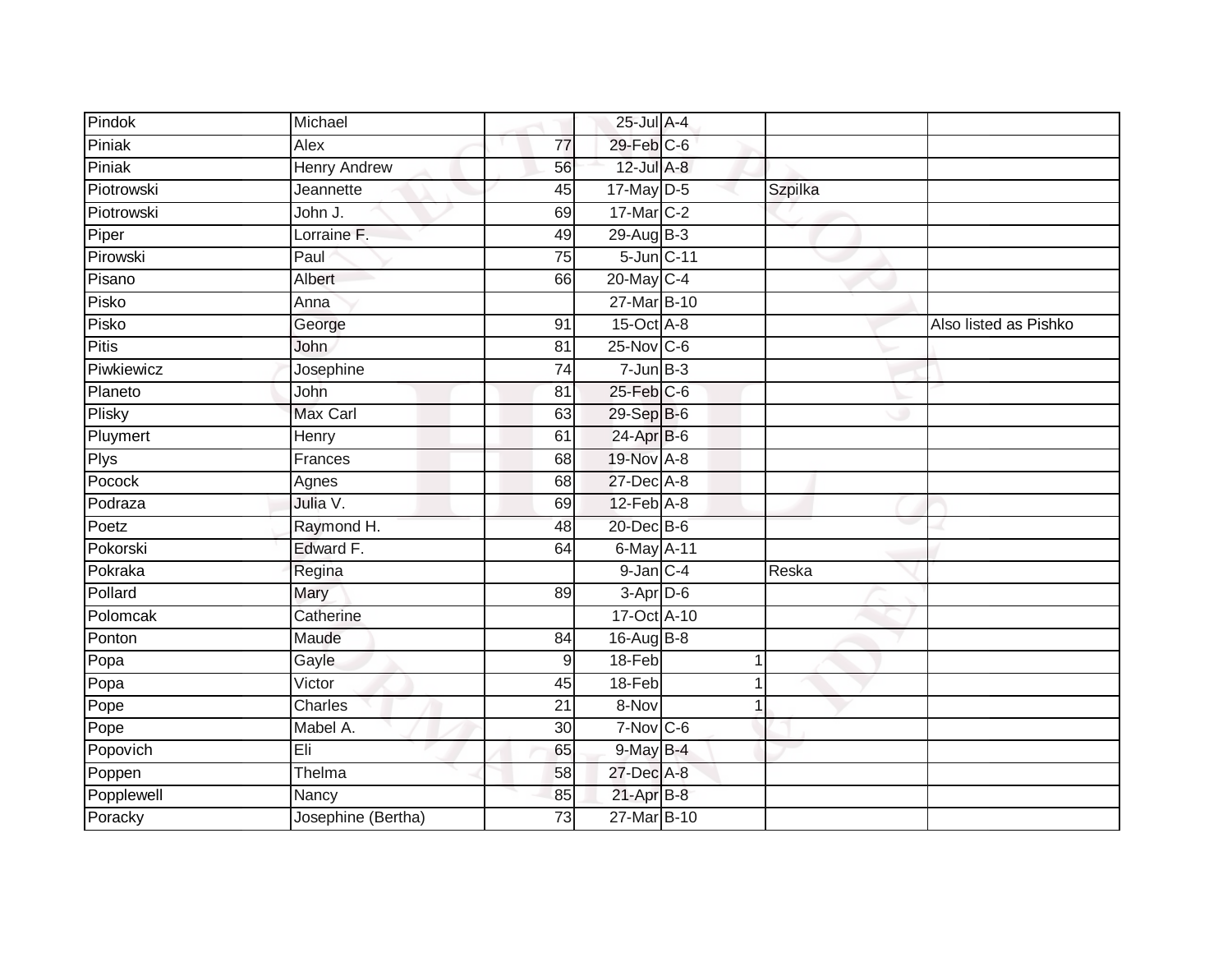| Pindok     | Michael             |                 | 25-Jul A-4     |   |                |                       |
|------------|---------------------|-----------------|----------------|---|----------------|-----------------------|
| Piniak     | Alex                | 77              | 29-Feb C-6     |   |                |                       |
| Piniak     | <b>Henry Andrew</b> | 56              | 12-Jul A-8     |   |                |                       |
| Piotrowski | Jeannette           | 45              | 17-May D-5     |   | <b>Szpilka</b> |                       |
| Piotrowski | John J.             | 69              | 17-Mar C-2     |   |                |                       |
| Piper      | Lorraine F.         | 49              | 29-Aug B-3     |   |                |                       |
| Pirowski   | Paul                | $\overline{75}$ | 5-Jun C-11     |   |                |                       |
| Pisano     | Albert              | 66              | 20-May C-4     |   |                |                       |
| Pisko      | Anna                |                 | 27-Mar B-10    |   |                |                       |
| Pisko      | George              | 91              | 15-Oct A-8     |   |                | Also listed as Pishko |
| Pitis      | John                | 81              | 25-Nov C-6     |   |                |                       |
| Piwkiewicz | Josephine           | 74              | $7 - Jun$ B-3  |   |                |                       |
| Planeto    | John                | 81              | 25-Feb C-6     |   |                |                       |
| Plisky     | Max Carl            | 63              | 29-Sep B-6     |   |                |                       |
| Pluymert   | Henry               | 61              | 24-Apr B-6     |   |                |                       |
| Plys       | Frances             | 68              | 19-Nov A-8     |   |                |                       |
| Pocock     | Agnes               | 68              | 27-Dec A-8     |   |                |                       |
| Podraza    | Julia V.            | 69              | 12-Feb A-8     |   |                |                       |
| Poetz      | Raymond H.          | 48              | 20-Dec B-6     |   |                |                       |
| Pokorski   | Edward F.           | 64              | 6-May A-11     |   |                |                       |
| Pokraka    | Regina              |                 | $9$ -Jan $C-4$ |   | Reska          |                       |
| Pollard    | Mary                | 89              | $3-Apr$ D-6    |   |                |                       |
| Polomcak   | Catherine           |                 | 17-Oct A-10    |   |                |                       |
| Ponton     | Maude               | 84              | 16-Aug B-8     |   |                |                       |
| Popa       | Gayle               | 9               | 18-Feb         |   |                |                       |
| Popa       | Victor              | 45              | 18-Feb         |   |                |                       |
| Pope       | Charles             | $\overline{21}$ | 8-Nov          | 1 |                |                       |
| Pope       | Mabel A.            | 30              | $7-Nov$ C-6    |   |                |                       |
| Popovich   | Eli                 | 65              | $9$ -May $B-4$ |   |                |                       |
| Poppen     | Thelma              | 58              | 27-Dec A-8     |   |                |                       |
| Popplewell | Nancy               | 85              | $21-Apr$ B-8   |   |                |                       |
| Poracky    | Josephine (Bertha)  | $\overline{73}$ | 27-Mar B-10    |   |                |                       |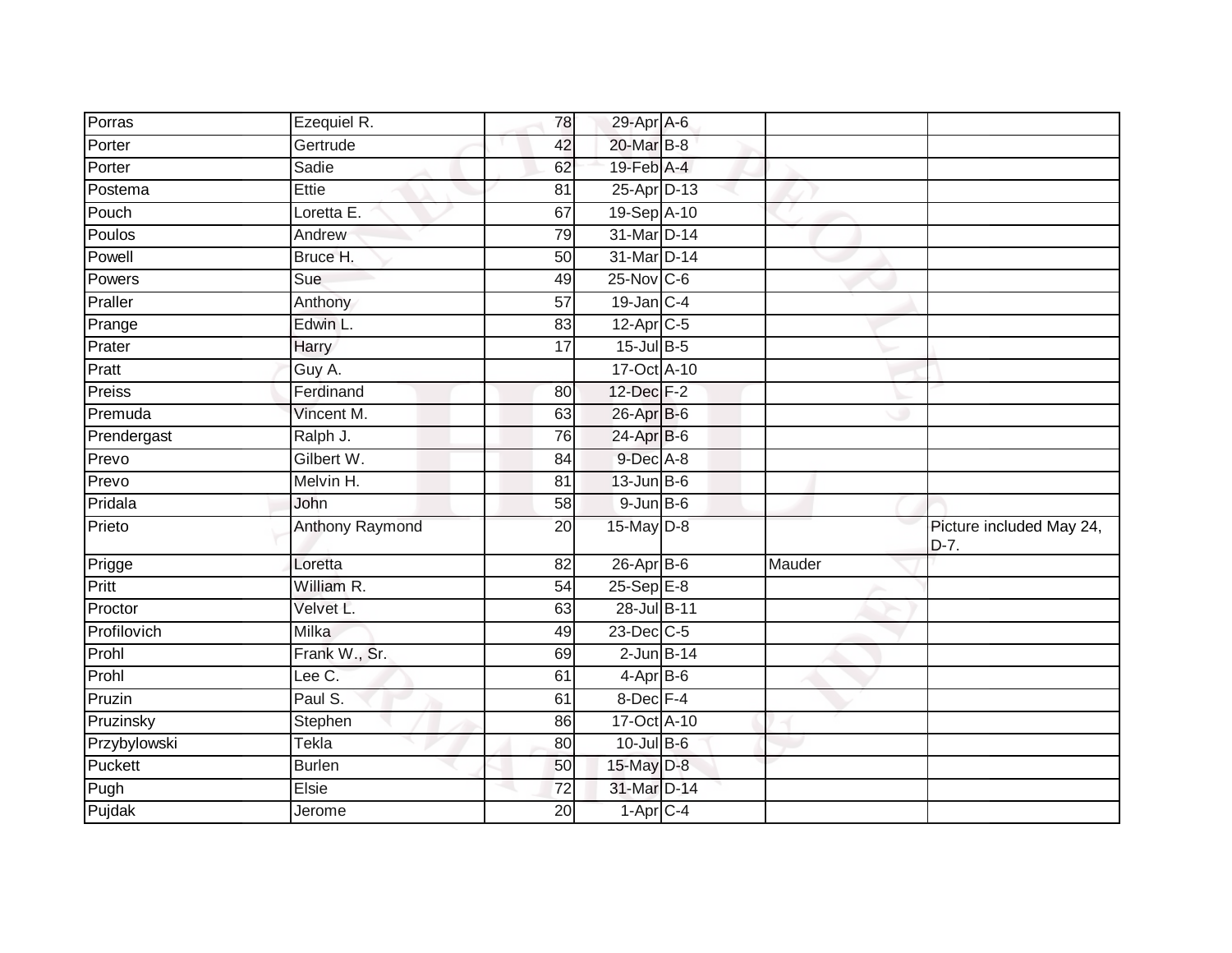| Porras       | Ezequiel R.            | 78              | 29-Apr A-6              |        |                                    |
|--------------|------------------------|-----------------|-------------------------|--------|------------------------------------|
| Porter       | Gertrude               | 42              | 20-Mar B-8              |        |                                    |
| Porter       | Sadie                  | 62              | 19-Feb A-4              |        |                                    |
| Postema      | Ettie                  | 81              | 25-Apr D-13             |        |                                    |
| Pouch        | Loretta E.             | 67              | 19-Sep A-10             |        |                                    |
| Poulos       | Andrew                 | 79              | 31-Mar D-14             |        |                                    |
| Powell       | Bruce H.               | 50              | 31-Mar D-14             |        |                                    |
| Powers       | Sue                    | 49              | $25$ -Nov $ C-6 $       |        |                                    |
| Praller      | Anthony                | 57              | $19$ -Jan C-4           |        |                                    |
| Prange       | Edwin L.               | 83              | $12-Apr$ <sub>C-5</sub> |        |                                    |
| Prater       | Harry                  | $\overline{17}$ | 15-Jul B-5              |        |                                    |
| Pratt        | Guy A.                 |                 | 17-Oct A-10             |        |                                    |
| Preiss       | Ferdinand              | 80              | 12-Dec F-2              |        |                                    |
| Premuda      | Vincent M.             | 63              | 26-Apr B-6              |        |                                    |
| Prendergast  | Ralph J.               | $\overline{76}$ | 24-Apr B-6              |        |                                    |
| Prevo        | Gilbert W.             | 84              | 9-Dec A-8               |        |                                    |
| Prevo        | Melvin H.              | 81              | $13$ -Jun B-6           |        |                                    |
| Pridala      | John                   | 58              | $9$ -Jun $B$ -6         |        |                                    |
| Prieto       | <b>Anthony Raymond</b> | 20              | 15-May D-8              |        | Picture included May 24,<br>$D-7.$ |
| Prigge       | Loretta                | 82              | $26$ -Apr $B$ -6        | Mauder |                                    |
| Pritt        | William R.             | 54              | $25-Sep$ $E-8$          |        |                                    |
| Proctor      | Velvet L.              | 63              | 28-Jul B-11             |        |                                    |
| Profilovich  | <b>Milka</b>           | 49              | 23-Dec C-5              |        |                                    |
| Prohl        | Frank W., Sr.          | 69              | $2$ -Jun $B-14$         |        |                                    |
| Prohl        | Lee C.                 | 61              | $4-AprB-6$              |        |                                    |
| Pruzin       | Paul S.                | 61              | 8-Dec F-4               |        |                                    |
| Pruzinsky    | Stephen                | 86              | 17-Oct A-10             |        |                                    |
| Przybylowski | Tekla                  | 80              | $10$ -Jul B-6           |        |                                    |
| Puckett      | <b>Burlen</b>          | 50              | 15-May D-8              |        |                                    |
| Pugh         | Elsie                  | 72              | 31-Mar D-14             |        |                                    |
| Pujdak       | Jerome                 | 20              | $1-AprC-4$              |        |                                    |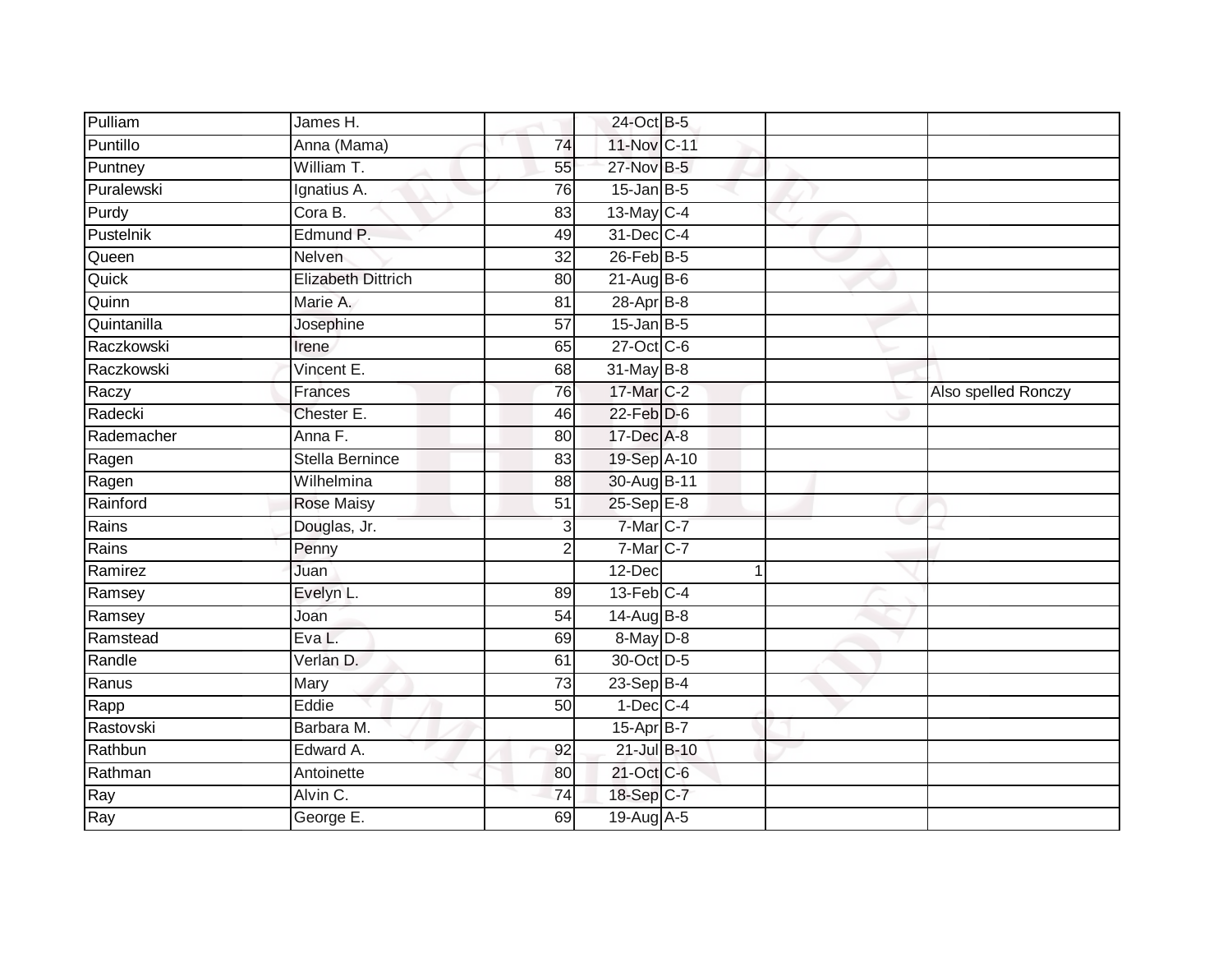| Pulliam     | James H.                  |                 | 24-Oct B-5       |  |                     |
|-------------|---------------------------|-----------------|------------------|--|---------------------|
| Puntillo    | Anna (Mama)               | $\overline{74}$ | 11-Nov C-11      |  |                     |
| Puntney     | William T.                | 55              | 27-Nov B-5       |  |                     |
| Puralewski  | Ignatius A.               | 76              | $15$ -Jan B-5    |  |                     |
| Purdy       | Cora B.                   | $\overline{83}$ | 13-May C-4       |  |                     |
| Pustelnik   | Edmund P.                 | 49              | 31-Dec C-4       |  |                     |
| Queen       | Nelven                    | 32              | $26$ -Feb $B$ -5 |  |                     |
| Quick       | <b>Elizabeth Dittrich</b> | 80              | $21-Aug$ B-6     |  |                     |
| Quinn       | Marie A.                  | 81              | 28-Apr B-8       |  |                     |
| Quintanilla | Josephine                 | $\overline{57}$ | $15$ -Jan B-5    |  |                     |
| Raczkowski  | Irene                     | 65              | 27-Oct C-6       |  |                     |
| Raczkowski  | Vincent E.                | 68              | 31-May B-8       |  |                     |
| Raczy       | Frances                   | 76              | 17-Mar C-2       |  | Also spelled Ronczy |
| Radecki     | Chester E.                | 46              | $22$ -Feb $D-6$  |  |                     |
| Rademacher  | Anna F.                   | $\overline{80}$ | 17-Dec A-8       |  |                     |
| Ragen       | <b>Stella Bernince</b>    | 83              | 19-Sep A-10      |  |                     |
| Ragen       | Wilhelmina                | $\overline{88}$ | 30-Aug B-11      |  |                     |
| Rainford    | <b>Rose Maisy</b>         | 51              | 25-Sep E-8       |  |                     |
| Rains       | Douglas, Jr.              | $\overline{3}$  | 7-Mar C-7        |  |                     |
| Rains       | Penny                     | $\overline{2}$  | 7-Mar C-7        |  |                     |
| Ramirez     | Juan                      |                 | 12-Dec           |  |                     |
| Ramsey      | Evelyn L.                 | 89              | $13$ -Feb $C-4$  |  |                     |
| Ramsey      | Joan                      | 54              | 14-Aug B-8       |  |                     |
| Ramstead    | Eva L.                    | 69              | 8-May D-8        |  |                     |
| Randle      | Verlan D.                 | 61              | 30-Oct D-5       |  |                     |
| Ranus       | Mary                      | $\overline{73}$ | $23 - Sep$ B-4   |  |                     |
| Rapp        | Eddie                     | 50              | $1-Dec$ $C-4$    |  |                     |
| Rastovski   | Barbara M.                |                 | 15-Apr B-7       |  |                     |
| Rathbun     | Edward A.                 | 92              | 21-Jul B-10      |  |                     |
| Rathman     | Antoinette                | 80              | 21-Oct C-6       |  |                     |
| Ray         | Alvin C.                  | 74              | 18-Sep C-7       |  |                     |
| Ray         | George E.                 | 69              | 19-Aug A-5       |  |                     |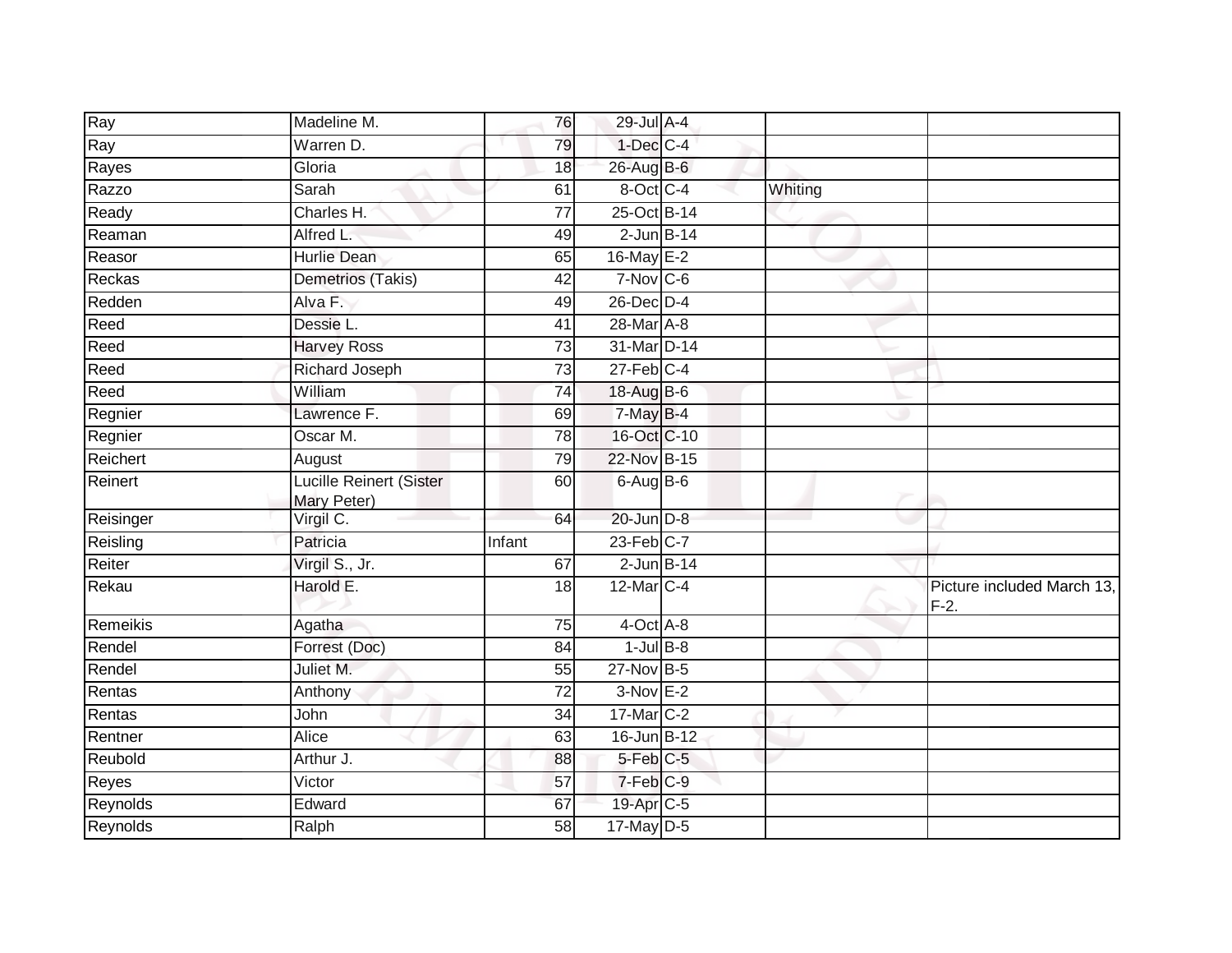| Ray       | Madeline M.                            | 76              | 29-Jul A-4        |         |                                      |
|-----------|----------------------------------------|-----------------|-------------------|---------|--------------------------------------|
| Ray       | Warren D.                              | 79              | $1$ -Dec $C$ -4   |         |                                      |
| Rayes     | Gloria                                 | 18              | 26-Aug B-6        |         |                                      |
| Razzo     | Sarah                                  | 61              | 8-Oct C-4         | Whiting |                                      |
| Ready     | Charles H.                             | $\overline{77}$ | 25-Oct B-14       |         |                                      |
| Reaman    | Alfred L.                              | 49              | $2$ -Jun $B-14$   |         |                                      |
| Reasor    | <b>Hurlie Dean</b>                     | 65              | 16-May E-2        |         |                                      |
| Reckas    | Demetrios (Takis)                      | 42              | $7-Nov$ C-6       |         |                                      |
| Redden    | Alva F.                                | 49              | $26$ -Dec $D-4$   |         |                                      |
| Reed      | Dessie L.                              | 41              | 28-Mar A-8        |         |                                      |
| Reed      | <b>Harvey Ross</b>                     | 73              | 31-Mar D-14       |         |                                      |
| Reed      | Richard Joseph                         | $\overline{73}$ | $27$ -Feb $C-4$   |         |                                      |
| Reed      | William                                | $\overline{74}$ | 18-Aug B-6        |         |                                      |
| Regnier   | Lawrence F.                            | 69              | 7-May B-4         |         |                                      |
| Regnier   | Oscar M.                               | $\overline{78}$ | 16-Oct C-10       |         |                                      |
| Reichert  | August                                 | 79              | 22-Nov B-15       |         |                                      |
| Reinert   | Lucille Reinert (Sister<br>Mary Peter) | 60              | $6$ -Aug $B$ -6   |         |                                      |
| Reisinger | Virgil C.                              | 64              | 20-Jun D-8        |         |                                      |
| Reisling  | Patricia                               | Infant          | $23$ -Feb $C-7$   |         |                                      |
| Reiter    | Virgil S., Jr.                         | 67              | $2$ -Jun $B-14$   |         |                                      |
| Rekau     | Harold E.                              | 18              | $12$ -Mar $ C-4 $ |         | Picture included March 13,<br>$F-2.$ |
| Remeikis  | Agatha                                 | 75              | $4$ -Oct $A$ -8   |         |                                      |
| Rendel    | Forrest (Doc)                          | 84              | $1$ -Jul B-8      |         |                                      |
| Rendel    | Juliet M.                              | 55              | 27-Nov B-5        |         |                                      |
| Rentas    | Anthony                                | 72              | $3-Nov$ E-2       |         |                                      |
| Rentas    | John                                   | 34              | 17-Mar C-2        |         |                                      |
| Rentner   | Alice                                  | 63              | 16-Jun B-12       |         |                                      |
| Reubold   | Arthur J.                              | 88              | 5-Feb C-5         |         |                                      |
| Reyes     | Victor                                 | 57              | 7-Feb C-9         |         |                                      |
| Reynolds  | Edward                                 | 67              | 19-Apr C-5        |         |                                      |
| Reynolds  | Ralph                                  | 58              | $17$ -May D-5     |         |                                      |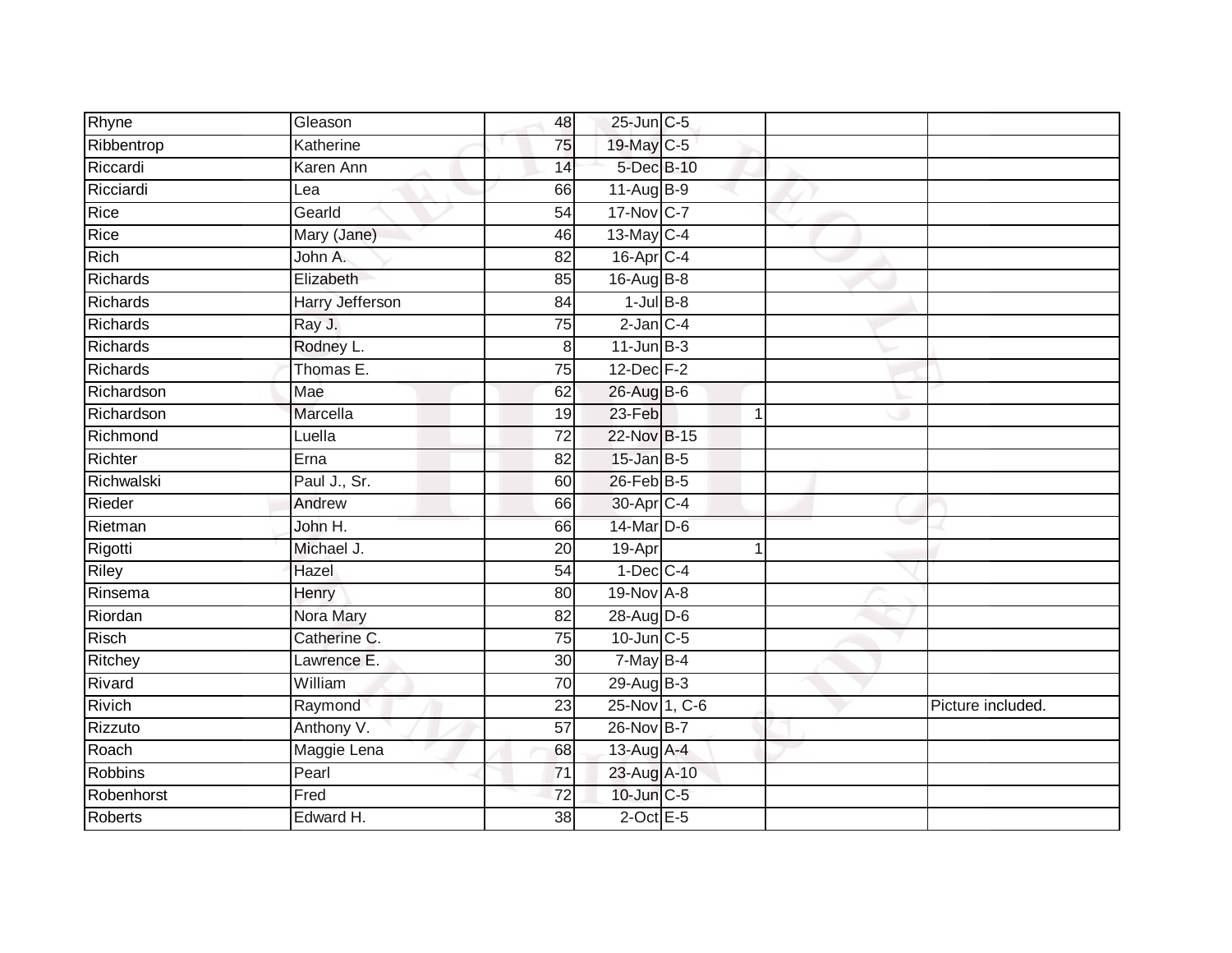| Rhyne           | Gleason                | 48              | 25-Jun C-5            |   |                   |
|-----------------|------------------------|-----------------|-----------------------|---|-------------------|
| Ribbentrop      | Katherine              | 75              | 19-May C-5            |   |                   |
| Riccardi        | Karen Ann              | 14              | 5-Dec B-10            |   |                   |
| Ricciardi       | Lea                    | 66              | $11-Aug$ B-9          |   |                   |
| Rice            | Gearld                 | $\overline{54}$ | 17-Nov C-7            |   |                   |
| Rice            | Mary (Jane)            | 46              | 13-May C-4            |   |                   |
| Rich            | John A.                | 82              | $16$ -Apr $C-4$       |   |                   |
| Richards        | Elizabeth              | 85              | 16-Aug B-8            |   |                   |
| <b>Richards</b> | <b>Harry Jefferson</b> | 84              | $1$ -Jul $B-8$        |   |                   |
| Richards        | Ray J.                 | 75              | $2$ -Jan $C-4$        |   |                   |
| Richards        | Rodney L.              | 8 <sup>1</sup>  | $11$ -Jun $B-3$       |   |                   |
| Richards        | Thomas E.              | 75              | 12-Dec F-2            |   |                   |
| Richardson      | Mae                    | 62              | 26-Aug B-6            |   |                   |
| Richardson      | Marcella               | 19              | 23-Feb                | 1 |                   |
| Richmond        | Luella                 | $\overline{72}$ | 22-Nov B-15           |   |                   |
| Richter         | Erna                   | 82              | $15$ -Jan $B-5$       |   |                   |
| Richwalski      | Paul J., Sr.           | 60              | 26-Feb B-5            |   |                   |
| Rieder          | Andrew                 | 66              | 30-Apr <sub>C-4</sub> |   |                   |
| Rietman         | John H.                | 66              | 14-Mar D-6            |   |                   |
| Rigotti         | Michael J.             | 20              | 19-Apr                | 1 |                   |
| <b>Riley</b>    | Hazel                  | 54              | $1-Dec$ $C-4$         |   |                   |
| Rinsema         | Henry                  | 80              | 19-Nov A-8            |   |                   |
| Riordan         | Nora Mary              | 82              | 28-Aug D-6            |   |                   |
| <b>Risch</b>    | Catherine C.           | 75              | $10$ -Jun $C - 5$     |   |                   |
| Ritchey         | Lawrence E.            | 30              | 7-May B-4             |   |                   |
| Rivard          | William                | 70              | 29-Aug B-3            |   |                   |
| Rivich          | Raymond                | 23              | 25-Nov 1, C-6         |   | Picture included. |
| Rizzuto         | Anthony V.             | 57              | 26-Nov B-7            |   |                   |
| Roach           | Maggie Lena            | 68              | 13-Aug A-4            |   |                   |
| Robbins         | Pearl                  | $\overline{71}$ | 23-Aug A-10           |   |                   |
| Robenhorst      | Fred                   | 72              | 10-Jun C-5            |   |                   |
| Roberts         | Edward H.              | 38              | $2$ -Oct $E - 5$      |   |                   |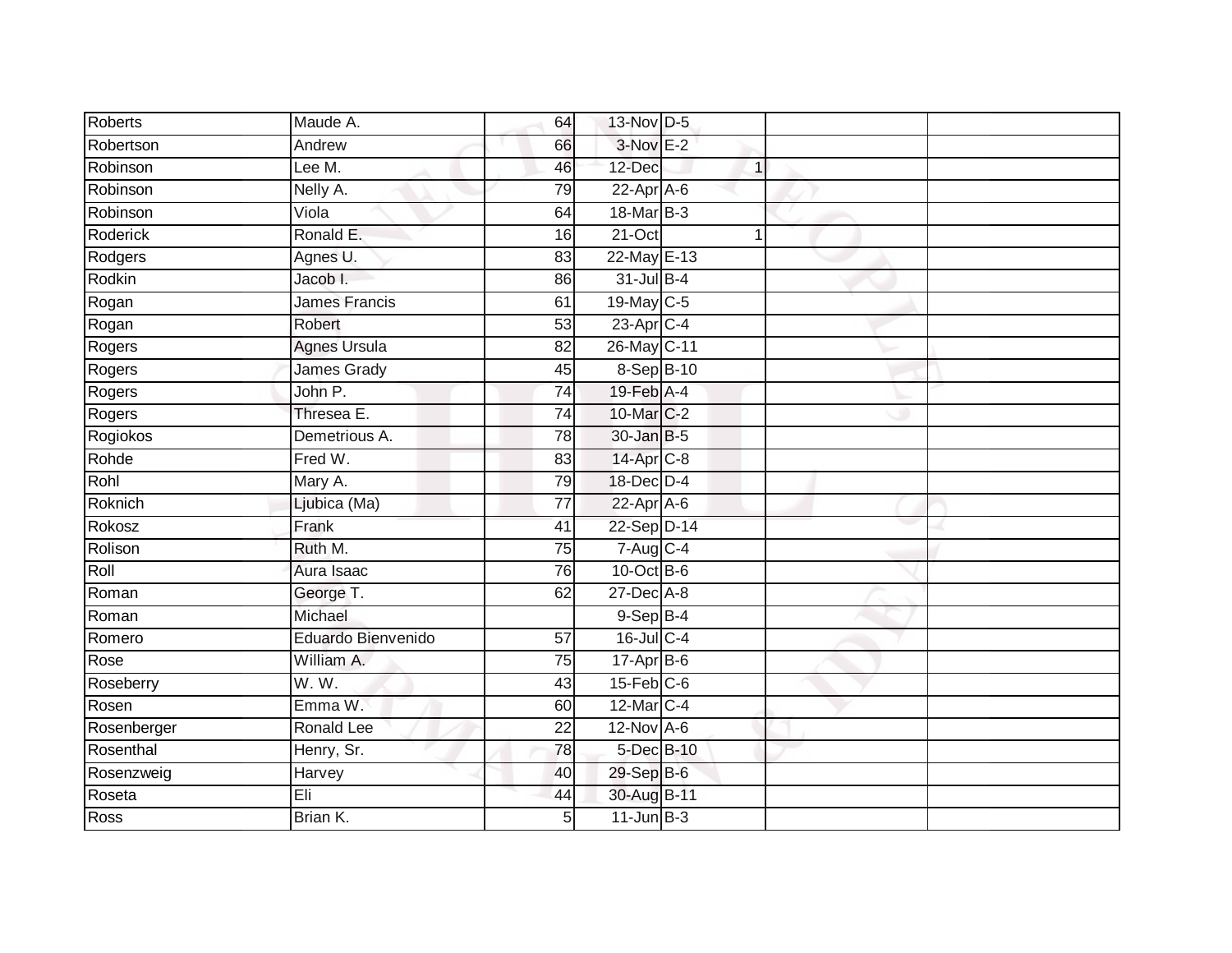| <b>Roberts</b>  | Maude A.             | 64             | 13-Nov D-5                  |   |  |
|-----------------|----------------------|----------------|-----------------------------|---|--|
| Robertson       | Andrew               | 66             | $3-Nov$ E-2                 |   |  |
| Robinson        | Lee M.               | 46             | 12-Dec                      | 1 |  |
| Robinson        | Nelly A.             | 79             | $22$ -Apr $A$ -6            |   |  |
| Robinson        | Viola                | 64             | 18-Mar B-3                  |   |  |
| <b>Roderick</b> | Ronald E.            | 16             | 21-Oct                      | 1 |  |
| Rodgers         | Agnes U.             | 83             | 22-May E-13                 |   |  |
| Rodkin          | Jacob I.             | 86             | 31-Jul B-4                  |   |  |
| Rogan           | <b>James Francis</b> | 61             | 19-May C-5                  |   |  |
| Rogan           | Robert               | 53             | $23$ -Apr $C-4$             |   |  |
| Rogers          | <b>Agnes Ursula</b>  | 82             | 26-May C-11                 |   |  |
| Rogers          | James Grady          | 45             | 8-Sep B-10                  |   |  |
| Rogers          | John P.              | 74             | $19$ -Feb $\overline{A}$ -4 |   |  |
| Rogers          | Thresea E.           | 74             | 10-Mar C-2                  |   |  |
| Rogiokos        | Demetrious A.        | 78             | 30-Jan B-5                  |   |  |
| Rohde           | Fred W.              | 83             | 14-Apr C-8                  |   |  |
| Rohl            | Mary A.              | 79             | 18-Dec D-4                  |   |  |
| Roknich         | Ljubica (Ma)         | 77             | $22$ -Apr $A$ -6            |   |  |
| Rokosz          | Frank                | 41             | 22-Sep D-14                 |   |  |
| Rolison         | Ruth M.              | 75             | 7-Aug C-4                   |   |  |
| Roll            | Aura Isaac           | 76             | 10-Oct B-6                  |   |  |
| Roman           | George T.            | 62             | $27$ -Dec $A-8$             |   |  |
| Roman           | Michael              |                | $9-Sep$ $B-4$               |   |  |
| Romero          | Eduardo Bienvenido   | 57             | 16-Jul C-4                  |   |  |
| Rose            | William A.           | 75             | $17-Apr$ B-6                |   |  |
| Roseberry       | W.W.                 | 43             | $15$ -Feb $ C$ -6           |   |  |
| Rosen           | Emma W.              | 60             | 12-Mar C-4                  |   |  |
| Rosenberger     | Ronald Lee           | 22             | $12$ -Nov $A-6$             |   |  |
| Rosenthal       | Henry, Sr.           | 78             | 5-Dec B-10                  |   |  |
| Rosenzweig      | Harvey               | 40             | 29-Sep B-6                  |   |  |
| Roseta          | Eli                  | 44             | 30-Aug B-11                 |   |  |
| Ross            | Brian K.             | 5 <sup>1</sup> | $11$ -Jun B-3               |   |  |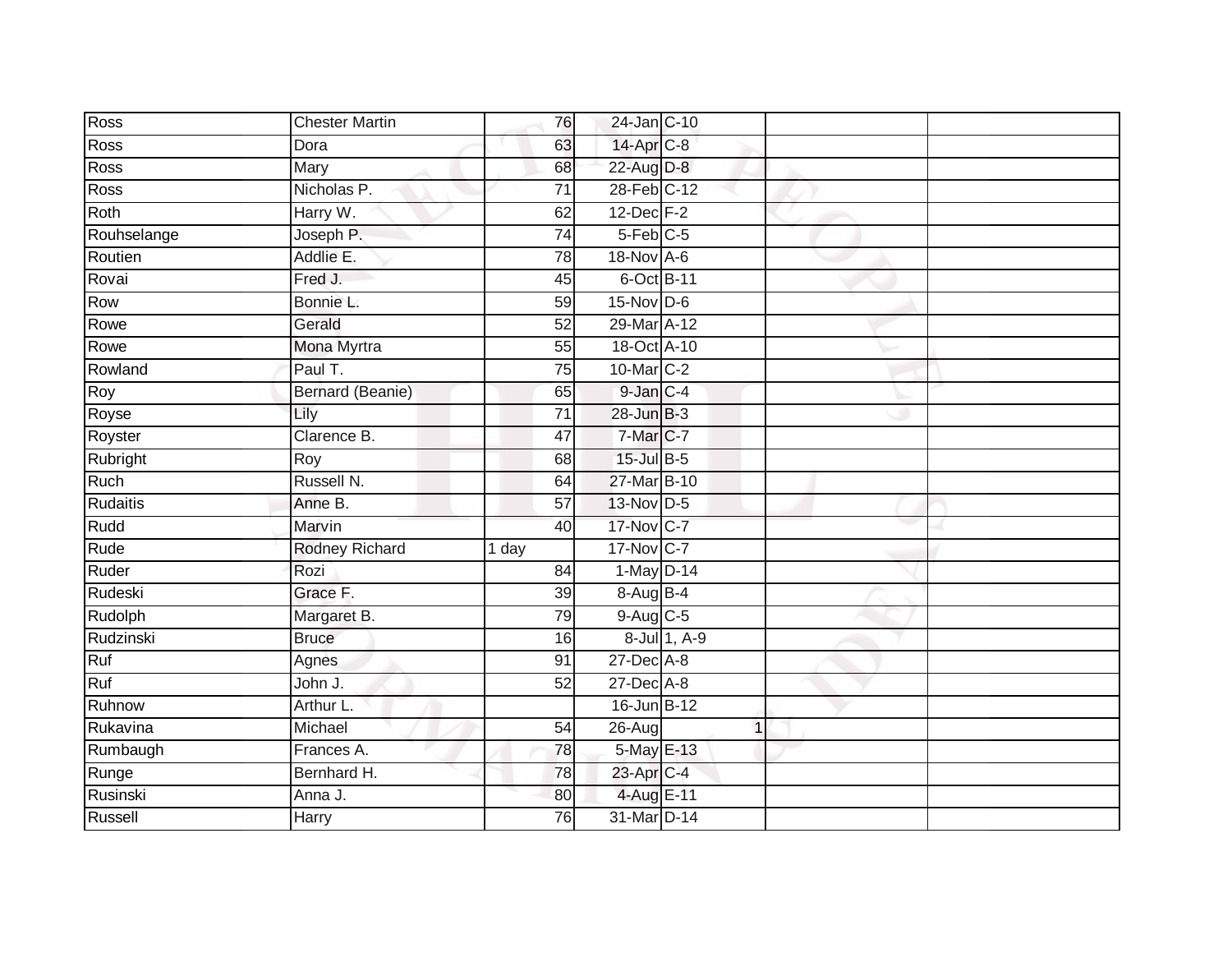| Ross        | <b>Chester Martin</b>   | 76              | 24-Jan C-10            |              |  |
|-------------|-------------------------|-----------------|------------------------|--------------|--|
| Ross        | Dora                    | 63              | 14-Apr <sub>C-8</sub>  |              |  |
| <b>Ross</b> | Mary                    | 68              | 22-Aug D-8             |              |  |
| Ross        | Nicholas P.             | $\overline{71}$ | 28-Feb C-12            |              |  |
| Roth        | Harry W.                | 62              | $12$ -Dec $F-2$        |              |  |
| Rouhselange | Joseph P.               | $\overline{74}$ | $5-Feb$ <sub>C-5</sub> |              |  |
| Routien     | Addlie E.               | 78              | 18-Nov A-6             |              |  |
| Rovai       | Fred J.                 | 45              | 6-Oct B-11             |              |  |
| Row         | Bonnie L.               | 59              | $15$ -Nov D-6          |              |  |
| Rowe        | Gerald                  | $\overline{52}$ | 29-Mar A-12            |              |  |
| Rowe        | Mona Myrtra             | 55              | 18-Oct A-10            |              |  |
| Rowland     | Paul T.                 | 75              | 10-Mar C-2             |              |  |
| Roy         | <b>Bernard (Beanie)</b> | 65              | $9$ -Jan $C-4$         |              |  |
| Royse       | Lily                    | $\overline{71}$ | $28$ -Jun $B-3$        |              |  |
| Royster     | Clarence B.             | $\overline{47}$ | 7-Mar C-7              |              |  |
| Rubright    | Roy                     | 68              | 15-Jul B-5             |              |  |
| Ruch        | Russell N.              | 64              | 27-Mar B-10            |              |  |
| Rudaitis    | Anne B.                 | $\overline{57}$ | 13-Nov D-5             |              |  |
| Rudd        | Marvin                  | 40              | 17-Nov C-7             |              |  |
| Rude        | <b>Rodney Richard</b>   | 1 day           | 17-Nov C-7             |              |  |
| Ruder       | Rozi                    | 84              | 1-May D-14             |              |  |
| Rudeski     | Grace F.                | 39              | 8-Aug B-4              |              |  |
| Rudolph     | Margaret B.             | 79              | 9-Aug C-5              |              |  |
| Rudzinski   | <b>Bruce</b>            | 16              |                        | 8-Jul 1, A-9 |  |
| Ruf         | Agnes                   | 91              | 27-Dec A-8             |              |  |
| Ruf         | John J.                 | $\overline{52}$ | $27$ -Dec $A-8$        |              |  |
| Ruhnow      | Arthur L.               |                 | 16-Jun B-12            |              |  |
| Rukavina    | Michael                 | 54              | 26-Aug                 | 1            |  |
| Rumbaugh    | Frances A.              | 78              | 5-May E-13             |              |  |
| Runge       | Bernhard H.             | 78              | 23-Apr C-4             |              |  |
| Rusinski    | Anna J.                 | 80              | 4-Aug E-11             |              |  |
| Russell     | <b>Harry</b>            | 76              | 31-Mar D-14            |              |  |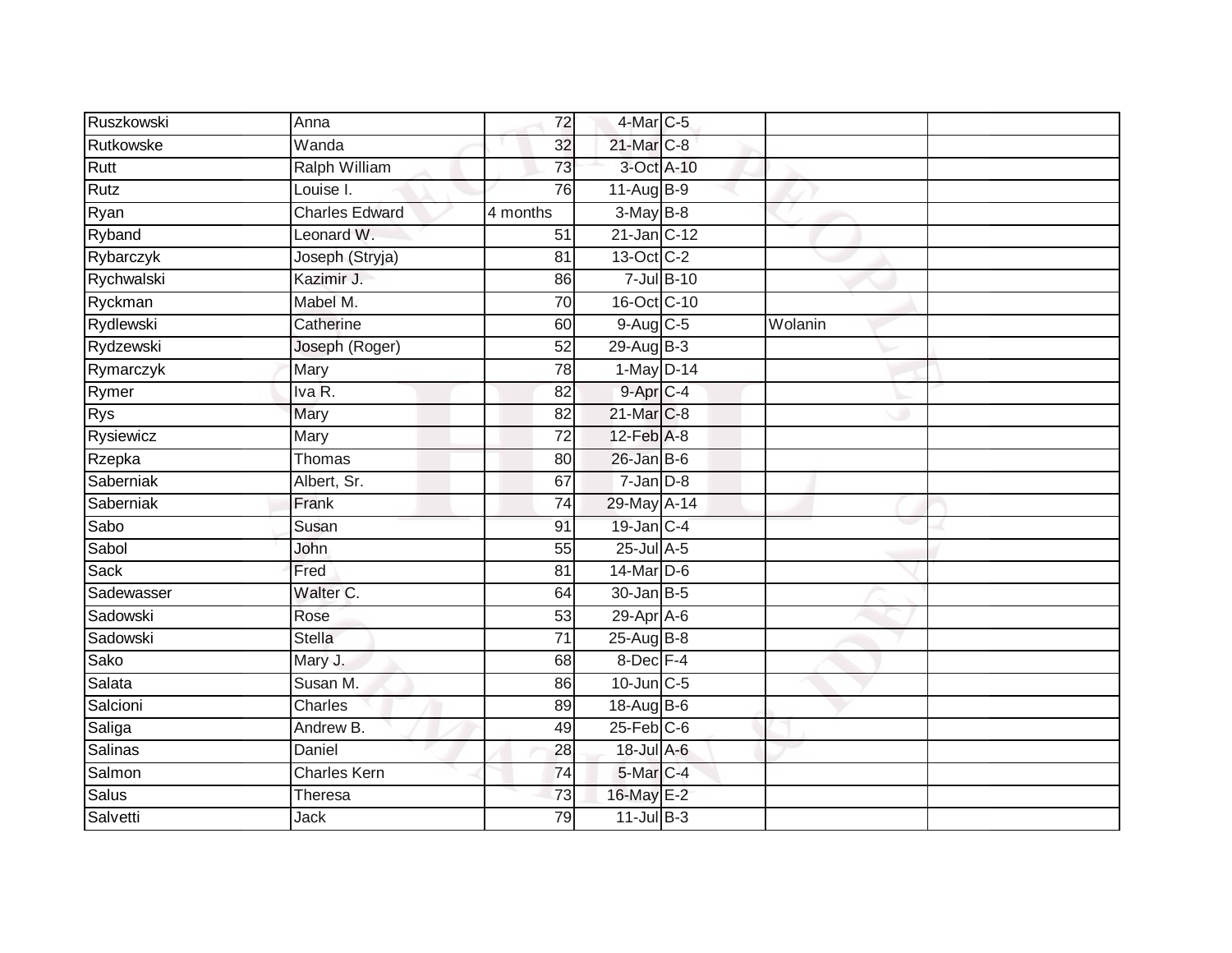| Ruszkowski | Anna                  | 72              | 4-Mar C-5            |                    |         |  |
|------------|-----------------------|-----------------|----------------------|--------------------|---------|--|
| Rutkowske  | Wanda                 | 32              | 21-Mar C-8           |                    |         |  |
| Rutt       | <b>Ralph William</b>  | 73              | 3-Oct A-10           |                    |         |  |
| Rutz       | Louise I.             | 76              | $11-Aug$ B-9         |                    |         |  |
| Ryan       | <b>Charles Edward</b> | 4 months        | $3-May$ B-8          |                    |         |  |
| Ryband     | Leonard W.            | 51              | 21-Jan C-12          |                    |         |  |
| Rybarczyk  | Joseph (Stryja)       | 81              | 13-Oct C-2           |                    |         |  |
| Rychwalski | Kazimir J.            | 86              |                      | $7 -$ Jul $B - 10$ |         |  |
| Ryckman    | Mabel M.              | 70              | 16-Oct C-10          |                    |         |  |
| Rydlewski  | Catherine             | 60              | 9-Aug C-5            |                    | Wolanin |  |
| Rydzewski  | Joseph (Roger)        | 52              | 29-Aug B-3           |                    |         |  |
| Rymarczyk  | Mary                  | 78              | 1-May D-14           |                    |         |  |
| Rymer      | Iva R.                | 82              | 9-Apr <sub>C-4</sub> |                    |         |  |
| <b>Rys</b> | Mary                  | 82              | 21-Mar C-8           |                    |         |  |
| Rysiewicz  | Mary                  | $\overline{72}$ | 12-Feb A-8           |                    |         |  |
| Rzepka     | Thomas                | 80              | $26$ -Jan B-6        |                    |         |  |
| Saberniak  | Albert, Sr.           | 67              | $7 - Jan$ $D-8$      |                    |         |  |
| Saberniak  | Frank                 | 74              | 29-May A-14          |                    |         |  |
| Sabo       | Susan                 | 91              | 19-Jan C-4           |                    |         |  |
| Sabol      | John                  | 55              | $25$ -Jul $A-5$      |                    |         |  |
| Sack       | Fred                  | 81              | 14-Mar D-6           |                    |         |  |
| Sadewasser | Walter C.             | 64              | $30 - Jan$ $B-5$     |                    |         |  |
| Sadowski   | Rose                  | 53              | $29$ -Apr $A$ -6     |                    |         |  |
| Sadowski   | <b>Stella</b>         | 71              | $25$ -Aug $B$ -8     |                    |         |  |
| Sako       | Mary J.               | 68              | $8$ -Dec $F-4$       |                    |         |  |
| Salata     | Susan M.              | 86              | 10-Jun C-5           |                    |         |  |
| Salcioni   | Charles               | 89              | 18-Aug B-6           |                    |         |  |
| Saliga     | Andrew B.             | 49              | $25$ -Feb $C$ -6     |                    |         |  |
| Salinas    | Daniel                | 28              | 18-Jul A-6           |                    |         |  |
| Salmon     | <b>Charles Kern</b>   | 74              | 5-Mar C-4            |                    |         |  |
| Salus      | Theresa               | $\overline{73}$ | 16-May E-2           |                    |         |  |
| Salvetti   | <b>Jack</b>           | 79              | $11$ -Jul $B-3$      |                    |         |  |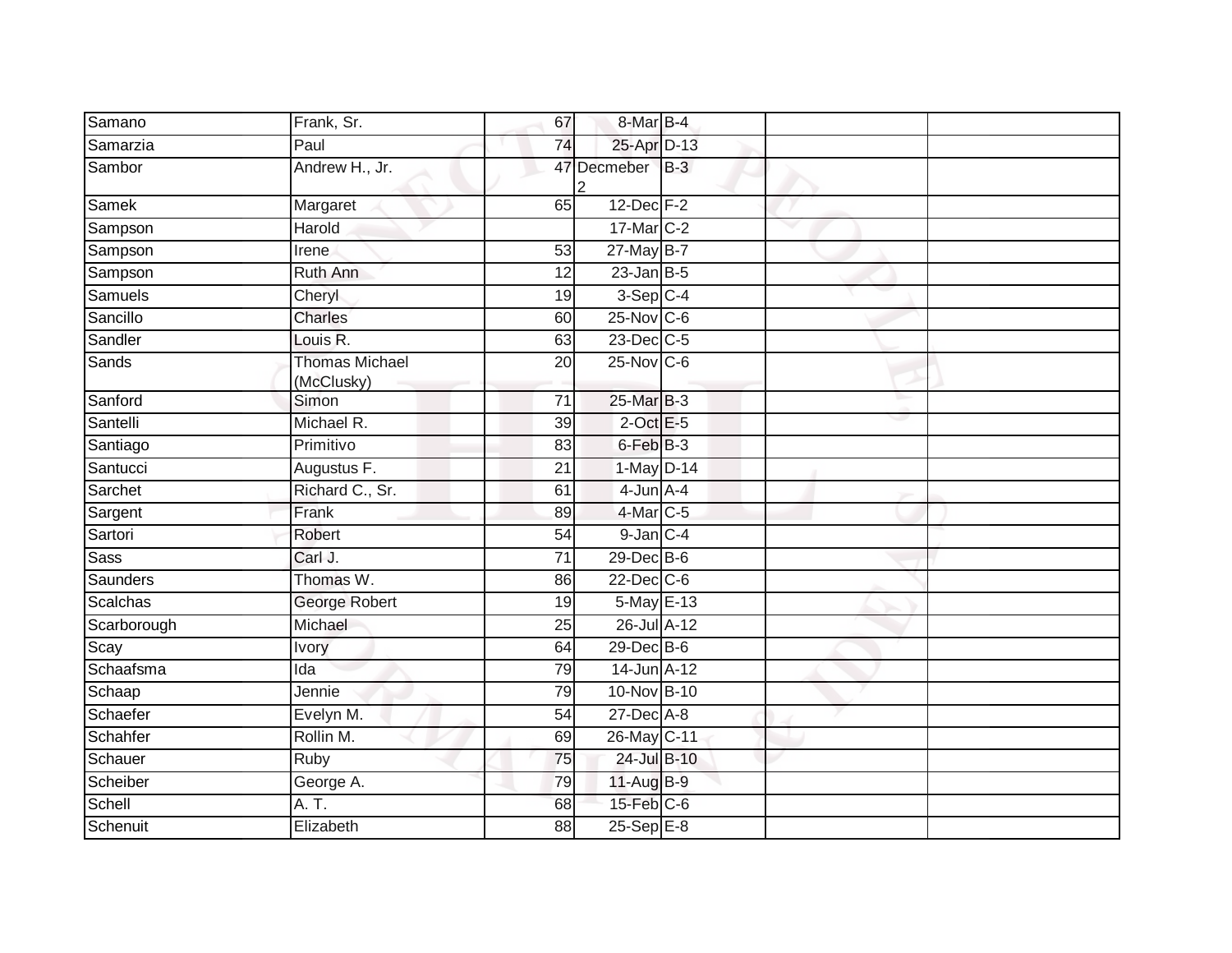| Samano       | Frank, Sr.                          | 67              | 8-Mar B-4        |             |  |
|--------------|-------------------------------------|-----------------|------------------|-------------|--|
| Samarzia     | Paul                                | 74              | 25-Apr D-13      |             |  |
| Sambor       | Andrew H., Jr.                      |                 | 47 Decmeber      | $\vert$ B-3 |  |
| <b>Samek</b> | Margaret                            | 65              | $12$ -Dec $F-2$  |             |  |
| Sampson      | Harold                              |                 | 17-Mar C-2       |             |  |
| Sampson      | Irene                               | 53              | $27$ -May B-7    |             |  |
| Sampson      | Ruth Ann                            | 12              | $23$ -Jan B-5    |             |  |
| Samuels      | Cheryl                              | 19              | $3-Sep$ $C-4$    |             |  |
| Sancillo     | <b>Charles</b>                      | 60              | 25-Nov C-6       |             |  |
| Sandler      | Louis R.                            | 63              | 23-Dec C-5       |             |  |
| Sands        | <b>Thomas Michael</b><br>(McClusky) | 20              | 25-Nov C-6       |             |  |
| Sanford      | Simon                               | 71              | 25-Mar B-3       |             |  |
| Santelli     | Michael R.                          | $\overline{39}$ | $2$ -Oct E-5     |             |  |
| Santiago     | Primitivo                           | 83              | 6-Feb B-3        |             |  |
| Santucci     | Augustus F.                         | 21              | 1-May D-14       |             |  |
| Sarchet      | Richard C., Sr.                     | 61              | $4$ -Jun $A$ -4  |             |  |
| Sargent      | Frank                               | 89              | 4-Mar C-5        |             |  |
| Sartori      | Robert                              | $\overline{54}$ | $9$ -Jan $C-4$   |             |  |
| <b>Sass</b>  | Carl J.                             | 71              | 29-Dec B-6       |             |  |
| Saunders     | Thomas W.                           | 86              | $22$ -Dec $C-6$  |             |  |
| Scalchas     | George Robert                       | 19              | 5-May E-13       |             |  |
| Scarborough  | Michael                             | 25              | 26-Jul A-12      |             |  |
| Scay         | <b>Ivory</b>                        | 64              | 29-Dec B-6       |             |  |
| Schaafsma    | Ida                                 | 79              | 14-Jun A-12      |             |  |
| Schaap       | Jennie                              | 79              | 10-Nov B-10      |             |  |
| Schaefer     | Evelyn M.                           | 54              | 27-Dec A-8       |             |  |
| Schahfer     | Rollin M.                           | 69              | 26-May C-11      |             |  |
| Schauer      | Ruby                                | 75              | 24-Jul B-10      |             |  |
| Scheiber     | George A.                           | 79              | 11-Aug B-9       |             |  |
| Schell       | $\overline{A. T.}$                  | 68              | $15$ -Feb $C$ -6 |             |  |
| Schenuit     | Elizabeth                           | 88              | 25-Sep E-8       |             |  |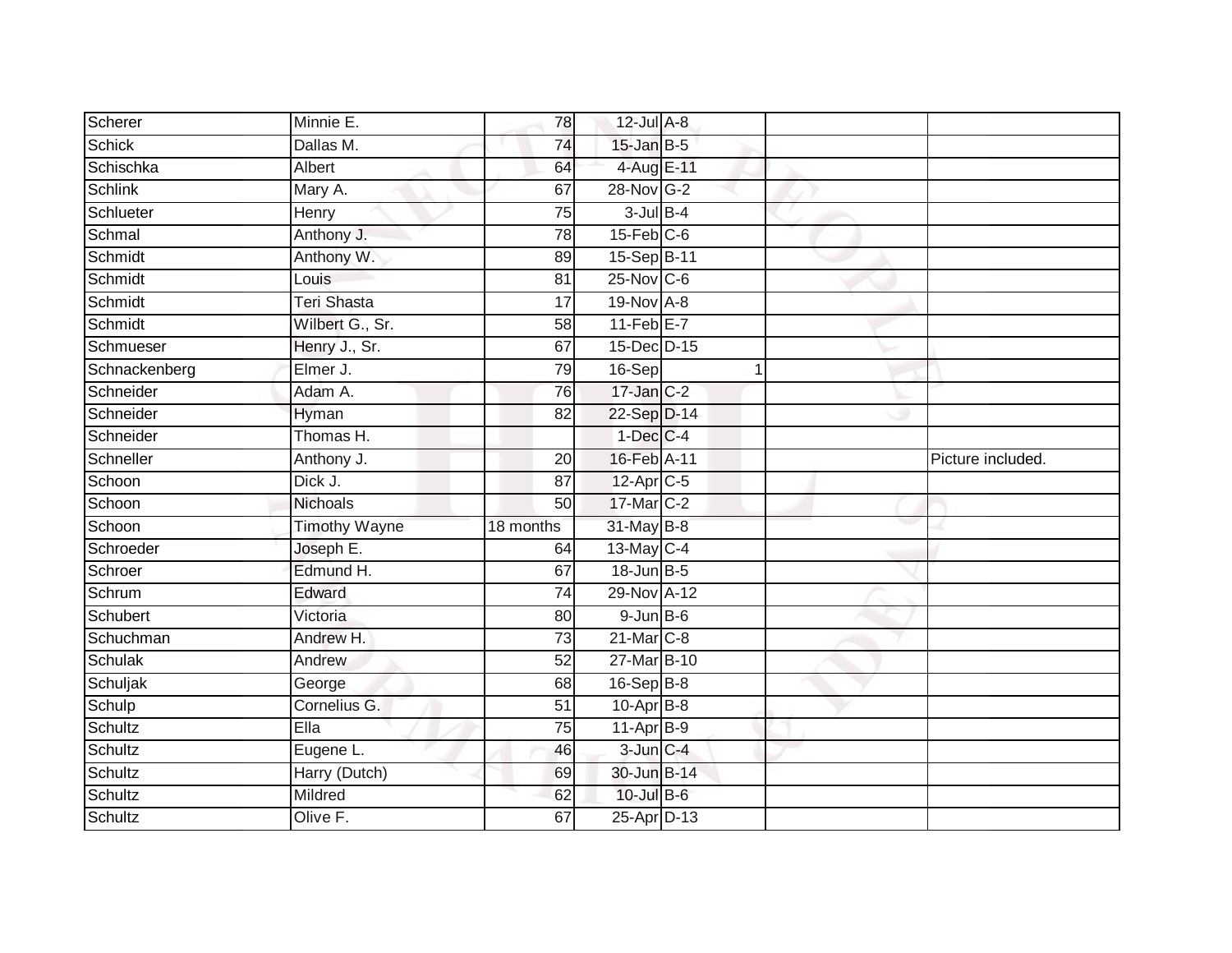| Scherer       | Minnie E.            | 78              | 12-Jul A-8        |              |                   |
|---------------|----------------------|-----------------|-------------------|--------------|-------------------|
| Schick        | Dallas M.            | 74              | $15$ -Jan B-5     |              |                   |
| Schischka     | Albert               | 64              | 4-Aug E-11        |              |                   |
| Schlink       | Mary A.              | 67              | 28-Nov G-2        |              |                   |
| Schlueter     | Henry                | $\overline{75}$ | $3$ -Jul $B-4$    |              |                   |
| Schmal        | Anthony J.           | 78              | $15$ -Feb $C$ -6  |              |                   |
| Schmidt       | Anthony W.           | 89              | 15-Sep B-11       |              |                   |
| Schmidt       | Louis                | 81              | $25$ -Nov $ C-6 $ |              |                   |
| Schmidt       | Teri Shasta          | 17              | 19-Nov A-8        |              |                   |
| Schmidt       | Wilbert G., Sr.      | $\overline{58}$ | $11-Feb$ $E-7$    |              |                   |
| Schmueser     | Henry J., Sr.        | 67              | 15-Dec D-15       |              |                   |
| Schnackenberg | Elmer J.             | 79              | $16-Sep$          | $\mathbf{1}$ |                   |
| Schneider     | Adam A.              | 76              | $17$ -Jan $C-2$   |              |                   |
| Schneider     | Hyman                | 82              | 22-Sep D-14       |              |                   |
| Schneider     | Thomas H.            |                 | $1-Dec$ $C-4$     |              |                   |
| Schneller     | Anthony J.           | 20              | 16-Feb A-11       |              | Picture included. |
| Schoon        | Dick J.              | $\overline{87}$ | $12$ -Apr $C$ -5  |              |                   |
| Schoon        | Nichoals             | 50              | 17-Mar C-2        |              |                   |
| Schoon        | <b>Timothy Wayne</b> | 18 months       | 31-May B-8        |              |                   |
| Schroeder     | Joseph E.            | 64              | 13-May C-4        |              |                   |
| Schroer       | Edmund H.            | 67              | 18-Jun B-5        |              |                   |
| Schrum        | Edward               | $\overline{74}$ | 29-Nov A-12       |              |                   |
| Schubert      | Victoria             | 80              | $9$ -Jun $B$ -6   |              |                   |
| Schuchman     | Andrew H.            | $\overline{73}$ | 21-Mar C-8        |              |                   |
| Schulak       | Andrew               | $\overline{52}$ | 27-Mar B-10       |              |                   |
| Schuljak      | George               | 68              | $16-Sep$ B-8      |              |                   |
| Schulp        | Cornelius G.         | 51              | $10-Apr$ B-8      |              |                   |
| Schultz       | Ella                 | 75              | $11-AprB-9$       |              |                   |
| Schultz       | Eugene L.            | 46              | $3$ -Jun $C-4$    |              |                   |
| Schultz       | Harry (Dutch)        | 69              | 30-Jun B-14       |              |                   |
| Schultz       | Mildred              | 62              | 10-Jul B-6        |              |                   |
| Schultz       | Olive F.             | 67              | 25-Apr D-13       |              |                   |
|               |                      |                 |                   |              |                   |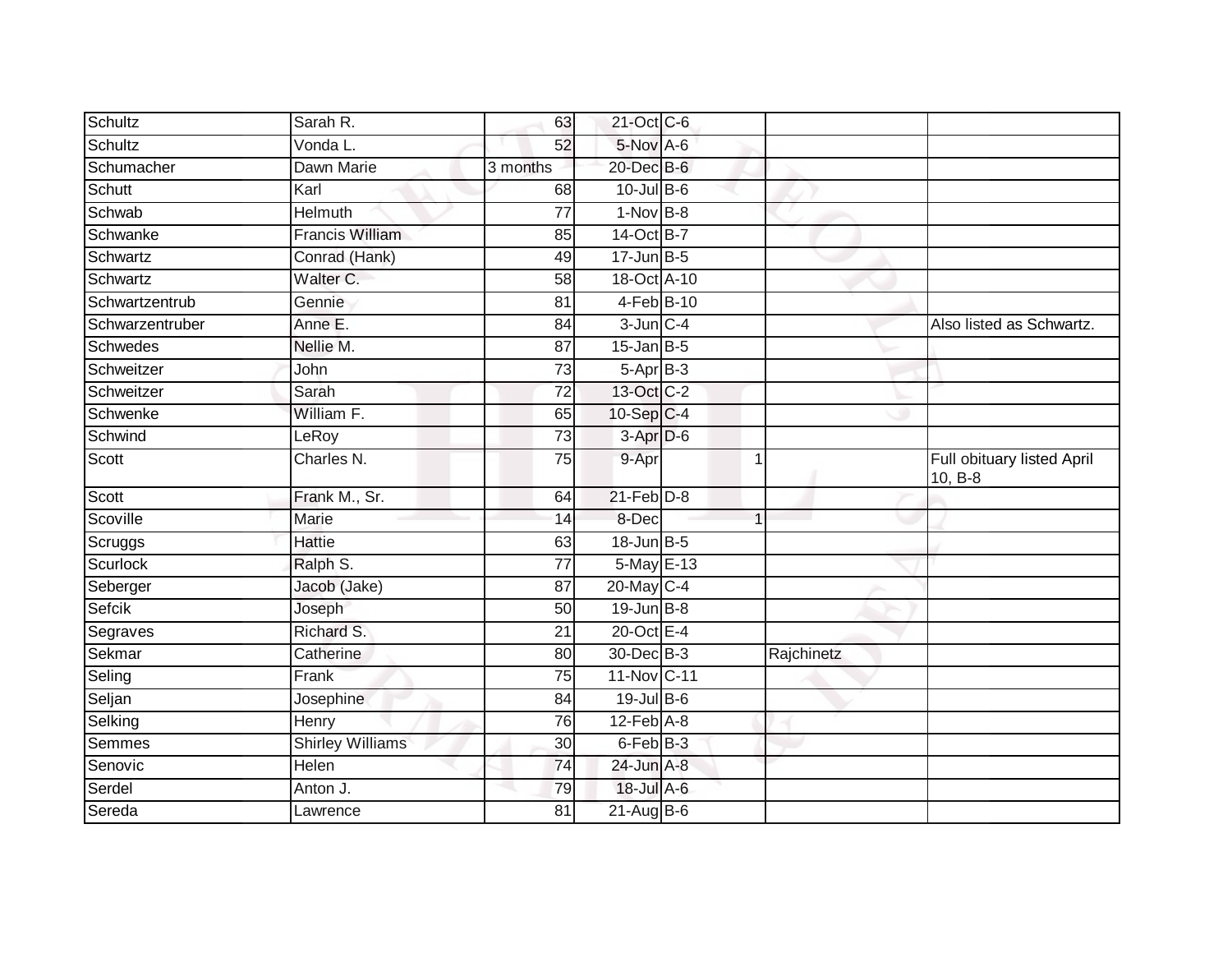| Schultz         | Sarah R.                | 63              | 21-Oct C-6              |            |                                       |
|-----------------|-------------------------|-----------------|-------------------------|------------|---------------------------------------|
| Schultz         | Vonda L.                | 52              | 5-Nov A-6               |            |                                       |
| Schumacher      | Dawn Marie              | 3 months        | 20-Dec B-6              |            |                                       |
| Schutt          | Karl                    | 68              | $10$ -Jul B-6           |            |                                       |
| Schwab          | <b>Helmuth</b>          | $\overline{77}$ | $1-Nov$ B-8             |            |                                       |
| Schwanke        | <b>Francis William</b>  | 85              | 14-Oct B-7              |            |                                       |
| Schwartz        | Conrad (Hank)           | 49              | $17$ -Jun $B-5$         |            |                                       |
| Schwartz        | Walter C.               | 58              | 18-Oct A-10             |            |                                       |
| Schwartzentrub  | Gennie                  | 81              | 4-Feb B-10              |            |                                       |
| Schwarzentruber | Anne E.                 | 84              | $3$ -Jun $C-4$          |            | Also listed as Schwartz.              |
| <b>Schwedes</b> | Nellie M.               | 87              | $15$ -Jan B-5           |            |                                       |
| Schweitzer      | John                    | 73              | $5-Apr$ B-3             |            |                                       |
| Schweitzer      | Sarah                   | 72              | 13-Oct C-2              |            |                                       |
| Schwenke        | William F.              | 65              | $10-Sep$ <sub>C-4</sub> |            |                                       |
| Schwind         | LeRoy                   | $\overline{73}$ | 3-Apr D-6               |            |                                       |
| Scott           | Charles N.              | 75              | 9-Apr                   | 1          | Full obituary listed April<br>10, B-8 |
| Scott           | Frank M., Sr.           | 64              | $21$ -Feb $D-8$         |            |                                       |
| Scoville        | Marie                   | 14              | 8-Dec                   |            |                                       |
| Scruggs         | <b>Hattie</b>           | 63              | $18$ -Jun $B - 5$       |            |                                       |
| <b>Scurlock</b> | Ralph S.                | 77              | 5-May E-13              |            |                                       |
| Seberger        | Jacob (Jake)            | 87              | 20-May C-4              |            |                                       |
| Sefcik          | Joseph                  | 50              | $19$ -Jun $B - 8$       |            |                                       |
| Segraves        | Richard S.              | 21              | $20$ -Oct $E-4$         |            |                                       |
| Sekmar          | Catherine               | 80              | 30-Dec B-3              | Rajchinetz |                                       |
| Seling          | Frank                   | 75              | 11-Nov C-11             |            |                                       |
| Seljan          | Josephine               | 84              | 19-Jul B-6              |            |                                       |
| Selking         | Henry                   | 76              | $12$ -Feb $A-8$         |            |                                       |
| <b>Semmes</b>   | <b>Shirley Williams</b> | 30              | 6-Feb B-3               |            |                                       |
| Senovic         | Helen                   | 74              | 24-Jun A-8              |            |                                       |
| Serdel          | Anton J.                | 79              | 18-Jul A-6              |            |                                       |
| Sereda          | Lawrence                | 81              | $21$ -Aug $B$ -6        |            |                                       |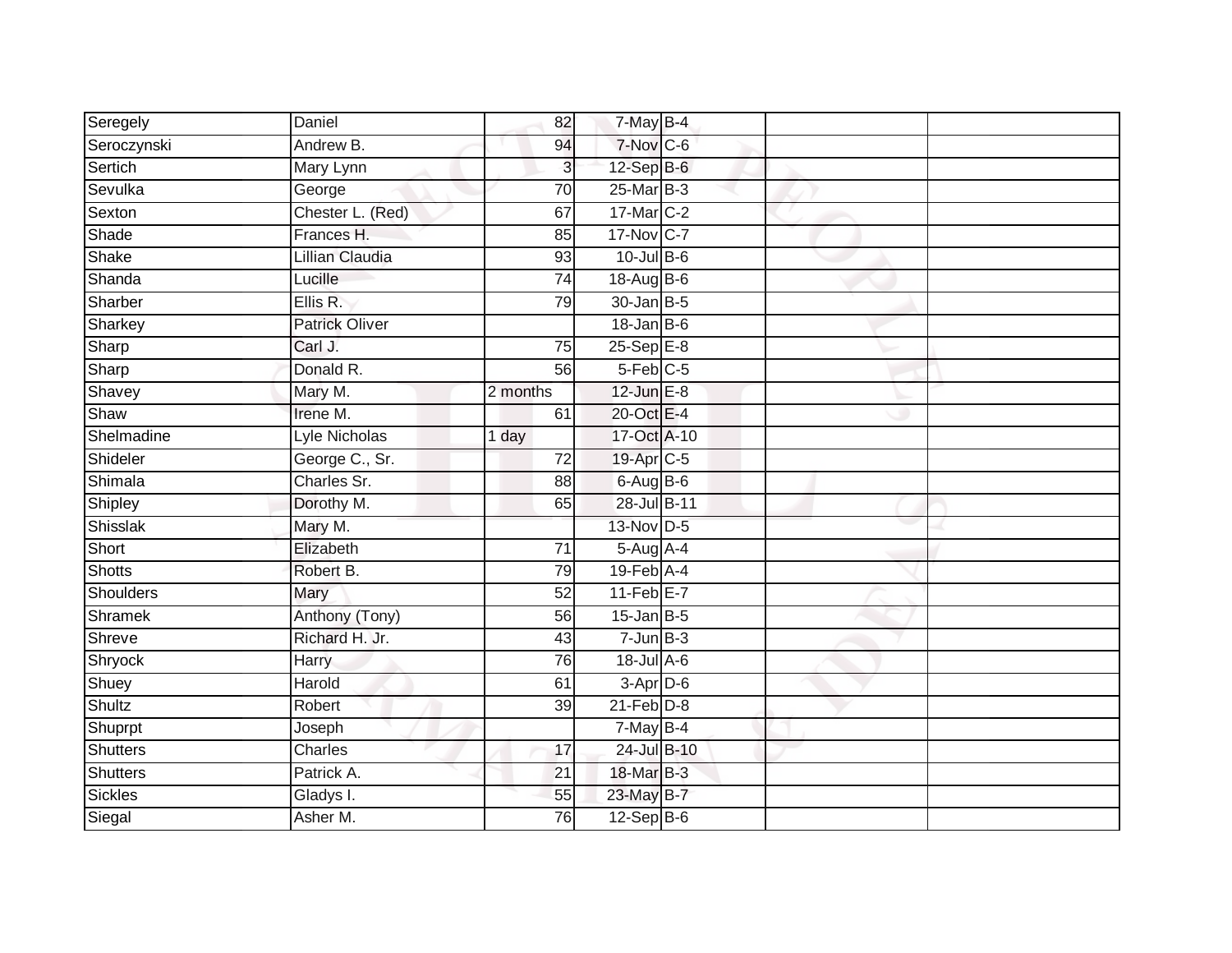| Seregely      | Daniel                | 82              | 7-May B-4                  |  |  |
|---------------|-----------------------|-----------------|----------------------------|--|--|
| Seroczynski   | Andrew B.             | 94              | 7-Nov C-6                  |  |  |
| Sertich       | Mary Lynn             | 3               | $12-Sep$ B-6               |  |  |
| Sevulka       | George                | 70              | 25-Mar B-3                 |  |  |
| Sexton        | Chester L. (Red)      | 67              | 17-Mar C-2                 |  |  |
| Shade         | Frances H.            | 85              | 17-Nov C-7                 |  |  |
| Shake         | Lillian Claudia       | 93              | $10$ -Jul B-6              |  |  |
| Shanda        | Lucille               | 74              | 18-Aug B-6                 |  |  |
| Sharber       | Ellis R.              | 79              | $30 - Jan$ $B-5$           |  |  |
| Sharkey       | <b>Patrick Oliver</b> |                 | $18$ -Jan B-6              |  |  |
| Sharp         | Carl J.               | 75              | $25-SepE-8$                |  |  |
| Sharp         | Donald R.             | 56              | $5-Feb$ <sub>C-5</sub>     |  |  |
| Shavey        | Mary M.               | 2 months        | $12$ -Jun $E-8$            |  |  |
| Shaw          | Irene M.              | 61              | 20-Oct E-4                 |  |  |
| Shelmadine    | Lyle Nicholas         | 1 day           | 17-Oct A-10                |  |  |
| Shideler      | George C., Sr.        | 72              | 19-Apr C-5                 |  |  |
| Shimala       | Charles Sr.           | 88              | $6$ -Aug $B$ -6            |  |  |
| Shipley       | Dorothy M.            | 65              | 28-Jul B-11                |  |  |
| Shisslak      | Mary M.               |                 | 13-Nov D-5                 |  |  |
| Short         | Elizabeth             | 71              | $5-Aug$ A-4                |  |  |
| Shotts        | Robert B.             | 79              | $19$ -Feb $\overline{A-4}$ |  |  |
| Shoulders     | Mary                  | 52              | $11-Feb$ E-7               |  |  |
| Shramek       | Anthony (Tony)        | 56              | $15$ -Jan B-5              |  |  |
| Shreve        | Richard H. Jr.        | 43              | $7 - Jun$ B-3              |  |  |
| Shryock       | Harry                 | 76              | 18-Jul A-6                 |  |  |
| Shuey         | Harold                | 61              | $3-Apr$ D-6                |  |  |
| <b>Shultz</b> | Robert                | 39              | $21$ -Feb $D-8$            |  |  |
| Shuprpt       | Joseph                |                 | $7$ -May B-4               |  |  |
| Shutters      | Charles               | 17              | 24-Jul B-10                |  |  |
| Shutters      | Patrick A.            | $\overline{21}$ | 18-Mar B-3                 |  |  |
| Sickles       | Gladys I.             | 55              | 23-May B-7                 |  |  |
| Siegal        | Asher M.              | 76              | $12-Sep$ B-6               |  |  |
|               |                       |                 |                            |  |  |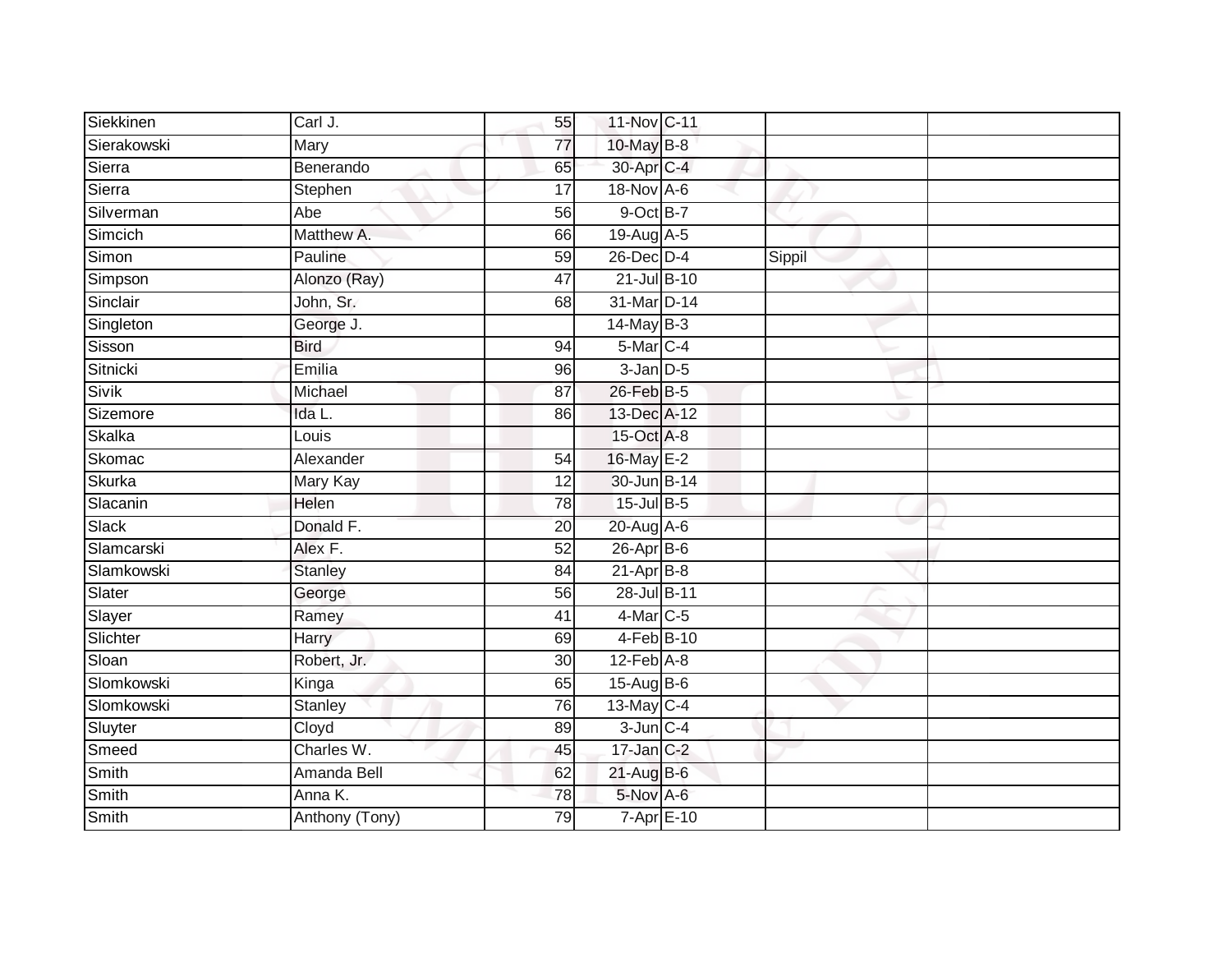| Siekkinen   | $\overline{Carl}$ J. | 55              | 11-Nov C-11      |        |  |
|-------------|----------------------|-----------------|------------------|--------|--|
| Sierakowski | Mary                 | 77              | 10-May B-8       |        |  |
| Sierra      | Benerando            | 65              | 30-Apr C-4       |        |  |
| Sierra      | Stephen              | 17              | 18-Nov A-6       |        |  |
| Silverman   | Abe                  | $\overline{56}$ | 9-Oct B-7        |        |  |
| Simcich     | Matthew A.           | 66              | 19-Aug A-5       |        |  |
| Simon       | Pauline              | 59              | $26$ -Dec $D-4$  | Sippil |  |
| Simpson     | Alonzo (Ray)         | 47              | 21-Jul B-10      |        |  |
| Sinclair    | John, Sr.            | 68              | 31-Mar D-14      |        |  |
| Singleton   | George J.            |                 | $14$ -May B-3    |        |  |
| Sisson      | <b>Bird</b>          | 94              | 5-Mar C-4        |        |  |
| Sitnicki    | Emilia               | 96              | $3$ -Jan $D-5$   |        |  |
| Sivik       | Michael              | 87              | 26-Feb B-5       |        |  |
| Sizemore    | Ida L.               | 86              | 13-Dec A-12      |        |  |
| Skalka      | Louis                |                 | 15-Oct A-8       |        |  |
| Skomac      | Alexander            | 54              | 16-May E-2       |        |  |
| Skurka      | Mary Kay             | $\overline{12}$ | 30-Jun B-14      |        |  |
| Slacanin    | Helen                | 78              | 15-Jul B-5       |        |  |
| Slack       | Donald F.            | 20              | 20-Aug A-6       |        |  |
| Slamcarski  | Alex F.              | 52              | $26$ -Apr $B$ -6 |        |  |
| Slamkowski  | <b>Stanley</b>       | 84              | $21-Apr$ B-8     |        |  |
| Slater      | George               | 56              | 28-Jul B-11      |        |  |
| Slayer      | Ramey                | 41              | $4$ -Mar $C$ -5  |        |  |
| Slichter    | Harry                | 69              | 4-Feb B-10       |        |  |
| Sloan       | Robert, Jr.          | 30              | $12$ -Feb $A-8$  |        |  |
| Slomkowski  | Kinga                | 65              | 15-Aug B-6       |        |  |
| Slomkowski  | Stanley              | 76              | 13-May C-4       |        |  |
| Sluyter     | Cloyd                | 89              | $3$ -Jun $C - 4$ |        |  |
| Smeed       | Charles W.           | 45              | $17$ -Jan $C-2$  |        |  |
| Smith       | Amanda Bell          | 62              | 21-Aug B-6       |        |  |
| Smith       | Anna K.              | 78              | 5-Nov A-6        |        |  |
| Smith       | Anthony (Tony)       | 79              | 7-Apr E-10       |        |  |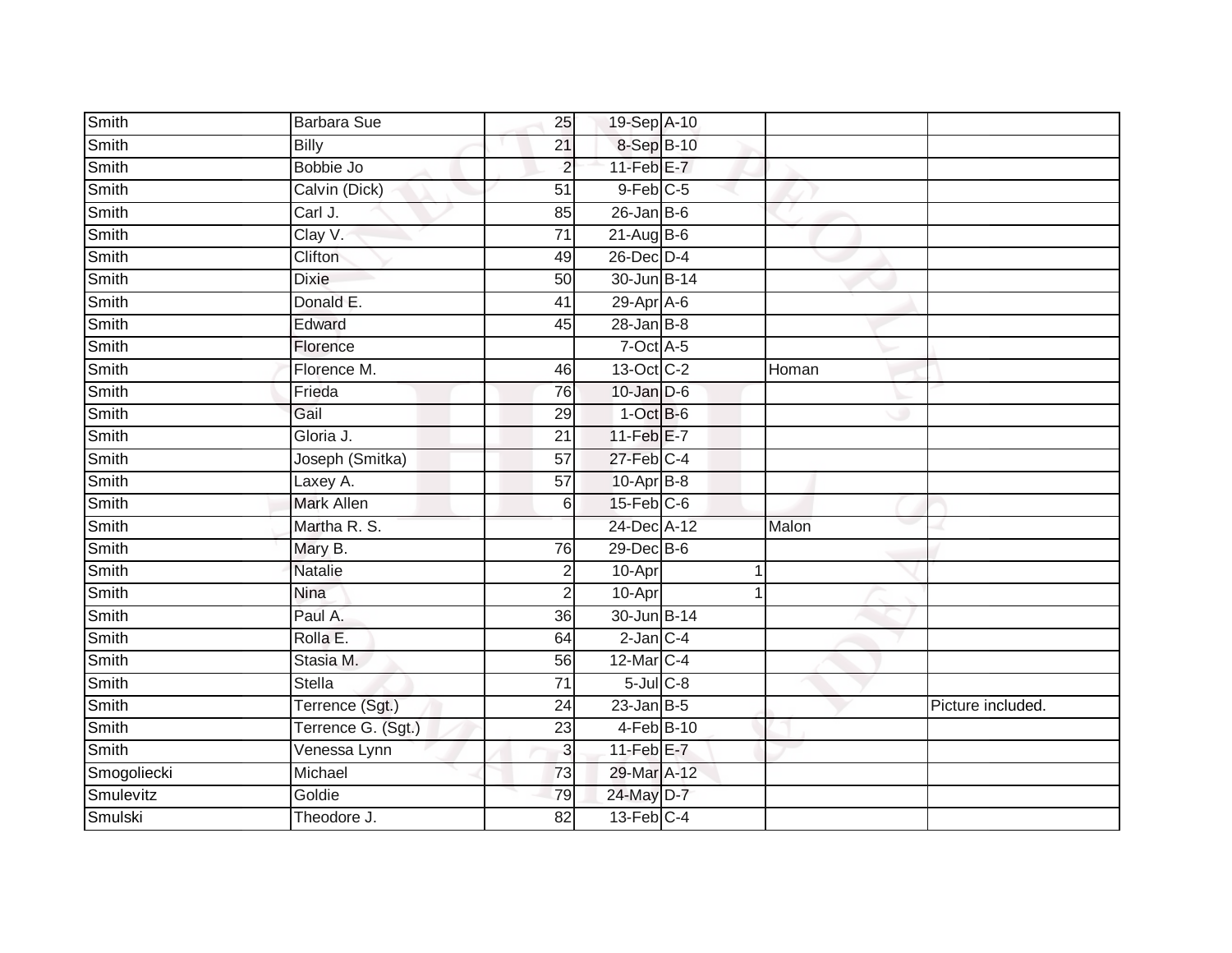| Smith        | Barbara Sue        | 25              | 19-Sep A-10       |       |                   |
|--------------|--------------------|-----------------|-------------------|-------|-------------------|
| Smith        | <b>Billy</b>       | $\overline{21}$ | 8-Sep B-10        |       |                   |
| Smith        | Bobbie Jo          | $\overline{2}$  | $11-Feb$ E-7      |       |                   |
| Smith        | Calvin (Dick)      | $\overline{51}$ | $9$ -Feb $C$ -5   |       |                   |
| Smith        | Carl J.            | $\overline{85}$ | $26$ -Jan B-6     |       |                   |
| Smith        | Clay V.            | $\overline{71}$ | $21-Aug$ B-6      |       |                   |
| Smith        | Clifton            | 49              | 26-Dec D-4        |       |                   |
| Smith        | <b>Dixie</b>       | 50              | 30-Jun B-14       |       |                   |
| Smith        | Donald E.          | 41              | 29-Apr A-6        |       |                   |
| Smith        | Edward             | 45              | $28 - Jan$ $B-8$  |       |                   |
| <b>Smith</b> | Florence           |                 | $7$ -Oct A-5      |       |                   |
| Smith        | Florence M.        | 46              | 13-Oct C-2        | Homan |                   |
| Smith        | Frieda             | 76              | $10$ -Jan $D-6$   |       |                   |
| Smith        | Gail               | 29              | $1$ -Oct $B$ -6   |       |                   |
| Smith        | Gloria J.          | $\overline{21}$ | $11-Feb$ $E-7$    |       |                   |
| Smith        | Joseph (Smitka)    | 57              | $27$ -Feb $C-4$   |       |                   |
| Smith        | Laxey A.           | $\overline{57}$ | 10-Apr B-8        |       |                   |
| Smith        | <b>Mark Allen</b>  | 6               | $15$ -Feb $C$ -6  |       |                   |
| Smith        | Martha R. S.       |                 | 24-Dec A-12       | Malon |                   |
| Smith        | Mary B.            | 76              | $29$ -Dec $B$ -6  |       |                   |
| Smith        | Natalie            | $\overline{2}$  | $10$ -Apr         |       |                   |
| Smith        | <b>Nina</b>        | $\overline{2}$  | 10-Apr            |       |                   |
| Smith        | Paul A.            | 36              | 30-Jun B-14       |       |                   |
| Smith        | Rolla E.           | 64              | $2$ -Jan $C-4$    |       |                   |
| Smith        | Stasia M.          | 56              | 12-Mar C-4        |       |                   |
| Smith        | <b>Stella</b>      | $\overline{71}$ | $5$ -Jul $C$ -8   |       |                   |
| Smith        | Terrence (Sgt.)    | 24              | $23$ -Jan B-5     |       | Picture included. |
| Smith        | Terrence G. (Sgt.) | 23              | 4-Feb B-10        |       |                   |
| <b>Smith</b> | Venessa Lynn       | $\mathbf{3}$    | $11$ -Feb $E$ -7  |       |                   |
| Smogoliecki  | Michael            | 73              | 29-Mar A-12       |       |                   |
| Smulevitz    | Goldie             | 79              | 24-May D-7        |       |                   |
| Smulski      | Theodore J.        | 82              | $13$ -Feb $ C-4 $ |       |                   |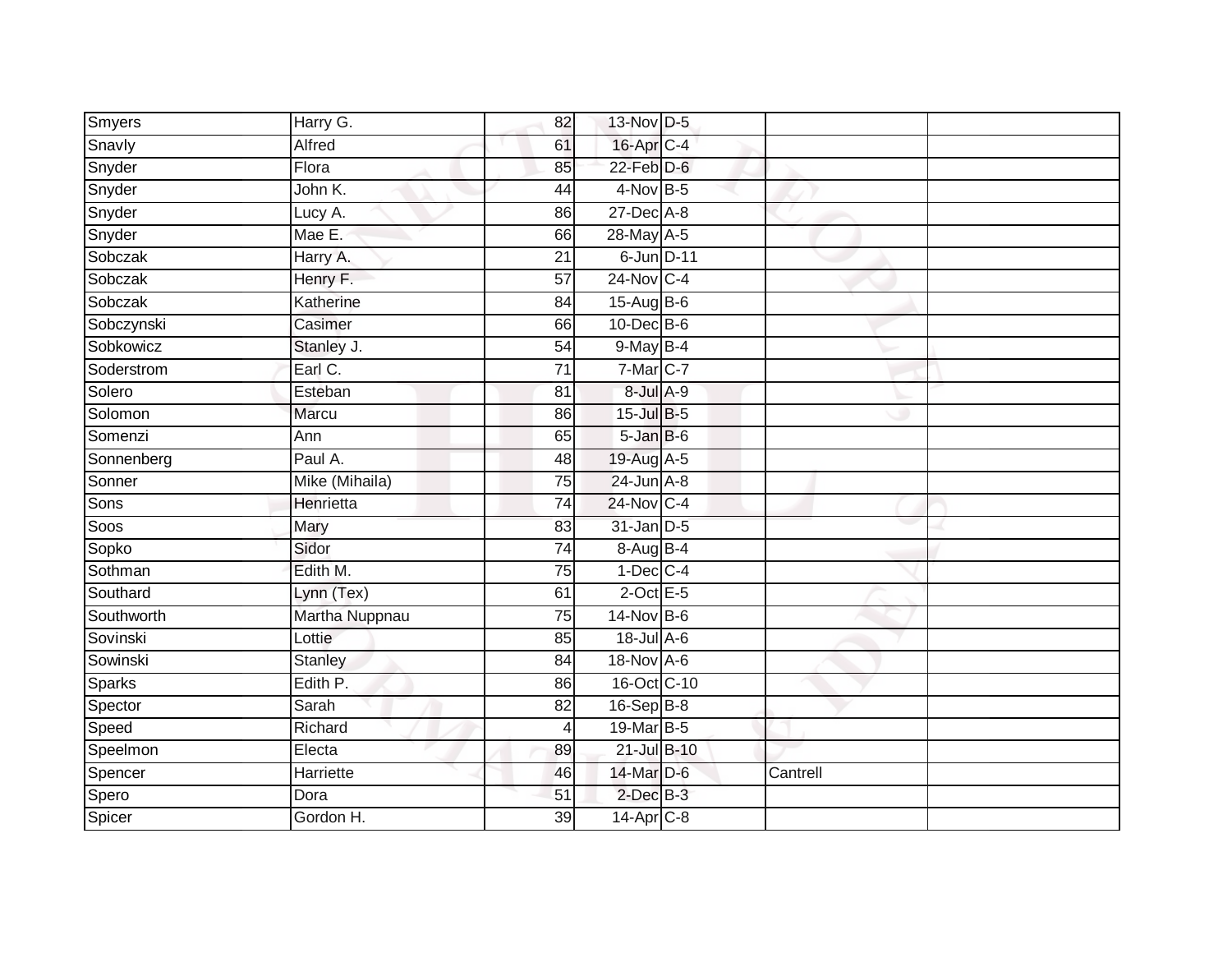| Smyers        | Harry G.       | 82              | 13-Nov D-5       |          |  |
|---------------|----------------|-----------------|------------------|----------|--|
| Snavly        | Alfred         | 61              | 16-Apr C-4       |          |  |
| Snyder        | Flora          | 85              | 22-Feb D-6       |          |  |
| Snyder        | John K.        | 44              | 4-Nov B-5        |          |  |
| Snyder        | Lucy A.        | 86              | $27$ -Dec $A-8$  |          |  |
| Snyder        | Mae E.         | 66              | 28-May A-5       |          |  |
| Sobczak       | Harry A.       | 21              | 6-Jun D-11       |          |  |
| Sobczak       | Henry F.       | 57              | 24-Nov C-4       |          |  |
| Sobczak       | Katherine      | 84              | 15-Aug B-6       |          |  |
| Sobczynski    | Casimer        | 66              | $10$ -Dec $B$ -6 |          |  |
| Sobkowicz     | Stanley J.     | 54              | $9$ -May B-4     |          |  |
| Soderstrom    | Earl C.        | 71              | 7-Mar C-7        |          |  |
| Solero        | Esteban        | 81              | 8-Jul A-9        |          |  |
| Solomon       | Marcu          | 86              | 15-Jul B-5       |          |  |
| Somenzi       | Ann            | 65              | 5-Jan B-6        |          |  |
| Sonnenberg    | Paul A.        | 48              | 19-Aug A-5       |          |  |
| Sonner        | Mike (Mihaila) | $\overline{75}$ | $24$ -Jun $A-8$  |          |  |
| Sons          | Henrietta      | 74              | 24-Nov C-4       |          |  |
| Soos          | Mary           | 83              | 31-Jan D-5       |          |  |
| Sopko         | Sidor          | $\overline{74}$ | 8-Aug B-4        |          |  |
| Sothman       | Edith M.       | 75              | $1-Dec$ $C-4$    |          |  |
| Southard      | Lynn (Tex)     | 61              | $2$ -Oct $E-5$   |          |  |
| Southworth    | Martha Nuppnau | 75              | 14-Nov B-6       |          |  |
| Sovinski      | Lottie         | 85              | 18-Jul A-6       |          |  |
| Sowinski      | Stanley        | 84              | 18-Nov A-6       |          |  |
| <b>Sparks</b> | Edith P.       | 86              | 16-Oct C-10      |          |  |
| Spector       | Sarah          | 82              | $16-Sep$ B-8     |          |  |
| Speed         | Richard        | 4               | 19-Mar B-5       |          |  |
| Speelmon      | Electa         | 89              | 21-Jul B-10      |          |  |
| Spencer       | Harriette      | 46              | 14-Mar D-6       | Cantrell |  |
| Spero         | Dora           | 51              | $2$ -Dec $B-3$   |          |  |
| Spicer        | Gordon H.      | 39              | 14-Apr C-8       |          |  |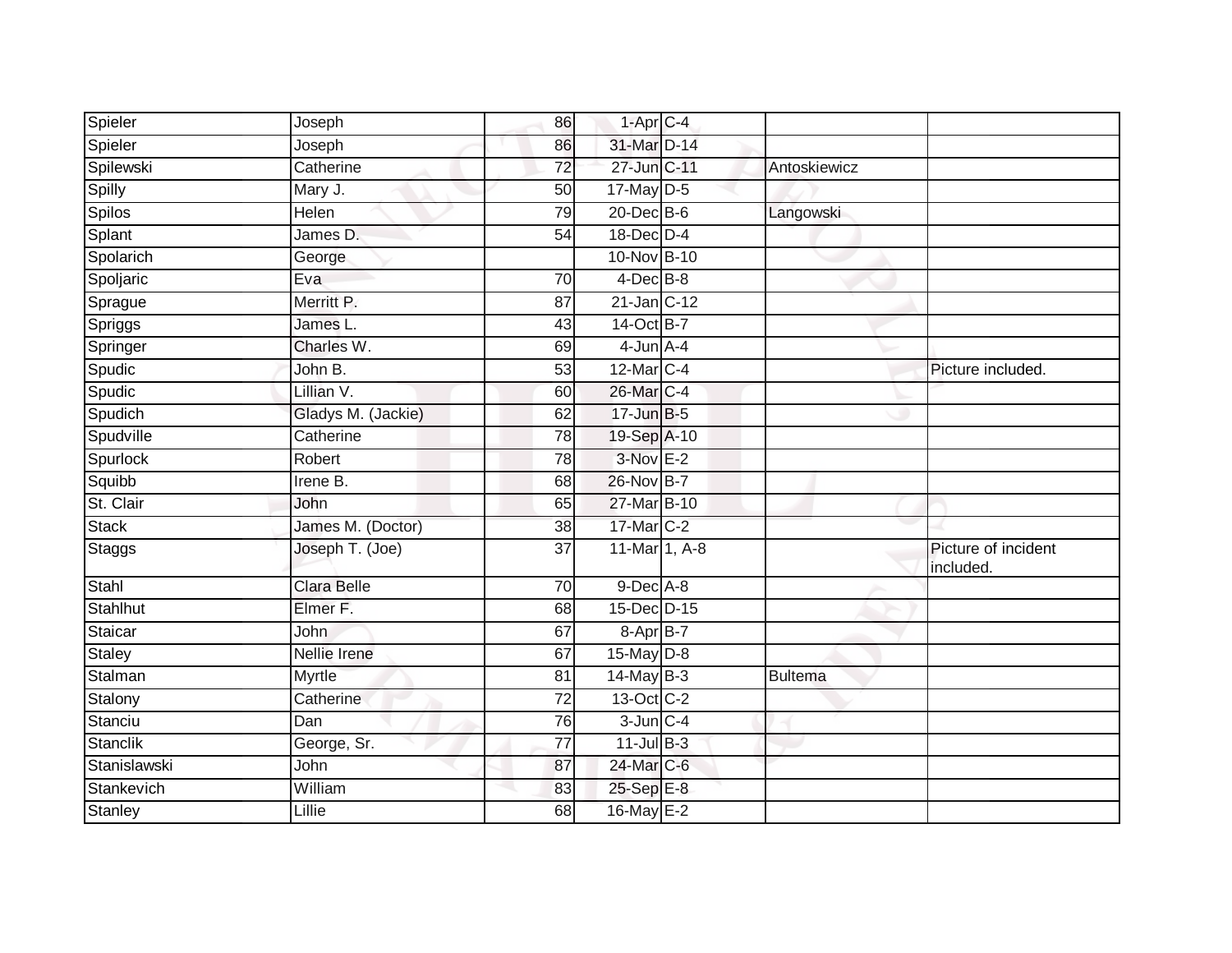| Spieler        | Joseph             | 86              | $1-Apr$ <sub>C-4</sub> |                |                                 |
|----------------|--------------------|-----------------|------------------------|----------------|---------------------------------|
| Spieler        | Joseph             | 86              | 31-Mar D-14            |                |                                 |
| Spilewski      | Catherine          | 72              | 27-Jun C-11            | Antoskiewicz   |                                 |
| Spilly         | Mary J.            | 50              | $17$ -May $D-5$        |                |                                 |
| <b>Spilos</b>  | <b>Helen</b>       | 79              | $20$ -Dec $B-6$        | Langowski      |                                 |
| Splant         | James D.           | 54              | 18-Dec D-4             |                |                                 |
| Spolarich      | George             |                 | 10-Nov B-10            |                |                                 |
| Spoljaric      | Eva                | 70              | $4$ -Dec $B$ -8        |                |                                 |
| Sprague        | Merritt P.         | 87              | 21-Jan C-12            |                |                                 |
| Spriggs        | James L.           | 43              | 14-Oct B-7             |                |                                 |
| Springer       | Charles W.         | 69              | $4$ -Jun $A$ -4        |                |                                 |
| Spudic         | John B.            | 53              | 12-Mar C-4             |                | Picture included.               |
| Spudic         | Lillian V.         | 60              | 26-Mar C-4             |                |                                 |
| Spudich        | Gladys M. (Jackie) | 62              | 17-Jun B-5             |                |                                 |
| Spudville      | Catherine          | $\overline{78}$ | 19-Sep A-10            |                |                                 |
| Spurlock       | Robert             | 78              | $3-Nov$ E-2            |                |                                 |
| Squibb         | Irene B.           | 68              | 26-Nov B-7             |                |                                 |
| St. Clair      | John               | 65              | 27-Mar B-10            |                |                                 |
| <b>Stack</b>   | James M. (Doctor)  | 38              | 17-Mar C-2             |                |                                 |
| <b>Staggs</b>  | Joseph T. (Joe)    | 37              | 11-Mar 1, A-8          |                | Picture of incident<br>included |
| Stahl          | Clara Belle        | 70              | $9$ -Dec $A$ -8        |                |                                 |
| Stahlhut       | Elmer F.           | 68              | 15-Dec D-15            |                |                                 |
| Staicar        | John               | 67              | 8-Apr B-7              |                |                                 |
| Staley         | Nellie Irene       | 67              | $15$ -May $D-8$        |                |                                 |
| Stalman        | <b>Myrtle</b>      | 81              | $14$ -May B-3          | <b>Bultema</b> |                                 |
| Stalony        | Catherine          | 72              | 13-Oct C-2             |                |                                 |
| Stanciu        | Dan                | 76              | $3$ -Jun $C-4$         |                |                                 |
| Stanclik       | George, Sr.        | 77              | $11$ -Jul B-3          |                |                                 |
| Stanislawski   | John               | 87              | 24-Mar C-6             |                |                                 |
| Stankevich     | William            | 83              | 25-Sep E-8             |                |                                 |
| <b>Stanley</b> | Lillie             | 68              | 16-May E-2             |                |                                 |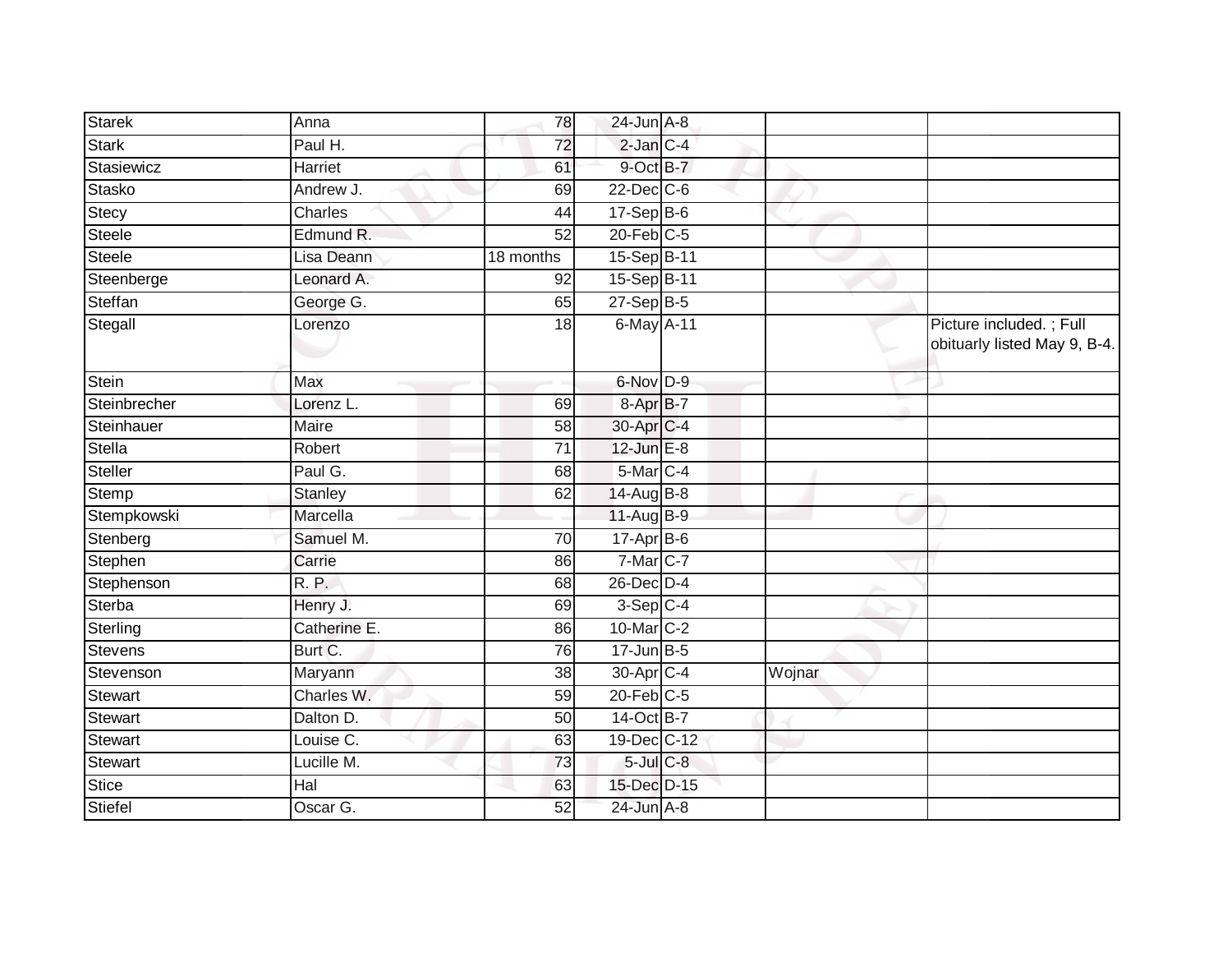| <b>Starek</b>  | Anna         | 78              | $24$ -Jun $A-8$        |        |                                                         |
|----------------|--------------|-----------------|------------------------|--------|---------------------------------------------------------|
| <b>Stark</b>   | Paul H.      | $\overline{72}$ | $2$ -Jan $C-4$         |        |                                                         |
| Stasiewicz     | Harriet      | 61              | 9-Oct B-7              |        |                                                         |
| Stasko         | Andrew J.    | 69              | $22$ -Dec $C$ -6       |        |                                                         |
| Stecy          | Charles      | 44              | $17-Sep$ B-6           |        |                                                         |
| Steele         | Edmund R.    | 52              | $20$ -Feb $C-5$        |        |                                                         |
| Steele         | Lisa Deann   | 18 months       | 15-Sep B-11            |        |                                                         |
| Steenberge     | Leonard A.   | 92              | 15-Sep B-11            |        |                                                         |
| Steffan        | George G.    | 65              | $27-Sep$ B-5           |        |                                                         |
| Stegall        | Lorenzo      | $\overline{18}$ | 6-May A-11             |        | Picture included.; Full<br>obituarly listed May 9, B-4. |
| Stein          | Max          |                 | 6-Nov D-9              |        |                                                         |
| Steinbrecher   | Lorenz L.    | 69              | 8-Apr B-7              |        |                                                         |
| Steinhauer     | Maire        | 58              | 30-Apr C-4             |        |                                                         |
| Stella         | Robert       | 71              | 12-Jun E-8             |        |                                                         |
| Steller        | Paul G.      | 68              | 5-Mar C-4              |        |                                                         |
| Stemp          | Stanley      | 62              | 14-Aug B-8             |        |                                                         |
| Stempkowski    | Marcella     |                 | 11-Aug B-9             |        |                                                         |
| Stenberg       | Samuel M.    | $\overline{70}$ | $17-Apr$ B-6           |        |                                                         |
| Stephen        | Carrie       | 86              | 7-Mar C-7              |        |                                                         |
| Stephenson     | <b>R.P.</b>  | 68              | 26-Dec D-4             |        |                                                         |
| Sterba         | Henry J.     | 69              | $3-Sep$ <sub>C-4</sub> |        |                                                         |
| Sterling       | Catherine E. | 86              | 10-Mar C-2             |        |                                                         |
| <b>Stevens</b> | Burt C.      | 76              | $17 - Jun$ B-5         |        |                                                         |
| Stevenson      | Maryann      | 38              | 30-Apr C-4             | Wojnar |                                                         |
| <b>Stewart</b> | Charles W.   | 59              | $20$ -Feb $C-5$        |        |                                                         |
| Stewart        | Dalton D.    | 50              | 14-Oct B-7             |        |                                                         |
| <b>Stewart</b> | Louise C.    | 63              | 19-Dec C-12            |        |                                                         |
| <b>Stewart</b> | Lucille M.   | 73              | $5$ -Jul $C$ -8        |        |                                                         |
| <b>Stice</b>   | Hal          | 63              | 15-Dec D-15            |        |                                                         |
| Stiefel        | Oscar G.     | 52              | $24$ -Jun $A-8$        |        |                                                         |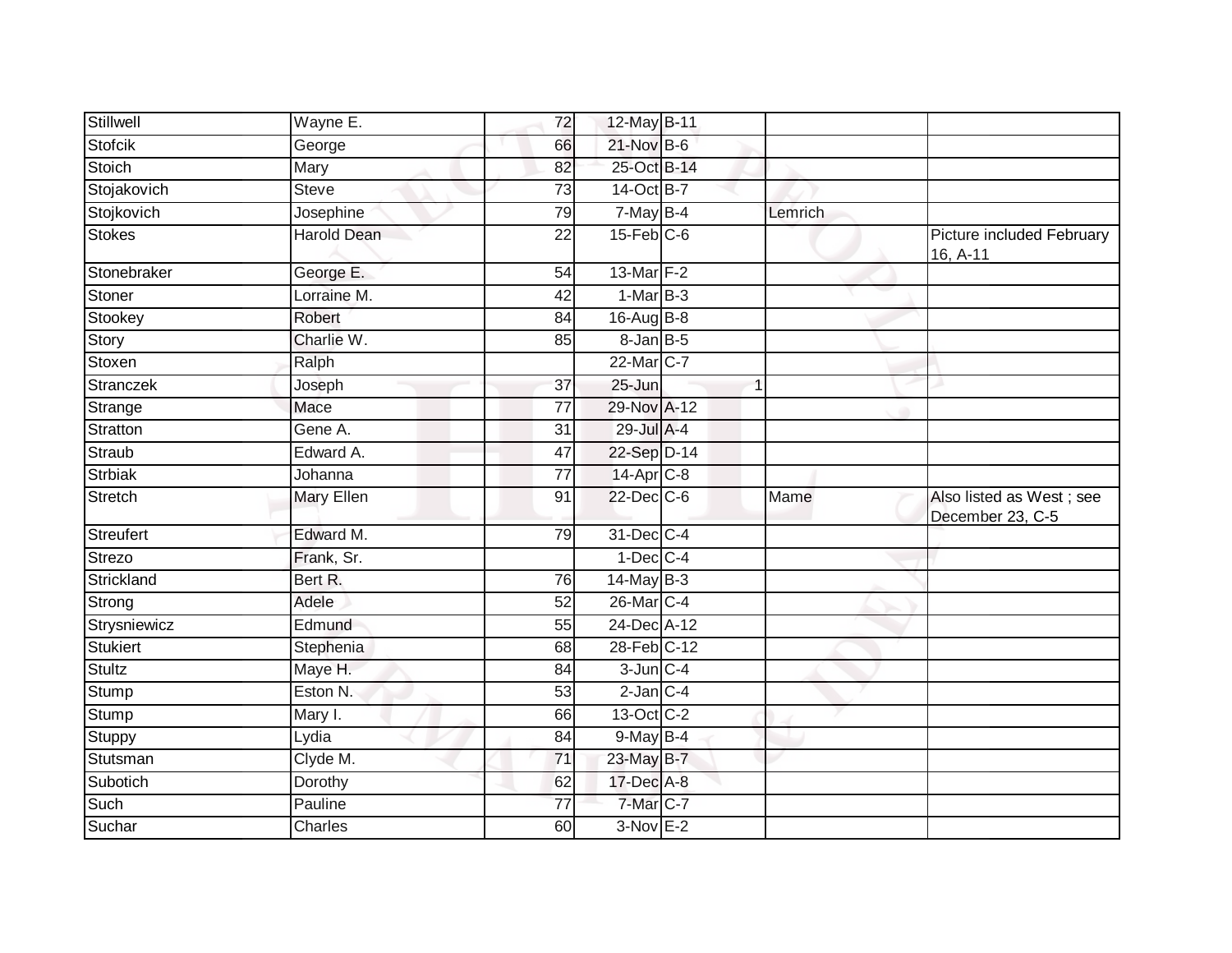| Stillwell        | Wayne E.          | $\overline{72}$ | 12-May B-11      |         |                                              |
|------------------|-------------------|-----------------|------------------|---------|----------------------------------------------|
| <b>Stofcik</b>   | George            | 66              | $21$ -Nov $B-6$  |         |                                              |
| <b>Stoich</b>    | Mary              | 82              | 25-Oct B-14      |         |                                              |
| Stojakovich      | <b>Steve</b>      | 73              | 14-Oct B-7       |         |                                              |
| Stojkovich       | Josephine         | 79              | $7$ -May B-4     | Lemrich |                                              |
| <b>Stokes</b>    | Harold Dean       | 22              | $15$ -Feb $C$ -6 |         | Picture included February<br>16, A-11        |
| Stonebraker      | George E.         | 54              | 13-Mar F-2       |         |                                              |
| Stoner           | Lorraine M.       | $\overline{42}$ | $1-MarB-3$       |         |                                              |
| Stookey          | Robert            | 84              | 16-Aug B-8       |         |                                              |
| Story            | Charlie W.        | 85              | $8$ -Jan $B$ -5  |         |                                              |
| Stoxen           | Ralph             |                 | 22-Mar C-7       |         |                                              |
| Stranczek        | Joseph            | 37              | 25-Jun           |         |                                              |
| Strange          | Mace              | $\overline{77}$ | 29-Nov A-12      |         |                                              |
| Stratton         | Gene A.           | 31              | 29-Jul A-4       |         |                                              |
| Straub           | Edward A.         | 47              | 22-Sep D-14      |         |                                              |
| <b>Strbiak</b>   | Johanna           | 77              | $14$ -Apr $C-8$  |         |                                              |
| Stretch          | <b>Mary Ellen</b> | 91              | 22-Dec C-6       | Mame    | Also listed as West; see<br>December 23, C-5 |
| <b>Streufert</b> | Edward M.         | 79              | 31-Dec C-4       |         |                                              |
| Strezo           | Frank, Sr.        |                 | $1-Dec$ $C-4$    |         |                                              |
| Strickland       | Bert R.           | 76              | $14$ -May B-3    |         |                                              |
| Strong           | Adele             | 52              | 26-Mar C-4       |         |                                              |
| Strysniewicz     | Edmund            | 55              | 24-Dec A-12      |         |                                              |
| <b>Stukiert</b>  | Stephenia         | 68              | 28-Feb C-12      |         |                                              |
| <b>Stultz</b>    | Maye H.           | 84              | $3$ -Jun $C - 4$ |         |                                              |
| Stump            | Eston N.          | 53              | $2$ -Jan $C-4$   |         |                                              |
| Stump            | Mary I.           | 66              | 13-Oct C-2       |         |                                              |
| Stuppy           | Lydia             | 84              | $9$ -May $B-4$   |         |                                              |
| Stutsman         | Clyde M.          | 71              | 23-May B-7       |         |                                              |
| Subotich         | Dorothy           | 62              | 17-Dec A-8       |         |                                              |
| Such             | Pauline           | $\overline{77}$ | 7-Mar C-7        |         |                                              |
| Suchar           | Charles           | 60              | $3-Nov$ E-2      |         |                                              |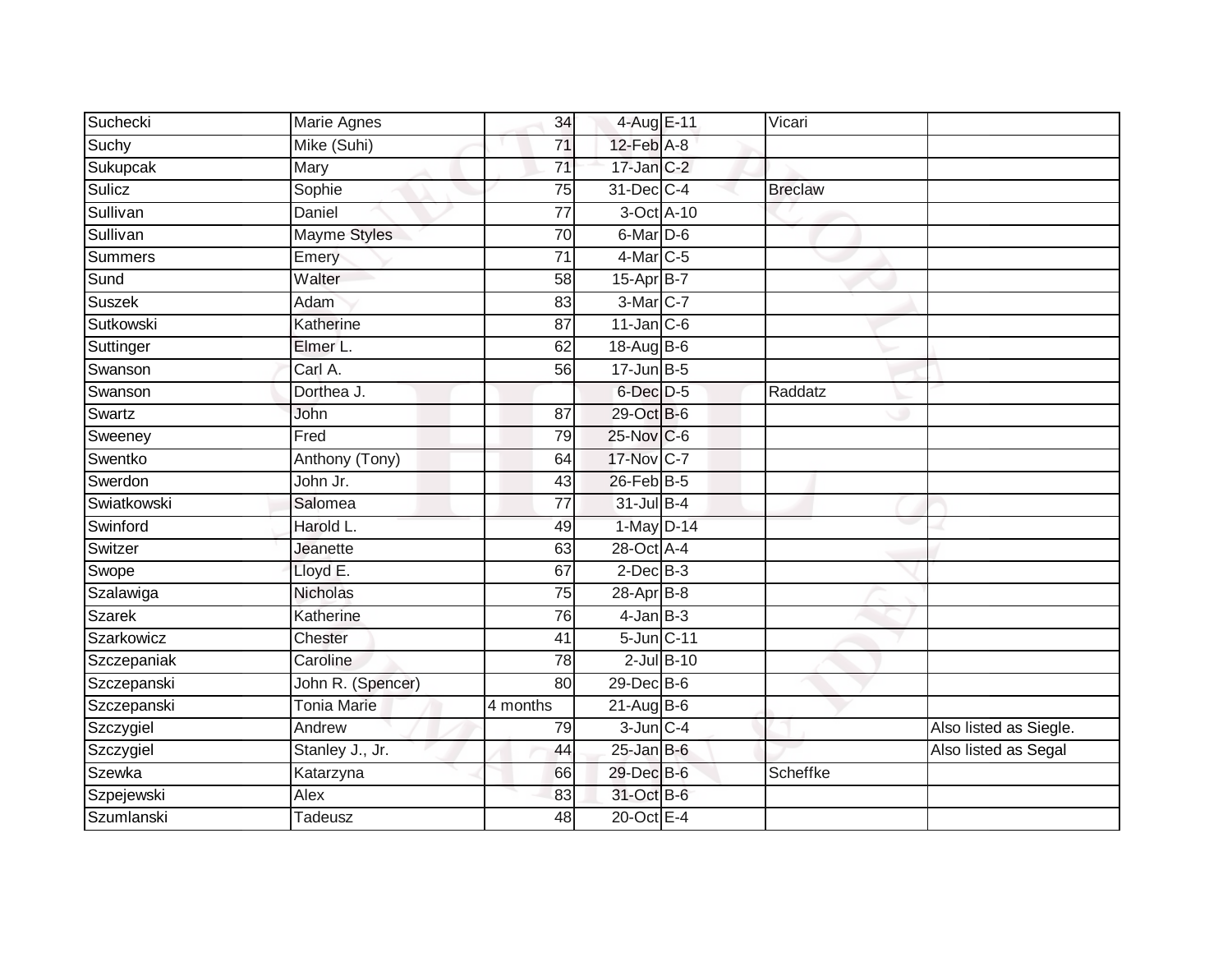| Suchecki       | Marie Agnes         | 34              | 4-Aug E-11       | Vicari         |                        |
|----------------|---------------------|-----------------|------------------|----------------|------------------------|
| Suchy          | Mike (Suhi)         | 71              | $12$ -Feb $A-8$  |                |                        |
| Sukupcak       | <b>Mary</b>         | $\overline{71}$ | $17$ -Jan $C-2$  |                |                        |
| Sulicz         | Sophie              | 75              | 31-Dec C-4       | <b>Breclaw</b> |                        |
| Sullivan       | <b>Daniel</b>       | 77              | 3-Oct A-10       |                |                        |
| Sullivan       | <b>Mayme Styles</b> | 70              | 6-Mar D-6        |                |                        |
| <b>Summers</b> | Emery               | 71              | $4$ -Mar $ C-5$  |                |                        |
| Sund           | Walter              | 58              | 15-Apr B-7       |                |                        |
| Suszek         | Adam                | 83              | 3-Mar C-7        |                |                        |
| Sutkowski      | Katherine           | $\overline{87}$ | $11$ -Jan C-6    |                |                        |
| Suttinger      | Elmer L.            | 62              | 18-Aug B-6       |                |                        |
| Swanson        | Carl A.             | 56              | $17 - Jun$ B-5   |                |                        |
| Swanson        | Dorthea J.          |                 | 6-Dec D-5        | Raddatz        |                        |
| Swartz         | John                | 87              | 29-Oct B-6       |                |                        |
| Sweeney        | Fred                | 79              | 25-Nov C-6       |                |                        |
| Swentko        | Anthony (Tony)      | 64              | 17-Nov C-7       |                |                        |
| Swerdon        | John Jr.            | 43              | $26$ -Feb $B-5$  |                |                        |
| Swiatkowski    | Salomea             | 77              | $31$ -Jul B-4    |                |                        |
| Swinford       | Harold L.           | 49              | 1-May D-14       |                |                        |
| Switzer        | Jeanette            | 63              | 28-Oct A-4       |                |                        |
| Swope          | Lloyd E.            | 67              | $2$ -Dec $B-3$   |                |                        |
| Szalawiga      | Nicholas            | $\overline{75}$ | $28$ -Apr $B$ -8 |                |                        |
| <b>Szarek</b>  | Katherine           | 76              | $4$ -Jan $B-3$   |                |                        |
| Szarkowicz     | Chester             | 41              | 5-Jun C-11       |                |                        |
| Szczepaniak    | Caroline            | 78              | $2$ -Jul $B-10$  |                |                        |
| Szczepanski    | John R. (Spencer)   | 80              | 29-Dec B-6       |                |                        |
| Szczepanski    | <b>Tonia Marie</b>  | 4 months        | $21-Aug$ B-6     |                |                        |
| Szczygiel      | Andrew              | 79              | $3$ -Jun $C - 4$ |                | Also listed as Siegle. |
| Szczygiel      | Stanley J., Jr.     | 44              | $25$ -Jan B-6    |                | Also listed as Segal   |
| Szewka         | Katarzyna           | 66              | 29-Dec B-6       | Scheffke       |                        |
| Szpejewski     | Alex                | 83              | 31-Oct B-6       |                |                        |
| Szumlanski     | Tadeusz             | 48              | 20-Oct E-4       |                |                        |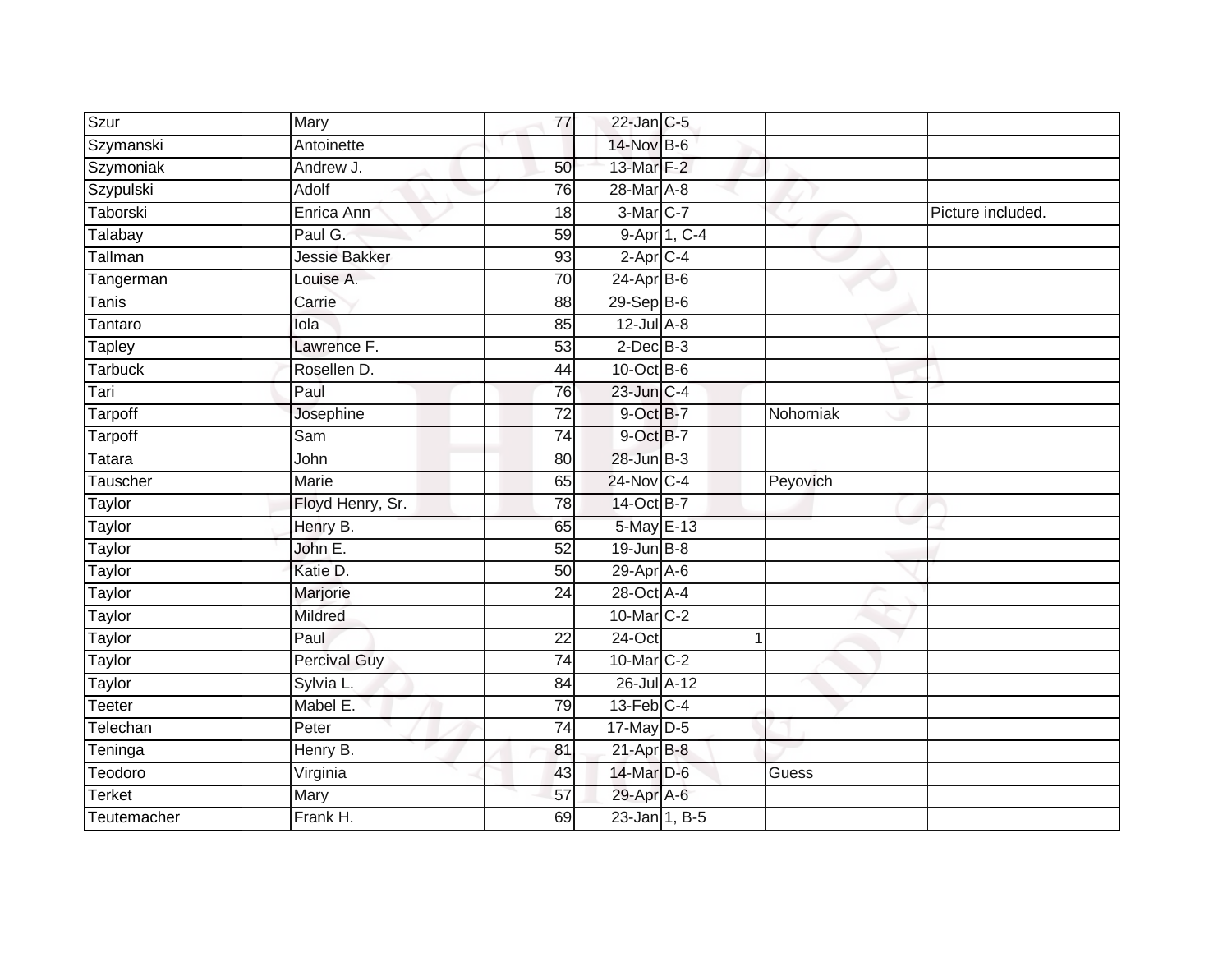| Szur           | Mary                 | 77              | $22$ -Jan C-5     |                |           |                   |
|----------------|----------------------|-----------------|-------------------|----------------|-----------|-------------------|
| Szymanski      | Antoinette           |                 | 14-Nov B-6        |                |           |                   |
| Szymoniak      | Andrew J.            | 50              | 13-Mar F-2        |                |           |                   |
| Szypulski      | Adolf                | 76              | $28$ -Mar A-8     |                |           |                   |
| Taborski       | Enrica Ann           | $\overline{18}$ | 3-Mar C-7         |                |           | Picture included. |
| Talabay        | Paul G.              | 59              |                   | 9-Apr 1, C-4   |           |                   |
| Tallman        | <b>Jessie Bakker</b> | 93              | $2$ -Apr $C$ -4   |                |           |                   |
| Tangerman      | Louise A.            | 70              | 24-Apr B-6        |                |           |                   |
| Tanis          | Carrie               | 88              | 29-Sep B-6        |                |           |                   |
| Tantaro        | lola                 | 85              | $12$ -Jul $A-8$   |                |           |                   |
| Tapley         | Lawrence F.          | 53              | $2$ -Dec $B-3$    |                |           |                   |
| <b>Tarbuck</b> | Rosellen D.          | 44              | $10$ -Oct B-6     |                |           |                   |
| Tari           | Paul                 | 76              | 23-Jun C-4        |                |           |                   |
| <b>Tarpoff</b> | Josephine            | 72              | 9-Oct B-7         |                | Nohorniak |                   |
| Tarpoff        | Sam                  | 74              | 9-Oct B-7         |                |           |                   |
| Tatara         | John                 | 80              | 28-Jun B-3        |                |           |                   |
| Tauscher       | <b>Marie</b>         | 65              | 24-Nov C-4        |                | Peyovich  |                   |
| Taylor         | Floyd Henry, Sr.     | 78              | 14-Oct B-7        |                |           |                   |
| Taylor         | Henry B.             | 65              | 5-May E-13        |                |           |                   |
| <b>Taylor</b>  | John E.              | 52              | $19$ -Jun $B - 8$ |                |           |                   |
| Taylor         | Katie D.             | 50              | 29-Apr A-6        |                |           |                   |
| Taylor         | Marjorie             | 24              | 28-Oct A-4        |                |           |                   |
| Taylor         | Mildred              |                 | 10-Mar C-2        |                |           |                   |
| Taylor         | Paul                 | $\overline{22}$ | $24$ -Oct         | $\overline{1}$ |           |                   |
| Taylor         | <b>Percival Guy</b>  | $\overline{74}$ | 10-Mar C-2        |                |           |                   |
| Taylor         | Sylvia L.            | 84              | 26-Jul A-12       |                |           |                   |
| Teeter         | Mabel E.             | 79              | $13$ -Feb $ C-4 $ |                |           |                   |
| Telechan       | Peter                | 74              | 17-May D-5        |                |           |                   |
| Teninga        | Henry B.             | 81              | $21-Apr$ B-8      |                |           |                   |
| Teodoro        | Virginia             | 43              | 14-Mar D-6        |                | Guess     |                   |
| Terket         | Mary                 | 57              | 29-Apr A-6        |                |           |                   |
| Teutemacher    | Frank H.             | 69              | $23$ -Jan 1, B-5  |                |           |                   |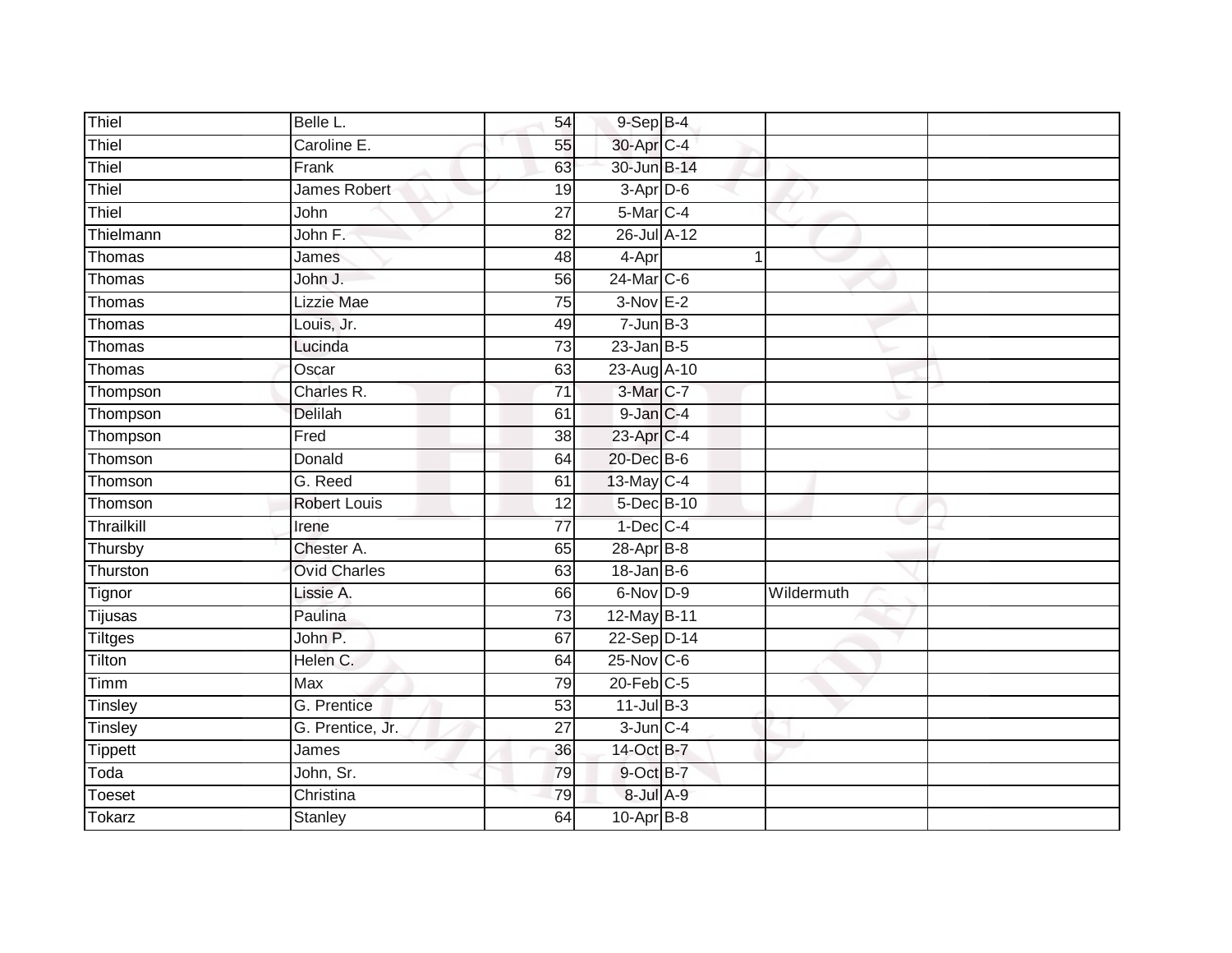| Thiel          | Belle L.            | 54              | $9-Sep$ $B-4$     |   |            |
|----------------|---------------------|-----------------|-------------------|---|------------|
| Thiel          | Caroline E.         | 55              | 30-Apr C-4        |   |            |
| Thiel          | Frank               | 63              | 30-Jun B-14       |   |            |
| Thiel          | James Robert        | 19              | $3-Apr$ D-6       |   |            |
| Thiel          | John                | $\overline{27}$ | 5-Mar C-4         |   |            |
| Thielmann      | John F.             | 82              | 26-Jul A-12       |   |            |
| Thomas         | James               | 48              | 4-Apr             | 1 |            |
| Thomas         | John J.             | 56              | $24$ -Mar $C-6$   |   |            |
| Thomas         | Lizzie Mae          | 75              | $3-Nov E-2$       |   |            |
| Thomas         | Louis, Jr.          | 49              | $7 - Jun$ $B-3$   |   |            |
| Thomas         | Lucinda             | 73              | $23$ -Jan B-5     |   |            |
| Thomas         | Oscar               | 63              | 23-Aug A-10       |   |            |
| Thompson       | Charles R.          | 71              | 3-Mar C-7         |   |            |
| Thompson       | <b>Delilah</b>      | 61              | 9-Jan C-4         |   |            |
| Thompson       | Fred                | $\overline{38}$ | 23-Apr C-4        |   |            |
| Thomson        | Donald              | 64              | 20-Dec B-6        |   |            |
| Thomson        | G. Reed             | 61              | 13-May C-4        |   |            |
| Thomson        | <b>Robert Louis</b> | 12              | 5-Dec B-10        |   |            |
| Thrailkill     | Irene               | $\overline{77}$ | $1-Dec$ $C-4$     |   |            |
| Thursby        | Chester A.          | 65              | $28-Apr$ B-8      |   |            |
| Thurston       | <b>Ovid Charles</b> | 63              | $18 - Jan$ $B-6$  |   |            |
| Tignor         | Lissie A.           | 66              | 6-Nov D-9         |   | Wildermuth |
| Tijusas        | Paulina             | 73              | 12-May B-11       |   |            |
| Tiltges        | John P.             | 67              | 22-Sep D-14       |   |            |
| Tilton         | Helen C.            | 64              | $25$ -Nov $ C-6 $ |   |            |
| Timm           | <b>Max</b>          | 79              | $20$ -Feb $C-5$   |   |            |
| Tinsley        | G. Prentice         | 53              | $11$ -Jul $B-3$   |   |            |
| Tinsley        | G. Prentice, Jr.    | 27              | $3$ -Jun $C - 4$  |   |            |
| <b>Tippett</b> | James               | 36              | 14-Oct B-7        |   |            |
| Toda           | John, Sr.           | 79              | $9$ -Oct $B-7$    |   |            |
| Toeset         | Christina           | 79              | 8-Jul A-9         |   |            |
| <b>Tokarz</b>  | <b>Stanley</b>      | 64              | $10-Apr$ B-8      |   |            |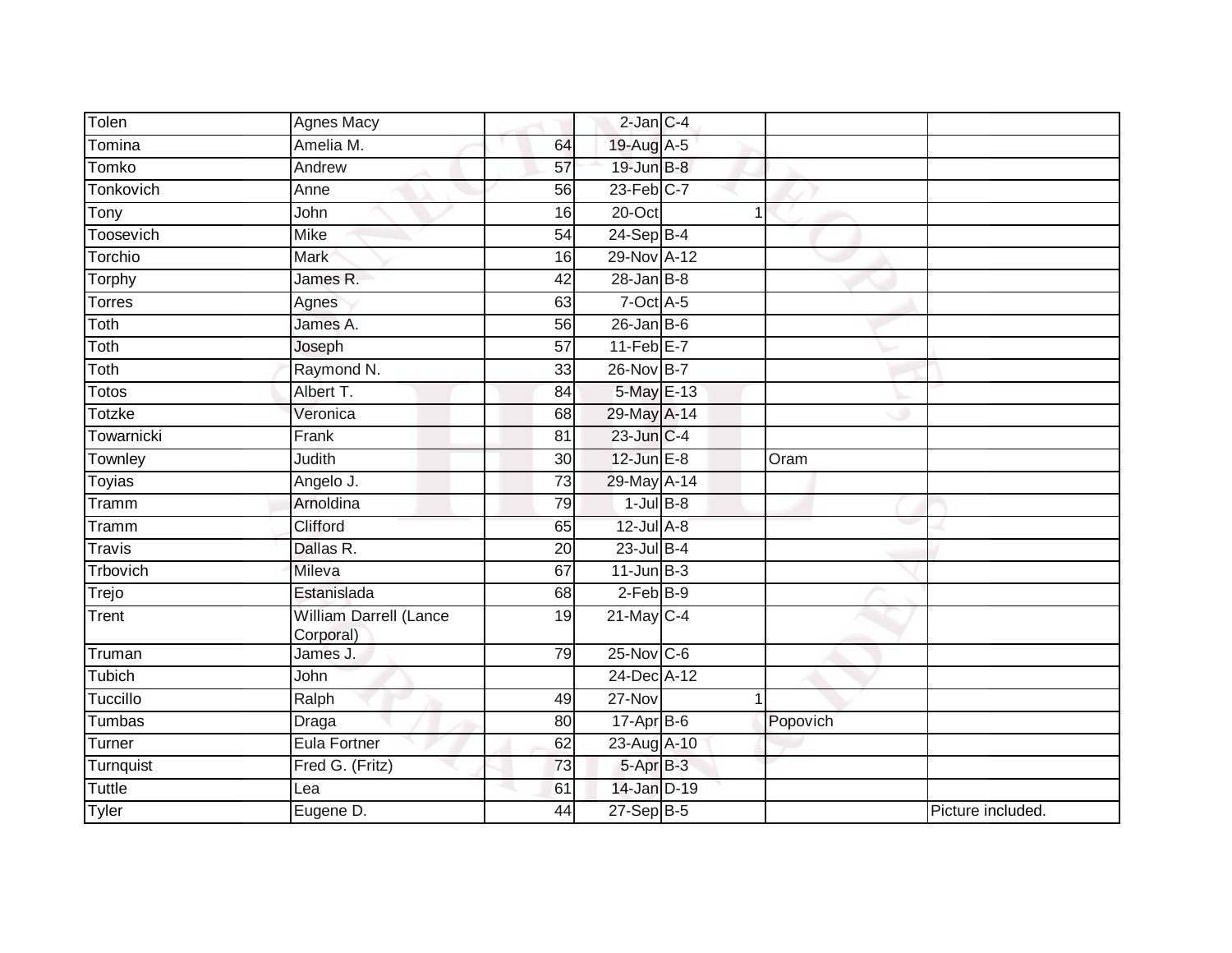| Tolen         | Agnes Macy                          |                 | $2$ -Jan $C-4$    |   |          |                   |
|---------------|-------------------------------------|-----------------|-------------------|---|----------|-------------------|
| Tomina        | Amelia M.                           | 64              | 19-Aug A-5        |   |          |                   |
| Tomko         | Andrew                              | 57              | 19-Jun B-8        |   |          |                   |
| Tonkovich     | Anne                                | 56              | $23$ -Feb $C-7$   |   |          |                   |
| Tony          | John                                | 16              | $20$ -Oct         | 1 |          |                   |
| Toosevich     | <b>Mike</b>                         | 54              | 24-Sep B-4        |   |          |                   |
| Torchio       | Mark                                | 16              | 29-Nov A-12       |   |          |                   |
| Torphy        | James R.                            | 42              | $28 - Jan$ $B-8$  |   |          |                   |
| Torres        | Agnes                               | 63              | $7$ -Oct $A$ -5   |   |          |                   |
| Toth          | James A.                            | 56              | $26$ -Jan B-6     |   |          |                   |
| Toth          | Joseph                              | $\overline{57}$ | $11-Feb$ E-7      |   |          |                   |
| Toth          | Raymond N.                          | 33              | 26-Nov B-7        |   |          |                   |
| <b>Totos</b>  | Albert T.                           | 84              | 5-May E-13        |   |          |                   |
| Totzke        | Veronica                            | 68              | 29-May A-14       |   |          |                   |
| Towarnicki    | Frank                               | 81              | 23-Jun C-4        |   |          |                   |
| Townley       | Judith                              | 30              | $12$ -Jun $E-8$   |   | Oram     |                   |
| <b>Toyias</b> | Angelo J.                           | 73              | 29-May A-14       |   |          |                   |
| Tramm         | Arnoldina                           | 79              | $1$ -Jul $B-8$    |   |          |                   |
| Tramm         | Clifford                            | 65              | $12$ -Jul A-8     |   |          |                   |
| <b>Travis</b> | Dallas R.                           | 20              | $23$ -Jul $B-4$   |   |          |                   |
| Trbovich      | Mileva                              | 67              | $11$ -Jun $B-3$   |   |          |                   |
| Trejo         | Estanislada                         | 68              | $2-FebB-9$        |   |          |                   |
| Trent         | William Darrell (Lance<br>Corporal) | 19              | $21$ -May C-4     |   |          |                   |
| Truman        | James J.                            | 79              | $25$ -Nov $ C-6 $ |   |          |                   |
| Tubich        | John                                |                 | 24-Dec A-12       |   |          |                   |
| Tuccillo      | Ralph                               | 49              | $27 - Nov$        | 1 |          |                   |
| Tumbas        | Draga                               | 80              | $17$ -Apr $B$ -6  |   | Popovich |                   |
| Turner        | Eula Fortner                        | 62              | 23-Aug A-10       |   |          |                   |
| Turnquist     | Fred G. (Fritz)                     | 73              | 5-Apr B-3         |   |          |                   |
| Tuttle        | Lea                                 | 61              | 14-Jan D-19       |   |          |                   |
| Tyler         | Eugene D.                           | 44              | 27-Sep B-5        |   |          | Picture included. |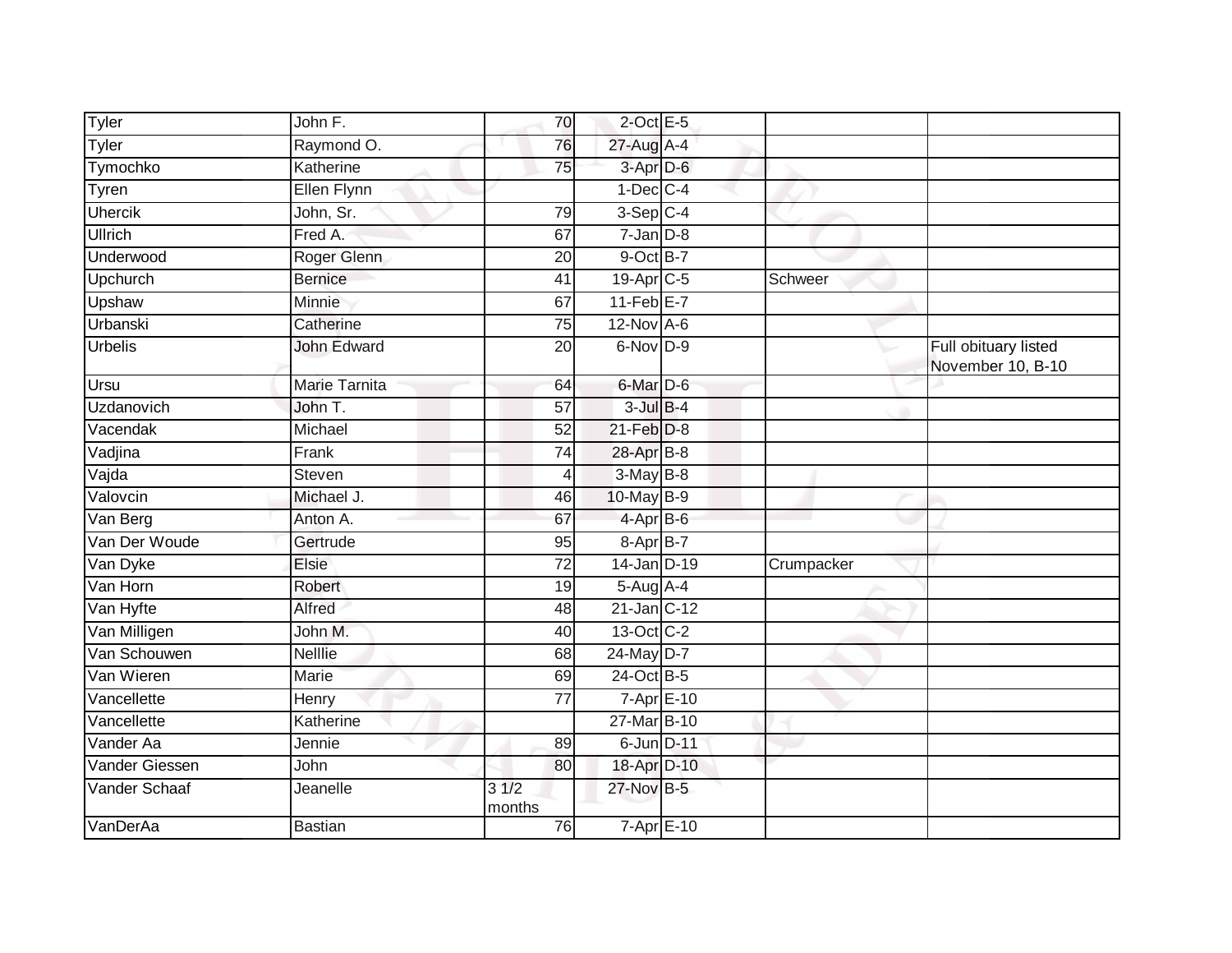| Tyler          | John F.              | 70              | $2$ -Oct E-5          |            |                                           |
|----------------|----------------------|-----------------|-----------------------|------------|-------------------------------------------|
| Tyler          | Raymond O.           | 76              | 27-Aug A-4            |            |                                           |
| Tymochko       | Katherine            | 75              | 3-Apr D-6             |            |                                           |
| Tyren          | Ellen Flynn          |                 | $1-Dec$ $C-4$         |            |                                           |
| <b>Uhercik</b> | John, Sr.            | 79              | $3-Sep$ C-4           |            |                                           |
| Ullrich        | Fred A.              | 67              | $7$ -Jan $D-8$        |            |                                           |
| Underwood      | Roger Glenn          | 20              | 9-Oct B-7             |            |                                           |
| Upchurch       | <b>Bernice</b>       | 41              | 19-Apr <sub>C-5</sub> | Schweer    |                                           |
| Upshaw         | Minnie               | 67              | $11-FebE-7$           |            |                                           |
| Urbanski       | Catherine            | 75              | $12$ -Nov $A-6$       |            |                                           |
| <b>Urbelis</b> | <b>John Edward</b>   | 20              | $6$ -Nov $D-9$        |            | Full obituary listed<br>November 10, B-10 |
| <b>Ursu</b>    | <b>Marie Tarnita</b> | 64              | $6$ -Mar $D$ -6       |            |                                           |
| Uzdanovich     | John T.              | 57              | $3$ -Jul $B-4$        |            |                                           |
| Vacendak       | Michael              | $\overline{52}$ | $21$ -Feb $D-8$       |            |                                           |
| Vadjina        | Frank                | 74              | 28-Apr B-8            |            |                                           |
| Vajda          | <b>Steven</b>        | 4               | $3-MayB-8$            |            |                                           |
| Valovcin       | Michael J.           | 46              | 10-May B-9            |            |                                           |
| Van Berg       | Anton A.             | 67              | 4-Apr B-6             |            |                                           |
| Van Der Woude  | Gertrude             | 95              | 8-Apr B-7             |            |                                           |
| Van Dyke       | Elsie                | $\overline{72}$ | 14-Jan D-19           | Crumpacker |                                           |
| Van Horn       | Robert               | 19              | $5-AugA-4$            |            |                                           |
| Van Hyfte      | Alfred               | 48              | $21$ -Jan $ C-12 $    |            |                                           |
| Van Milligen   | John M.              | 40              | 13-Oct C-2            |            |                                           |
| Van Schouwen   | <b>Nelllie</b>       | 68              | 24-May D-7            |            |                                           |
| Van Wieren     | Marie                | 69              | 24-Oct B-5            |            |                                           |
| Vancellette    | Henry                | 77              | $7 - Apr$ $E - 10$    |            |                                           |
| Vancellette    | Katherine            |                 | 27-Mar B-10           |            |                                           |
| Vander Aa      | Jennie               | 89              | 6-Jun D-11            |            |                                           |
| Vander Giessen | John                 | 80              | 18-Apr D-10           |            |                                           |
| Vander Schaaf  | Jeanelle             | 31/2<br>months  | 27-Nov B-5            |            |                                           |
| VanDerAa       | <b>Bastian</b>       | 76              | $7 - Apr$ $E - 10$    |            |                                           |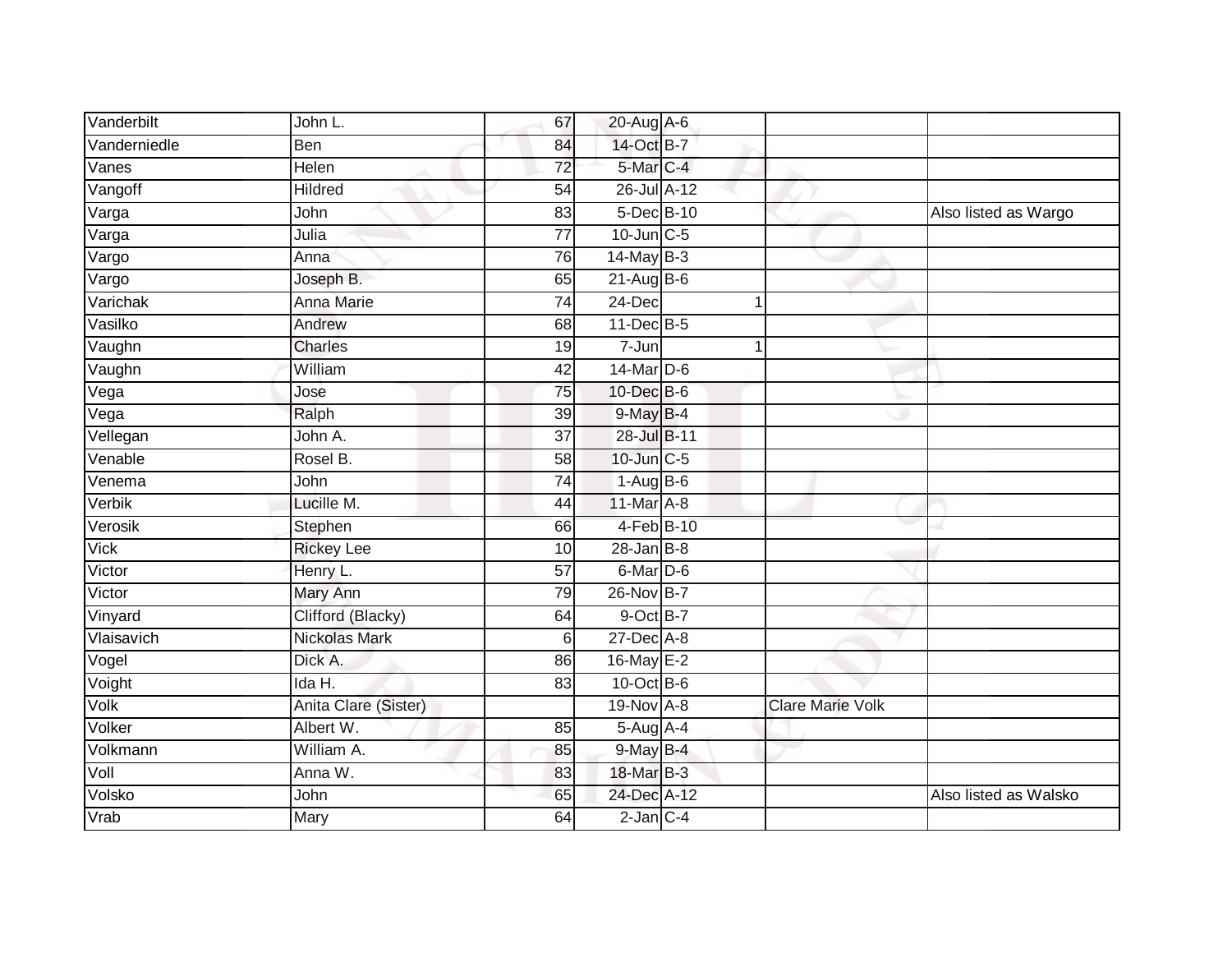| Vanderbilt                   | John L.              | 67              | 20-Aug A-6        |   |                         |                       |
|------------------------------|----------------------|-----------------|-------------------|---|-------------------------|-----------------------|
| Vanderniedle                 | Ben                  | 84              | 14-Oct B-7        |   |                         |                       |
| Vanes                        | Helen                | $\overline{72}$ | 5-Mar C-4         |   |                         |                       |
| Vangoff                      | Hildred              | 54              | 26-Jul A-12       |   |                         |                       |
| $\overline{\mathsf{V}}$ arga | John                 | $\overline{83}$ | 5-Dec B-10        |   |                         | Also listed as Wargo  |
| Varga                        | Julia                | $\overline{77}$ | $10$ -Jun $C-5$   |   |                         |                       |
| Vargo                        | Anna                 | 76              | 14-May B-3        |   |                         |                       |
| Vargo                        | Joseph B.            | 65              | $21-Aug$ B-6      |   |                         |                       |
| Varichak                     | Anna Marie           | 74              | 24-Dec            | 1 |                         |                       |
| Vasilko                      | Andrew               | 68              | $11$ -Dec $B - 5$ |   |                         |                       |
| Vaughn                       | Charles              | 19              | 7-Jun             | 1 |                         |                       |
| Vaughn                       | William              | 42              | 14-Mar D-6        |   |                         |                       |
| Vega                         | Jose                 | 75              | 10-Dec B-6        |   |                         |                       |
| Vega                         | Ralph                | 39              | 9-May B-4         |   |                         |                       |
| Vellegan                     | John A.              | $\overline{37}$ | 28-Jul B-11       |   |                         |                       |
| Venable                      | Rosel B.             | 58              | 10-Jun C-5        |   |                         |                       |
| Venema                       | John                 | 74              | $1-AugB-6$        |   |                         |                       |
| Verbik                       | Lucille M.           | 44              | 11-Mar A-8        |   |                         |                       |
| Verosik                      | Stephen              | 66              | 4-Feb B-10        |   |                         |                       |
| Vick                         | <b>Rickey Lee</b>    | 10              | $28 - Jan$ $B-8$  |   |                         |                       |
| Victor                       | Henry L.             | 57              | 6-Mar D-6         |   |                         |                       |
| Victor                       | Mary Ann             | 79              | 26-Nov B-7        |   |                         |                       |
| Vinyard                      | Clifford (Blacky)    | 64              | $9$ -Oct $B-7$    |   |                         |                       |
| Vlaisavich                   | <b>Nickolas Mark</b> | $6 \mid$        | 27-Dec A-8        |   |                         |                       |
| Vogel                        | Dick A.              | 86              | 16-May E-2        |   |                         |                       |
| Voight                       | Ida H.               | 83              | $10$ -Oct B-6     |   |                         |                       |
| Volk                         | Anita Clare (Sister) |                 | 19-Nov A-8        |   | <b>Clare Marie Volk</b> |                       |
| Volker                       | Albert W.            | 85              | 5-Aug A-4         |   |                         |                       |
| Volkmann                     | William A.           | 85              | 9-May B-4         |   |                         |                       |
| Voll                         | Anna W.              | 83              | 18-Mar B-3        |   |                         |                       |
| Volsko                       | John                 | 65              | 24-Dec A-12       |   |                         | Also listed as Walsko |
| Vrab                         | Mary                 | 64              | $2$ -Jan $C-4$    |   |                         |                       |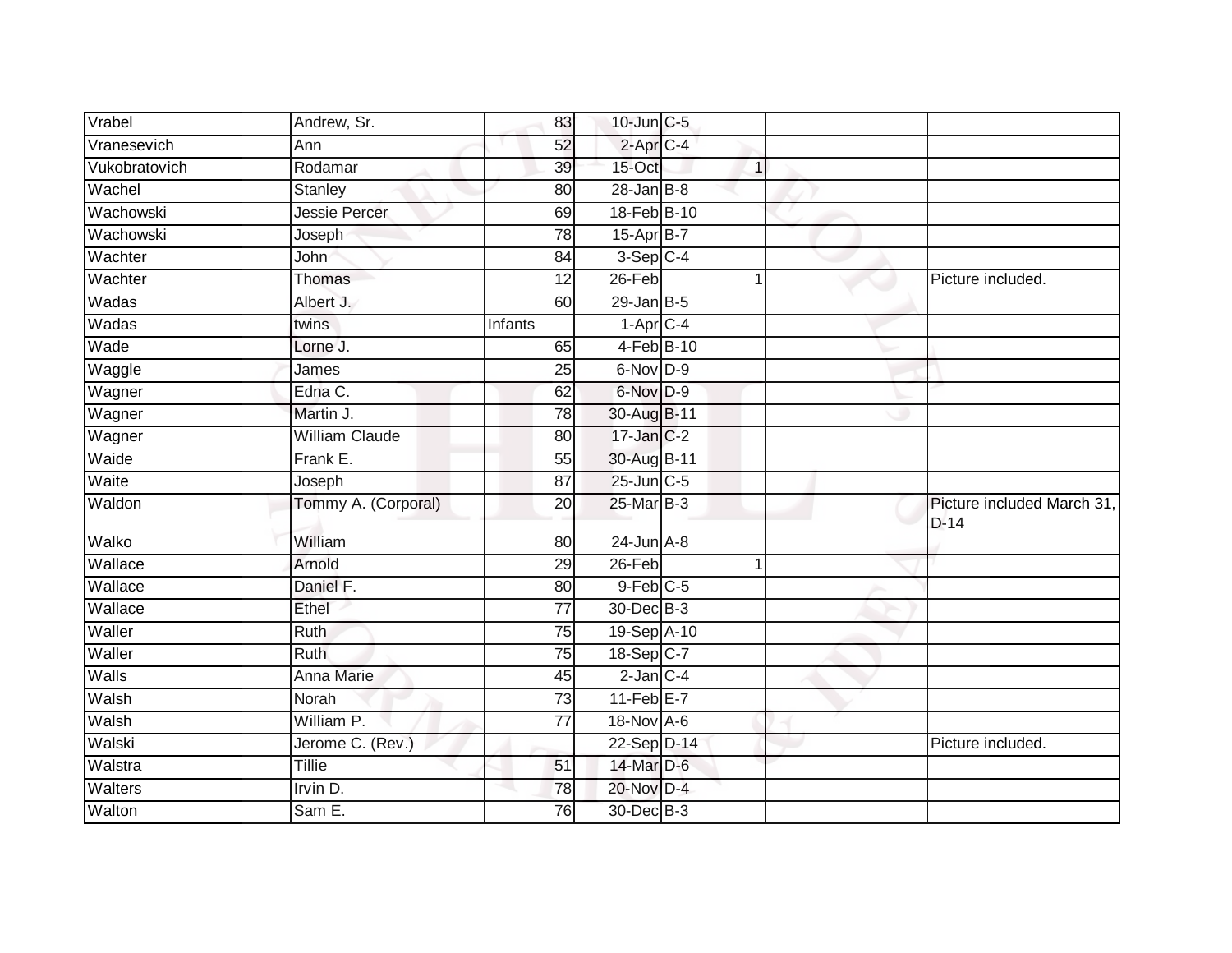| Vrabel        | Andrew, Sr.           | 83              | $10$ -Jun $C$ -5     |              |                                      |
|---------------|-----------------------|-----------------|----------------------|--------------|--------------------------------------|
| Vranesevich   | Ann                   | 52              | 2-Apr <sub>C-4</sub> |              |                                      |
| Vukobratovich | Rodamar               | 39              | 15-Oct               | $\mathbf{1}$ |                                      |
| Wachel        | Stanley               | 80              | $28$ -Jan $B$ -8     |              |                                      |
| Wachowski     | Jessie Percer         | 69              | 18-Feb B-10          |              |                                      |
| Wachowski     | Joseph                | 78              | $15-Apr$ B-7         |              |                                      |
| Wachter       | John                  | 84              | $3-Sep$ C-4          |              |                                      |
| Wachter       | Thomas                | 12              | $26$ -Feb            | 1            | Picture included.                    |
| Wadas         | Albert J.             | 60              | $29$ -Jan B-5        |              |                                      |
| Wadas         | twins                 | Infants         | $1-AprC-4$           |              |                                      |
| Wade          | Lorne J.              | 65              | 4-Feb B-10           |              |                                      |
| Waggle        | James                 | 25              | 6-Nov D-9            |              |                                      |
| Wagner        | Edna C.               | 62              | 6-Nov D-9            |              |                                      |
| Wagner        | Martin J.             | 78              | 30-Aug B-11          |              |                                      |
| Wagner        | <b>William Claude</b> | 80              | 17-Jan C-2           |              |                                      |
| Waide         | Frank E.              | 55              | 30-Aug B-11          |              |                                      |
| Waite         | Joseph                | $\overline{87}$ | 25-Jun C-5           |              |                                      |
| Waldon        | Tommy A. (Corporal)   | 20              | 25-Mar B-3           |              | Picture included March 31,<br>$D-14$ |
| Walko         | William               | 80              | $24$ -Jun $A-8$      |              |                                      |
| Wallace       | Arnold                | 29              | $26$ -Feb            | 1            |                                      |
| Wallace       | Daniel F.             | 80              | $9$ -Feb $C$ -5      |              |                                      |
| Wallace       | Ethel                 | $\overline{77}$ | 30-Dec B-3           |              |                                      |
| Waller        | <b>Ruth</b>           | $\overline{75}$ | 19-Sep A-10          |              |                                      |
| Waller        | <b>Ruth</b>           | 75              | 18-Sep C-7           |              |                                      |
| <b>Walls</b>  | <b>Anna Marie</b>     | 45              | $2$ -Jan $C-4$       |              |                                      |
| Walsh         | Norah                 | 73              | $11-Feb$ E-7         |              |                                      |
| Walsh         | William P.            | 77              | 18-Nov A-6           |              |                                      |
| Walski        | Jerome C. (Rev.)      |                 | 22-Sep D-14          |              | Picture included.                    |
| Walstra       | <b>Tillie</b>         | 51              | 14-Mar D-6           |              |                                      |
| Walters       | Irvin D.              | 78              | 20-Nov D-4           |              |                                      |
| Walton        | Sam E.                | 76              | 30-Dec B-3           |              |                                      |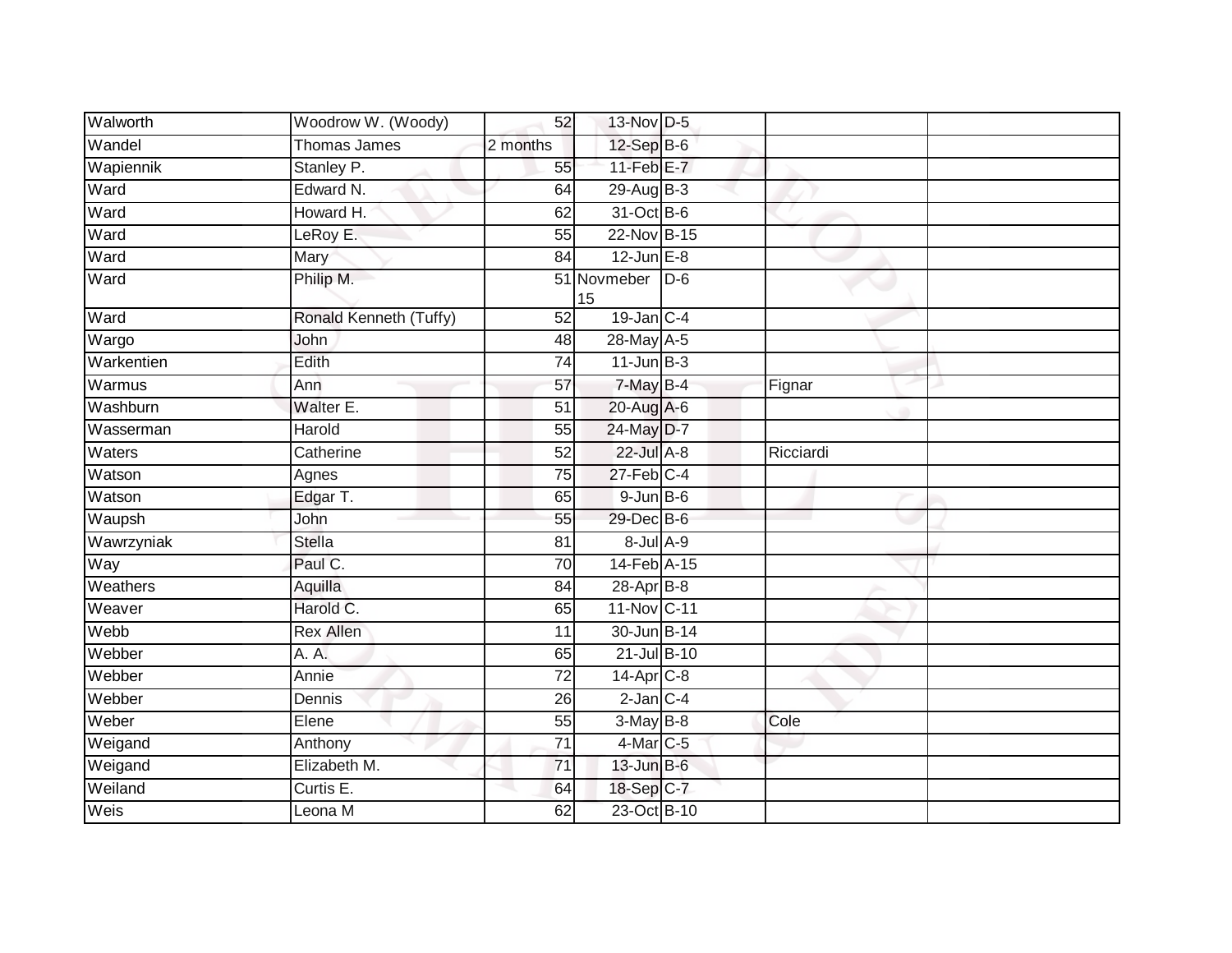| Walworth   | Woodrow W. (Woody)     | 52              | 13-Nov D-5        |       |           |  |
|------------|------------------------|-----------------|-------------------|-------|-----------|--|
| Wandel     | <b>Thomas James</b>    | 2 months        | $12$ -Sep B-6     |       |           |  |
| Wapiennik  | Stanley P.             | 55              | $11-Feb$ E-7      |       |           |  |
| Ward       | Edward N.              | 64              | 29-Aug B-3        |       |           |  |
| Ward       | Howard H.              | 62              | 31-Oct B-6        |       |           |  |
| Ward       | LeRoy E.               | 55              | 22-Nov B-15       |       |           |  |
| Ward       | Mary                   | 84              | $12$ -Jun $E-8$   |       |           |  |
| Ward       | Philip M.              |                 | 51 Novmeber<br>15 | $D-6$ |           |  |
| Ward       | Ronald Kenneth (Tuffy) | 52              | $19$ -Jan C-4     |       |           |  |
| Wargo      | John                   | 48              | 28-May A-5        |       |           |  |
| Warkentien | Edith                  | 74              | $11$ -Jun $B-3$   |       |           |  |
| Warmus     | Ann                    | 57              | 7-May B-4         |       | Fignar    |  |
| Washburn   | Walter E.              | 51              | 20-Aug A-6        |       |           |  |
| Wasserman  | Harold                 | 55              | 24-May D-7        |       |           |  |
| Waters     | Catherine              | 52              | 22-Jul A-8        |       | Ricciardi |  |
| Watson     | Agnes                  | 75              | $27$ -Feb $C-4$   |       |           |  |
| Watson     | Edgar T.               | 65              | $9$ -Jun $B$ -6   |       |           |  |
| Waupsh     | John                   | 55              | 29-Dec B-6        |       |           |  |
| Wawrzyniak | <b>Stella</b>          | 81              | 8-Jul A-9         |       |           |  |
| Way        | Paul C.                | $\overline{70}$ | 14-Feb A-15       |       |           |  |
| Weathers   | Aquilla                | 84              | $28-Apr$ B-8      |       |           |  |
| Weaver     | Harold C.              | 65              | 11-Nov C-11       |       |           |  |
| Webb       | <b>Rex Allen</b>       | 11              | 30-Jun B-14       |       |           |  |
| Webber     | A. A.                  | 65              | 21-Jul B-10       |       |           |  |
| Webber     | Annie                  | $\overline{72}$ | $14-Apr$ $C-8$    |       |           |  |
| Webber     | Dennis                 | 26              | $2$ -Jan $C-4$    |       |           |  |
| Weber      | Elene                  | 55              | $3-May$ B-8       |       | Cole      |  |
| Weigand    | Anthony                | $\overline{71}$ | 4-Mar C-5         |       |           |  |
| Weigand    | Elizabeth M.           | $\overline{71}$ | $13$ -Jun $B-6$   |       |           |  |
| Weiland    | Curtis E.              | 64              | 18-Sep C-7        |       |           |  |
| Weis       | Leona M                | 62              | 23-Oct B-10       |       |           |  |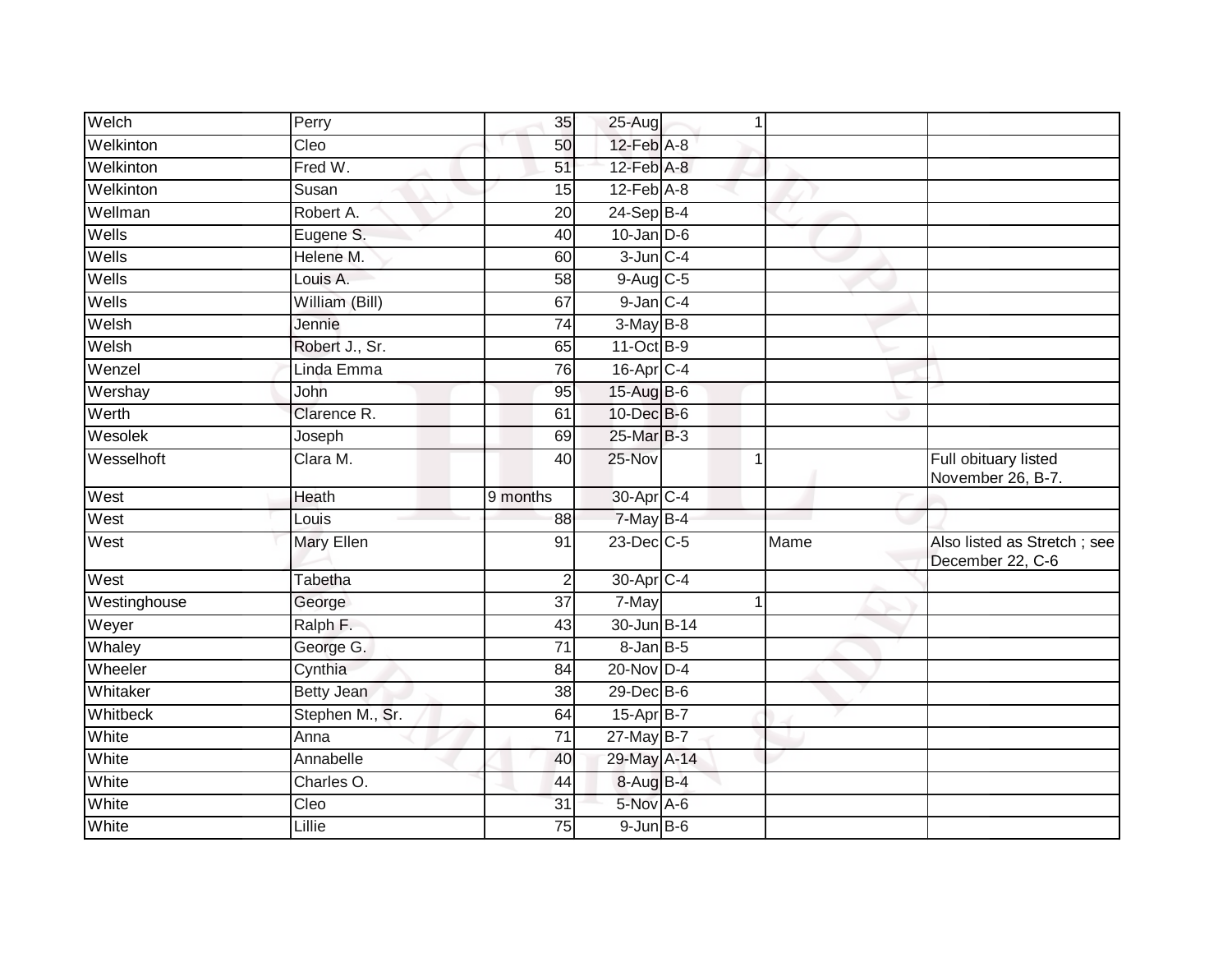| Welch        | Perry             | 35              | $25-Aug$         | $\mathbf 1$ |      |                                                 |
|--------------|-------------------|-----------------|------------------|-------------|------|-------------------------------------------------|
| Welkinton    | Cleo              | 50              | 12-Feb A-8       |             |      |                                                 |
| Welkinton    | Fred W.           | 51              | $12$ -Feb $A-8$  |             |      |                                                 |
| Welkinton    | Susan             | 15              | $12$ -Feb $A-8$  |             |      |                                                 |
| Wellman      | Robert A.         | 20              | $24-Sep$ B-4     |             |      |                                                 |
| Wells        | Eugene S.         | 40              | $10$ -Jan $D-6$  |             |      |                                                 |
| Wells        | Helene M.         | 60              | $3$ -Jun $C-4$   |             |      |                                                 |
| Wells        | Louis A.          | 58              | 9-Aug C-5        |             |      |                                                 |
| Wells        | William (Bill)    | 67              | $9$ -Jan $C$ -4  |             |      |                                                 |
| Welsh        | Jennie            | 74              | $3-May$ B-8      |             |      |                                                 |
| Welsh        | Robert J., Sr.    | 65              | 11-Oct B-9       |             |      |                                                 |
| Wenzel       | Linda Emma        | 76              | 16-Apr C-4       |             |      |                                                 |
| Wershay      | John              | 95              | 15-Aug B-6       |             |      |                                                 |
| Werth        | Clarence R.       | 61              | 10-Dec B-6       |             |      |                                                 |
| Wesolek      | Joseph            | 69              | 25-Mar B-3       |             |      |                                                 |
| Wesselhoft   | Clara M.          | 40              | 25-Nov           | $\mathbf 1$ |      | Full obituary listed<br>November 26, B-7.       |
| West         | Heath             | 9 months        | 30-Apr C-4       |             |      |                                                 |
| West         | Louis             | 88              | $7-May$ B-4      |             |      |                                                 |
| West         | <b>Mary Ellen</b> | 91              | $23$ -Dec $C$ -5 |             | Mame | Also listed as Stretch; see<br>December 22, C-6 |
| West         | Tabetha           | 2               | 30-Apr C-4       |             |      |                                                 |
| Westinghouse | George            | $\overline{37}$ | 7-May            | 1           |      |                                                 |
| Weyer        | Ralph F.          | 43              | 30-Jun B-14      |             |      |                                                 |
| Whaley       | George G.         | 71              | 8-Jan B-5        |             |      |                                                 |
| Wheeler      | Cynthia           | 84              | 20-Nov D-4       |             |      |                                                 |
| Whitaker     | Betty Jean        | 38              | 29-Dec B-6       |             |      |                                                 |
| Whitbeck     | Stephen M., Sr.   | 64              | 15-Apr B-7       |             |      |                                                 |
| White        | Anna              | $\overline{71}$ | 27-May B-7       |             |      |                                                 |
| White        | Annabelle         | 40              | 29-May A-14      |             |      |                                                 |
| White        | Charles O.        | 44              | 8-Aug B-4        |             |      |                                                 |
| White        | Cleo              | 31              | 5-Nov A-6        |             |      |                                                 |
| White        | Lillie            | 75              | $9$ -Jun $B$ -6  |             |      |                                                 |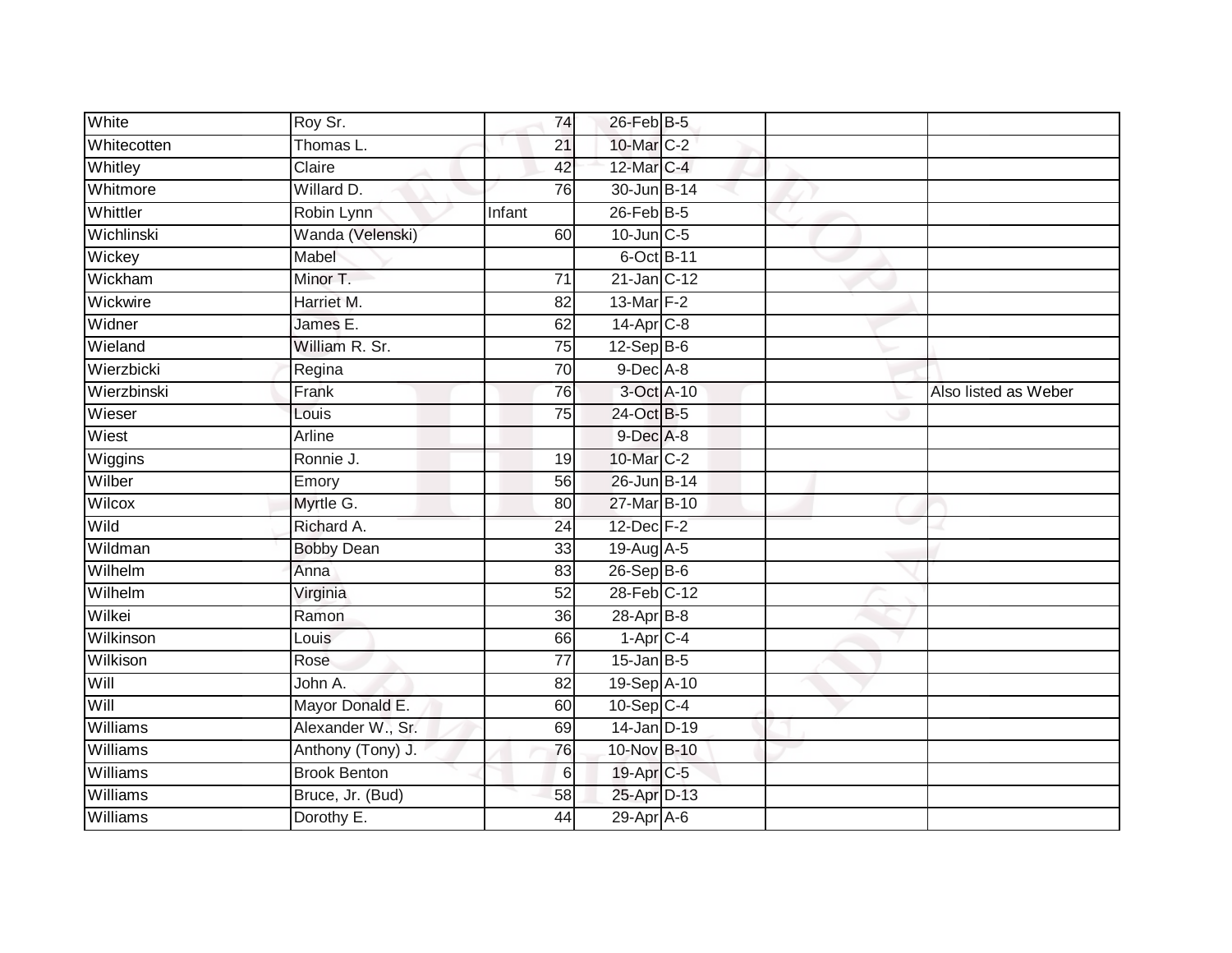| White           | Roy Sr.             | 74              | 26-Feb B-5             |  |                      |
|-----------------|---------------------|-----------------|------------------------|--|----------------------|
| Whitecotten     | Thomas L.           | $\overline{21}$ | 10-Mar C-2             |  |                      |
| Whitley         | Claire              | 42              | 12-Mar C-4             |  |                      |
| Whitmore        | Willard D.          | 76              | 30-Jun B-14            |  |                      |
| Whittler        | Robin Lynn          | Infant          | $26$ -Feb $B-5$        |  |                      |
| Wichlinski      | Wanda (Velenski)    | 60              | $10$ -Jun $C - 5$      |  |                      |
| Wickey          | Mabel               |                 | 6-Oct B-11             |  |                      |
| Wickham         | Minor T.            | 71              | $21$ -Jan C-12         |  |                      |
| Wickwire        | Harriet M.          | 82              | 13-Mar $F-2$           |  |                      |
| Widner          | James E.            | 62              | 14-Apr C-8             |  |                      |
| Wieland         | William R. Sr.      | 75              | $12-Sep$ B-6           |  |                      |
| Wierzbicki      | Regina              | 70              | 9-Dec A-8              |  |                      |
| Wierzbinski     | Frank               | 76              | 3-Oct A-10             |  | Also listed as Weber |
| Wieser          | Louis               | 75              | 24-Oct B-5             |  |                      |
| Wiest           | Arline              |                 | 9-Dec A-8              |  |                      |
| Wiggins         | Ronnie J.           | 19              | 10-Mar C-2             |  |                      |
| Wilber          | Emory               | 56              | 26-Jun B-14            |  |                      |
| Wilcox          | Myrtle G.           | 80              | 27-Mar B-10            |  |                      |
| Wild            | Richard A.          | 24              | 12-Dec F-2             |  |                      |
| Wildman         | <b>Bobby Dean</b>   | 33              | 19-Aug A-5             |  |                      |
| Wilhelm         | Anna                | 83              | $26-Sep$ B-6           |  |                      |
| Wilhelm         | Virginia            | 52              | 28-Feb C-12            |  |                      |
| Wilkei          | Ramon               | 36              | 28-Apr B-8             |  |                      |
| Wilkinson       | Louis               | 66              | $1-Apr$ <sub>C-4</sub> |  |                      |
| Wilkison        | Rose                | 77              | $15$ -Jan B-5          |  |                      |
| Will            | John A.             | 82              | 19-Sep A-10            |  |                      |
| Will            | Mayor Donald E.     | 60              | $10-Sep$ C-4           |  |                      |
| <b>Williams</b> | Alexander W., Sr.   | 69              | $14$ -Jan D-19         |  |                      |
| Williams        | Anthony (Tony) J.   | 76              | 10-Nov B-10            |  |                      |
| Williams        | <b>Brook Benton</b> | 6               | 19-Apr C-5             |  |                      |
| Williams        | Bruce, Jr. (Bud)    | 58              | 25-Apr D-13            |  |                      |
| Williams        | Dorothy E.          | 44              | 29-Apr A-6             |  |                      |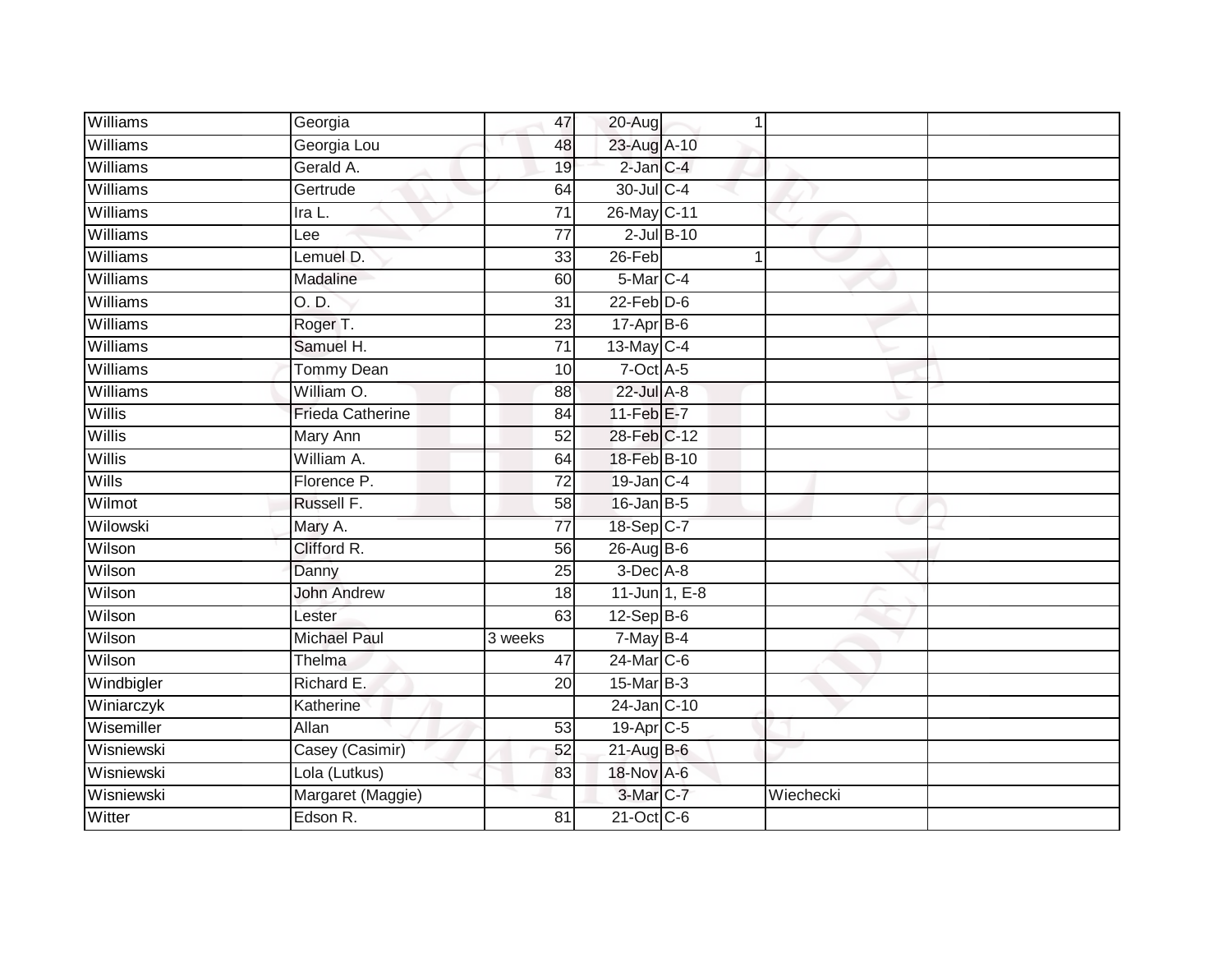| <b>Williams</b> | Georgia                 | 47              | 20-Aug                |                 |           |  |
|-----------------|-------------------------|-----------------|-----------------------|-----------------|-----------|--|
| Williams        | Georgia Lou             | 48              | 23-Aug A-10           |                 |           |  |
| Williams        | Gerald A.               | 19              | $2$ -Jan $C-4$        |                 |           |  |
| Williams        | Gertrude                | 64              | 30-Jul C-4            |                 |           |  |
| Williams        | Ira L.                  | $\overline{71}$ | 26-May C-11           |                 |           |  |
| Williams        | Lee                     | $\overline{77}$ |                       | $2$ -Jul $B-10$ |           |  |
| Williams        | Lemuel D.               | 33              | 26-Feb                |                 |           |  |
| Williams        | Madaline                | 60              | 5-Mar <sub>C-4</sub>  |                 |           |  |
| Williams        | O. D.                   | 31              | $22$ -Feb $D-6$       |                 |           |  |
| Williams        | Roger T.                | $\overline{23}$ | $17-Apr$ B-6          |                 |           |  |
| Williams        | Samuel H.               | $\overline{71}$ | 13-May C-4            |                 |           |  |
| Williams        | <b>Tommy Dean</b>       | 10              | $7$ -Oct A-5          |                 |           |  |
| <b>Williams</b> | William O.              | 88              | 22-Jul A-8            |                 |           |  |
| Willis          | <b>Frieda Catherine</b> | 84              | $11-FebE-7$           |                 |           |  |
| Willis          | Mary Ann                | $\overline{52}$ | 28-Feb C-12           |                 |           |  |
| Willis          | William A.              | 64              | 18-Feb B-10           |                 |           |  |
| Wills           | Florence P.             | $\overline{72}$ | 19-Jan C-4            |                 |           |  |
| Wilmot          | Russell F.              | 58              | $16$ -Jan B-5         |                 |           |  |
| Wilowski        | Mary A.                 | $\overline{77}$ | 18-Sep C-7            |                 |           |  |
| Wilson          | Clifford R.             | 56              | $26$ -Aug B-6         |                 |           |  |
| Wilson          | Danny                   | 25              | 3-Dec A-8             |                 |           |  |
| Wilson          | <b>John Andrew</b>      | 18              |                       | 11-Jun 1, E-8   |           |  |
| Wilson          | Lester                  | 63              | $12-Sep$ B-6          |                 |           |  |
| Wilson          | <b>Michael Paul</b>     | 3 weeks         | $7$ -May B-4          |                 |           |  |
| Wilson          | Thelma                  | 47              | 24-Mar C-6            |                 |           |  |
| Windbigler      | Richard E.              | 20              | 15-Mar B-3            |                 |           |  |
| Winiarczyk      | Katherine               |                 | 24-Jan C-10           |                 |           |  |
| Wisemiller      | Allan                   | 53              | 19-Apr <sub>C-5</sub> |                 |           |  |
| Wisniewski      | Casey (Casimir)         | 52              | 21-Aug B-6            |                 |           |  |
| Wisniewski      | Lola (Lutkus)           | 83              | 18-Nov A-6            |                 |           |  |
| Wisniewski      | Margaret (Maggie)       |                 | $3-Mar$ C-7           |                 | Wiechecki |  |
| Witter          | Edson R.                | 81              | 21-Oct C-6            |                 |           |  |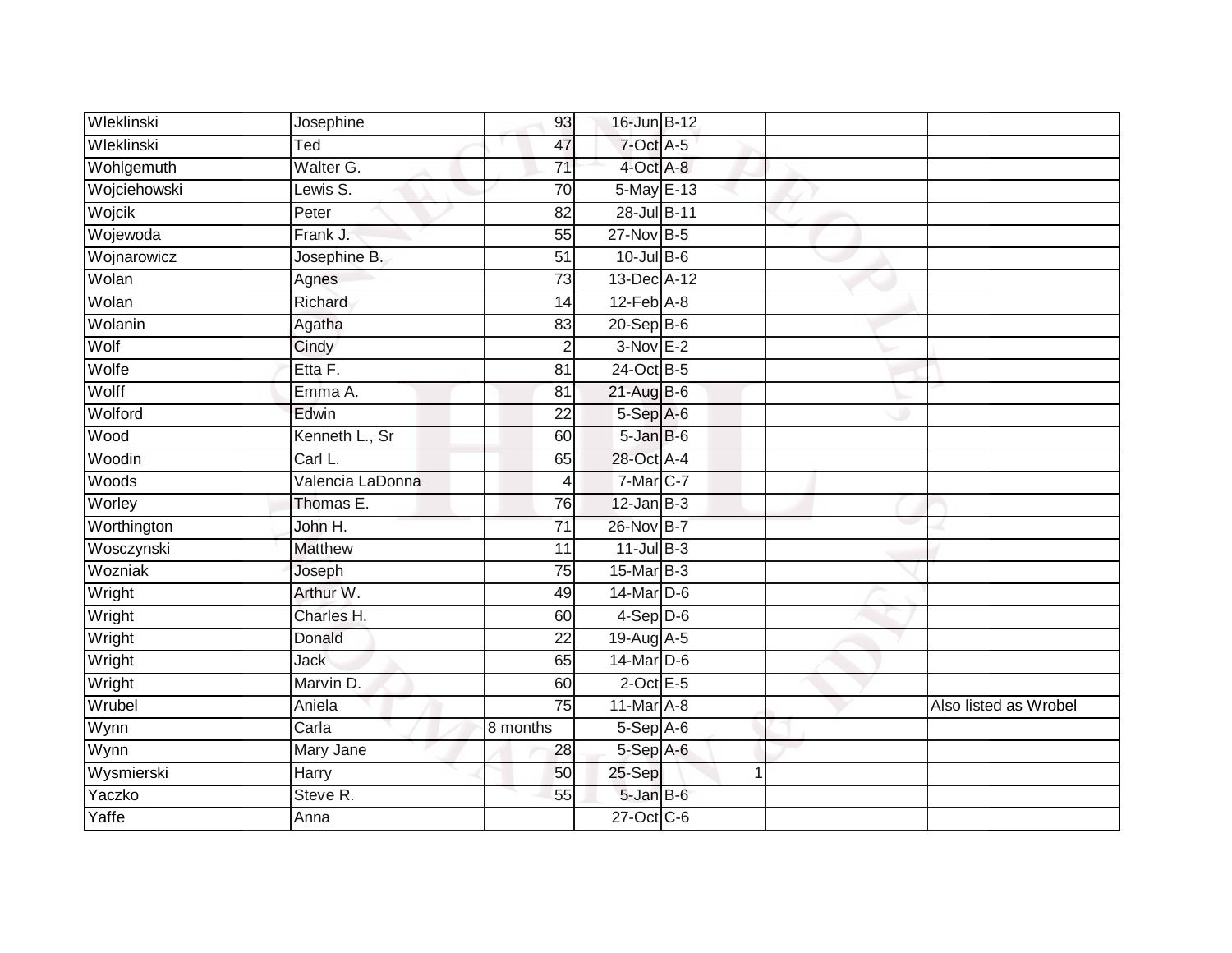| Wleklinski   | Josephine        | 93              | 16-Jun B-12     |   |                       |
|--------------|------------------|-----------------|-----------------|---|-----------------------|
| Wleklinski   | Ted              | 47              | $7$ -Oct $A$ -5 |   |                       |
| Wohlgemuth   | Walter G.        | $\overline{71}$ | 4-Oct A-8       |   |                       |
| Wojciehowski | Lewis S.         | 70              | 5-May E-13      |   |                       |
| Wojcik       | Peter            | $\overline{82}$ | 28-Jul B-11     |   |                       |
| Wojewoda     | Frank J.         | 55              | 27-Nov B-5      |   |                       |
| Wojnarowicz  | Josephine B.     | $\overline{51}$ | $10$ -Jul B-6   |   |                       |
| Wolan        | Agnes            | 73              | 13-Dec A-12     |   |                       |
| Wolan        | Richard          | 14              | $12$ -Feb $A-8$ |   |                       |
| Wolanin      | Agatha           | 83              | 20-Sep B-6      |   |                       |
| Wolf         | Cindy            | $\overline{c}$  | $3-Nov$ E-2     |   |                       |
| Wolfe        | Etta F.          | 81              | 24-Oct B-5      |   |                       |
| Wolff        | Emma A.          | 81              | $21-AugB-6$     |   |                       |
| Wolford      | Edwin            | 22              | 5-Sep A-6       |   |                       |
| Wood         | Kenneth L., Sr   | 60              | 5-Jan B-6       |   |                       |
| Woodin       | Carl L.          | 65              | 28-Oct A-4      |   |                       |
| Woods        | Valencia LaDonna | 4               | 7-Mar C-7       |   |                       |
| Worley       | Thomas E.        | 76              | $12$ -Jan B-3   |   |                       |
| Worthington  | John H.          | 71              | 26-Nov B-7      |   |                       |
| Wosczynski   | <b>Matthew</b>   | 11              | $11$ -Jul B-3   |   |                       |
| Wozniak      | Joseph           | 75              | 15-Mar B-3      |   |                       |
| Wright       | Arthur W.        | 49              | 14-Mar D-6      |   |                       |
| Wright       | Charles H.       | 60              | $4-Sep$ D-6     |   |                       |
| Wright       | Donald           | $\overline{22}$ | 19-Aug A-5      |   |                       |
| Wright       | <b>Jack</b>      | 65              | $14$ -Mar $D-6$ |   |                       |
| Wright       | Marvin D.        | 60              | $2$ -Oct E-5    |   |                       |
| Wrubel       | Aniela           | $\overline{75}$ | 11-Mar A-8      |   | Also listed as Wrobel |
| Wynn         | Carla            | 8 months        | $5-Sep$ A-6     |   |                       |
| Wynn         | Mary Jane        | 28              | 5-Sep A-6       |   |                       |
| Wysmierski   | Harry            | 50              | 25-Sep          | 1 |                       |
| Yaczko       | Steve R.         | 55              | 5-Jan B-6       |   |                       |
| Yaffe        | Anna             |                 | 27-Oct C-6      |   |                       |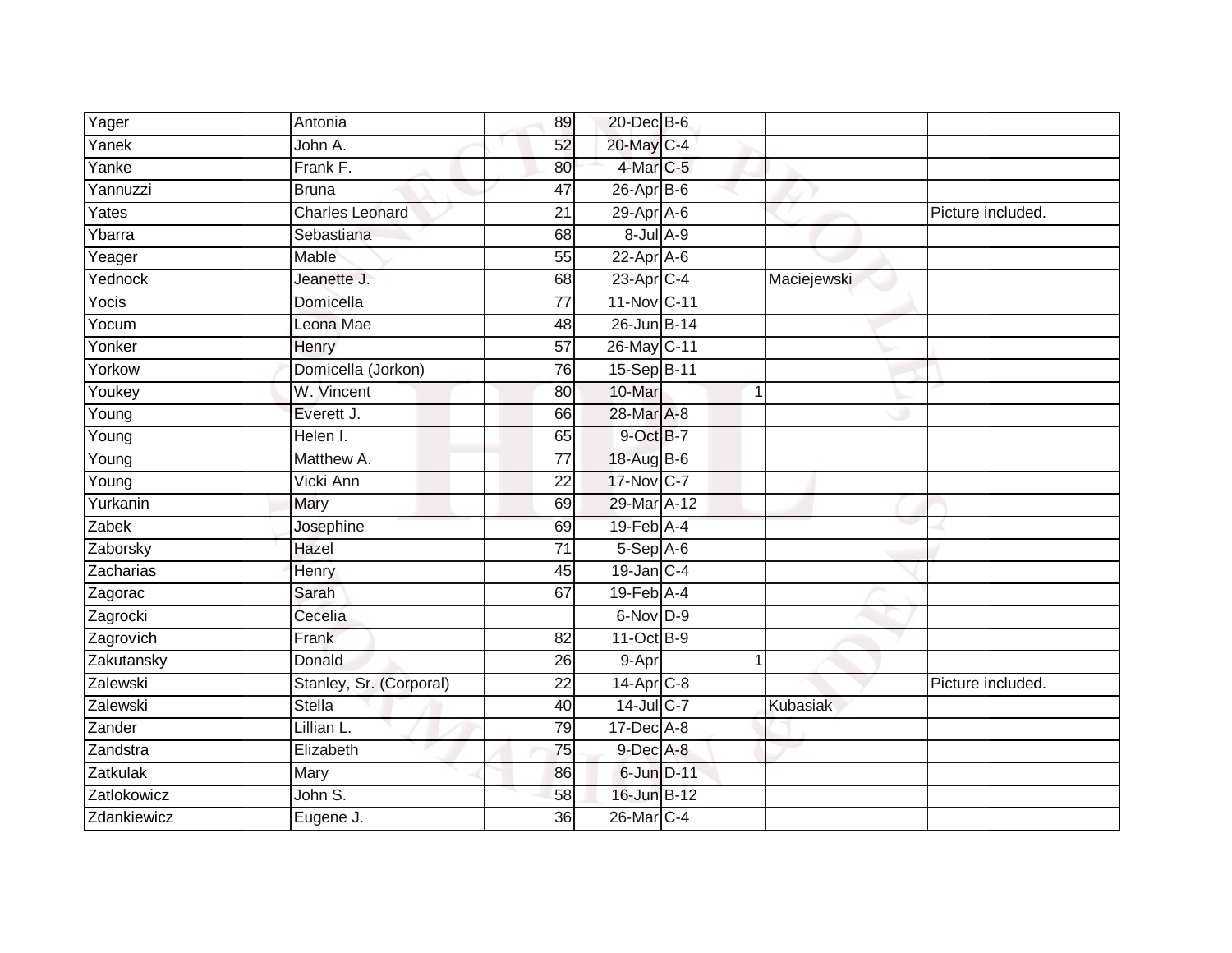| Yager               | Antonia                 | 89              | 20-Dec B-6                 |             |                   |
|---------------------|-------------------------|-----------------|----------------------------|-------------|-------------------|
| Yanek               | John A.                 | 52              | 20-May C-4                 |             |                   |
| Yanke               | Frank F.                | 80              | 4-Mar C-5                  |             |                   |
| Yannuzzi            | <b>Bruna</b>            | 47              | $26$ -Apr $B$ -6           |             |                   |
| Yates               | <b>Charles Leonard</b>  | $\overline{21}$ | $29$ -Apr $A$ -6           |             | Picture included. |
| Ybarra              | Sebastiana              | 68              | $8$ -Jul $A$ -9            |             |                   |
| Yeager              | Mable                   | 55              | $22-Apr$ A-6               |             |                   |
| Yednock             | Jeanette J.             | 68              | 23-Apr C-4                 | Maciejewski |                   |
| Yocis               | Domicella               | 77              | 11-Nov C-11                |             |                   |
| Yocum               | Leona Mae               | 48              | 26-Jun B-14                |             |                   |
| Yonker              | Henry                   | 57              | 26-May C-11                |             |                   |
| Yorkow              | Domicella (Jorkon)      | 76              | 15-Sep B-11                |             |                   |
| Youkey              | W. Vincent              | 80              | 10-Mar                     | 1           |                   |
| Young               | Everett J.              | 66              | 28-Mar A-8                 |             |                   |
| $\overline{Y}$ oung | Helen I.                | 65              | 9-Oct B-7                  |             |                   |
| Young               | Matthew A.              | 77              | 18-Aug B-6                 |             |                   |
| $\overline{Y}$ oung | Vicki Ann               | 22              | 17-Nov C-7                 |             |                   |
| Yurkanin            | Mary                    | 69              | 29-Mar A-12                |             |                   |
| Zabek               | Josephine               | 69              | 19-Feb A-4                 |             |                   |
| Zaborsky            | Hazel                   | 71              | $5-$ Sep $A-6$             |             |                   |
| Zacharias           | Henry                   | 45              | $19$ -Jan C-4              |             |                   |
| Zagorac             | Sarah                   | 67              | $19$ -Feb $\overline{A-4}$ |             |                   |
| Zagrocki            | Cecelia                 |                 | 6-Nov D-9                  |             |                   |
| Zagrovich           | Frank                   | 82              | 11-Oct B-9                 |             |                   |
| Zakutansky          | Donald                  | 26              | 9-Apr                      |             |                   |
| Zalewski            | Stanley, Sr. (Corporal) | 22              | $14-Apr$ $C-8$             |             | Picture included. |
| Zalewski            | <b>Stella</b>           | 40              | 14-Jul C-7                 | Kubasiak    |                   |
| Zander              | Lillian L.              | 79              | $17$ -Dec $A-8$            |             |                   |
| Zandstra            | Elizabeth               | 75              | 9-Dec A-8                  |             |                   |
| Zatkulak            | Mary                    | 86              | 6-Jun D-11                 |             |                   |
| Zatlokowicz         | John S.                 | $\overline{58}$ | 16-Jun B-12                |             |                   |
| Zdankiewicz         | Eugene J.               | $\overline{36}$ | 26-Mar C-4                 |             |                   |